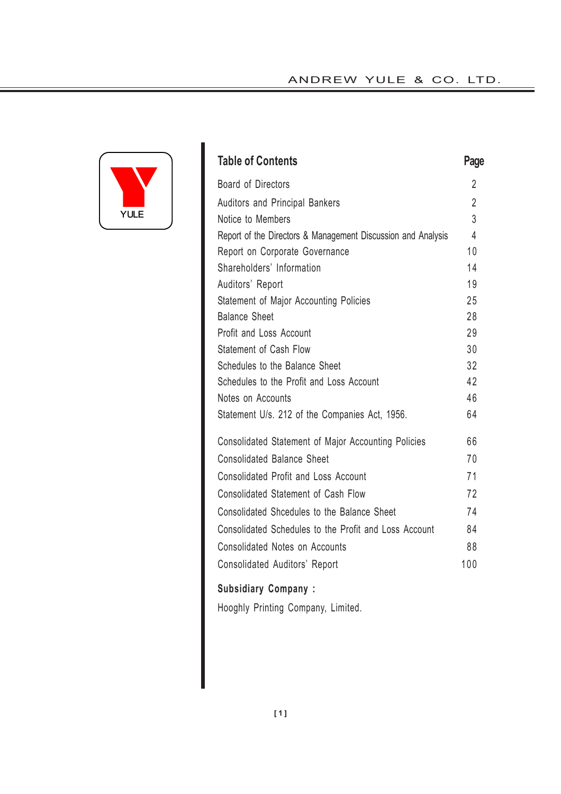# ANDREW YULE & CO. LTD.



| <b>Table of Contents</b>                                     | Page           |
|--------------------------------------------------------------|----------------|
| Board of Directors                                           | $\overline{2}$ |
| Auditors and Principal Bankers                               | $\overline{2}$ |
| Notice to Members                                            | 3              |
| Report of the Directors & Management Discussion and Analysis | $\overline{4}$ |
| Report on Corporate Governance                               | 10             |
| Shareholders' Information                                    | 14             |
| Auditors' Report                                             | 19             |
| Statement of Major Accounting Policies                       | 25             |
| <b>Balance Sheet</b>                                         | 28             |
| Profit and Loss Account                                      | 29             |
| Statement of Cash Flow                                       | 30             |
| Schedules to the Balance Sheet                               | 32             |
| Schedules to the Profit and Loss Account                     | 42             |
| Notes on Accounts                                            | 46             |
| Statement U/s. 212 of the Companies Act, 1956.               | 64             |
| Consolidated Statement of Major Accounting Policies          | 66             |
| <b>Consolidated Balance Sheet</b>                            | 70             |
| <b>Consolidated Profit and Loss Account</b>                  | 71             |
| Consolidated Statement of Cash Flow                          | 72             |
| Consolidated Shcedules to the Balance Sheet                  | 74             |
| Consolidated Schedules to the Profit and Loss Account        | 84             |
| Consolidated Notes on Accounts                               | 88             |
| <b>Consolidated Auditors' Report</b>                         | 100            |
| <b>Subsidiary Company:</b>                                   |                |

Hooghly Printing Company, Limited.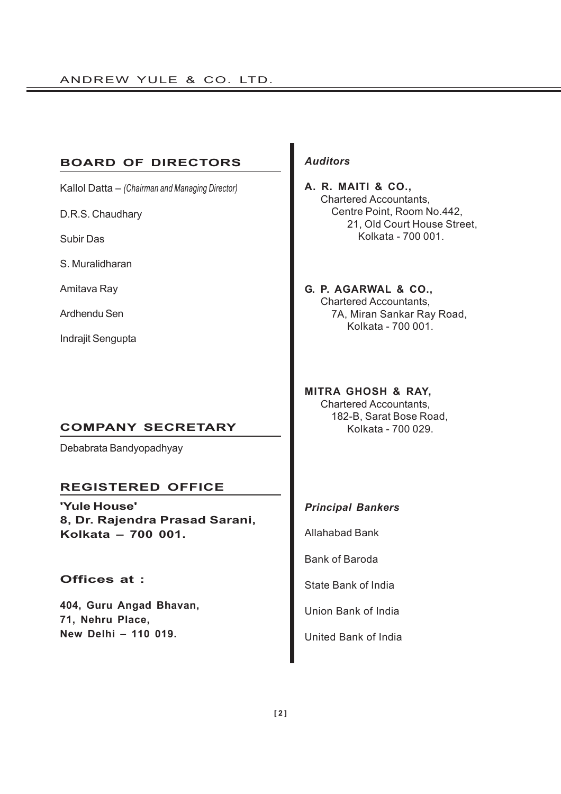# **BOARD OF DIRECTORS**

Kallol Datta – *(Chairman and Managing Director)*

D.R.S. Chaudhary

Subir Das

S. Muralidharan

Amitava Ray

Ardhendu Sen

Indrajit Sengupta

# **COMPANY SECRETARY**

Debabrata Bandyopadhyay

# **REGISTERED OFFICE**

**'Yule House' 8, Dr. Rajendra Prasad Sarani, Kolkata – 700 001.**

# **Offices at :**

**404, Guru Angad Bhavan, 71, Nehru Place, New Delhi – 110 019.**

# *Auditors*

**A. R. MAITI & CO.,** Chartered Accountants, Centre Point, Room No.442, 21, Old Court House Street, Kolkata - 700 001.

**G. P. AGARWAL & CO.,** Chartered Accountants, 7A, Miran Sankar Ray Road, Kolkata - 700 001.

**MITRA GHOSH & RAY,** Chartered Accountants, 182-B, Sarat Bose Road, Kolkata - 700 029.

# *Principal Bankers*

Allahabad Bank

Bank of Baroda

State Bank of India

Union Bank of India

United Bank of India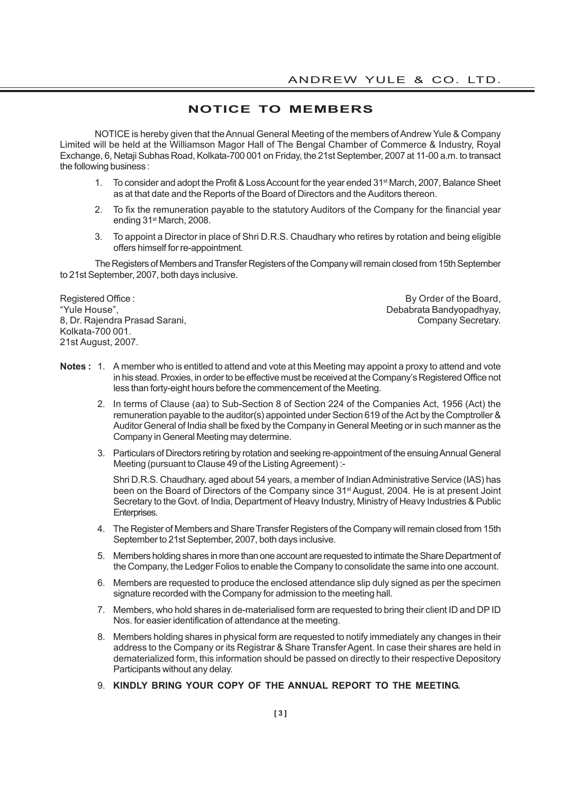# **NOTICE TO MEMBERS**

NOTICE is hereby given that the Annual General Meeting of the members of Andrew Yule & Company Limited will be held at the Williamson Magor Hall of The Bengal Chamber of Commerce & Industry, Royal Exchange, 6, Netaji Subhas Road, Kolkata-700 001 on Friday, the 21st September, 2007 at 11-00 a.m. to transact the following business :

- 1. To consider and adopt the Profit & Loss Account for the year ended 31<sup>st</sup> March, 2007, Balance Sheet as at that date and the Reports of the Board of Directors and the Auditors thereon.
- 2. To fix the remuneration payable to the statutory Auditors of the Company for the financial year ending 31st March, 2008.
- 3. To appoint a Director in place of Shri D.R.S. Chaudhary who retires by rotation and being eligible offers himself for re-appointment.

The Registers of Members and Transfer Registers of the Company will remain closed from 15th September to 21st September, 2007, both days inclusive.

Registered Office : **By Order of the Board,** By Order of the Board, "Yule House", Debabrata Bandyopadhyay, 8, Dr. Rajendra Prasad Sarani, Company Secretary. Kolkata-700 001. 21st August, 2007.

- **Notes :** 1. A member who is entitled to attend and vote at this Meeting may appoint a proxy to attend and vote in his stead. Proxies, in order to be effective must be received at the Company's Registered Office not less than forty-eight hours before the commencement of the Meeting.
	- 2. In terms of Clause (aa) to Sub-Section 8 of Section 224 of the Companies Act, 1956 (Act) the remuneration payable to the auditor(s) appointed under Section 619 of the Act by the Comptroller & Auditor General of India shall be fixed by the Company in General Meeting or in such manner as the Company in General Meeting may determine.
	- 3. Particulars of Directors retiring by rotation and seeking re-appointment of the ensuing Annual General Meeting (pursuant to Clause 49 of the Listing Agreement) :-

Shri D.R.S. Chaudhary, aged about 54 years, a member of Indian Administrative Service (IAS) has been on the Board of Directors of the Company since 31<sup>st</sup> August, 2004. He is at present Joint Secretary to the Govt. of India, Department of Heavy Industry, Ministry of Heavy Industries & Public Enterprises.

- 4. The Register of Members and Share Transfer Registers of the Company will remain closed from 15th September to 21st September, 2007, both days inclusive.
- 5. Members holding shares in more than one account are requested to intimate the Share Department of the Company, the Ledger Folios to enable the Company to consolidate the same into one account.
- 6. Members are requested to produce the enclosed attendance slip duly signed as per the specimen signature recorded with the Company for admission to the meeting hall.
- 7. Members, who hold shares in de-materialised form are requested to bring their client ID and DP ID Nos. for easier identification of attendance at the meeting.
- 8. Members holding shares in physical form are requested to notify immediately any changes in their address to the Company or its Registrar & Share Transfer Agent. In case their shares are held in dematerialized form, this information should be passed on directly to their respective Depository Participants without any delay.
- 9. **KINDLY BRING YOUR COPY OF THE ANNUAL REPORT TO THE MEETING.**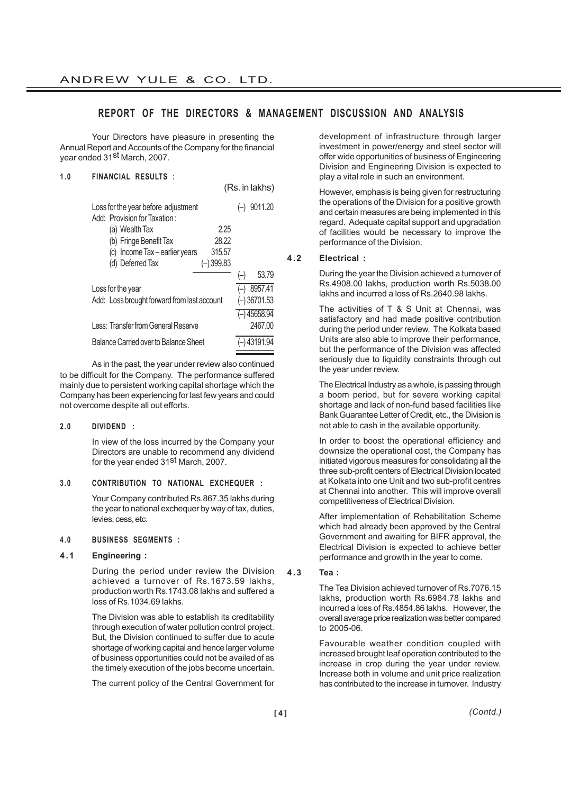# **REPORT OF THE DIRECTORS & MANAGEMENT DISCUSSION AND ANALYSIS**

Your Directors have pleasure in presenting the Annual Report and Accounts of the Company for the financial year ended 31st March, 2007.

# **1 . 0 FINANCIAL RESULTS :**

(Rs. in lakhs)

| 9011.20        |
|----------------|
| 2.25           |
| 28.22          |
| 315.57         |
| $(-)399.83$    |
| 53.79<br>$(-)$ |
| $(-)$ 8957.41  |
| $(-)$ 36701.53 |
| $(-)$ 45658.94 |
| 2467.00        |
| (–) 43191.94   |
|                |

As in the past, the year under review also continued to be difficult for the Company. The performance suffered mainly due to persistent working capital shortage which the Company has been experiencing for last few years and could not overcome despite all out efforts.

#### **2.0 DIVIDEND :**

In view of the loss incurred by the Company your Directors are unable to recommend any dividend for the year ended 31<sup>st</sup> March, 2007.

### **3 . 0 CONTRIBUTION TO NATIONAL EXCHEQUER :**

Your Company contributed Rs.867.35 lakhs during the year to national exchequer by way of tax, duties, levies, cess, etc.

#### **4.0 BUSINESS SEGMENTS :**

#### **4.1 Engineering :**

During the period under review the Division achieved a turnover of Rs.1673.59 lakhs, production worth Rs.1743.08 lakhs and suffered a loss of Rs.1034.69 lakhs.

The Division was able to establish its creditability through execution of water pollution control project. But, the Division continued to suffer due to acute shortage of working capital and hence larger volume of business opportunities could not be availed of as the timely execution of the jobs become uncertain.

The current policy of the Central Government for

development of infrastructure through larger investment in power/energy and steel sector will offer wide opportunities of business of Engineering Division and Engineering Division is expected to play a vital role in such an environment.

However, emphasis is being given for restructuring the operations of the Division for a positive growth and certain measures are being implemented in this regard. Adequate capital support and upgradation of facilities would be necessary to improve the performance of the Division.

### **4.2 Electrical :**

During the year the Division achieved a turnover of Rs.4908.00 lakhs, production worth Rs.5038.00 lakhs and incurred a loss of Rs.2640.98 lakhs.

The activities of T & S Unit at Chennai, was satisfactory and had made positive contribution during the period under review. The Kolkata based Units are also able to improve their performance, but the performance of the Division was affected seriously due to liquidity constraints through out the year under review.

The Electrical Industry as a whole, is passing through a boom period, but for severe working capital shortage and lack of non-fund based facilities like Bank Guarantee Letter of Credit, etc., the Division is not able to cash in the available opportunity.

In order to boost the operational efficiency and downsize the operational cost, the Company has initiated vigorous measures for consolidating all the three sub-profit centers of Electrical Division located at Kolkata into one Unit and two sub-profit centres at Chennai into another. This will improve overall competitiveness of Electrical Division.

After implementation of Rehabilitation Scheme which had already been approved by the Central Government and awaiting for BIFR approval, the Electrical Division is expected to achieve better performance and growth in the year to come.

# **4.3 Tea :**

The Tea Division achieved turnover of Rs.7076.15 lakhs, production worth Rs.6984.78 lakhs and incurred a loss of Rs.4854.86 lakhs. However, the overall average price realization was better compared to 2005-06.

Favourable weather condition coupled with increased brought leaf operation contributed to the increase in crop during the year under review. Increase both in volume and unit price realization has contributed to the increase in turnover. Industry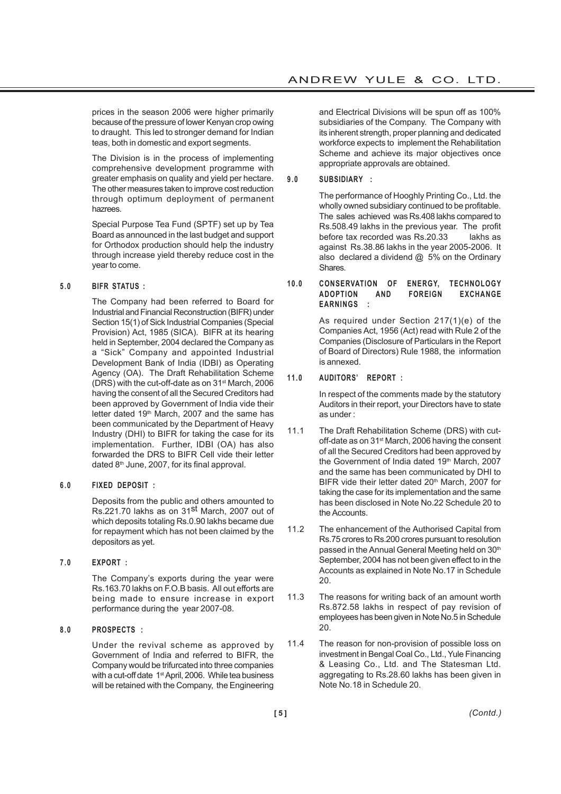prices in the season 2006 were higher primarily because of the pressure of lower Kenyan crop owing to draught. This led to stronger demand for Indian teas, both in domestic and export segments.

The Division is in the process of implementing comprehensive development programme with greater emphasis on quality and yield per hectare. The other measures taken to improve cost reduction through optimum deployment of permanent hazrees.

Special Purpose Tea Fund (SPTF) set up by Tea Board as announced in the last budget and support for Orthodox production should help the industry through increase yield thereby reduce cost in the year to come.

# **5 . 0 BIFR STATUS :**

The Company had been referred to Board for Industrial and Financial Reconstruction (BIFR) under Section 15(1) of Sick Industrial Companies (Special Provision) Act, 1985 (SICA). BIFR at its hearing held in September, 2004 declared the Company as a "Sick" Company and appointed Industrial Development Bank of India (IDBI) as Operating Agency (OA). The Draft Rehabilitation Scheme (DRS) with the cut-off-date as on 31st March, 2006 having the consent of all the Secured Creditors had been approved by Government of India vide their letter dated 19th March, 2007 and the same has been communicated by the Department of Heavy Industry (DHI) to BIFR for taking the case for its implementation. Further, IDBI (OA) has also forwarded the DRS to BIFR Cell vide their letter dated 8<sup>th</sup> June, 2007, for its final approval.

### **6.0 FIXED DEPOSIT :**

Deposits from the public and others amounted to Rs.221.70 lakhs as on 31st March, 2007 out of which deposits totaling Rs.0.90 lakhs became due for repayment which has not been claimed by the depositors as yet.

**7.0 EXPORT :**

The Company's exports during the year were Rs.163.70 lakhs on F.O.B basis. All out efforts are being made to ensure increase in export performance during the year 2007-08.

# **8.0 PROSPECTS :**

Under the revival scheme as approved by Government of India and referred to BIFR, the Company would be trifurcated into three companies with a cut-off date 1<sup>st</sup> April, 2006. While tea business will be retained with the Company, the Engineering

and Electrical Divisions will be spun off as 100% subsidiaries of the Company. The Company with its inherent strength, proper planning and dedicated workforce expects to implement the Rehabilitation Scheme and achieve its major objectives once appropriate approvals are obtained.

# **9.0 SUBSIDIARY :**

The performance of Hooghly Printing Co., Ltd. the wholly owned subsidiary continued to be profitable. The sales achieved was Rs.408 lakhs compared to Rs.508.49 lakhs in the previous year. The profit before tax recorded was Rs.20.33 lakhs as against Rs.38.86 lakhs in the year 2005-2006. It also declared a dividend @ 5% on the Ordinary Shares.

### **10.0 CONSERVATION OF ENERGY, TECHNOLOGY ADOPTION AND FOREIGN EXCHANGE EARNINGS :**

As required under Section 217(1)(e) of the Companies Act, 1956 (Act) read with Rule 2 of the Companies (Disclosure of Particulars in the Report of Board of Directors) Rule 1988, the information is annexed.

### **11.0 AUDITORS' REPORT :**

In respect of the comments made by the statutory Auditors in their report, your Directors have to state as under :

- 11.1 The Draft Rehabilitation Scheme (DRS) with cutoff-date as on 31<sup>st</sup> March, 2006 having the consent of all the Secured Creditors had been approved by the Government of India dated 19th March, 2007 and the same has been communicated by DHI to BIFR vide their letter dated 20<sup>th</sup> March, 2007 for taking the case for its implementation and the same has been disclosed in Note No.22 Schedule 20 to the Accounts.
- 11.2 The enhancement of the Authorised Capital from Rs.75 crores to Rs.200 crores pursuant to resolution passed in the Annual General Meeting held on 30<sup>th</sup> September, 2004 has not been given effect to in the Accounts as explained in Note No.17 in Schedule 20.
- 11.3 The reasons for writing back of an amount worth Rs.872.58 lakhs in respect of pay revision of employees has been given in Note No.5 in Schedule 20.
- 11.4 The reason for non-provision of possible loss on investment in Bengal Coal Co., Ltd., Yule Financing & Leasing Co., Ltd. and The Statesman Ltd. aggregating to Rs.28.60 lakhs has been given in Note No.18 in Schedule 20.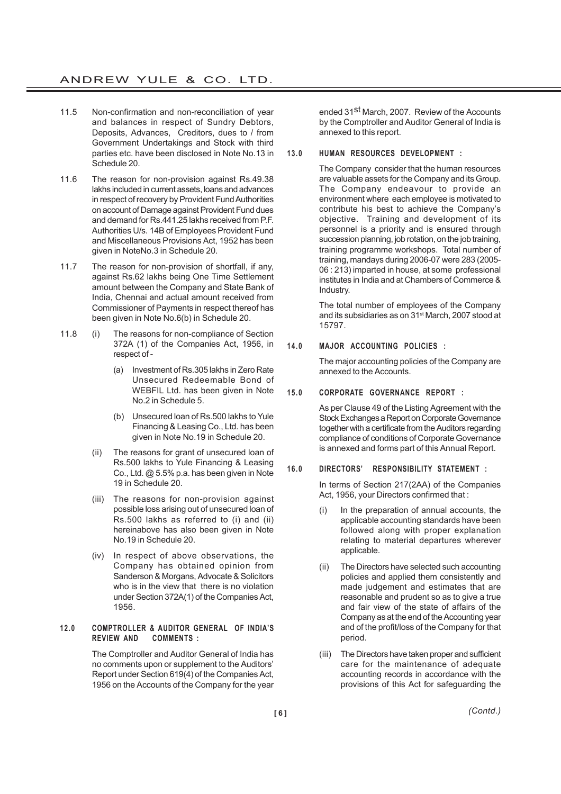- 11.5 Non-confirmation and non-reconciliation of year and balances in respect of Sundry Debtors, Deposits, Advances, Creditors, dues to / from Government Undertakings and Stock with third parties etc. have been disclosed in Note No.13 in Schedule 20.
- 11.6 The reason for non-provision against Rs.49.38 lakhs included in current assets, loans and advances in respect of recovery by Provident Fund Authorities on account of Damage against Provident Fund dues and demand for Rs.441.25 lakhs received from P.F. Authorities U/s. 14B of Employees Provident Fund and Miscellaneous Provisions Act, 1952 has been given in NoteNo.3 in Schedule 20.
- 11.7 The reason for non-provision of shortfall, if any, against Rs.62 lakhs being One Time Settlement amount between the Company and State Bank of India, Chennai and actual amount received from Commissioner of Payments in respect thereof has been given in Note No.6(b) in Schedule 20.
- 11.8 (i) The reasons for non-compliance of Section 372A (1) of the Companies Act, 1956, in respect of -
	- (a) Investment of Rs.305 lakhs in Zero Rate Unsecured Redeemable Bond of WEBFIL Ltd. has been given in Note No.2 in Schedule 5.
	- (b) Unsecured loan of Rs.500 lakhs to Yule Financing & Leasing Co., Ltd. has been given in Note No.19 in Schedule 20.
	- (ii) The reasons for grant of unsecured loan of Rs.500 lakhs to Yule Financing & Leasing Co., Ltd. @ 5.5% p.a. has been given in Note 19 in Schedule 20.
	- (iii) The reasons for non-provision against possible loss arising out of unsecured loan of Rs.500 lakhs as referred to (i) and (ii) hereinabove has also been given in Note No.19 in Schedule 20.
	- (iv) In respect of above observations, the Company has obtained opinion from Sanderson & Morgans, Advocate & Solicitors who is in the view that there is no violation under Section 372A(1) of the Companies Act, 1956.

### **12.0 COMPTROLLER & AUDITOR GENERAL OF INDIA'S REVIEW AND COMMENTS :**

The Comptroller and Auditor General of India has no comments upon or supplement to the Auditors' Report under Section 619(4) of the Companies Act, 1956 on the Accounts of the Company for the year

ended 31<sup>st</sup> March, 2007. Review of the Accounts by the Comptroller and Auditor General of India is annexed to this report.

### **13.0 HUMAN RESOURCES DEVELOPMENT :**

The Company consider that the human resources are valuable assets for the Company and its Group. The Company endeavour to provide an environment where each employee is motivated to contribute his best to achieve the Company's objective. Training and development of its personnel is a priority and is ensured through succession planning, job rotation, on the job training, training programme workshops. Total number of training, mandays during 2006-07 were 283 (2005- 06 : 213) imparted in house, at some professional institutes in India and at Chambers of Commerce & Industry.

The total number of employees of the Company and its subsidiaries as on 31st March, 2007 stood at 15797.

# **14.0 MAJOR ACCOUNTING POLICIES :**

The major accounting policies of the Company are annexed to the Accounts.

#### **15.0 CORPORATE GOVERNANCE REPORT :**

As per Clause 49 of the Listing Agreement with the Stock Exchanges a Report on Corporate Governance together with a certificate from the Auditors regarding compliance of conditions of Corporate Governance is annexed and forms part of this Annual Report.

## **16.0 DIRECTORS' RESPONSIBILITY STATEMENT :**

In terms of Section 217(2AA) of the Companies Act, 1956, your Directors confirmed that :

- In the preparation of annual accounts, the applicable accounting standards have been followed along with proper explanation relating to material departures wherever applicable.
- (ii) The Directors have selected such accounting policies and applied them consistently and made judgement and estimates that are reasonable and prudent so as to give a true and fair view of the state of affairs of the Company as at the end of the Accounting year and of the profit/loss of the Company for that period.
- (iii) The Directors have taken proper and sufficient care for the maintenance of adequate accounting records in accordance with the provisions of this Act for safeguarding the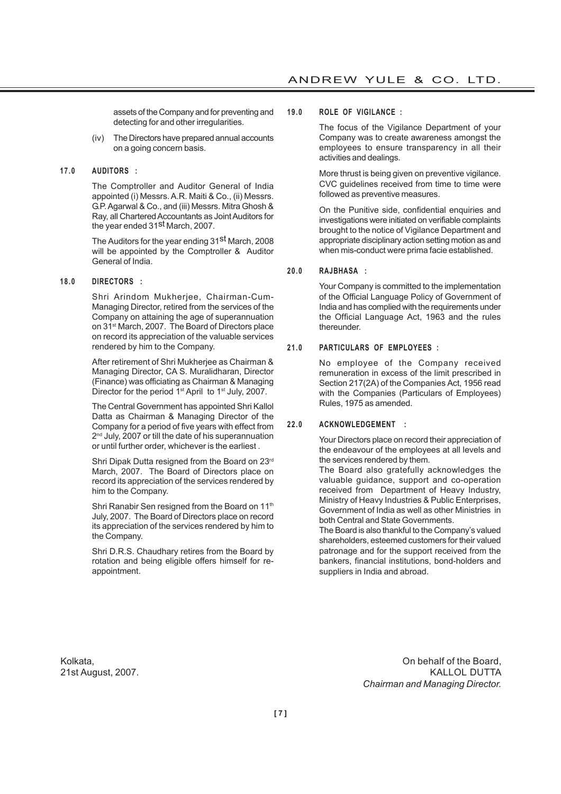assets of the Company and for preventing and detecting for and other irregularities.

(iv) The Directors have prepared annual accounts on a going concern basis.

#### **17.0 AUDITORS :**

The Comptroller and Auditor General of India appointed (i) Messrs. A.R. Maiti & Co., (ii) Messrs. G.P. Agarwal & Co., and (iii) Messrs. Mitra Ghosh & Ray, all Chartered Accountants as Joint Auditors for the year ended 31st March, 2007.

The Auditors for the year ending 31<sup>st</sup> March, 2008 will be appointed by the Comptroller & Auditor General of India.

#### **18.0 DIRECTORS :**

Shri Arindom Mukherjee, Chairman-Cum-Managing Director, retired from the services of the Company on attaining the age of superannuation on 31st March, 2007. The Board of Directors place on record its appreciation of the valuable services rendered by him to the Company.

After retirement of Shri Mukherjee as Chairman & Managing Director, CA S. Muralidharan, Director (Finance) was officiating as Chairman & Managing Director for the period 1<sup>st</sup> April to 1<sup>st</sup> July, 2007.

The Central Government has appointed Shri Kallol Datta as Chairman & Managing Director of the Company for a period of five years with effect from 2<sup>nd</sup> July, 2007 or till the date of his superannuation or until further order, whichever is the earliest .

Shri Dipak Dutta resigned from the Board on 23rd March, 2007. The Board of Directors place on record its appreciation of the services rendered by him to the Company.

Shri Ranabir Sen resigned from the Board on 11<sup>th</sup> July, 2007. The Board of Directors place on record its appreciation of the services rendered by him to the Company.

Shri D.R.S. Chaudhary retires from the Board by rotation and being eligible offers himself for reappointment.

#### **19.0 ROLE OF VIGILANCE :**

The focus of the Vigilance Department of your Company was to create awareness amongst the employees to ensure transparency in all their activities and dealings.

More thrust is being given on preventive vigilance. CVC guidelines received from time to time were followed as preventive measures.

On the Punitive side, confidential enquiries and investigations were initiated on verifiable complaints brought to the notice of Vigilance Department and appropriate disciplinary action setting motion as and when mis-conduct were prima facie established.

### **20.0 RAJBHASA :**

Your Company is committed to the implementation of the Official Language Policy of Government of India and has complied with the requirements under the Official Language Act, 1963 and the rules thereunder.

#### **21.0 PARTICULARS OF EMPLOYEES :**

No employee of the Company received remuneration in excess of the limit prescribed in Section 217(2A) of the Companies Act, 1956 read with the Companies (Particulars of Employees) Rules, 1975 as amended.

#### **22.0 ACKNOWLEDGEMENT :**

Your Directors place on record their appreciation of the endeavour of the employees at all levels and the services rendered by them.

The Board also gratefully acknowledges the valuable guidance, support and co-operation received from Department of Heavy Industry, Ministry of Heavy Industries & Public Enterprises, Government of India as well as other Ministries in both Central and State Governments.

The Board is also thankful to the Company's valued shareholders, esteemed customers for their valued patronage and for the support received from the bankers, financial institutions, bond-holders and suppliers in India and abroad.

Kolkata, On behalf of the Board, 21st August, 2007. KALLOL DUTTA *Chairman and Managing Director.*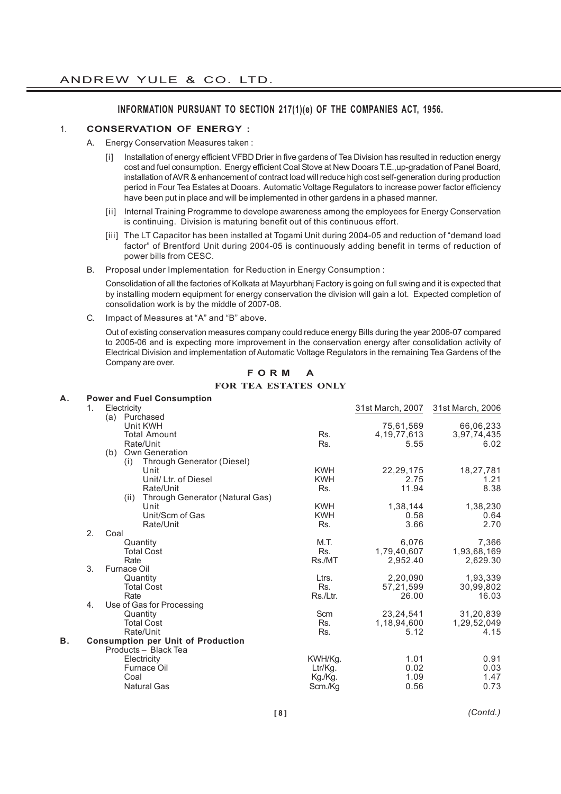# **INFORMATION PURSUANT TO SECTION 217(1)(e) OF THE COMPANIES ACT, 1956.**

### 1. **CONSERVATION OF ENERGY :**

- A. Energy Conservation Measures taken :
	- [i] Installation of energy efficient VFBD Drier in five gardens of Tea Division has resulted in reduction energy cost and fuel consumption. Energy efficient Coal Stove at New Dooars T.E.,up-gradation of Panel Board, installation of AVR & enhancement of contract load will reduce high cost self-generation during production period in Four Tea Estates at Dooars. Automatic Voltage Regulators to increase power factor efficiency have been put in place and will be implemented in other gardens in a phased manner.
	- [ii] Internal Training Programme to develope awareness among the employees for Energy Conservation is continuing. Division is maturing benefit out of this continuous effort.
	- [iii] The LT Capacitor has been installed at Togami Unit during 2004-05 and reduction of "demand load factor" of Brentford Unit during 2004-05 is continuously adding benefit in terms of reduction of power bills from CESC.
- B. Proposal under Implementation for Reduction in Energy Consumption :

Consolidation of all the factories of Kolkata at Mayurbhanj Factory is going on full swing and it is expected that by installing modern equipment for energy conservation the division will gain a lot. Expected completion of consolidation work is by the middle of 2007-08.

C. Impact of Measures at "A" and "B" above.

Out of existing conservation measures company could reduce energy Bills during the year 2006-07 compared to 2005-06 and is expecting more improvement in the conservation energy after consolidation activity of Electrical Division and implementation of Automatic Voltage Regulators in the remaining Tea Gardens of the Company are over.

| А. |    | <b>Power and Fuel Consumption</b>         |            |                |                                   |
|----|----|-------------------------------------------|------------|----------------|-----------------------------------|
|    | 1. | Electricity                               |            |                | 31st March, 2007 31st March, 2006 |
|    |    | (a) Purchased                             |            |                |                                   |
|    |    | Unit KWH                                  |            | 75,61,569      | 66,06,233                         |
|    |    | <b>Total Amount</b>                       | Rs.        | 4, 19, 77, 613 | 3,97,74,435                       |
|    |    | Rate/Unit                                 | Rs.        | 5.55           | 6.02                              |
|    |    | Own Generation<br>(b)                     |            |                |                                   |
|    |    | Through Generator (Diesel)<br>(i)         |            |                |                                   |
|    |    | Unit                                      | <b>KWH</b> | 22, 29, 175    | 18,27,781                         |
|    |    | Unit/ Ltr. of Diesel                      | <b>KWH</b> | 2.75           | 1.21                              |
|    |    | Rate/Unit                                 | Rs.        | 11.94          | 8.38                              |
|    |    | Through Generator (Natural Gas)<br>(ii)   |            |                |                                   |
|    |    | Unit                                      | <b>KWH</b> | 1,38,144       | 1,38,230                          |
|    |    | Unit/Scm of Gas                           | <b>KWH</b> | 0.58           | 0.64                              |
|    |    | Rate/Unit                                 | Rs.        | 3.66           | 2.70                              |
|    | 2. | Coal                                      |            |                |                                   |
|    |    | Quantity                                  | M.T.       | 6,076          | 7,366                             |
|    |    | <b>Total Cost</b>                         | Rs.        | 1,79,40,607    | 1,93,68,169                       |
|    |    | Rate                                      | Rs./MT     | 2,952.40       | 2,629.30                          |
|    | 3. | <b>Furnace Oil</b>                        |            |                |                                   |
|    |    | Quantity                                  | Ltrs.      | 2,20,090       | 1,93,339                          |
|    |    | <b>Total Cost</b>                         | Rs.        | 57,21,599      | 30,99,802                         |
|    |    | Rate                                      | Rs./Ltr.   | 26.00          | 16.03                             |
|    | 4. | Use of Gas for Processing                 |            |                |                                   |
|    |    | Quantity                                  | Scm        | 23, 24, 541    | 31,20,839                         |
|    |    | <b>Total Cost</b>                         | Rs.        | 1,18,94,600    | 1,29,52,049                       |
|    |    | Rate/Unit                                 | Rs.        | 5.12           | 4.15                              |
| В. |    | <b>Consumption per Unit of Production</b> |            |                |                                   |
|    |    | Products - Black Tea                      |            |                |                                   |
|    |    | Electricity                               | KWH/Kg.    | 1.01           | 0.91                              |
|    |    | Furnace Oil                               | Ltr/Kg.    | 0.02           | 0.03                              |
|    |    | Coal                                      | Kg./Kg.    | 1.09           | 1.47                              |
|    |    | <b>Natural Gas</b>                        | Scm./Kg    | 0.56           | 0.73                              |
|    |    |                                           |            |                |                                   |

**F O R M A FOR TEA ESTATES ONLY**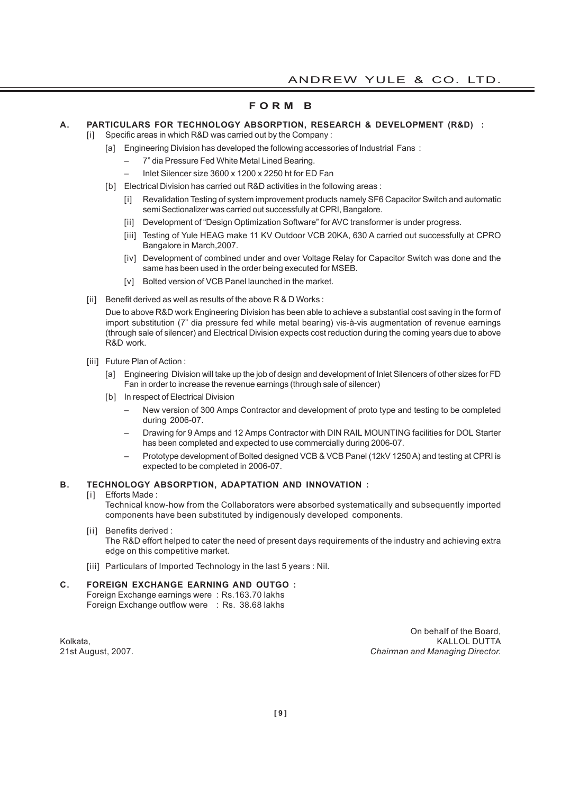# **F O R M B**

# **A. PARTICULARS FOR TECHNOLOGY ABSORPTION, RESEARCH & DEVELOPMENT (R&D) :**

- [i] Specific areas in which R&D was carried out by the Company :
	- [a] Engineering Division has developed the following accessories of Industrial Fans:
		- 7" dia Pressure Fed White Metal Lined Bearing.
			- Inlet Silencer size 3600 x 1200 x 2250 ht for ED Fan
	- [b] Electrical Division has carried out R&D activities in the following areas :
		- [i] Revalidation Testing of system improvement products namely SF6 Capacitor Switch and automatic semi Sectionalizer was carried out successfully at CPRI, Bangalore.
		- [ii] Development of "Design Optimization Software" for AVC transformer is under progress.
		- [iii] Testing of Yule HEAG make 11 KV Outdoor VCB 20KA, 630 A carried out successfully at CPRO Bangalore in March,2007.
		- [iv] Development of combined under and over Voltage Relay for Capacitor Switch was done and the same has been used in the order being executed for MSEB.
		- [v] Bolted version of VCB Panel launched in the market.
- [ii] Benefit derived as well as results of the above R & D Works :

Due to above R&D work Engineering Division has been able to achieve a substantial cost saving in the form of import substitution (7" dia pressure fed while metal bearing) vis-à-vis augmentation of revenue earnings (through sale of silencer) and Electrical Division expects cost reduction during the coming years due to above R&D work.

- [iii] Future Plan of Action :
	- [a] Engineering Division will take up the job of design and development of Inlet Silencers of other sizes for FD Fan in order to increase the revenue earnings (through sale of silencer)
	- [b] In respect of Electrical Division
		- New version of 300 Amps Contractor and development of proto type and testing to be completed during 2006-07.
		- Drawing for 9 Amps and 12 Amps Contractor with DIN RAIL MOUNTING facilities for DOL Starter has been completed and expected to use commercially during 2006-07.
		- Prototype development of Bolted designed VCB & VCB Panel (12kV 1250 A) and testing at CPRI is expected to be completed in 2006-07.

### **B. TECHNOLOGY ABSORPTION, ADAPTATION AND INNOVATION :**

### [i] Efforts Made:

Technical know-how from the Collaborators were absorbed systematically and subsequently imported components have been substituted by indigenously developed components.

[ii] Benefits derived :

The R&D effort helped to cater the need of present days requirements of the industry and achieving extra edge on this competitive market.

[iii] Particulars of Imported Technology in the last 5 years : Nil.

### **C. FOREIGN EXCHANGE EARNING AND OUTGO :**

Foreign Exchange earnings were : Rs.163.70 lakhs Foreign Exchange outflow were : Rs. 38.68 lakhs

On behalf of the Board, Kolkata, Kall Oli DUTTA (K. 1992), K. 1992, K. 1993, K. 1993, K. 1994, K. 1994, K. 1994, K. 1994, K. 1994, K. 1994, K. 1994, K. 1994, K. 1994, K. 1994, K. 1994, K. 1994, K. 1994, K. 1994, K. 1994, K. 1994, K. 1994, K. 1994 21st August, 2007. *Chairman and Managing Director.*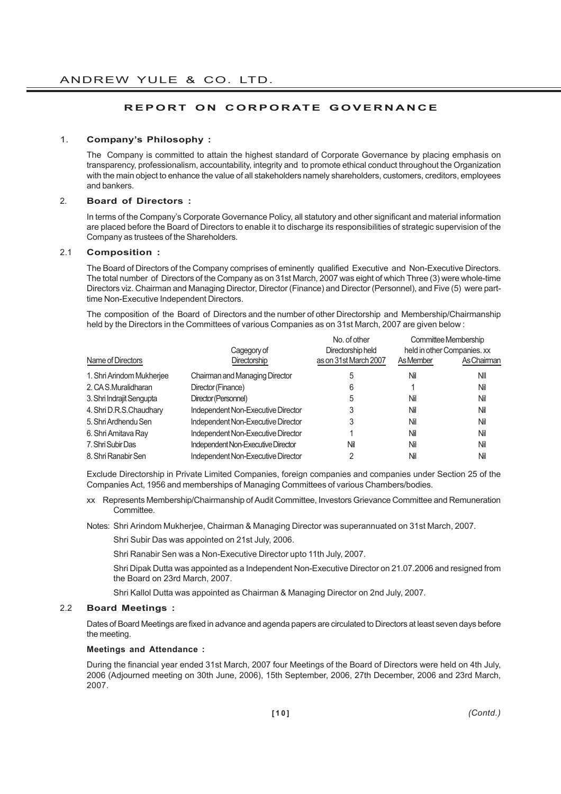# **REPORT ON CORPORATE GOVERNANCE**

### 1. **Company's Philosophy :**

The Company is committed to attain the highest standard of Corporate Governance by placing emphasis on transparency, professionalism, accountability, integrity and to promote ethical conduct throughout the Organization with the main object to enhance the value of all stakeholders namely shareholders, customers, creditors, employees and bankers.

# 2. **Board of Directors :**

In terms of the Company's Corporate Governance Policy, all statutory and other significant and material information are placed before the Board of Directors to enable it to discharge its responsibilities of strategic supervision of the Company as trustees of the Shareholders.

# 2.1 **Composition :**

The Board of Directors of the Company comprises of eminently qualified Executive and Non-Executive Directors. The total number of Directors of the Company as on 31st March, 2007 was eight of which Three (3) were whole-time Directors viz. Chairman and Managing Director, Director (Finance) and Director (Personnel), and Five (5) were parttime Non-Executive Independent Directors.

The composition of the Board of Directors and the number of other Directorship and Membership/Chairmanship held by the Directors in the Committees of various Companies as on 31st March, 2007 are given below :

|                           | Cagegory of                        | No. of other<br>Directorship held |           | Committee Membership<br>held in other Companies. xx |
|---------------------------|------------------------------------|-----------------------------------|-----------|-----------------------------------------------------|
| Name of Directors         | Directorship                       | as on 31st March 2007             | As Member | As Chairman                                         |
| 1. Shri Arindom Mukherjee | Chairman and Managing Director     | 5                                 | Nil       | ΝIΙ                                                 |
| 2. CA S.Muralidharan      | Director (Finance)                 | 6                                 |           | Nil                                                 |
| 3. Shri Indrajit Sengupta | Director (Personnel)               | 5                                 | Nil       | Nil                                                 |
| 4. Shri D.R.S.Chaudhary   | Independent Non-Executive Director | 3                                 | Nil       | Nil                                                 |
| 5. Shri Ardhendu Sen      | Independent Non-Executive Director | 3                                 | Nil       | Nil                                                 |
| 6. Shri Amitava Ray       | Independent Non-Executive Director |                                   | Nil       | Nil                                                 |
| 7. Shri Subir Das         | Independent Non-Executive Director | Nil                               | Nil       | Nil                                                 |
| 8. Shri Ranabir Sen       | Independent Non-Executive Director |                                   | Nil       | Nil                                                 |

Exclude Directorship in Private Limited Companies, foreign companies and companies under Section 25 of the Companies Act, 1956 and memberships of Managing Committees of various Chambers/bodies.

- xx Represents Membership/Chairmanship of Audit Committee, Investors Grievance Committee and Remuneration Committee.
- Notes: Shri Arindom Mukherjee, Chairman & Managing Director was superannuated on 31st March, 2007.
	- Shri Subir Das was appointed on 21st July, 2006.

Shri Ranabir Sen was a Non-Executive Director upto 11th July, 2007.

Shri Dipak Dutta was appointed as a Independent Non-Executive Director on 21.07.2006 and resigned from the Board on 23rd March, 2007.

Shri Kallol Dutta was appointed as Chairman & Managing Director on 2nd July, 2007.

# 2.2 **Board Meetings :**

Dates of Board Meetings are fixed in advance and agenda papers are circulated to Directors at least seven days before the meeting.

#### **Meetings and Attendance :**

During the financial year ended 31st March, 2007 four Meetings of the Board of Directors were held on 4th July, 2006 (Adjourned meeting on 30th June, 2006), 15th September, 2006, 27th December, 2006 and 23rd March, 2007.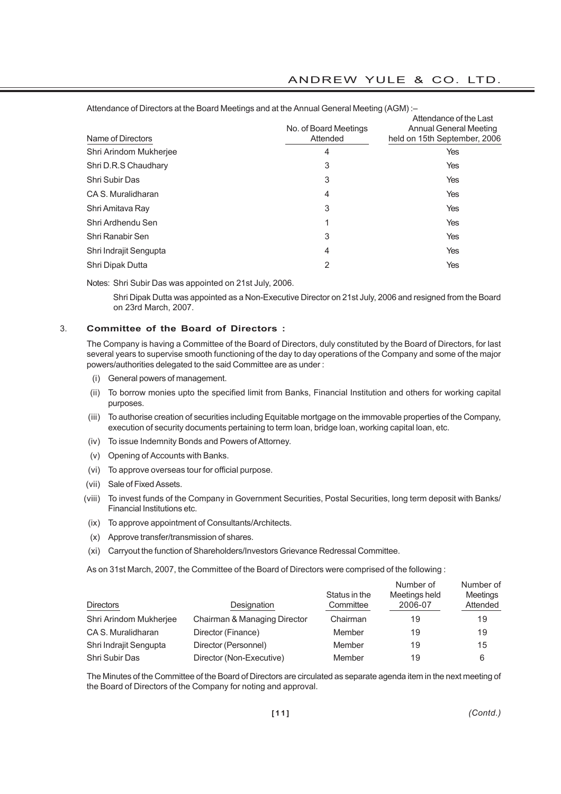| Name of Directors      | No. of Board Meetings<br>Attended | Attendance of the Last<br>Annual General Meeting<br>held on 15th September, 2006 |
|------------------------|-----------------------------------|----------------------------------------------------------------------------------|
| Shri Arindom Mukherjee | 4                                 | Yes                                                                              |
| Shri D.R.S Chaudhary   | 3                                 | Yes                                                                              |
| Shri Subir Das         | 3                                 | Yes                                                                              |
| CA S. Muralidharan     | 4                                 | Yes                                                                              |
| Shri Amitava Ray       | 3                                 | Yes                                                                              |
| Shri Ardhendu Sen      |                                   | Yes                                                                              |
| Shri Ranabir Sen       | 3                                 | Yes                                                                              |
| Shri Indrajit Sengupta | 4                                 | Yes                                                                              |
| Shri Dipak Dutta       | $\overline{2}$                    | Yes                                                                              |

# ANDREW YULE & CO. LTD.

Attendance of Directors at the Board Meetings and at the Annual General Meeting (AGM) :–

Notes: Shri Subir Das was appointed on 21st July, 2006.

Shri Dipak Dutta was appointed as a Non-Executive Director on 21st July, 2006 and resigned from the Board on 23rd March, 2007.

# 3. **Committee of the Board of Directors :**

The Company is having a Committee of the Board of Directors, duly constituted by the Board of Directors, for last several years to supervise smooth functioning of the day to day operations of the Company and some of the major powers/authorities delegated to the said Committee are as under :

- (i) General powers of management.
- (ii) To borrow monies upto the specified limit from Banks, Financial Institution and others for working capital purposes.
- (iii) To authorise creation of securities including Equitable mortgage on the immovable properties of the Company, execution of security documents pertaining to term loan, bridge loan, working capital loan, etc.
- (iv) To issue Indemnity Bonds and Powers of Attorney.
- (v) Opening of Accounts with Banks.
- (vi) To approve overseas tour for official purpose.
- (vii) Sale of Fixed Assets.
- (viii) To invest funds of the Company in Government Securities, Postal Securities, long term deposit with Banks/ Financial Institutions etc.
- (ix) To approve appointment of Consultants/Architects.
- (x) Approve transfer/transmission of shares.
- (xi) Carryout the function of Shareholders/Investors Grievance Redressal Committee.

As on 31st March, 2007, the Committee of the Board of Directors were comprised of the following :

| <b>Directors</b>       | Designation                  | Status in the<br>Committee | Number of<br>Meetings held<br>2006-07 | Number of<br>Meetings<br>Attended |
|------------------------|------------------------------|----------------------------|---------------------------------------|-----------------------------------|
| Shri Arindom Mukherjee | Chairman & Managing Director | Chairman                   | 19                                    | 19                                |
| CA S. Muralidharan     | Director (Finance)           | Member                     | 19                                    | 19                                |
| Shri Indrajit Sengupta | Director (Personnel)         | Member                     | 19                                    | 15                                |
| Shri Subir Das         | Director (Non-Executive)     | Member                     | 19                                    | 6                                 |

The Minutes of the Committee of the Board of Directors are circulated as separate agenda item in the next meeting of the Board of Directors of the Company for noting and approval.

*(Contd.)*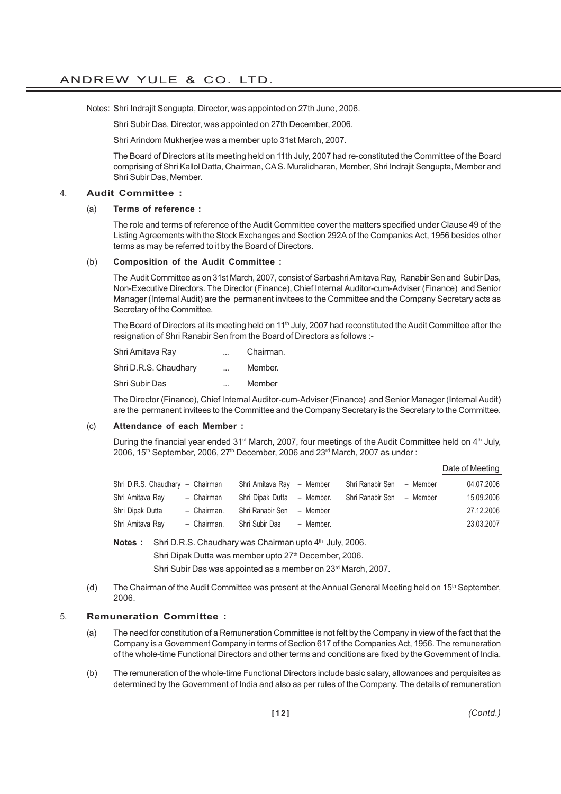Notes: Shri Indrajit Sengupta, Director, was appointed on 27th June, 2006.

Shri Subir Das, Director, was appointed on 27th December, 2006.

Shri Arindom Mukherjee was a member upto 31st March, 2007.

The Board of Directors at its meeting held on 11th July, 2007 had re-constituted the Committee of the Board comprising of Shri Kallol Datta, Chairman, CA S. Muralidharan, Member, Shri Indrajit Sengupta, Member and Shri Subir Das, Member.

### 4. **Audit Committee :**

#### (a) **Terms of reference :**

The role and terms of reference of the Audit Committee cover the matters specified under Clause 49 of the Listing Agreements with the Stock Exchanges and Section 292A of the Companies Act, 1956 besides other terms as may be referred to it by the Board of Directors.

### (b) **Composition of the Audit Committee :**

The Audit Committee as on 31st March, 2007, consist of Sarbashri Amitava Ray, Ranabir Sen and Subir Das, Non-Executive Directors. The Director (Finance), Chief Internal Auditor-cum-Adviser (Finance) and Senior Manager (Internal Audit) are the permanent invitees to the Committee and the Company Secretary acts as Secretary of the Committee.

The Board of Directors at its meeting held on 11<sup>th</sup> July, 2007 had reconstituted the Audit Committee after the resignation of Shri Ranabir Sen from the Board of Directors as follows :-

| Shri Amitava Ray      | $\cdots$                 | Chairman. |
|-----------------------|--------------------------|-----------|
| Shri D.R.S. Chaudhary | $\cdots$                 | Member.   |
| Shri Subir Das        | $\overline{\phantom{a}}$ | Member    |

The Director (Finance), Chief Internal Auditor-cum-Adviser (Finance) and Senior Manager (Internal Audit) are the permanent invitees to the Committee and the Company Secretary is the Secretary to the Committee.

#### (c) **Attendance of each Member :**

During the financial year ended  $31<sup>st</sup>$  March, 2007, four meetings of the Audit Committee held on  $4<sup>th</sup>$  July, 2006, 15<sup>th</sup> September, 2006, 27<sup>th</sup> December, 2006 and 23<sup>rd</sup> March, 2007 as under:

### Date of Meeting

| Shri D.R.S. Chaudhary - Chairman |             | Shri Amitava Ray - Member  |           | Shri Ranabir Sen - Member | 04.07.2006 |
|----------------------------------|-------------|----------------------------|-----------|---------------------------|------------|
| Shri Amitava Ray                 | - Chairman  | Shri Dipak Dutta - Member. |           | Shri Ranabir Sen - Member | 15.09.2006 |
| Shri Dipak Dutta                 | - Chairman. | Shri Ranabir Sen - Member  |           |                           | 27.12.2006 |
| Shri Amitava Ray                 | - Chairman. | Shri Subir Das             | - Member. |                           | 23.03.2007 |

**Notes :** Shri D.R.S. Chaudhary was Chairman upto 4<sup>th</sup> July, 2006.

Shri Dipak Dutta was member upto 27<sup>th</sup> December, 2006.

Shri Subir Das was appointed as a member on 23<sup>rd</sup> March, 2007.

(d) The Chairman of the Audit Committee was present at the Annual General Meeting held on 15<sup>th</sup> September, 2006.

### 5. **Remuneration Committee :**

- (a) The need for constitution of a Remuneration Committee is not felt by the Company in view of the fact that the Company is a Government Company in terms of Section 617 of the Companies Act, 1956. The remuneration of the whole-time Functional Directors and other terms and conditions are fixed by the Government of India.
- (b) The remuneration of the whole-time Functional Directors include basic salary, allowances and perquisites as determined by the Government of India and also as per rules of the Company. The details of remuneration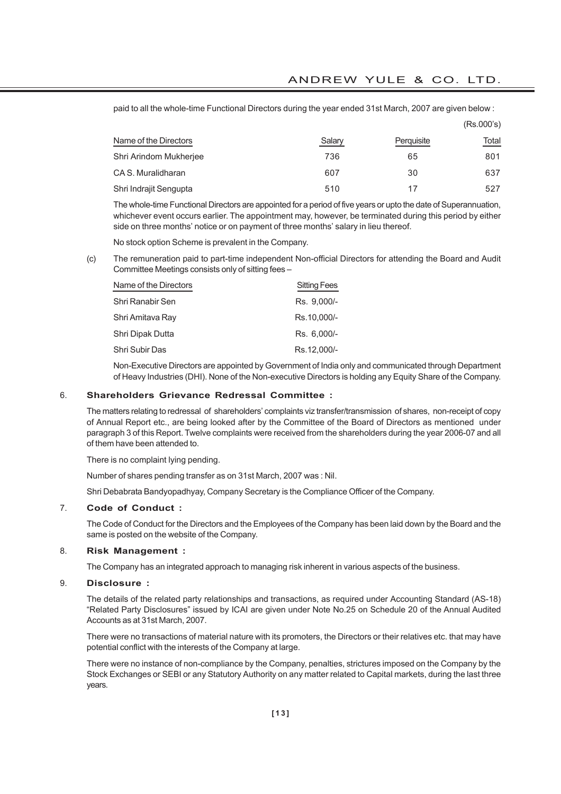paid to all the whole-time Functional Directors during the year ended 31st March, 2007 are given below :

|                        |        |            | (Rs.000's) |
|------------------------|--------|------------|------------|
| Name of the Directors  | Salary | Perquisite | Total      |
| Shri Arindom Mukherjee | 736    | 65         | 801        |
| CA S. Muralidharan     | 607    | 30         | 637        |
| Shri Indrajit Sengupta | 510    | 17         | 527        |

The whole-time Functional Directors are appointed for a period of five years or upto the date of Superannuation, whichever event occurs earlier. The appointment may, however, be terminated during this period by either side on three months' notice or on payment of three months' salary in lieu thereof.

No stock option Scheme is prevalent in the Company.

(c) The remuneration paid to part-time independent Non-official Directors for attending the Board and Audit Committee Meetings consists only of sitting fees –

| Name of the Directors | <b>Sitting Fees</b> |
|-----------------------|---------------------|
| Shri Ranabir Sen      | Rs. 9,000/-         |
| Shri Amitava Rav      | Rs.10,000/-         |
| Shri Dipak Dutta      | Rs. 6.000/-         |
| Shri Subir Das        | Rs.12,000/-         |

Non-Executive Directors are appointed by Government of India only and communicated through Department of Heavy Industries (DHI). None of the Non-executive Directors is holding any Equity Share of the Company.

#### 6. **Shareholders Grievance Redressal Committee :**

The matters relating to redressal of shareholders' complaints viz transfer/transmission of shares, non-receipt of copy of Annual Report etc., are being looked after by the Committee of the Board of Directors as mentioned under paragraph 3 of this Report. Twelve complaints were received from the shareholders during the year 2006-07 and all of them have been attended to.

There is no complaint lying pending.

Number of shares pending transfer as on 31st March, 2007 was : Nil.

Shri Debabrata Bandyopadhyay, Company Secretary is the Compliance Officer of the Company.

# 7. **Code of Conduct :**

The Code of Conduct for the Directors and the Employees of the Company has been laid down by the Board and the same is posted on the website of the Company.

# 8. **Risk Management :**

The Company has an integrated approach to managing risk inherent in various aspects of the business.

### 9. **Disclosure :**

The details of the related party relationships and transactions, as required under Accounting Standard (AS-18) "Related Party Disclosures" issued by ICAI are given under Note No.25 on Schedule 20 of the Annual Audited Accounts as at 31st March, 2007.

There were no transactions of material nature with its promoters, the Directors or their relatives etc. that may have potential conflict with the interests of the Company at large.

There were no instance of non-compliance by the Company, penalties, strictures imposed on the Company by the Stock Exchanges or SEBI or any Statutory Authority on any matter related to Capital markets, during the last three years.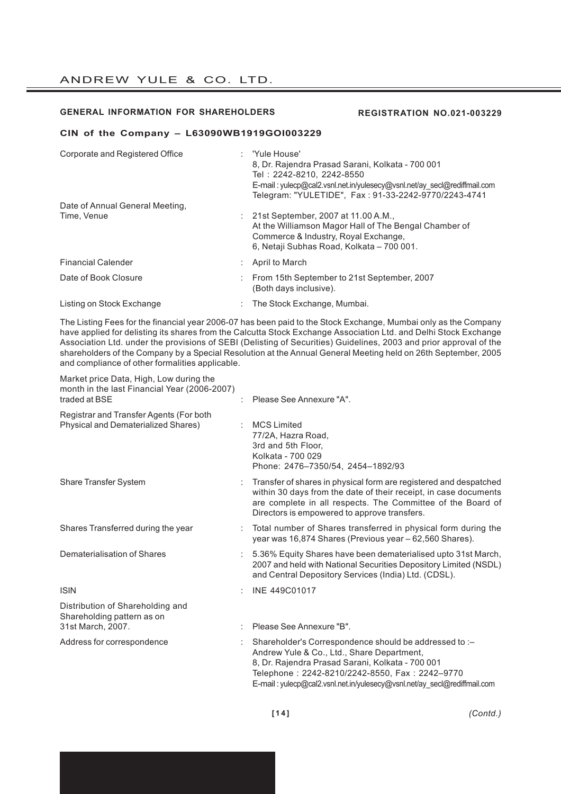#### **GENERAL INFORMATION FOR SHAREHOLDERS**

#### **REGISTRATION NO.021-003229**

#### **CIN of the Company – L63090WB1919GOI003229**

| Corporate and Registered Office | : 'Yule House'<br>8, Dr. Rajendra Prasad Sarani, Kolkata - 700 001<br>Tel: 2242-8210, 2242-8550<br>E-mail: yulecp@cal2.vsnl.net.in/yulesecy@vsnl.net/ay secl@rediffmail.com<br>Telegram: "YULETIDE", Fax: 91-33-2242-9770/2243-4741 |
|---------------------------------|-------------------------------------------------------------------------------------------------------------------------------------------------------------------------------------------------------------------------------------|
| Date of Annual General Meeting. |                                                                                                                                                                                                                                     |
| Time, Venue                     | 21st September, 2007 at 11.00 A.M.,                                                                                                                                                                                                 |
|                                 | At the Williamson Magor Hall of The Bengal Chamber of<br>Commerce & Industry, Royal Exchange,<br>6, Netaji Subhas Road, Kolkata - 700 001.                                                                                          |
| <b>Financial Calender</b>       | $:$ April to March                                                                                                                                                                                                                  |
| Date of Book Closure            | From 15th September to 21st September, 2007<br>(Both days inclusive).                                                                                                                                                               |
| Listing on Stock Exchange       | The Stock Exchange, Mumbai.                                                                                                                                                                                                         |

The Listing Fees for the financial year 2006-07 has been paid to the Stock Exchange, Mumbai only as the Company have applied for delisting its shares from the Calcutta Stock Exchange Association Ltd. and Delhi Stock Exchange Association Ltd. under the provisions of SEBI (Delisting of Securities) Guidelines, 2003 and prior approval of the shareholders of the Company by a Special Resolution at the Annual General Meeting held on 26th September, 2005 and compliance of other formalities applicable.

Market price Data, High, Low during the month in the last Financial Year (2006-2007) traded at BSE : Please See Annexure "A". Registrar and Transfer Agents (For both Physical and Dematerialized Shares) : MCS Limited 77/2A, Hazra Road, 3rd and 5th Floor, Kolkata - 700 029 Phone: 2476–7350/54, 2454–1892/93 Share Transfer System : Transfer of shares in physical form are registered and despatched within 30 days from the date of their receipt, in case documents are complete in all respects. The Committee of the Board of Directors is empowered to approve transfers. Shares Transferred during the year : Total number of Shares transferred in physical form during the year was 16,874 Shares (Previous year – 62,560 Shares). Dematerialisation of Shares : 5.36% Equity Shares have been dematerialised upto 31st March, 2007 and held with National Securities Depository Limited (NSDL) and Central Depository Services (India) Ltd. (CDSL). ISIN : INE 449C01017 Distribution of Shareholding and Shareholding pattern as on 31st March, 2007. : Please See Annexure "B". Address for correspondence : Shareholder's Correspondence should be addressed to :-Andrew Yule & Co., Ltd., Share Department, 8, Dr. Rajendra Prasad Sarani, Kolkata - 700 001 Telephone : 2242-8210/2242-8550, Fax : 2242–9770 E-mail : yulecp@cal2.vsnl.net.in/yulesecy@vsnl.net/ay\_secl@rediffmail.com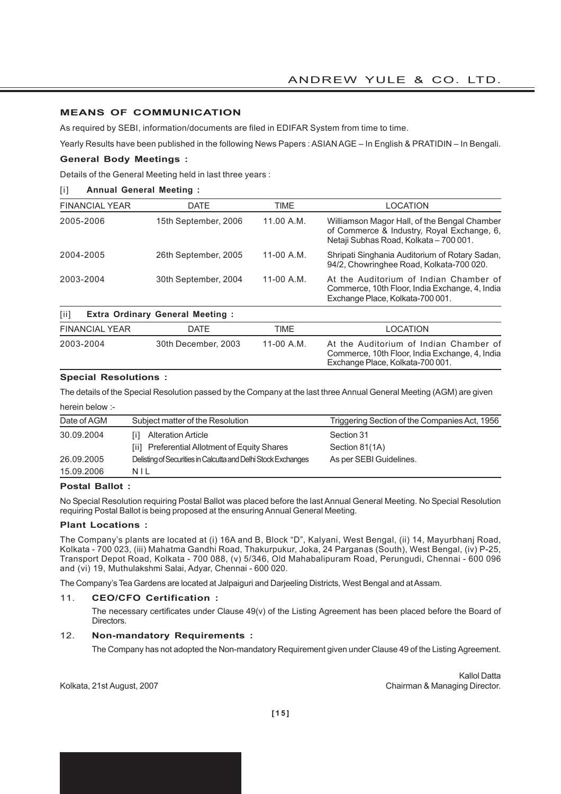# **MEANS OF COMMUNICATION**

As required by SEBI, information/documents are filed in EDIFAR System from time to time.

Yearly Results have been published in the following News Papers : ASIAN AGE – In English & PRATIDIN – In Bengali.

# **General Body Meetings :**

Details of the General Meeting held in last three years :

### [i] **Annual General Meeting :**

| <b>FINANCIAL YEAR</b> | <b>DATE</b>          | TIME         | LOCATION                                                                                                                             |
|-----------------------|----------------------|--------------|--------------------------------------------------------------------------------------------------------------------------------------|
| 2005-2006             | 15th September, 2006 | 11.00 A.M.   | Williamson Magor Hall, of the Bengal Chamber<br>of Commerce & Industry, Royal Exchange, 6,<br>Netaji Subhas Road, Kolkata - 700 001. |
| 2004-2005             | 26th September, 2005 | $11-00$ A.M. | Shripati Singhania Auditorium of Rotary Sadan,<br>94/2, Chowringhee Road, Kolkata-700 020.                                           |
| 2003-2004             | 30th September, 2004 | $11-00$ A.M. | At the Auditorium of Indian Chamber of<br>Commerce, 10th Floor, India Exchange, 4, India<br>Exchange Place, Kolkata-700 001.         |

| $\lceil \text{i}\rceil$ | <b>Extra Ordinary General Meeting:</b> |            |                                                                                                                              |
|-------------------------|----------------------------------------|------------|------------------------------------------------------------------------------------------------------------------------------|
| <b>FINANCIAL YEAR</b>   | DATE                                   | TIME       | LOCATION                                                                                                                     |
| 2003-2004               | 30th December, 2003                    | 11-00 A.M. | At the Auditorium of Indian Chamber of<br>Commerce, 10th Floor, India Exchange, 4, India<br>Exchange Place, Kolkata-700 001. |

### **Special Resolutions :**

The details of the Special Resolution passed by the Company at the last three Annual General Meeting (AGM) are given

| herein below :- |                                                                           |                                               |
|-----------------|---------------------------------------------------------------------------|-----------------------------------------------|
| Date of AGM     | Subject matter of the Resolution                                          | Triggering Section of the Companies Act, 1956 |
| 30.09.2004      | <b>Alteration Article</b><br>[ii] Preferential Allotment of Equity Shares | Section 31<br>Section 81(1A)                  |
| 26.09.2005      | Delisting of Securities in Calcutta and Delhi Stock Exchanges             | As per SEBI Guidelines.                       |
| 15.09.2006      | NIL                                                                       |                                               |

#### **Postal Ballot :**

No Special Resolution requiring Postal Ballot was placed before the last Annual General Meeting. No Special Resolution requiring Postal Ballot is being proposed at the ensuring Annual General Meeting.

#### **Plant Locations :**

The Company's plants are located at (i) 16A and B, Block "D", Kalyani, West Bengal, (ii) 14, Mayurbhanj Road, Kolkata - 700 023, (iii) Mahatma Gandhi Road, Thakurpukur, Joka, 24 Parganas (South), West Bengal, (iv) P-25, Transport Depot Road, Kolkata - 700 088, (v) 5/346, Old Mahabalipuram Road, Perungudi, Chennai - 600 096 and (vi) 19, Muthulakshmi Salai, Adyar, Chennai - 600 020.

The Company's Tea Gardens are located at Jalpaiguri and Darjeeling Districts, West Bengal and at Assam.

#### 11. **CEO/CFO Certification :**

The necessary certificates under Clause 49(v) of the Listing Agreement has been placed before the Board of Directors.

# 12. **Non-mandatory Requirements :**

The Company has not adopted the Non-mandatory Requirement given under Clause 49 of the Listing Agreement.

Kallol Datta Kolkata, 21st August, 2007 **Chairman & Managing Director.**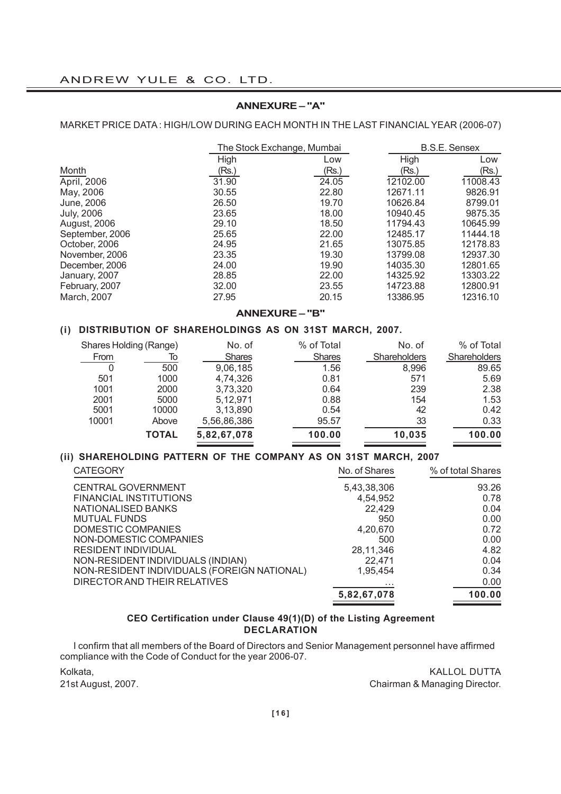# **ANNEXURE – "A"**

# MARKET PRICE DATA : HIGH/LOW DURING EACH MONTH IN THE LAST FINANCIAL YEAR (2006-07)

|                     |       | The Stock Exchange, Mumbai |          | <b>B.S.E. Sensex</b> |
|---------------------|-------|----------------------------|----------|----------------------|
|                     | High  | Low                        | High     | Low                  |
| Month               | (Rs.) | (Rs.)                      | (Rs.)    | (Rs.)                |
| April, 2006         | 31.90 | 24.05                      | 12102.00 | 11008.43             |
| May, 2006           | 30.55 | 22.80                      | 12671.11 | 9826.91              |
| June, 2006          | 26.50 | 19.70                      | 10626.84 | 8799.01              |
| <b>July, 2006</b>   | 23.65 | 18.00                      | 10940.45 | 9875.35              |
| <b>August, 2006</b> | 29.10 | 18.50                      | 11794.43 | 10645.99             |
| September, 2006     | 25.65 | 22.00                      | 12485.17 | 11444.18             |
| October, 2006       | 24.95 | 21.65                      | 13075.85 | 12178.83             |
| November, 2006      | 23.35 | 19.30                      | 13799.08 | 12937.30             |
| December, 2006      | 24.00 | 19.90                      | 14035.30 | 12801.65             |
| January, 2007       | 28.85 | 22.00                      | 14325.92 | 13303.22             |
| February, 2007      | 32.00 | 23.55                      | 14723.88 | 12800.91             |
| March, 2007         | 27.95 | 20.15                      | 13386.95 | 12316.10             |
|                     |       |                            |          |                      |

### **ANNEXURE – "B"**

# **(i) DISTRIBUTION OF SHAREHOLDINGS AS ON 31ST MARCH, 2007.**

| Shares Holding (Range) |              | No. of        | % of Total    | No. of       | % of Total   |
|------------------------|--------------|---------------|---------------|--------------|--------------|
| <b>From</b>            | lo           | <b>Shares</b> | <b>Shares</b> | Shareholders | Shareholders |
| 0                      | 500          | 9,06,185      | 1.56          | 8,996        | 89.65        |
| 501                    | 1000         | 4,74,326      | 0.81          | 571          | 5.69         |
| 1001                   | 2000         | 3,73,320      | 0.64          | 239          | 2.38         |
| 2001                   | 5000         | 5,12,971      | 0.88          | 154          | 1.53         |
| 5001                   | 10000        | 3,13,890      | 0.54          | 42           | 0.42         |
| 10001                  | Above        | 5,56,86,386   | 95.57         | 33           | 0.33         |
|                        | <b>TOTAL</b> | 5,82,67,078   | 100.00        | 10,035       | 100.00       |

# **(ii) SHAREHOLDING PATTERN OF THE COMPANY AS ON 31ST MARCH, 2007**

| <b>CATEGORY</b>                             | No. of Shares | % of total Shares |
|---------------------------------------------|---------------|-------------------|
| <b>CENTRAL GOVERNMENT</b>                   | 5,43,38,306   | 93.26             |
| <b>FINANCIAL INSTITUTIONS</b>               | 4,54,952      | 0.78              |
| <b>NATIONALISED BANKS</b>                   | 22,429        | 0.04              |
| <b>MUTUAL FUNDS</b>                         | 950           | 0.00              |
| DOMESTIC COMPANIES                          | 4,20,670      | 0.72              |
| NON-DOMESTIC COMPANIES                      | 500           | 0.00              |
| RESIDENT INDIVIDUAL                         | 28,11,346     | 4.82              |
| NON-RESIDENT INDIVIDUALS (INDIAN)           | 22,471        | 0.04              |
| NON-RESIDENT INDIVIDUALS (FOREIGN NATIONAL) | 1,95,454      | 0.34              |
| DIRECTOR AND THEIR RELATIVES                | .             | 0.00              |
|                                             | 5,82,67,078   | 100.00            |

# **CEO Certification under Clause 49(1)(D) of the Listing Agreement DECLARATION**

I confirm that all members of the Board of Directors and Senior Management personnel have affirmed compliance with the Code of Conduct for the year 2006-07.

Kolkata, Kalendary and Kalendary and Kalendary and Kalendary and Kalendary and Kalendary and Kalendary and Kalendary and Kalendary and Kalendary and Kalendary and Kalendary and Kalendary and Kalendary and Kalendary and Kal 21st August, 2007. Chairman & Managing Director.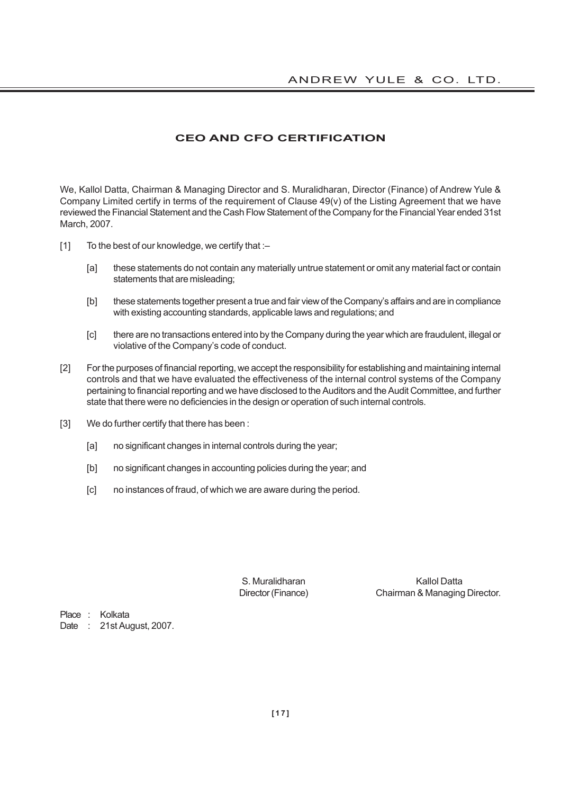# **CEO AND CFO CERTIFICATION**

We, Kallol Datta, Chairman & Managing Director and S. Muralidharan, Director (Finance) of Andrew Yule & Company Limited certify in terms of the requirement of Clause 49(v) of the Listing Agreement that we have reviewed the Financial Statement and the Cash Flow Statement of the Company for the Financial Year ended 31st March, 2007.

- [1] To the best of our knowledge, we certify that :-
	- [a] these statements do not contain any materially untrue statement or omit any material fact or contain statements that are misleading;
	- [b] these statements together present a true and fair view of the Company's affairs and are in compliance with existing accounting standards, applicable laws and regulations; and
	- [c] there are no transactions entered into by the Company during the year which are fraudulent, illegal or violative of the Company's code of conduct.
- [2] For the purposes of financial reporting, we accept the responsibility for establishing and maintaining internal controls and that we have evaluated the effectiveness of the internal control systems of the Company pertaining to financial reporting and we have disclosed to the Auditors and the Audit Committee, and further state that there were no deficiencies in the design or operation of such internal controls.
- [3] We do further certify that there has been :
	- [a] no significant changes in internal controls during the year;
	- [b] no significant changes in accounting policies during the year; and
	- [c] no instances of fraud, of which we are aware during the period.

S. Muralidharan Kallol Datta Director (Finance) Chairman & Managing Director.

Place : Kolkata Date : 21st August, 2007.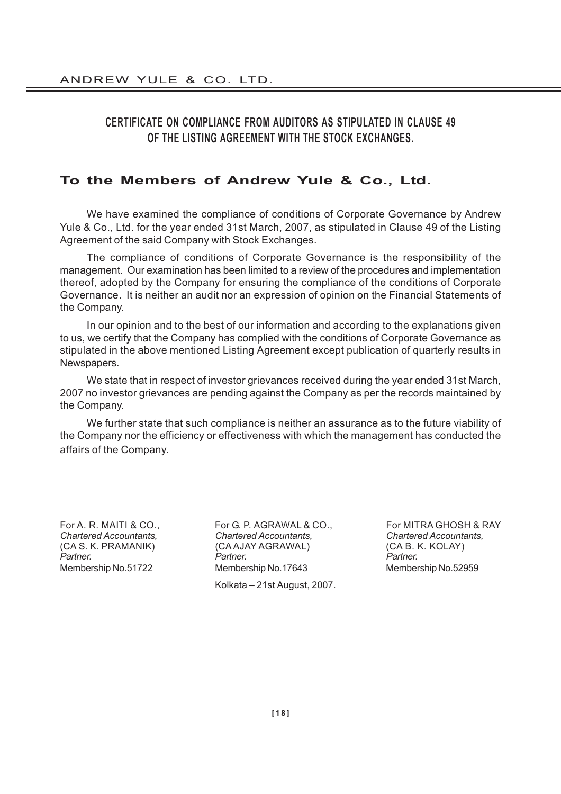# **CERTIFICATE ON COMPLIANCE FROM AUDITORS AS STIPULATED IN CLAUSE 49 OF THE LISTING AGREEMENT WITH THE STOCK EXCHANGES.**

# **To the Members of Andrew Yule & Co., Ltd.**

We have examined the compliance of conditions of Corporate Governance by Andrew Yule & Co., Ltd. for the year ended 31st March, 2007, as stipulated in Clause 49 of the Listing Agreement of the said Company with Stock Exchanges.

The compliance of conditions of Corporate Governance is the responsibility of the management. Our examination has been limited to a review of the procedures and implementation thereof, adopted by the Company for ensuring the compliance of the conditions of Corporate Governance. It is neither an audit nor an expression of opinion on the Financial Statements of the Company.

In our opinion and to the best of our information and according to the explanations given to us, we certify that the Company has complied with the conditions of Corporate Governance as stipulated in the above mentioned Listing Agreement except publication of quarterly results in Newspapers.

We state that in respect of investor grievances received during the year ended 31st March, 2007 no investor grievances are pending against the Company as per the records maintained by the Company.

We further state that such compliance is neither an assurance as to the future viability of the Company nor the efficiency or effectiveness with which the management has conducted the affairs of the Company.

*Chartered Accountants, Chartered Accountants, Chartered Accountants,* (CA AJAY AGRAWAL) *Partner. Partner. Partner.* Membership No.51722 Membership No.17643 Membership No.52959 Kolkata – 21st August, 2007.

For A. R. MAITI & CO., For G. P. AGRAWAL & CO., For MITRA GHOSH & RAY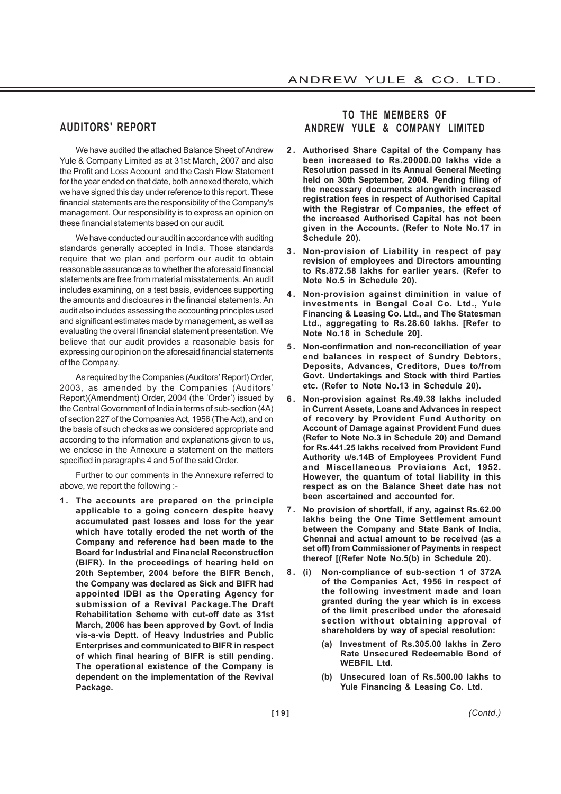# **AUDITORS' REPORT**

We have audited the attached Balance Sheet of Andrew Yule & Company Limited as at 31st March, 2007 and also the Profit and Loss Account and the Cash Flow Statement for the year ended on that date, both annexed thereto, which we have signed this day under reference to this report. These financial statements are the responsibility of the Company's management. Our responsibility is to express an opinion on these financial statements based on our audit.

We have conducted our audit in accordance with auditing standards generally accepted in India. Those standards require that we plan and perform our audit to obtain reasonable assurance as to whether the aforesaid financial statements are free from material misstatements. An audit includes examining, on a test basis, evidences supporting the amounts and disclosures in the financial statements. An audit also includes assessing the accounting principles used and significant estimates made by management, as well as evaluating the overall financial statement presentation. We believe that our audit provides a reasonable basis for expressing our opinion on the aforesaid financial statements of the Company.

As required by the Companies (Auditors' Report) Order, 2003, as amended by the Companies (Auditors' Report)(Amendment) Order, 2004 (the 'Order') issued by the Central Government of India in terms of sub-section (4A) of section 227 of the Companies Act, 1956 (The Act), and on the basis of such checks as we considered appropriate and according to the information and explanations given to us, we enclose in the Annexure a statement on the matters specified in paragraphs 4 and 5 of the said Order.

Further to our comments in the Annexure referred to above, we report the following :-

**1. The accounts are prepared on the principle applicable to a going concern despite heavy accumulated past losses and loss for the year which have totally eroded the net worth of the Company and reference had been made to the Board for Industrial and Financial Reconstruction (BIFR). In the proceedings of hearing held on 20th September, 2004 before the BIFR Bench, the Company was declared as Sick and BIFR had appointed IDBI as the Operating Agency for submission of a Revival Package.The Draft Rehabilitation Scheme with cut-off date as 31st March, 2006 has been approved by Govt. of India vis-a-vis Deptt. of Heavy Industries and Public Enterprises and communicated to BIFR in respect of which final hearing of BIFR is still pending. The operational existence of the Company is dependent on the implementation of the Revival Package.**

# **TO THE MEMBERS OF ANDREW YULE & COMPANY LIMITED**

- **2 . Authorised Share Capital of the Company has been increased to Rs.20000.00 lakhs vide a Resolution passed in its Annual General Meeting held on 30th September, 2004. Pending filing of the necessary documents alongwith increased registration fees in respect of Authorised Capital with the Registrar of Companies, the effect of the increased Authorised Capital has not been given in the Accounts. (Refer to Note No.17 in Schedule 20).**
- **3. Non-provision of Liability in respect of pay revision of employees and Directors amounting to Rs.872.58 lakhs for earlier years. (Refer to Note No.5 in Schedule 20).**
- **4. Non-provision against diminition in value of investments in Bengal Coal Co. Ltd., Yule Financing & Leasing Co. Ltd., and The Statesman Ltd., aggregating to Rs.28.60 lakhs. [Refer to Note No.18 in Schedule 20].**
- **5 . Non-confirmation and non-reconciliation of year end balances in respect of Sundry Debtors, Deposits, Advances, Creditors, Dues to/from Govt. Undertakings and Stock with third Parties etc. (Refer to Note No.13 in Schedule 20).**
- **6 . Non-provision against Rs.49.38 lakhs included in Current Assets, Loans and Advances in respect of recovery by Provident Fund Authority on Account of Damage against Provident Fund dues (Refer to Note No.3 in Schedule 20) and Demand for Rs.441.25 lakhs received from Provident Fund Authority u/s.14B of Employees Provident Fund and Miscellaneous Provisions Act, 1952. However, the quantum of total liability in this respect as on the Balance Sheet date has not been ascertained and accounted for.**
- **7 . No provision of shortfall, if any, against Rs.62.00 lakhs being the One Time Settlement amount between the Company and State Bank of India, Chennai and actual amount to be received (as a set off) from Commissioner of Payments in respect thereof [(Refer Note No.5(b) in Schedule 20).**
- **8 . (i) Non-compliance of sub-section 1 of 372A of the Companies Act, 1956 in respect of the following investment made and loan granted during the year which is in excess of the limit prescribed under the aforesaid section without obtaining approval of shareholders by way of special resolution:**
	- **(a) Investment of Rs.305.00 lakhs in Zero Rate Unsecured Redeemable Bond of WEBFIL Ltd.**
	- **(b) Unsecured loan of Rs.500.00 lakhs to Yule Financing & Leasing Co. Ltd.**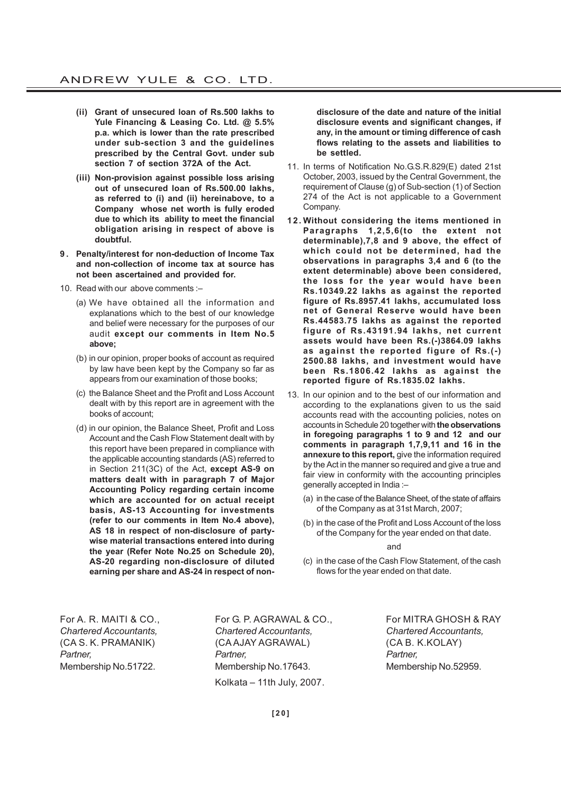- **(ii) Grant of unsecured loan of Rs.500 lakhs to Yule Financing & Leasing Co. Ltd. @ 5.5% p.a. which is lower than the rate prescribed under sub-section 3 and the guidelines prescribed by the Central Govt. under sub section 7 of section 372A of the Act.**
- **(iii) Non-provision against possible loss arising out of unsecured loan of Rs.500.00 lakhs, as referred to (i) and (ii) hereinabove, to a Company whose net worth is fully eroded due to which its ability to meet the financial obligation arising in respect of above is doubtful.**
- **9 . Penalty/interest for non-deduction of Income Tax and non-collection of income tax at source has not been ascertained and provided for.**
- 10. Read with our above comments :–
	- (a) We have obtained all the information and explanations which to the best of our knowledge and belief were necessary for the purposes of our audit **except our comments in Item No.5 above;**
	- (b) in our opinion, proper books of account as required by law have been kept by the Company so far as appears from our examination of those books;
	- (c) the Balance Sheet and the Profit and Loss Account dealt with by this report are in agreement with the books of account;
	- (d) in our opinion, the Balance Sheet, Profit and Loss Account and the Cash Flow Statement dealt with by this report have been prepared in compliance with the applicable accounting standards (AS) referred to in Section 211(3C) of the Act, **except AS-9 on matters dealt with in paragraph 7 of Major Accounting Policy regarding certain income which are accounted for on actual receipt basis, AS-13 Accounting for investments (refer to our comments in Item No.4 above), AS 18 in respect of non-disclosure of partywise material transactions entered into during the year (Refer Note No.25 on Schedule 20), AS-20 regarding non-disclosure of diluted earning per share and AS-24 in respect of non-**

**disclosure of the date and nature of the initial disclosure events and significant changes, if any, in the amount or timing difference of cash flows relating to the assets and liabilities to be settled.**

- 11. In terms of Notification No.G.S.R.829(E) dated 21st October, 2003, issued by the Central Government, the requirement of Clause (g) of Sub-section (1) of Section 274 of the Act is not applicable to a Government Company.
- **12. Without considering the items mentioned in Paragraphs 1,2,5,6(to the extent not determinable),7,8 and 9 above, the effect of which could not be determined, had the observations in paragraphs 3,4 and 6 (to the extent determinable) above been considered, the loss for the year would have been Rs.10349.22 lakhs as against the reported figure of Rs.8957.41 lakhs, accumulated loss net of General Reserve would have been Rs.44583.75 lakhs as against the reported figure of Rs.43191.94 lakhs, net current assets would have been Rs.(-)3864.09 lakhs as against the reported figure of Rs.(-) 2500.88 lakhs, and investment would have been Rs.1806.42 lakhs as against the reported figure of Rs.1835.02 lakhs.**
- 13. In our opinion and to the best of our information and according to the explanations given to us the said accounts read with the accounting policies, notes on accounts in Schedule 20 together with **the observations in foregoing paragraphs 1 to 9 and 12 and our comments in paragraph 1,7,9,11 and 16 in the annexure to this report,** give the information required by the Act in the manner so required and give a true and fair view in conformity with the accounting principles generally accepted in India :–
	- (a) in the case of the Balance Sheet, of the state of affairs of the Company as at 31st March, 2007;
	- (b) in the case of the Profit and Loss Account of the loss of the Company for the year ended on that date.

and

(c) in the case of the Cash Flow Statement, of the cash flows for the year ended on that date.

*Chartered Accountants, Chartered Accountants, Chartered Accountants,* (CA S. K. PRAMANIK) (CA AJAY AGRAWAL) (CA B. K.KOLAY) *Partner, Partner, Partner,* Membership No.51722. Membership No.17643. Membership No.52959. Kolkata – 11th July, 2007.

For A. R. MAITI & CO., For G. P. AGRAWAL & CO., For MITRA GHOSH & RAY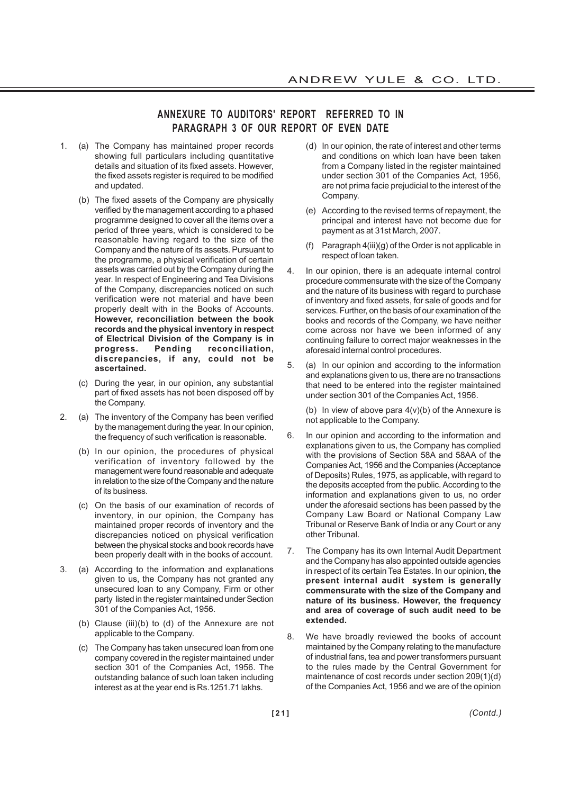# **ANNEXURE TO AUDITORS' REPORT REFERRED TO IN PARAGRAPH 3 OF OUR REPORT OF EVEN DATE**

- 1. (a) The Company has maintained proper records showing full particulars including quantitative details and situation of its fixed assets. However, the fixed assets register is required to be modified and updated.
	- (b) The fixed assets of the Company are physically verified by the management according to a phased programme designed to cover all the items over a period of three years, which is considered to be reasonable having regard to the size of the Company and the nature of its assets. Pursuant to the programme, a physical verification of certain assets was carried out by the Company during the year. In respect of Engineering and Tea Divisions of the Company, discrepancies noticed on such verification were not material and have been properly dealt with in the Books of Accounts. **However, reconciliation between the book records and the physical inventory in respect of Electrical Division of the Company is in progress. Pending reconciliation, discrepancies, if any, could not be ascertained.**
	- (c) During the year, in our opinion, any substantial part of fixed assets has not been disposed off by the Company.
- 2. (a) The inventory of the Company has been verified by the management during the year. In our opinion, the frequency of such verification is reasonable.
	- (b) In our opinion, the procedures of physical verification of inventory followed by the management were found reasonable and adequate in relation to the size of the Company and the nature of its business.
	- (c) On the basis of our examination of records of inventory, in our opinion, the Company has maintained proper records of inventory and the discrepancies noticed on physical verification between the physical stocks and book records have been properly dealt with in the books of account.
- 3. (a) According to the information and explanations given to us, the Company has not granted any unsecured loan to any Company, Firm or other party listed in the register maintained under Section 301 of the Companies Act, 1956.
	- (b) Clause (iii)(b) to (d) of the Annexure are not applicable to the Company.
	- (c) The Company has taken unsecured loan from one company covered in the register maintained under section 301 of the Companies Act, 1956. The outstanding balance of such loan taken including interest as at the year end is Rs.1251.71 lakhs.
- (d) In our opinion, the rate of interest and other terms and conditions on which loan have been taken from a Company listed in the register maintained under section 301 of the Companies Act, 1956, are not prima facie prejudicial to the interest of the Company.
- (e) According to the revised terms of repayment, the principal and interest have not become due for payment as at 31st March, 2007.
- (f) Paragraph 4(iii)(g) of the Order is not applicable in respect of loan taken.
- 4. In our opinion, there is an adequate internal control procedure commensurate with the size of the Company and the nature of its business with regard to purchase of inventory and fixed assets, for sale of goods and for services. Further, on the basis of our examination of the books and records of the Company, we have neither come across nor have we been informed of any continuing failure to correct major weaknesses in the aforesaid internal control procedures.
- 5. (a) In our opinion and according to the information and explanations given to us, there are no transactions that need to be entered into the register maintained under section 301 of the Companies Act, 1956.

(b) In view of above para  $4(v)(b)$  of the Annexure is not applicable to the Company.

- 6. In our opinion and according to the information and explanations given to us, the Company has complied with the provisions of Section 58A and 58AA of the Companies Act, 1956 and the Companies (Acceptance of Deposits) Rules, 1975, as applicable, with regard to the deposits accepted from the public. According to the information and explanations given to us, no order under the aforesaid sections has been passed by the Company Law Board or National Company Law Tribunal or Reserve Bank of India or any Court or any other Tribunal.
- 7. The Company has its own Internal Audit Department and the Company has also appointed outside agencies in respect of its certain Tea Estates. In our opinion, **the present internal audit system is generally commensurate with the size of the Company and nature of its business. However, the frequency and area of coverage of such audit need to be extended.**
- 8. We have broadly reviewed the books of account maintained by the Company relating to the manufacture of industrial fans, tea and power transformers pursuant to the rules made by the Central Government for maintenance of cost records under section 209(1)(d) of the Companies Act, 1956 and we are of the opinion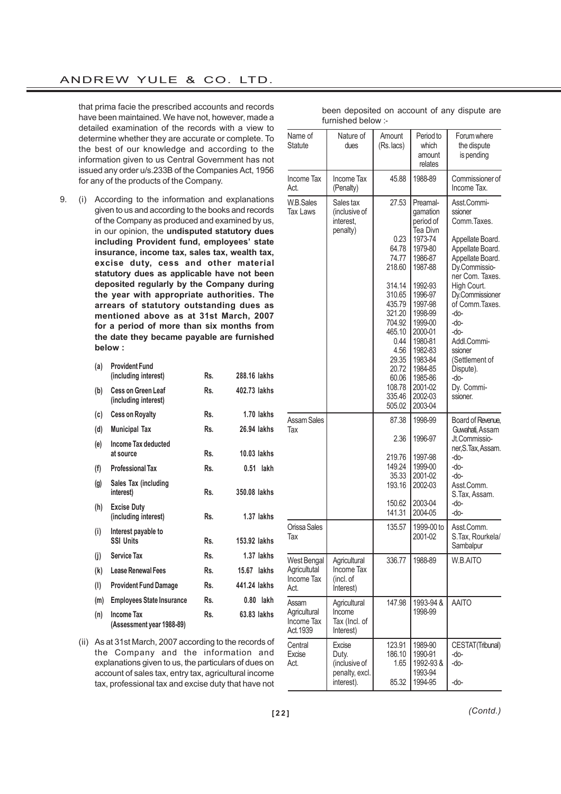that prima facie the prescribed accounts and records have been maintained. We have not, however, made a detailed examination of the records with a view to determine whether they are accurate or complete. To the best of our knowledge and according to the information given to us Central Government has not issued any order u/s.233B of the Companies Act, 1956 for any of the products of the Company.

9. (i) According to the information and explanations given to us and according to the books and records of the Company as produced and examined by us, in our opinion, the **undisputed statutory dues including Provident fund, employees' state insurance, income tax, sales tax, wealth tax, excise duty, cess and other material statutory dues as applicable have not been deposited regularly by the Company during the year with appropriate authorities. The arrears of statutory outstanding dues as mentioned above as at 31st March, 2007 for a period of more than six months from the date they became payable are furnished below :**

| (a) | <b>Provident Fund</b><br>(including interest)     | Rs. | 288.16 lakhs  |
|-----|---------------------------------------------------|-----|---------------|
| (b) | <b>Cess on Green Leaf</b><br>(including interest) | Rs. | 402.73 lakhs  |
| (c) | <b>Cess on Royalty</b>                            | Rs. | 1.70 lakhs    |
| (d) | <b>Municipal Tax</b>                              | Rs. | 26.94 lakhs   |
| (e) | Income Tax deducted<br>at source                  | Rs. | 10.03 lakhs   |
| (f) | <b>Professional Tax</b>                           | Rs. | lakh<br>0.51  |
| (g) | Sales Tax (including<br>interest)                 | Rs. | 350.08 lakhs  |
| (h) | <b>Excise Duty</b><br>(including interest)        | Rs. | 1.37 lakhs    |
| (i) | Interest payable to<br><b>SSI Units</b>           | Rs. | 153.92 lakhs  |
| (i) | <b>Service Tax</b>                                | Rs. | 1.37 lakhs    |
| (k) | <b>Lease Renewal Fees</b>                         | Rs. | $15.67$ lakhs |
| (1) | <b>Provident Fund Damage</b>                      | Rs. | 441.24 lakhs  |
| (m) | <b>Employees State Insurance</b>                  | Rs. | lakh<br>0.80  |
| (n) | Income Tax<br>(Assessment year 1988-89)           | Rs. | 63.83 lakhs   |

|  |  | (ii) As at 31st March, 2007 according to the records of |  |
|--|--|---------------------------------------------------------|--|
|  |  | the Company and the information and                     |  |
|  |  | explanations given to us, the particulars of dues on    |  |
|  |  | account of sales tax, entry tax, agricultural income    |  |
|  |  | tax, professional tax and excise duty that have not     |  |

Name of  $\parallel$  Nature of  $\parallel$  Amount  $\parallel$  Period to  $\parallel$  Forum where Statute dues (Rs. lacs) which the dispute<br>amount is pending is pending relates Income Tax Income Tax 45.88 1988-89 Commissioner of Act.  $\vert$  (Penalty)  $\vert$   $\vert$   $\vert$   $\vert$  Income Tax. W.B.Sales Sales tax | 27.53 Preamal- Asst.Commi-Tax Laws (inclusive of  $\vert$  gamation ssioner interest, **period of Comm.Taxes.** penalty) Tea Divn 0.23 1973-74 | Appellate Board. 64.78 1979-80 Appellate Board. 74.77 1986-87 Appellate Board. 218.60 1987-88 Dy.Commissioner Com. Taxes. 314.14 1992-93 High Court.<br>310.65 1996-97 Dv.Commiss 310.65 1996-97 Dy.Commissioner<br>435.79 1997-98 of Comm.Taxes. 435.79 1997-98 of Comm.Taxes.<br>321.20 1998-99 -do-1998-99 704.92 1999-00 do-465.10 2000-01 -do-0.44 1980-81 | Addl.Commi-4.56 1982-83 ssioner 29.35 1983-84 (Settlement of 20.72 1984-85 Dispute) 20.72 1984-85 Dispute). 60.06 1985-86 -do-<br>108.78 2001-02 Dv. Dy. Commi-335.46 2002-03 ssioner. 505.02 2003-04 Assam Sales **6 1998** 1998-99 Board of Revenue, Tax and the contract of the contract of the contract of Guwahati, Assam 2.36 1996-97 Jt.Commissioner,S.Tax, Assam. 219.76 1997-98 do-149.24 1999-00 do-35.33 2001-02 -do-<br>193.16 2002-03 Ass Asst.Comm. S.Tax, Assam. 150.62 2003-04 141.31 2004-05 -do-Orissa Sales 1 135.57 | 1999-00 to Asst.Comm. Tax 2001-02 S.Tax, Rourkela/ **Sambalpur** West Bengal | Agricultural | 336.77 | 1988-89 | W.B.AITO Agricultutal Income Tax Income Tax | (incl. of Act. Interest) Assam | Agricultural | 147.98 1993-94 & AAITO Agricultural Income 1 1998-99 Income Tax  $\parallel$  Tax (Incl. of Act. 1939 | Interest) Central Excise 123.91 1989-90 CESTAT(Tribunal) Excise Duty. 186.10 1990-91 -do-Act. | (inclusive of | 1.65 | 1992-93 & | -do-

> penalty, excl. 1993-94 interest). 85.32 | 1994-95 | -do-

been deposited on account of any dispute are furnished below :-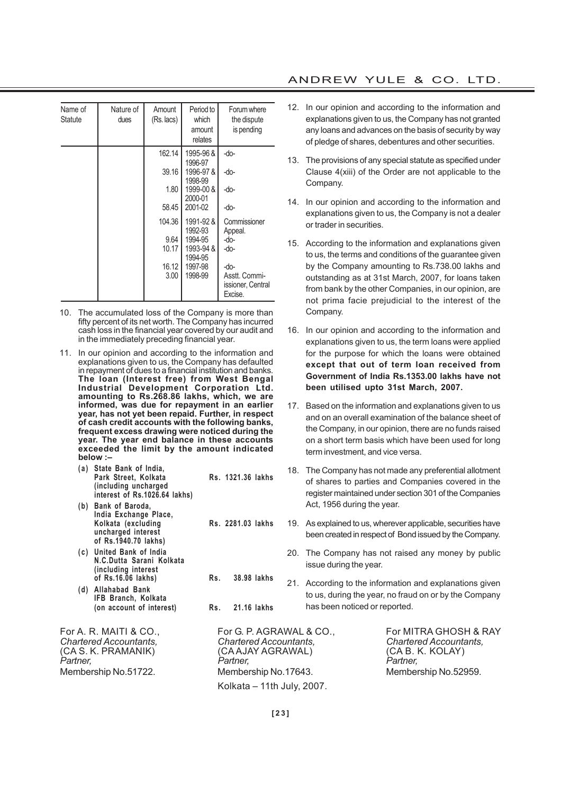| Name of | Nature of | Amount     | Period to            | Forum where                        |
|---------|-----------|------------|----------------------|------------------------------------|
| Statute | dues      | (Rs. lacs) | which<br>amount      | the dispute<br>is pending          |
|         |           |            | relates              |                                    |
|         |           | 162.14     | 1995-96 &            | -do-                               |
|         |           | 39.16      | 1996-97<br>1996-97&  | -do-                               |
|         |           |            | 1998-99              |                                    |
|         |           | 1.80       | 1999-00 &            | -do-                               |
|         |           |            | 2000-01              |                                    |
|         |           | 58.45      | 2001-02              | -do-                               |
|         |           | 104.36     | 1991-92 &<br>1992-93 | Commissioner<br>Appeal.            |
|         |           | 9.64       | 1994-95              | -do-                               |
|         |           | 10.17      | 1993-94 &<br>1994-95 | -do-                               |
|         |           | 16.12      | 1997-98              | -do-                               |
|         |           | 3.00       | 1998-99              | Asstt. Commi-<br>issioner, Central |
|         |           |            |                      | Excise.                            |

- 10. The accumulated loss of the Company is more than fifty percent of its net worth. The Company has incurred cash loss in the financial year covered by our audit and in the immediately preceding financial year.
- 11. In our opinion and according to the information and explanations given to us, the Company has defaulted in repayment of dues to a financial institution and banks. **The loan (Interest free) from West Bengal Industrial Development Corporation Ltd. amounting to Rs.268.86 lakhs, which, we are informed, was due for repayment in an earlier year, has not yet been repaid. Further, in respect of cash credit accounts with the following banks, frequent excess drawing were noticed during the year. The year end balance in these accounts exceeded the limit by the amount indicated below :–**
	- **(a) State Bank of India, Park Street, Kolkata Rs. 1321.36 lakhs (including uncharged interest of Rs.1026.64 lakhs)**
	- **(b) Bank of Baroda, India Exchange Place, Kolkata (excluding Rs. 2281.03 lakhs uncharged interest of Rs.1940.70 lakhs)**
	- **(c) United Bank of India N.C.Dutta Sarani Kolkata (including interest of Rs.16.06 lakhs) Rs. 38.98 lakhs**
	- **(d) Allahabad Bank IFB Branch, Kolkata (on account of interest) Rs. 21.16 lakhs**

# ANDREW YULE & CO. LTD.

- 12. In our opinion and according to the information and explanations given to us, the Company has not granted any loans and advances on the basis of security by way of pledge of shares, debentures and other securities.
- 13. The provisions of any special statute as specified under Clause 4(xiii) of the Order are not applicable to the Company.
- 14. In our opinion and according to the information and explanations given to us, the Company is not a dealer or trader in securities.
- 15. According to the information and explanations given to us, the terms and conditions of the guarantee given by the Company amounting to Rs.738.00 lakhs and outstanding as at 31st March, 2007, for loans taken from bank by the other Companies, in our opinion, are not prima facie prejudicial to the interest of the Company.
- 16. In our opinion and according to the information and explanations given to us, the term loans were applied for the purpose for which the loans were obtained **except that out of term loan received from Government of India Rs.1353.00 lakhs have not been utilised upto 31st March, 2007.**
- 17. Based on the information and explanations given to us and on an overall examination of the balance sheet of the Company, in our opinion, there are no funds raised on a short term basis which have been used for long term investment, and vice versa.
- 18. The Company has not made any preferential allotment of shares to parties and Companies covered in the register maintained under section 301 of the Companies Act, 1956 during the year.
- 19. As explained to us, wherever applicable, securities have been created in respect of Bond issued by the Company.
	- 20. The Company has not raised any money by public issue during the year.
- 21. According to the information and explanations given to us, during the year, no fraud on or by the Company has been noticed or reported.

*Chartered Accountants, Chartered Accountants, Chartered Accountants,* (CA S. K. PRAMANIK) (CA AJAY AGRAWAL) (CA B. K. KOLAY) *Partner, Partner, Partner,* Membership No.51722. Membership No.17643. Membership No.52959. Kolkata – 11th July, 2007.

For A. R. MAITI & CO., For G. P. AGRAWAL & CO., For MITRA GHOSH & RAY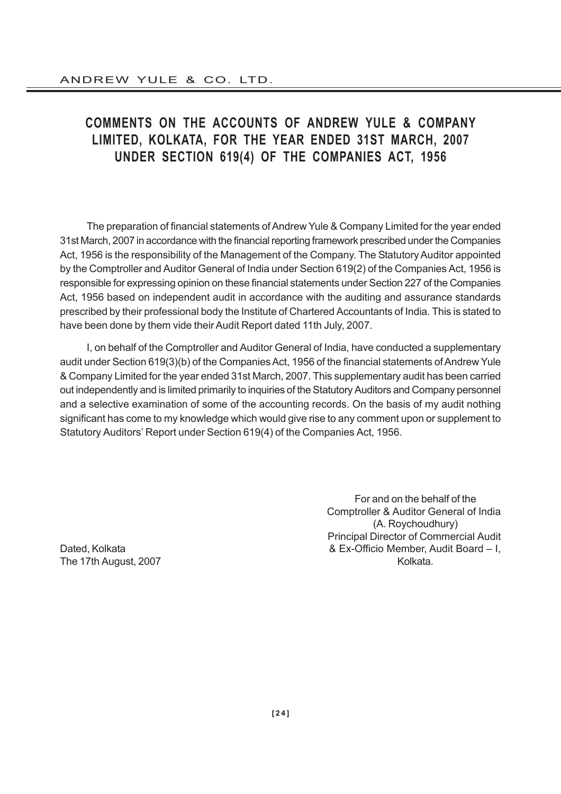# **COMMENTS ON THE ACCOUNTS OF ANDREW YULE & COMPANY LIMITED, KOLKATA, FOR THE YEAR ENDED 31ST MARCH, 2007 UNDER SECTION 619(4) OF THE COMPANIES ACT, 1956**

The preparation of financial statements of Andrew Yule & Company Limited for the year ended 31st March, 2007 in accordance with the financial reporting framework prescribed under the Companies Act, 1956 is the responsibility of the Management of the Company. The Statutory Auditor appointed by the Comptroller and Auditor General of India under Section 619(2) of the Companies Act, 1956 is responsible for expressing opinion on these financial statements under Section 227 of the Companies Act, 1956 based on independent audit in accordance with the auditing and assurance standards prescribed by their professional body the Institute of Chartered Accountants of India. This is stated to have been done by them vide their Audit Report dated 11th July, 2007.

I, on behalf of the Comptroller and Auditor General of India, have conducted a supplementary audit under Section 619(3)(b) of the Companies Act, 1956 of the financial statements of Andrew Yule & Company Limited for the year ended 31st March, 2007. This supplementary audit has been carried out independently and is limited primarily to inquiries of the Statutory Auditors and Company personnel and a selective examination of some of the accounting records. On the basis of my audit nothing significant has come to my knowledge which would give rise to any comment upon or supplement to Statutory Auditors' Report under Section 619(4) of the Companies Act, 1956.

For and on the behalf of the Comptroller & Auditor General of India (A. Roychoudhury) Principal Director of Commercial Audit Dated, Kolkata & Ex-Officio Member, Audit Board – I, The 17th August, 2007 North 2007 Alberta 2007 North 2008 and 2008 North 2008 2009 North 2008 2009 2012 12:00:00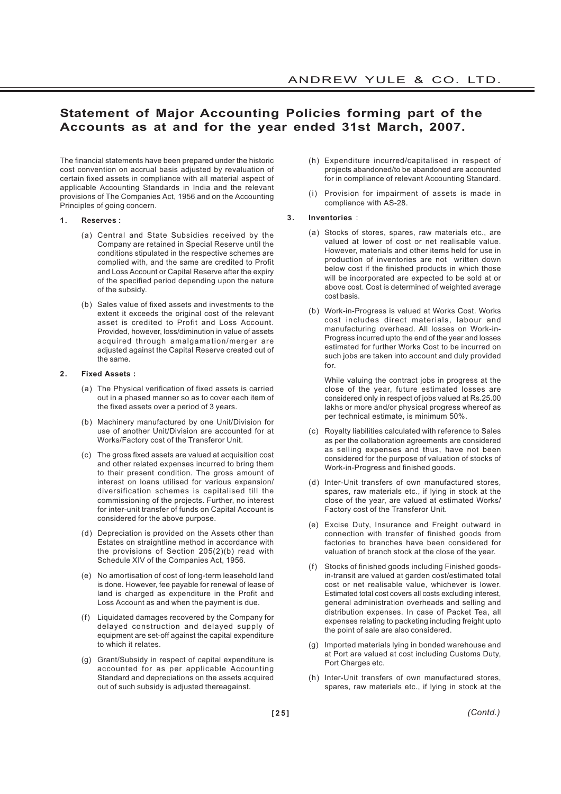# **Statement of Major Accounting Policies forming part of the Accounts as at and for the year ended 31st March, 2007.**

The financial statements have been prepared under the historic cost convention on accrual basis adjusted by revaluation of certain fixed assets in compliance with all material aspect of applicable Accounting Standards in India and the relevant provisions of The Companies Act, 1956 and on the Accounting Principles of going concern.

#### **1. Reserves :**

- (a) Central and State Subsidies received by the Company are retained in Special Reserve until the conditions stipulated in the respective schemes are complied with, and the same are credited to Profit and Loss Account or Capital Reserve after the expiry of the specified period depending upon the nature of the subsidy.
- (b) Sales value of fixed assets and investments to the extent it exceeds the original cost of the relevant asset is credited to Profit and Loss Account. Provided, however, loss/diminution in value of assets acquired through amalgamation/merger are adjusted against the Capital Reserve created out of the same.

#### **2. Fixed Assets :**

- (a) The Physical verification of fixed assets is carried out in a phased manner so as to cover each item of the fixed assets over a period of 3 years.
- (b) Machinery manufactured by one Unit/Division for use of another Unit/Division are accounted for at Works/Factory cost of the Transferor Unit.
- (c) The gross fixed assets are valued at acquisition cost and other related expenses incurred to bring them to their present condition. The gross amount of interest on loans utilised for various expansion/ diversification schemes is capitalised till the commissioning of the projects. Further, no interest for inter-unit transfer of funds on Capital Account is considered for the above purpose.
- (d) Depreciation is provided on the Assets other than Estates on straightline method in accordance with the provisions of Section 205(2)(b) read with Schedule XIV of the Companies Act, 1956.
- (e) No amortisation of cost of long-term leasehold land is done. However, fee payable for renewal of lease of land is charged as expenditure in the Profit and Loss Account as and when the payment is due.
- (f) Liquidated damages recovered by the Company for delayed construction and delayed supply of equipment are set-off against the capital expenditure to which it relates.
- (g) Grant/Subsidy in respect of capital expenditure is accounted for as per applicable Accounting Standard and depreciations on the assets acquired out of such subsidy is adjusted thereagainst.
- (h) Expenditure incurred/capitalised in respect of projects abandoned/to be abandoned are accounted for in compliance of relevant Accounting Standard.
- (i) Provision for impairment of assets is made in compliance with AS-28.

#### **3. Inventories** :

- (a) Stocks of stores, spares, raw materials etc., are valued at lower of cost or net realisable value. However, materials and other items held for use in production of inventories are not written down below cost if the finished products in which those will be incorporated are expected to be sold at or above cost. Cost is determined of weighted average cost basis.
- (b) Work-in-Progress is valued at Works Cost. Works cost includes direct materials, labour and manufacturing overhead. All losses on Work-in-Progress incurred upto the end of the year and losses estimated for further Works Cost to be incurred on such jobs are taken into account and duly provided for.

While valuing the contract jobs in progress at the close of the year, future estimated losses are considered only in respect of jobs valued at Rs.25.00 lakhs or more and/or physical progress whereof as per technical estimate, is minimum 50%.

- (c) Royalty liabilities calculated with reference to Sales as per the collaboration agreements are considered as selling expenses and thus, have not been considered for the purpose of valuation of stocks of Work-in-Progress and finished goods.
- (d) Inter-Unit transfers of own manufactured stores, spares, raw materials etc., if lying in stock at the close of the year, are valued at estimated Works/ Factory cost of the Transferor Unit.
- (e) Excise Duty, Insurance and Freight outward in connection with transfer of finished goods from factories to branches have been considered for valuation of branch stock at the close of the year.
- (f) Stocks of finished goods including Finished goodsin-transit are valued at garden cost/estimated total cost or net realisable value, whichever is lower. Estimated total cost covers all costs excluding interest, general administration overheads and selling and distribution expenses. In case of Packet Tea, all expenses relating to packeting including freight upto the point of sale are also considered.
- (g) Imported materials lying in bonded warehouse and at Port are valued at cost including Customs Duty, Port Charges etc.
- (h) Inter-Unit transfers of own manufactured stores, spares, raw materials etc., if lying in stock at the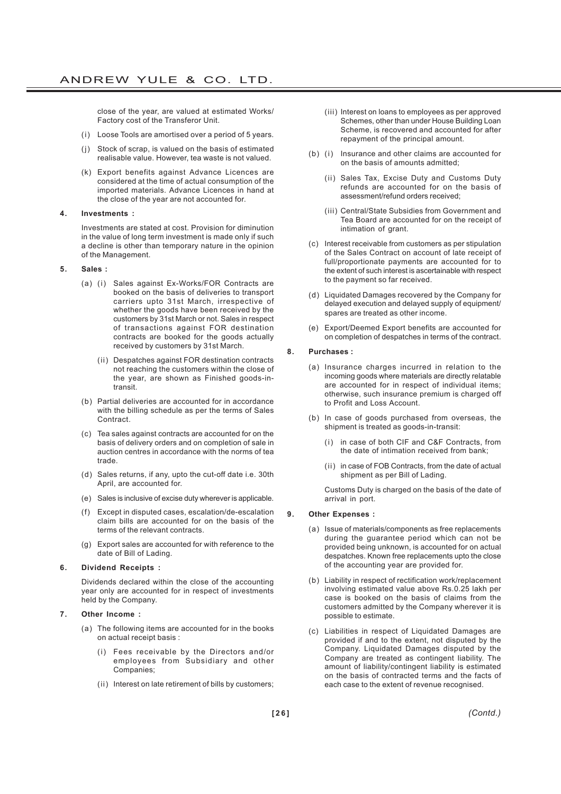close of the year, are valued at estimated Works/ Factory cost of the Transferor Unit.

- (i) Loose Tools are amortised over a period of 5 years.
- (j) Stock of scrap, is valued on the basis of estimated realisable value. However, tea waste is not valued.
- (k) Export benefits against Advance Licences are considered at the time of actual consumption of the imported materials. Advance Licences in hand at the close of the year are not accounted for.
- **4. Investments :**

Investments are stated at cost. Provision for diminution in the value of long term investment is made only if such a decline is other than temporary nature in the opinion of the Management.

- **5. Sales :**
	- (a) (i) Sales against Ex-Works/FOR Contracts are booked on the basis of deliveries to transport carriers upto 31st March, irrespective of whether the goods have been received by the customers by 31st March or not. Sales in respect of transactions against FOR destination contracts are booked for the goods actually received by customers by 31st March.
		- (ii) Despatches against FOR destination contracts not reaching the customers within the close of the year, are shown as Finished goods-intransit.
	- (b) Partial deliveries are accounted for in accordance with the billing schedule as per the terms of Sales Contract.
	- (c) Tea sales against contracts are accounted for on the basis of delivery orders and on completion of sale in auction centres in accordance with the norms of tea trade.
	- (d) Sales returns, if any, upto the cut-off date i.e. 30th April, are accounted for.
	- (e) Sales is inclusive of excise duty wherever is applicable.
	- (f) Except in disputed cases, escalation/de-escalation claim bills are accounted for on the basis of the terms of the relevant contracts.
	- (g) Export sales are accounted for with reference to the date of Bill of Lading.

#### **6. Dividend Receipts :**

Dividends declared within the close of the accounting year only are accounted for in respect of investments held by the Company.

- **7. Other Income :**
	- (a) The following items are accounted for in the books on actual receipt basis :
		- (i) Fees receivable by the Directors and/or employees from Subsidiary and other Companies;
		- (ii) Interest on late retirement of bills by customers;
- (iii) Interest on loans to employees as per approved Schemes, other than under House Building Loan Scheme, is recovered and accounted for after repayment of the principal amount.
- (b) (i) Insurance and other claims are accounted for on the basis of amounts admitted;
	- (ii) Sales Tax, Excise Duty and Customs Duty refunds are accounted for on the basis of assessment/refund orders received;
	- (iii) Central/State Subsidies from Government and Tea Board are accounted for on the receipt of intimation of grant.
- (c) Interest receivable from customers as per stipulation of the Sales Contract on account of late receipt of full/proportionate payments are accounted for to the extent of such interest is ascertainable with respect to the payment so far received.
- (d) Liquidated Damages recovered by the Company for delayed execution and delayed supply of equipment/ spares are treated as other income.
- (e) Export/Deemed Export benefits are accounted for on completion of despatches in terms of the contract.

#### **8. Purchases :**

- (a) Insurance charges incurred in relation to the incoming goods where materials are directly relatable are accounted for in respect of individual items; otherwise, such insurance premium is charged off to Profit and Loss Account.
- (b) In case of goods purchased from overseas, the shipment is treated as goods-in-transit:
	- (i) in case of both CIF and C&F Contracts, from the date of intimation received from bank;
	- (ii) in case of FOB Contracts, from the date of actual shipment as per Bill of Lading.

Customs Duty is charged on the basis of the date of arrival in port.

#### **9. Other Expenses :**

- (a) Issue of materials/components as free replacements during the guarantee period which can not be provided being unknown, is accounted for on actual despatches. Known free replacements upto the close of the accounting year are provided for.
- (b) Liability in respect of rectification work/replacement involving estimated value above Rs.0.25 lakh per case is booked on the basis of claims from the customers admitted by the Company wherever it is possible to estimate.
- (c) Liabilities in respect of Liquidated Damages are provided if and to the extent, not disputed by the Company. Liquidated Damages disputed by the Company are treated as contingent liability. The amount of liability/contingent liability is estimated on the basis of contracted terms and the facts of each case to the extent of revenue recognised.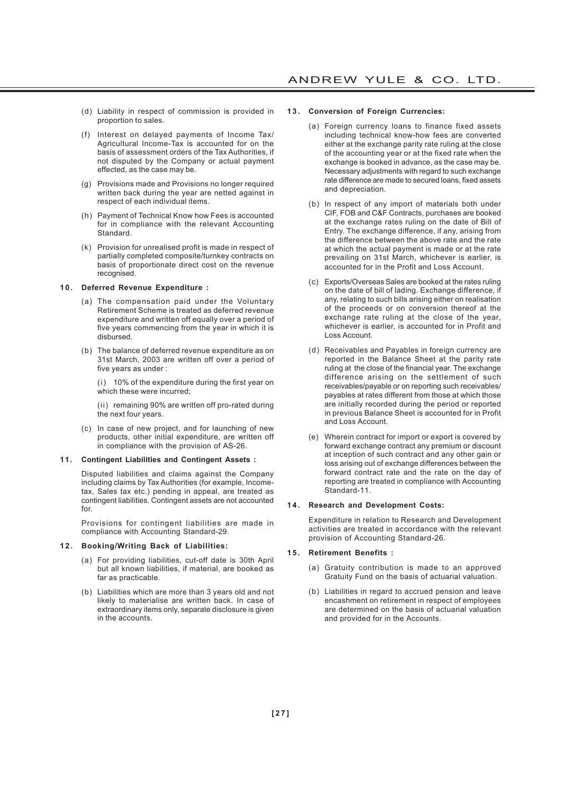- (d) Liability in respect of commission is provided in proportion to sales.
- (f) Interest on delayed payments of Income Tax/ Agricultural Income-Tax is accounted for on the basis of assessment orders of the Tax Authorities, if not disputed by the Company or actual payment effected, as the case may be.
- (g) Provisions made and Provisions no longer required written back during the year are netted against in respect of each individual items.
- (h) Payment of Technical Know how Fees is accounted for in compliance with the relevant Accounting **Standard**
- (k) Provision for unrealised profit is made in respect of partially completed composite/turnkey contracts on basis of proportionate direct cost on the revenue recognised.

#### **10. Deferred Revenue Expenditure :**

- (a) The compensation paid under the Voluntary Retirement Scheme is treated as deferred revenue expenditure and written off equally over a period of five years commencing from the year in which it is disbursed.
- (b) The balance of deferred revenue expenditure as on 31st March, 2003 are written off over a period of five years as under :

(i) 10% of the expenditure during the first year on which these were incurred;

(ii) remaining 90% are written off pro-rated during the next four years.

(c) In case of new project, and for launching of new products, other initial expenditure, are written off in compliance with the provision of AS-26.

#### **11. Contingent Liabilities and Contingent Assets :**

Disputed liabilities and claims against the Company including claims by Tax Authorities (for example, Incometax, Sales tax etc.) pending in appeal, are treated as contingent liabilities. Contingent assets are not accounted for.

Provisions for contingent liabilities are made in compliance with Accounting Standard-29.

#### **12. Booking/Writing Back of Liabilities:**

- (a) For providing liabilities, cut-off date is 30th April but all known liabilities, if material, are booked as far as practicable.
- (b) Liabilities which are more than 3 years old and not likely to materialise are written back. In case of extraordinary items only, separate disclosure is given in the accounts.

#### **13. Conversion of Foreign Currencies:**

- (a) Foreign currency loans to finance fixed assets including technical know-how fees are converted either at the exchange parity rate ruling at the close of the accounting year or at the fixed rate when the exchange is booked in advance, as the case may be. Necessary adjustments with regard to such exchange rate difference are made to secured loans, fixed assets and depreciation.
- (b) In respect of any import of materials both under CIF, FOB and C&F Contracts, purchases are booked at the exchange rates ruling on the date of Bill of Entry. The exchange difference, if any, arising from the difference between the above rate and the rate at which the actual payment is made or at the rate prevailing on 31st March, whichever is earlier, is accounted for in the Profit and Loss Account.
- (c) Exports/Overseas Sales are booked at the rates ruling on the date of bill of lading. Exchange difference, if any, relating to such bills arising either on realisation of the proceeds or on conversion thereof at the exchange rate ruling at the close of the year, whichever is earlier, is accounted for in Profit and Loss Account.
- (d) Receivables and Payables in foreign currency are reported in the Balance Sheet at the parity rate ruling at the close of the financial year. The exchange difference arising on the settlement of such receivables/payable or on reporting such receivables/ payables at rates different from those at which those are initially recorded during the period or reported in previous Balance Sheet is accounted for in Profit and Loss Account.
- (e) Wherein contract for import or export is covered by forward exchange contract any premium or discount at inception of such contract and any other gain or loss arising out of exchange differences between the forward contract rate and the rate on the day of reporting are treated in compliance with Accounting Standard-11.

#### **14. Research and Development Costs:**

Expenditure in relation to Research and Development activities are treated in accordance with the relevant provision of Accounting Standard-26.

#### **15. Retirement Benefits :**

- (a) Gratuity contribution is made to an approved Gratuity Fund on the basis of actuarial valuation.
- (b) Liabilities in regard to accrued pension and leave encashment on retirement in respect of employees are determined on the basis of actuarial valuation and provided for in the Accounts.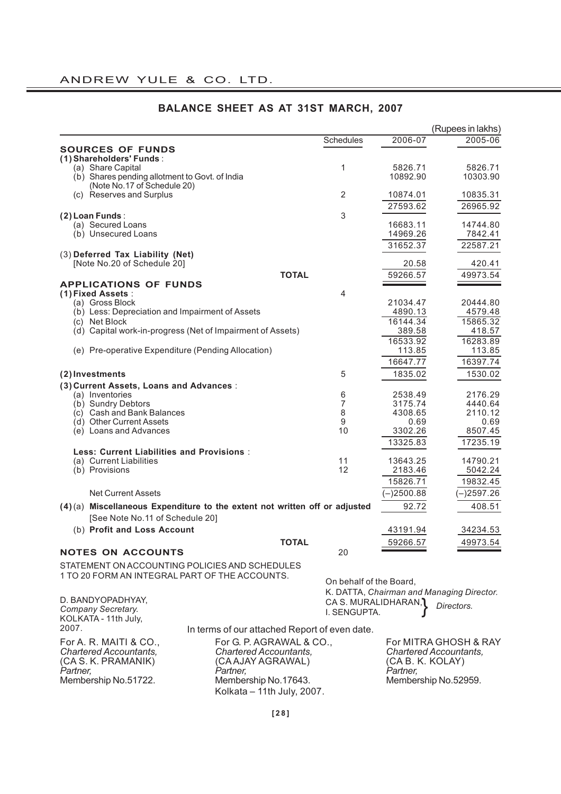|                                                                            |                                               |                         |                  | (Rupees in lakhs)                         |
|----------------------------------------------------------------------------|-----------------------------------------------|-------------------------|------------------|-------------------------------------------|
|                                                                            |                                               | Schedules               | 2006-07          | 2005-06                                   |
| <b>SOURCES OF FUNDS</b>                                                    |                                               |                         |                  |                                           |
| (1) Shareholders' Funds:                                                   |                                               |                         |                  |                                           |
| (a) Share Capital                                                          |                                               | 1                       | 5826.71          | 5826.71                                   |
| (b) Shares pending allotment to Govt. of India                             |                                               |                         | 10892.90         | 10303.90                                  |
| (Note No.17 of Schedule 20)<br>(c) Reserves and Surplus                    |                                               | 2                       | 10874.01         | 10835.31                                  |
|                                                                            |                                               |                         |                  |                                           |
|                                                                            |                                               | 3                       | 27593.62         | 26965.92                                  |
| $(2)$ Loan Funds:<br>(a) Secured Loans                                     |                                               |                         | 16683.11         | 14744.80                                  |
| (b) Unsecured Loans                                                        |                                               |                         | 14969.26         | 7842.41                                   |
|                                                                            |                                               |                         | 31652.37         | 22587.21                                  |
| (3) Deferred Tax Liability (Net)                                           |                                               |                         |                  |                                           |
| [Note No.20 of Schedule 20]                                                |                                               |                         | 20.58            | 420.41                                    |
|                                                                            | <b>TOTAL</b>                                  |                         | 59266.57         | 49973.54                                  |
| <b>APPLICATIONS OF FUNDS</b>                                               |                                               |                         |                  |                                           |
| (1) Fixed Assets:                                                          |                                               | 4                       |                  |                                           |
| (a) Gross Block                                                            |                                               |                         | 21034.47         | 20444.80                                  |
| (b) Less: Depreciation and Impairment of Assets                            |                                               |                         | 4890.13          | 4579.48                                   |
| (c) Net Block                                                              |                                               |                         | 16144.34         | 15865.32                                  |
| (d) Capital work-in-progress (Net of Impairment of Assets)                 |                                               |                         | 389.58           | 418.57                                    |
|                                                                            |                                               |                         | 16533.92         | 16283.89                                  |
| (e) Pre-operative Expenditure (Pending Allocation)                         |                                               |                         | 113.85           | 113.85                                    |
|                                                                            |                                               |                         | 16647.77         | 16397.74                                  |
| (2) Investments                                                            |                                               | 5                       | 1835.02          | 1530.02                                   |
| (3) Current Assets, Loans and Advances:                                    |                                               |                         |                  |                                           |
| (a) Inventories                                                            |                                               | 6                       | 2538.49          | 2176.29                                   |
| (b) Sundry Debtors                                                         |                                               | 7                       | 3175.74          | 4440.64                                   |
| (c) Cash and Bank Balances<br>(d) Other Current Assets                     |                                               | 8                       | 4308.65          | 2110.12                                   |
| (e) Loans and Advances                                                     |                                               | 9<br>10                 | 0.69<br>3302.26  | 0.69<br>8507.45                           |
|                                                                            |                                               |                         |                  |                                           |
| <b>Less: Current Liabilities and Provisions:</b>                           |                                               |                         | 13325.83         | 17235.19                                  |
| (a) Current Liabilities                                                    |                                               | 11                      | 13643.25         | 14790.21                                  |
| (b) Provisions                                                             |                                               | 12                      | 2183.46          | 5042.24                                   |
|                                                                            |                                               |                         | 15826.71         | 19832.45                                  |
| <b>Net Current Assets</b>                                                  |                                               |                         | $(-)2500.88$     | $-)2597.26$                               |
|                                                                            |                                               |                         |                  |                                           |
| (4)(a) Miscellaneous Expenditure to the extent not written off or adjusted |                                               |                         | 92.72            | 408.51                                    |
| [See Note No.11 of Schedule 20]                                            |                                               |                         |                  |                                           |
| (b) Profit and Loss Account                                                |                                               |                         | 43191.94         | 34234.53                                  |
|                                                                            | <b>TOTAL</b>                                  |                         | 59266.57         | 49973.54                                  |
| <b>NOTES ON ACCOUNTS</b>                                                   |                                               | 20                      |                  |                                           |
| STATEMENT ON ACCOUNTING POLICIES AND SCHEDULES                             |                                               |                         |                  |                                           |
| 1 TO 20 FORM AN INTEGRAL PART OF THE ACCOUNTS.                             |                                               |                         |                  |                                           |
|                                                                            |                                               | On behalf of the Board, |                  |                                           |
| D. BANDYOPADHYAY,                                                          |                                               | CA S. MURALIDHARAN, 1   |                  | K. DATTA, Chairman and Managing Director. |
| Company Secretary.                                                         |                                               | I. SENGUPTA.            |                  | Directors.                                |
| KOLKATA - 11th July,                                                       |                                               |                         |                  |                                           |
| 2007.                                                                      | In terms of our attached Report of even date. |                         |                  |                                           |
| For A. R. MAITI & CO.,                                                     | For G. P. AGRAWAL & CO.,                      |                         |                  | For MITRA GHOSH & RAY                     |
| <b>Chartered Accountants,</b>                                              | <b>Chartered Accountants,</b>                 |                         |                  | <b>Chartered Accountants,</b>             |
| (CA S. K. PRAMANIK)                                                        | (CA AJAY AGRAWAL)                             |                         | (CA B. K. KOLAY) |                                           |
| Partner,                                                                   | Partner,                                      |                         | Partner,         |                                           |

# **BALANCE SHEET AS AT 31ST MARCH, 2007**

**[28]**

Membership No.51722. Membership No.17643. Membership No.52959. Kolkata – 11th July, 2007.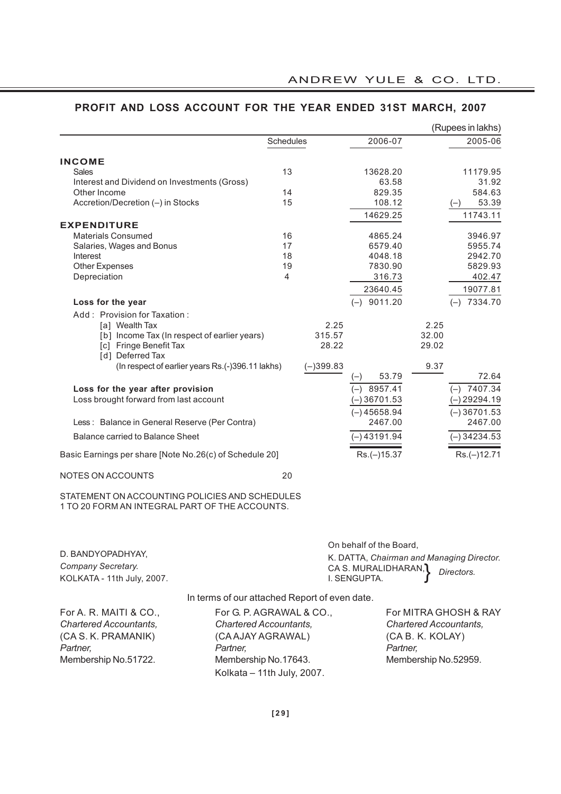|                                                                                                  |           |             |                  |       | (Rupees in lakhs) |
|--------------------------------------------------------------------------------------------------|-----------|-------------|------------------|-------|-------------------|
|                                                                                                  | Schedules |             | 2006-07          |       | 2005-06           |
| <b>INCOME</b>                                                                                    |           |             |                  |       |                   |
| Sales                                                                                            | 13        |             | 13628.20         |       | 11179.95          |
| Interest and Dividend on Investments (Gross)                                                     |           |             | 63.58            |       | 31.92             |
| Other Income                                                                                     | 14        |             | 829.35           |       | 584.63            |
| Accretion/Decretion (-) in Stocks                                                                | 15        |             | 108.12           |       | 53.39<br>$(-)$    |
|                                                                                                  |           |             | 14629.25         |       | 11743.11          |
| <b>EXPENDITURE</b>                                                                               |           |             |                  |       |                   |
| <b>Materials Consumed</b>                                                                        | 16        |             | 4865.24          |       | 3946.97           |
| Salaries, Wages and Bonus                                                                        | 17        |             | 6579.40          |       | 5955.74           |
| Interest                                                                                         | 18        |             | 4048.18          |       | 2942.70           |
| Other Expenses                                                                                   | 19        |             | 7830.90          |       | 5829.93           |
| Depreciation                                                                                     | 4         |             | 316.73           |       | 402.47            |
|                                                                                                  |           |             | 23640.45         |       | 19077.81          |
| Loss for the year                                                                                |           |             | $(-)$ 9011.20    |       | 7334.70<br>$(-)$  |
| Add: Provision for Taxation:                                                                     |           |             |                  |       |                   |
| [a] Wealth Tax                                                                                   |           | 2.25        |                  | 2.25  |                   |
| [b] Income Tax (In respect of earlier years)                                                     |           | 315.57      |                  | 32.00 |                   |
| [c] Fringe Benefit Tax                                                                           |           | 28.22       |                  | 29.02 |                   |
| [d] Deferred Tax                                                                                 |           |             |                  |       |                   |
| (In respect of earlier years Rs.(-)396.11 lakhs)                                                 |           | $(-)399.83$ |                  | 9.37  |                   |
|                                                                                                  |           |             | 53.79<br>$(-)$   |       | 72.64             |
| Loss for the year after provision                                                                |           |             | 8957.41<br>$(-)$ |       | $(-)$ 7407.34     |
| Loss brought forward from last account                                                           |           |             | $(-)36701.53$    |       | $-$ ) 29294.19    |
|                                                                                                  |           |             | $(-)45658.94$    |       | $(-)36701.53$     |
| Less: Balance in General Reserve (Per Contra)                                                    |           |             | 2467.00          |       | 2467.00           |
| Balance carried to Balance Sheet                                                                 |           |             | (–) 43191.94     |       | $(-)$ 34234.53    |
|                                                                                                  |           |             |                  |       |                   |
| Basic Earnings per share [Note No.26(c) of Schedule 20]                                          |           |             | $Rs.(-)15.37$    |       | $Rs.(-)12.71$     |
| NOTES ON ACCOUNTS                                                                                | 20        |             |                  |       |                   |
| STATEMENT ON ACCOUNTING POLICIES AND SCHEDULES<br>1 TO 20 FORM AN INTEGRAL PART OF THE ACCOUNTS. |           |             |                  |       |                   |

# **PROFIT AND LOSS ACCOUNT FOR THE YEAR ENDED 31ST MARCH, 2007**

D. BANDYOPADHYAY, *Company Secretary.* KOLKATA - 11th July, 2007. On behalf of the Board, K. DATTA, *Chairman and Managing Director.* CA S. MURALIDHARAN, *Directors.*<br>I. SENGUPTA. I. SENGUPTA.

In terms of our attached Report of even date.

| For A. R. MAITI & CO.,        | For G. P. AGRAWAL & CO.,      | For MITRA GHOSH & RAY         |
|-------------------------------|-------------------------------|-------------------------------|
| <b>Chartered Accountants,</b> | <b>Chartered Accountants,</b> | <b>Chartered Accountants,</b> |
| (CA S. K. PRAMANIK)           | (CA AJAY AGRAWAL)             | (CA B. K. KOLAY)              |
| Partner.                      | Partner.                      | Partner.                      |
| Membership No.51722.          | Membership No.17643.          | Membership No.52959.          |
|                               | Kolkata - 11th July, 2007.    |                               |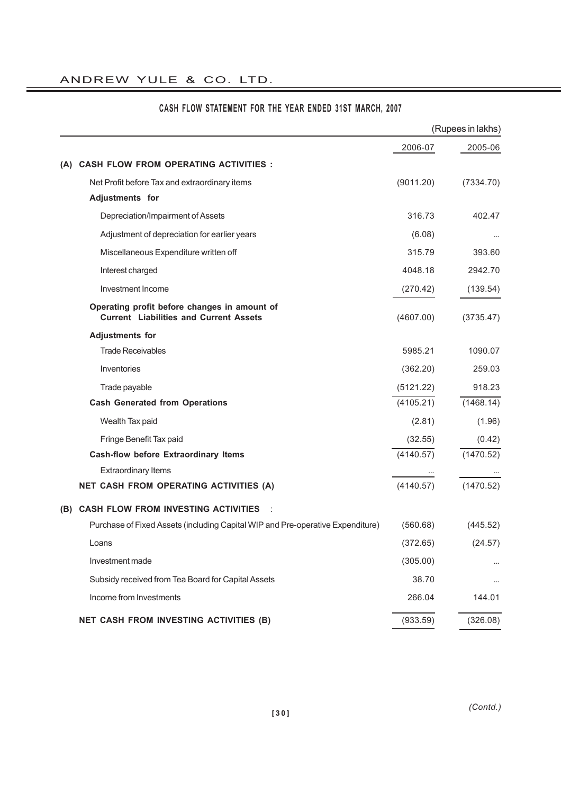# ANDREW YULE & CO. LTD.

|     |                                                                                               |           | (Rupees in lakhs) |
|-----|-----------------------------------------------------------------------------------------------|-----------|-------------------|
|     |                                                                                               | 2006-07   | 2005-06           |
|     | (A) CASH FLOW FROM OPERATING ACTIVITIES :                                                     |           |                   |
|     | Net Profit before Tax and extraordinary items                                                 | (9011.20) | (7334.70)         |
|     | Adjustments for                                                                               |           |                   |
|     | Depreciation/Impairment of Assets                                                             | 316.73    | 402.47            |
|     | Adjustment of depreciation for earlier years                                                  | (6.08)    |                   |
|     | Miscellaneous Expenditure written off                                                         | 315.79    | 393.60            |
|     | Interest charged                                                                              | 4048.18   | 2942.70           |
|     | Investment Income                                                                             | (270.42)  | (139.54)          |
|     | Operating profit before changes in amount of<br><b>Current Liabilities and Current Assets</b> | (4607.00) | (3735.47)         |
|     | <b>Adjustments for</b>                                                                        |           |                   |
|     | <b>Trade Receivables</b>                                                                      | 5985.21   | 1090.07           |
|     | Inventories                                                                                   | (362.20)  | 259.03            |
|     | Trade payable                                                                                 | (5121.22) | 918.23            |
|     | <b>Cash Generated from Operations</b>                                                         | (4105.21) | (1468.14)         |
|     | Wealth Tax paid                                                                               | (2.81)    | (1.96)            |
|     | Fringe Benefit Tax paid                                                                       | (32.55)   | (0.42)            |
|     | <b>Cash-flow before Extraordinary Items</b>                                                   | (4140.57) | (1470.52)         |
|     | <b>Extraordinary Items</b>                                                                    |           |                   |
|     | NET CASH FROM OPERATING ACTIVITIES (A)                                                        | (4140.57) | (1470.52)         |
| (B) | <b>CASH FLOW FROM INVESTING ACTIVITIES</b>                                                    |           |                   |
|     | Purchase of Fixed Assets (including Capital WIP and Pre-operative Expenditure)                | (560.68)  | (445.52)          |
|     | Loans                                                                                         | (372.65)  | (24.57)           |
|     | Investment made                                                                               | (305.00)  |                   |
|     | Subsidy received from Tea Board for Capital Assets                                            | 38.70     |                   |
|     | Income from Investments                                                                       | 266.04    | 144.01            |
|     | NET CASH FROM INVESTING ACTIVITIES (B)                                                        | (933.59)  | (326.08)          |

# **CASH FLOW STATEMENT FOR THE YEAR ENDED 31ST MARCH, 2007**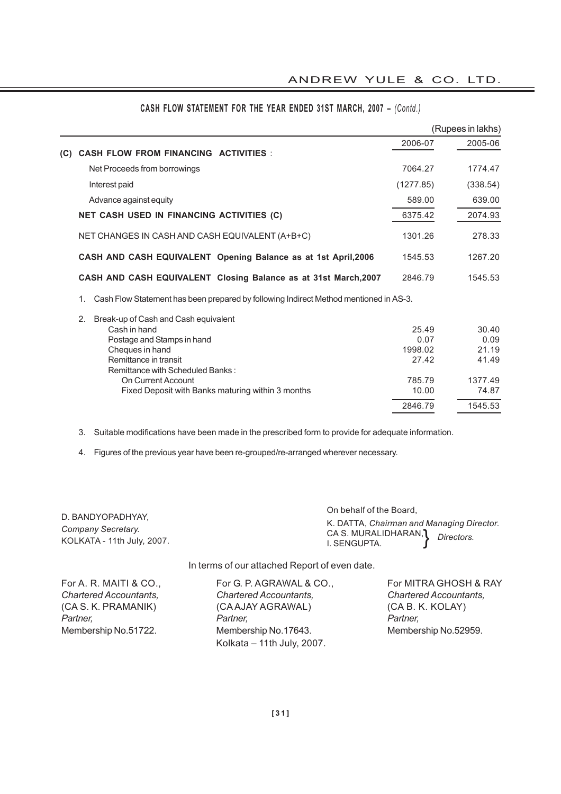|     |                                                                                             |           | (Rupees in lakhs) |
|-----|---------------------------------------------------------------------------------------------|-----------|-------------------|
|     |                                                                                             | 2006-07   | 2005-06           |
| (C) | <b>CASH FLOW FROM FINANCING ACTIVITIES:</b>                                                 |           |                   |
|     | Net Proceeds from borrowings                                                                | 7064.27   | 1774.47           |
|     | Interest paid                                                                               | (1277.85) | (338.54)          |
|     | Advance against equity                                                                      | 589.00    | 639.00            |
|     | NET CASH USED IN FINANCING ACTIVITIES (C)                                                   | 6375.42   | 2074.93           |
|     | NET CHANGES IN CASH AND CASH EQUIVALENT (A+B+C)                                             | 1301.26   | 278.33            |
|     | CASH AND CASH EQUIVALENT Opening Balance as at 1st April, 2006                              | 1545.53   | 1267.20           |
|     | CASH AND CASH EQUIVALENT Closing Balance as at 31st March, 2007                             | 2846.79   | 1545.53           |
|     | Cash Flow Statement has been prepared by following Indirect Method mentioned in AS-3.<br>1. |           |                   |
|     | 2.<br>Break-up of Cash and Cash equivalent                                                  |           |                   |
|     | Cash in hand                                                                                | 25.49     | 30.40             |
|     | Postage and Stamps in hand                                                                  | 0.07      | 0.09              |
|     | Cheques in hand                                                                             | 1998.02   | 21.19             |
|     | Remittance in transit                                                                       | 27.42     | 41.49             |
|     | Remittance with Scheduled Banks:                                                            |           |                   |
|     | On Current Account                                                                          | 785.79    | 1377.49           |
|     | Fixed Deposit with Banks maturing within 3 months                                           | 10.00     | 74.87             |
|     |                                                                                             | 2846.79   | 1545.53           |
|     |                                                                                             |           |                   |

# **CASH FLOW STATEMENT FOR THE YEAR ENDED 31ST MARCH, 2007 –** *(Contd.)*

3. Suitable modifications have been made in the prescribed form to provide for adequate information.

4. Figures of the previous year have been re-grouped/re-arranged wherever necessary.

|                                                                       | On behalf of the Board.                                                                     |
|-----------------------------------------------------------------------|---------------------------------------------------------------------------------------------|
| D. BANDYOPADHYAY,<br>Company Secretary.<br>KOLKATA - 11th July, 2007. | K. DATTA, Chairman and Managing Director.<br>CA S. MURALIDHARAN, Directors.<br>I. SENGUPTA. |
|                                                                       |                                                                                             |

In terms of our attached Report of even date.

For G. P. AGRAWAL & CO., For MITRA GHOSH & RAY *Chartered Accountants, Chartered Accountants, Chartered Accountants,* (CA AJAY AGRAWAL) (CA B. K. KOLAY) *Partner, Partner, Partner,* Membership No.17643. Membership No.52959. Kolkata – 11th July, 2007.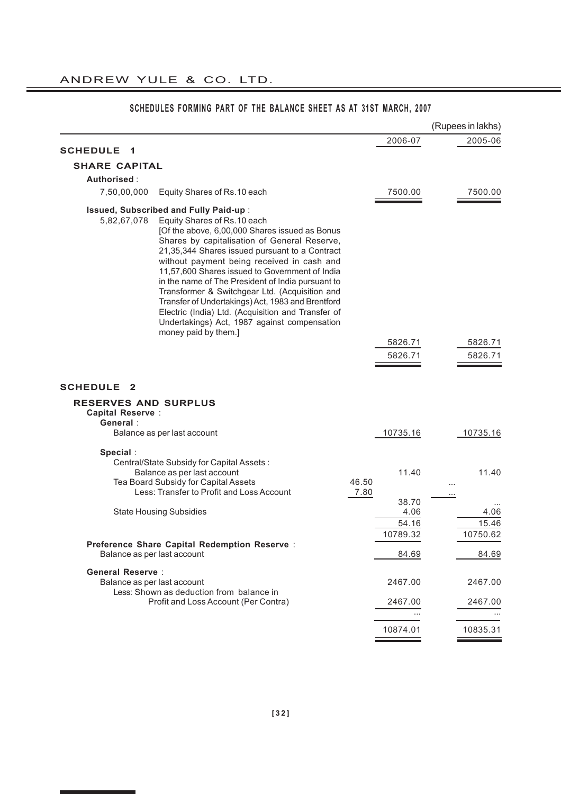|                                     |                                                                                                                                                                                                                                                                                                                                                                                                                                                                                                                                                                                                                     |                        | (Rupees in lakhs)             |
|-------------------------------------|---------------------------------------------------------------------------------------------------------------------------------------------------------------------------------------------------------------------------------------------------------------------------------------------------------------------------------------------------------------------------------------------------------------------------------------------------------------------------------------------------------------------------------------------------------------------------------------------------------------------|------------------------|-------------------------------|
| <b>SCHEDULE</b>                     |                                                                                                                                                                                                                                                                                                                                                                                                                                                                                                                                                                                                                     | 2006-07                | 2005-06                       |
| 1                                   |                                                                                                                                                                                                                                                                                                                                                                                                                                                                                                                                                                                                                     |                        |                               |
| <b>SHARE CAPITAL</b>                |                                                                                                                                                                                                                                                                                                                                                                                                                                                                                                                                                                                                                     |                        |                               |
| Authorised :                        |                                                                                                                                                                                                                                                                                                                                                                                                                                                                                                                                                                                                                     |                        |                               |
| 7,50,00,000                         | Equity Shares of Rs.10 each                                                                                                                                                                                                                                                                                                                                                                                                                                                                                                                                                                                         | 7500.00                | 7500.00                       |
| 5,82,67,078                         | Issued, Subscribed and Fully Paid-up :<br>Equity Shares of Rs.10 each<br>[Of the above, 6,00,000 Shares issued as Bonus<br>Shares by capitalisation of General Reserve,<br>21,35,344 Shares issued pursuant to a Contract<br>without payment being received in cash and<br>11,57,600 Shares issued to Government of India<br>in the name of The President of India pursuant to<br>Transformer & Switchgear Ltd. (Acquisition and<br>Transfer of Undertakings) Act, 1983 and Brentford<br>Electric (India) Ltd. (Acquisition and Transfer of<br>Undertakings) Act, 1987 against compensation<br>money paid by them.] |                        |                               |
|                                     |                                                                                                                                                                                                                                                                                                                                                                                                                                                                                                                                                                                                                     | 5826.71                | 5826.71                       |
|                                     |                                                                                                                                                                                                                                                                                                                                                                                                                                                                                                                                                                                                                     | 5826.71                | 5826.71                       |
|                                     |                                                                                                                                                                                                                                                                                                                                                                                                                                                                                                                                                                                                                     |                        |                               |
| <b>SCHEDULE</b><br>-2               |                                                                                                                                                                                                                                                                                                                                                                                                                                                                                                                                                                                                                     |                        |                               |
| <b>RESERVES AND SURPLUS</b>         |                                                                                                                                                                                                                                                                                                                                                                                                                                                                                                                                                                                                                     |                        |                               |
| <b>Capital Reserve:</b><br>General: |                                                                                                                                                                                                                                                                                                                                                                                                                                                                                                                                                                                                                     |                        |                               |
|                                     | Balance as per last account                                                                                                                                                                                                                                                                                                                                                                                                                                                                                                                                                                                         | 10735.16               | 10735.16                      |
|                                     |                                                                                                                                                                                                                                                                                                                                                                                                                                                                                                                                                                                                                     |                        |                               |
| Special:                            | Central/State Subsidy for Capital Assets:<br>Balance as per last account<br>Tea Board Subsidy for Capital Assets<br>Less: Transfer to Profit and Loss Account                                                                                                                                                                                                                                                                                                                                                                                                                                                       | 11.40<br>46.50<br>7.80 | 11.40<br>$\cdots$<br>$\cdots$ |
|                                     |                                                                                                                                                                                                                                                                                                                                                                                                                                                                                                                                                                                                                     | 38.70                  |                               |
|                                     | <b>State Housing Subsidies</b>                                                                                                                                                                                                                                                                                                                                                                                                                                                                                                                                                                                      | 4.06                   | 4.06                          |
|                                     |                                                                                                                                                                                                                                                                                                                                                                                                                                                                                                                                                                                                                     | 54.16                  | 15.46                         |
|                                     | Preference Share Capital Redemption Reserve :                                                                                                                                                                                                                                                                                                                                                                                                                                                                                                                                                                       | 10789.32               | 10750.62                      |
| Balance as per last account         |                                                                                                                                                                                                                                                                                                                                                                                                                                                                                                                                                                                                                     | 84.69                  | 84.69                         |
| <b>General Reserve:</b>             |                                                                                                                                                                                                                                                                                                                                                                                                                                                                                                                                                                                                                     |                        |                               |
| Balance as per last account         |                                                                                                                                                                                                                                                                                                                                                                                                                                                                                                                                                                                                                     | 2467.00                | 2467.00                       |
|                                     | Less: Shown as deduction from balance in<br>Profit and Loss Account (Per Contra)                                                                                                                                                                                                                                                                                                                                                                                                                                                                                                                                    | 2467.00                | 2467.00                       |
|                                     |                                                                                                                                                                                                                                                                                                                                                                                                                                                                                                                                                                                                                     |                        |                               |
|                                     |                                                                                                                                                                                                                                                                                                                                                                                                                                                                                                                                                                                                                     | 10874.01               | 10835.31                      |
|                                     |                                                                                                                                                                                                                                                                                                                                                                                                                                                                                                                                                                                                                     |                        |                               |

# **SCHEDULES FORMING PART OF THE BALANCE SHEET AS AT 31ST MARCH, 2007**

<u> 1989 - Johann Stein, mars et al. 1989 - Anna ann an t-Anna ann an t-Anna ann an t-Anna ann an t-Anna ann an t-</u>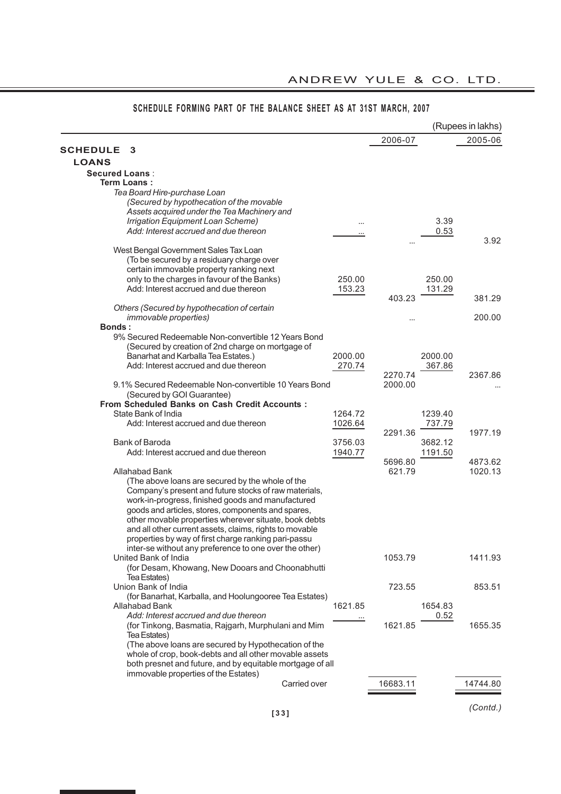|                                                                                                                     |         |          |              | (Rupees in lakhs) |
|---------------------------------------------------------------------------------------------------------------------|---------|----------|--------------|-------------------|
|                                                                                                                     |         | 2006-07  |              | 2005-06           |
| <b>SCHEDULE</b><br>3                                                                                                |         |          |              |                   |
| <b>LOANS</b>                                                                                                        |         |          |              |                   |
| <b>Secured Loans:</b>                                                                                               |         |          |              |                   |
| Term Loans:                                                                                                         |         |          |              |                   |
| Tea Board Hire-purchase Loan                                                                                        |         |          |              |                   |
| (Secured by hypothecation of the movable                                                                            |         |          |              |                   |
| Assets acquired under the Tea Machinery and                                                                         |         |          |              |                   |
| Irrigation Equipment Loan Scheme)<br>Add: Interest accrued and due thereon                                          |         |          | 3.39<br>0.53 |                   |
|                                                                                                                     |         |          |              | 3.92              |
| West Bengal Government Sales Tax Loan                                                                               |         |          |              |                   |
| (To be secured by a residuary charge over                                                                           |         |          |              |                   |
| certain immovable property ranking next                                                                             |         |          |              |                   |
| only to the charges in favour of the Banks)                                                                         | 250.00  |          | 250.00       |                   |
| Add: Interest accrued and due thereon                                                                               | 153.23  |          | 131.29       |                   |
|                                                                                                                     |         | 403.23   |              | 381.29            |
| Others (Secured by hypothecation of certain                                                                         |         |          |              |                   |
| <i>immovable properties)</i>                                                                                        |         |          |              | 200.00            |
| <b>Bonds:</b>                                                                                                       |         |          |              |                   |
| 9% Secured Redeemable Non-convertible 12 Years Bond                                                                 |         |          |              |                   |
| (Secured by creation of 2nd charge on mortgage of                                                                   |         |          |              |                   |
| Banarhat and Karballa Tea Estates.)                                                                                 | 2000.00 |          | 2000.00      |                   |
| Add: Interest accrued and due thereon                                                                               | 270.74  | 2270.74  | 367.86       | 2367.86           |
| 9.1% Secured Redeemable Non-convertible 10 Years Bond                                                               |         | 2000.00  |              |                   |
| (Secured by GOI Guarantee)                                                                                          |         |          |              |                   |
| <b>From Scheduled Banks on Cash Credit Accounts:</b>                                                                |         |          |              |                   |
| State Bank of India                                                                                                 | 1264.72 |          | 1239.40      |                   |
| Add: Interest accrued and due thereon                                                                               | 1026.64 |          | 737.79       |                   |
|                                                                                                                     |         | 2291.36  |              | 1977.19           |
| <b>Bank of Baroda</b>                                                                                               | 3756.03 |          | 3682.12      |                   |
| Add: Interest accrued and due thereon                                                                               | 1940.77 |          | 1191.50      |                   |
|                                                                                                                     |         | 5696.80  |              | 4873.62           |
| Allahabad Bank                                                                                                      |         | 621.79   |              | 1020.13           |
| (The above loans are secured by the whole of the                                                                    |         |          |              |                   |
| Company's present and future stocks of raw materials,                                                               |         |          |              |                   |
| work-in-progress, finished goods and manufactured                                                                   |         |          |              |                   |
| goods and articles, stores, components and spares,                                                                  |         |          |              |                   |
| other movable properties wherever situate, book debts<br>and all other current assets, claims, rights to movable    |         |          |              |                   |
| properties by way of first charge ranking pari-passu                                                                |         |          |              |                   |
| inter-se without any preference to one over the other)                                                              |         |          |              |                   |
| United Bank of India                                                                                                |         | 1053.79  |              | 1411.93           |
| (for Desam, Khowang, New Dooars and Choonabhutti                                                                    |         |          |              |                   |
| Tea Estates)                                                                                                        |         |          |              |                   |
| Union Bank of India                                                                                                 |         | 723.55   |              | 853.51            |
| (for Banarhat, Karballa, and Hoolungooree Tea Estates)                                                              |         |          |              |                   |
| Allahabad Bank                                                                                                      | 1621.85 |          | 1654.83      |                   |
| Add: Interest accrued and due thereon                                                                               |         |          | 0.52         |                   |
| (for Tinkong, Basmatia, Rajgarh, Murphulani and Mim                                                                 |         | 1621.85  |              | 1655.35           |
| Tea Estates)                                                                                                        |         |          |              |                   |
| (The above loans are secured by Hypothecation of the                                                                |         |          |              |                   |
| whole of crop, book-debts and all other movable assets<br>both presnet and future, and by equitable mortgage of all |         |          |              |                   |
| immovable properties of the Estates)                                                                                |         |          |              |                   |
| Carried over                                                                                                        |         | 16683.11 |              | 14744.80          |
|                                                                                                                     |         |          |              |                   |
|                                                                                                                     |         |          |              |                   |
|                                                                                                                     |         |          |              | (Contd.)          |

# **SCHEDULE FORMING PART OF THE BALANCE SHEET AS AT 31ST MARCH, 2007**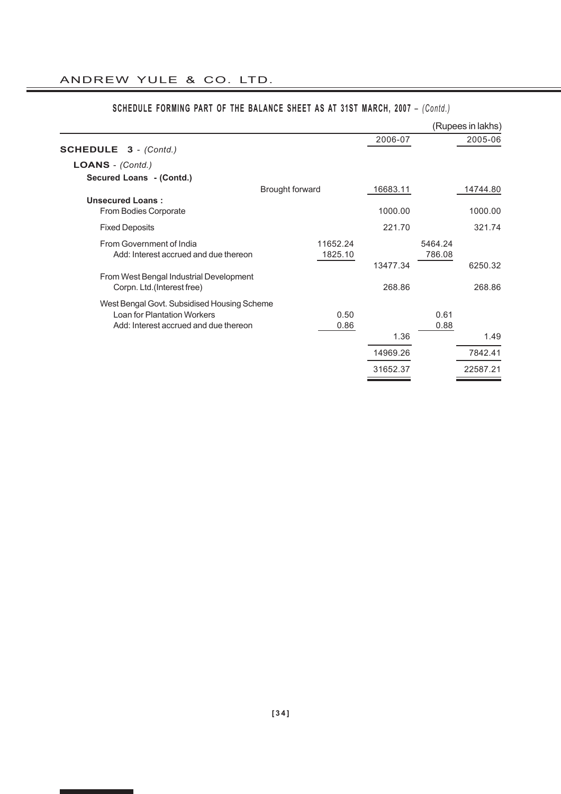|                                                                        |                     |          |                   | (Rupees in lakhs) |
|------------------------------------------------------------------------|---------------------|----------|-------------------|-------------------|
| <b>SCHEDULE 3</b> - (Contd.)                                           |                     | 2006-07  |                   | 2005-06           |
| $LOANS - (Contd.)$                                                     |                     |          |                   |                   |
| Secured Loans - (Contd.)                                               |                     |          |                   |                   |
|                                                                        | Brought forward     | 16683.11 |                   | 14744.80          |
| <b>Unsecured Loans:</b><br>From Bodies Corporate                       |                     | 1000.00  |                   | 1000.00           |
| <b>Fixed Deposits</b>                                                  |                     | 221.70   |                   | 321.74            |
| From Government of India<br>Add: Interest accrued and due thereon      | 11652.24<br>1825.10 |          | 5464.24<br>786.08 |                   |
|                                                                        |                     | 13477.34 |                   | 6250.32           |
| From West Bengal Industrial Development<br>Corpn. Ltd. (Interest free) |                     | 268.86   |                   | 268.86            |
| West Bengal Govt. Subsidised Housing Scheme                            |                     |          |                   |                   |
| Loan for Plantation Workers                                            | 0.50                |          | 0.61              |                   |
| Add: Interest accrued and due thereon                                  | 0.86                |          | 0.88              |                   |
|                                                                        |                     | 1.36     |                   | 1.49              |
|                                                                        |                     | 14969.26 |                   | 7842.41           |
|                                                                        |                     | 31652.37 |                   | 22587.21          |

# **SCHEDULE FORMING PART OF THE BALANCE SHEET AS AT 31ST MARCH, 2007** – *(Contd.)*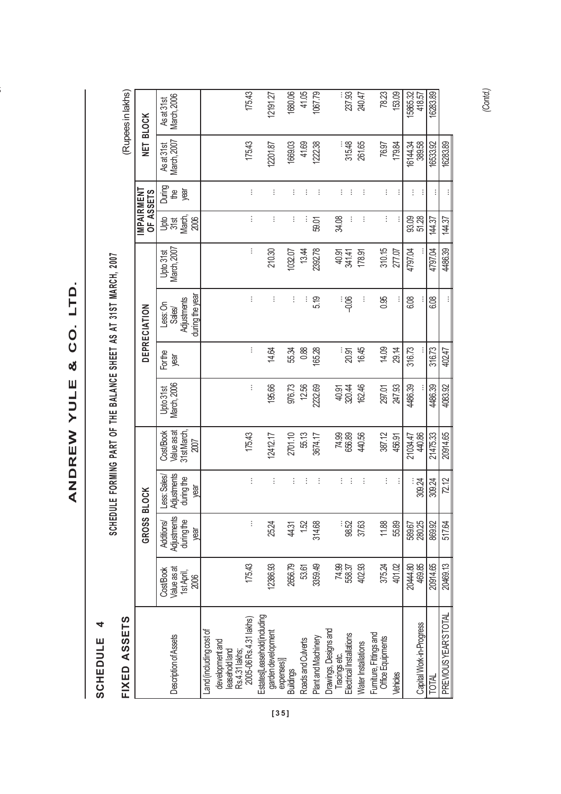ANDREW YULE & CO. LTD. **ANDREW YULE & CO. LTD.**

**ANDREW YULE & CO. LTD.**

SCHEDULE<sub>4</sub> **SCHEDULE 4**

SCHEDULE FORMING PART OF THE BALANCE SHEET AS AT 31ST MARCH, 2007 **SCHEDULE FORMING PART OF THE BALANCE SHEET AS AT 31ST MARCH, 2007**

| FIXED ASSETS                                                       |                                                |                                                 |                                                  |                                                 |                          |                |                                                      |                          |                                    |                                             |                         | (Rupees in lakhs)                |
|--------------------------------------------------------------------|------------------------------------------------|-------------------------------------------------|--------------------------------------------------|-------------------------------------------------|--------------------------|----------------|------------------------------------------------------|--------------------------|------------------------------------|---------------------------------------------|-------------------------|----------------------------------|
|                                                                    |                                                | GROSS                                           | <b>BLOCK</b>                                     |                                                 |                          |                | <b>DEPRECIATION</b>                                  |                          | <b>MPAIRMENT</b><br>OF ASSETS      |                                             |                         | NET BLOCK                        |
| Description of Assets                                              | Cost/Book<br>Value as at<br>1st April,<br>2006 | Adjustments<br>during the<br>Additions/<br>year | Adjustments<br>Less: Sales<br>during the<br>year | 31st March,<br>Value as at<br>Cost/Book<br>2007 | March, 2006<br>Upto 31st | Forthe<br>mear | during the year<br>Adjustments<br>Less: On<br>Sales/ | March, 2007<br>Upto 31st | <b>Jak</b><br>378<br>March<br>2006 | During<br>$\overline{\mathfrak{g}}$<br>year | March, 2007<br>Asat31st | <b>March, 2006</b><br>As at 31st |
| Land (including cost of<br>development and<br>leasehold land       |                                                |                                                 |                                                  |                                                 |                          |                |                                                      |                          |                                    |                                             |                         |                                  |
| 2005-06 Rs.4.31 lakhs)<br>Rs.4.31 lakhs;                           | 175.43                                         | ŧ                                               | ŧ                                                | 175.43                                          | ŧ                        | ŧ              | ŧ                                                    | ŧ                        | ŧ                                  | ÷                                           | 175.43                  | 175.43                           |
| Estates[Leasehold(including<br>garden development                  | 12386.93                                       | 25.24                                           | ŧ                                                | 12412.17                                        | 195.66                   | 14.64          | ŧ                                                    | 210.30                   | ŧ                                  | ŧ                                           | 12201.87                | 12191.27                         |
| expenses)]<br><b>Buildings</b>                                     | 2656.79                                        | 44.31                                           | ŧ                                                | 2701.10                                         | 976.73                   | 55.34          | ŧ                                                    | 1032.07                  | ŧ                                  | ŧ                                           | 1669.03                 | 1680.06                          |
| Roads and Culverts                                                 | 53.61                                          | 1.52                                            | ÷                                                | 55.13                                           | 12.56                    | 0.88           | ÷                                                    | 13.44                    | ÷                                  | ÷                                           | 41.69                   | 41.05                            |
| Plant and Machinery                                                | 3359.49                                        | 314.68                                          | ŧ                                                | 3674.17                                         | 2232.69                  | 165.28         | 5.19                                                 | 2392.78                  | 59.01                              | ŧ                                           | 122.38                  | 1067.79                          |
| Drawings, Designs and<br>Tracings etc.<br>Electrical Installations | 74.99<br>558.37                                | 98.52                                           | Ì<br>÷                                           | 74.89<br>656.89                                 | 320.44<br>40.91          | ୁ<br>ଅର୍ଥ      | းမွှ                                                 | 40.91<br>341.41          | ÷<br>34.08                         | ŧ<br>İ                                      | 315.48                  | 237.93                           |
| Water Installations                                                | 402.93                                         | 37.63                                           | ŧ                                                | 440.56                                          | 162.46                   | 16.45          | ÷                                                    | 178.91                   | ŧ                                  | ŧ                                           | 261.65                  | 240.47                           |
| Furniture, Fittings and<br><b>Office Equipments</b>                | 375.24                                         | 11.88                                           | $\vdots$                                         | 387.12                                          | 297.01                   | 14.09          | 0.95                                                 | 310.15                   | Ì                                  | ŧ                                           | 76.97                   | 78.23                            |
| <b>Vehicles</b>                                                    | 401.02                                         | 55.89                                           | İ                                                | 456.91                                          | 247.93                   | 29.14          |                                                      | 277.07                   |                                    | İ                                           | 179.84                  | 153.09                           |
| Capital Work-in-Progress                                           | 469.85<br>20444.80                             | 589.67<br>280.25                                | 309.24                                           | 440.86<br>21034.47                              | 4486.39                  | 316.73         | 6.08                                                 | 4797.04                  | 51.28<br>93.09                     | ŧ<br>$\vdots$                               | 16144.34<br>389.58      | 15865.32<br>418.57               |
| <b>TOTAL</b>                                                       | 20914.65                                       | 869.92                                          | 309.24                                           | 21475.33                                        | 4486.39                  | 316.73         | 6.08                                                 | 4797.04                  | 144.37                             | ÷                                           | 16533.92                | 16283.89                         |
| PREVIOUS YEAR'S TOTAL                                              | 20469.13                                       | 517.64                                          | 72.12                                            | 20914.65                                        | 4083.92                  | 402.47         | ŧ                                                    | 4486.39                  | 144.37                             | Ì                                           | 16283.89                |                                  |

*(Contd.)*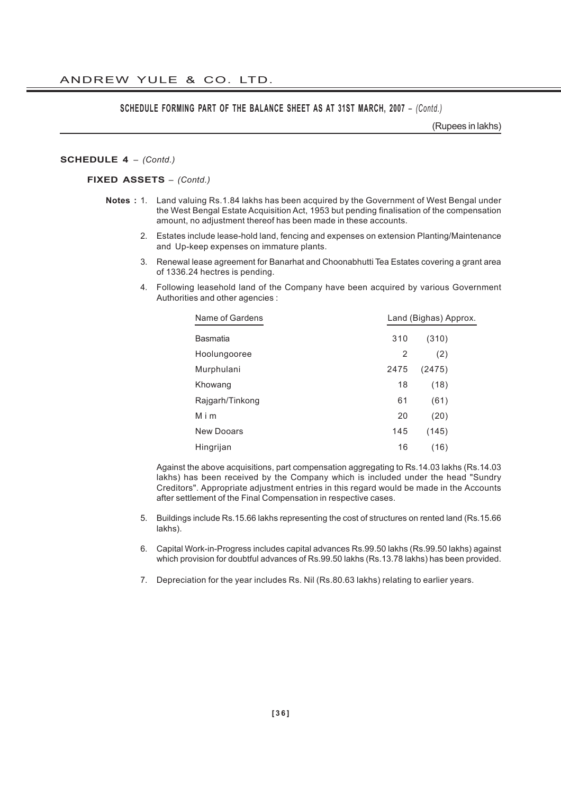# **SCHEDULE FORMING PART OF THE BALANCE SHEET AS AT 31ST MARCH, 2007** – *(Contd.)*

(Rupees in lakhs)

### **SCHEDULE 4** *– (Contd.)*

#### **FIXED ASSETS** *– (Contd.)*

- **Notes :** 1. Land valuing Rs.1.84 lakhs has been acquired by the Government of West Bengal under the West Bengal Estate Acquisition Act, 1953 but pending finalisation of the compensation amount, no adjustment thereof has been made in these accounts.
	- 2. Estates include lease-hold land, fencing and expenses on extension Planting/Maintenance and Up-keep expenses on immature plants.
	- 3. Renewal lease agreement for Banarhat and Choonabhutti Tea Estates covering a grant area of 1336.24 hectres is pending.
	- 4. Following leasehold land of the Company have been acquired by various Government Authorities and other agencies :

| Name of Gardens   | Land (Bighas) Approx. |        |  |
|-------------------|-----------------------|--------|--|
| <b>Basmatia</b>   | 310                   | (310)  |  |
| Hoolungooree      | 2                     | (2)    |  |
| Murphulani        | 2475                  | (2475) |  |
| Khowang           | 18                    | (18)   |  |
| Rajgarh/Tinkong   | 61                    | (61)   |  |
| Mim               | 20                    | (20)   |  |
| <b>New Dooars</b> | 145                   | (145)  |  |
| Hingrijan         | 16                    | (16)   |  |

Against the above acquisitions, part compensation aggregating to Rs.14.03 lakhs (Rs.14.03 lakhs) has been received by the Company which is included under the head "Sundry Creditors". Appropriate adjustment entries in this regard would be made in the Accounts after settlement of the Final Compensation in respective cases.

- 5. Buildings include Rs.15.66 lakhs representing the cost of structures on rented land (Rs.15.66 lakhs).
- 6. Capital Work-in-Progress includes capital advances Rs.99.50 lakhs (Rs.99.50 lakhs) against which provision for doubtful advances of Rs.99.50 lakhs (Rs.13.78 lakhs) has been provided.
- 7. Depreciation for the year includes Rs. Nil (Rs.80.63 lakhs) relating to earlier years.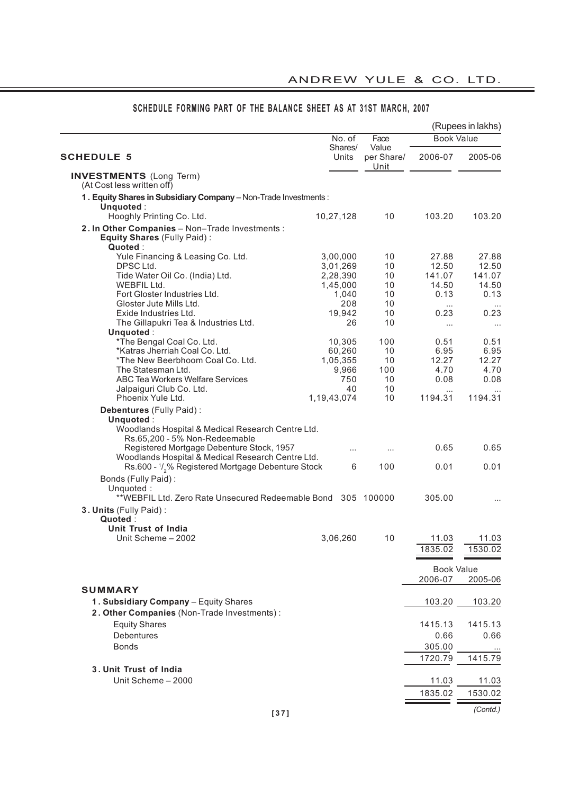L,

|                                                                                                                                                                  | No. of           | Face                | <b>Book Value</b> | (Rupees in lakhs) |
|------------------------------------------------------------------------------------------------------------------------------------------------------------------|------------------|---------------------|-------------------|-------------------|
| <b>SCHEDULE 5</b>                                                                                                                                                | Shares/<br>Units | Value<br>per Share/ | 2006-07           | 2005-06           |
| <b>INVESTMENTS</b> (Long Term)<br>(At Cost less written off)                                                                                                     |                  | Unit                |                   |                   |
| 1. Equity Shares in Subsidiary Company - Non-Trade Investments:                                                                                                  |                  |                     |                   |                   |
| Unquoted:                                                                                                                                                        |                  |                     |                   |                   |
| Hooghly Printing Co. Ltd.                                                                                                                                        | 10,27,128        | 10                  | 103.20            | 103.20            |
| 2. In Other Companies - Non-Trade Investments :<br>Equity Shares (Fully Paid):<br>Quoted:                                                                        |                  |                     |                   |                   |
| Yule Financing & Leasing Co. Ltd.                                                                                                                                | 3,00,000         | 10                  | 27.88             | 27.88             |
| DPSC Ltd.                                                                                                                                                        | 3,01,269         | 10                  | 12.50             | 12.50             |
| Tide Water Oil Co. (India) Ltd.                                                                                                                                  | 2,28,390         | 10                  | 141.07            | 141.07            |
| WEBFIL Ltd.                                                                                                                                                      | 1,45,000         | 10                  | 14.50             | 14.50             |
| Fort Gloster Industries Ltd.<br>Gloster Jute Mills Ltd.                                                                                                          | 1,040<br>208     | 10<br>10            | 0.13              | 0.13              |
| Exide Industries Ltd.                                                                                                                                            | 19,942           | 10                  | $\cdots$<br>0.23  | 0.23              |
| The Gillapukri Tea & Industries Ltd.                                                                                                                             | 26               | 10                  |                   |                   |
| Unquoted:                                                                                                                                                        |                  |                     | $\cdots$          | $\ldots$          |
| *The Bengal Coal Co. Ltd.                                                                                                                                        | 10,305           | 100                 | 0.51              | 0.51              |
| *Katras Jherriah Coal Co. Ltd.                                                                                                                                   | 60,260           | 10                  | 6.95              | 6.95              |
| *The New Beerbhoom Coal Co. Ltd.                                                                                                                                 | 1,05,355         | 10                  | 12.27             | 12.27             |
| The Statesman Ltd.                                                                                                                                               | 9,966            | 100                 | 4.70              | 4.70              |
| ABC Tea Workers Welfare Services                                                                                                                                 | 750              | 10                  | 0.08              | 0.08              |
| Jalpaiguri Club Co. Ltd.                                                                                                                                         | 40               | 10                  | $\cdots$          |                   |
| Phoenix Yule Ltd.                                                                                                                                                | 1, 19, 43, 074   | 10                  | 1194.31           | 1194.31           |
| Debentures (Fully Paid):<br>Unquoted:<br>Woodlands Hospital & Medical Research Centre Ltd.<br>Rs.65,200 - 5% Non-Redeemable                                      |                  |                     |                   |                   |
| Registered Mortgage Debenture Stock, 1957<br>Woodlands Hospital & Medical Research Centre Ltd.<br>Rs.600 - 1/ <sub>2</sub> % Registered Mortgage Debenture Stock | $\cdots$<br>6    | <br>100             | 0.65<br>0.01      | 0.65<br>0.01      |
| Bonds (Fully Paid):<br>Unquoted:<br>**WEBFIL Ltd. Zero Rate Unsecured Redeemable Bond 305 100000                                                                 |                  |                     | 305.00            |                   |
|                                                                                                                                                                  |                  |                     |                   |                   |
| 3. Units (Fully Paid):<br>Quoted:<br>Unit Trust of India                                                                                                         |                  |                     |                   |                   |
| Unit Scheme - 2002                                                                                                                                               | 3,06,260         | 10                  | 11.03             | 11.03             |
|                                                                                                                                                                  |                  |                     | 1835.02           | 1530.02           |
|                                                                                                                                                                  |                  |                     |                   |                   |
|                                                                                                                                                                  |                  |                     | <b>Book Value</b> |                   |
|                                                                                                                                                                  |                  |                     | 2006-07           | 2005-06           |
| <b>SUMMARY</b>                                                                                                                                                   |                  |                     |                   |                   |
| 1. Subsidiary Company - Equity Shares                                                                                                                            |                  |                     | 103.20            | 103.20            |
| 2. Other Companies (Non-Trade Investments):                                                                                                                      |                  |                     |                   |                   |
|                                                                                                                                                                  |                  |                     |                   |                   |
| <b>Equity Shares</b>                                                                                                                                             |                  |                     | 1415.13           | 1415.13           |
| Debentures                                                                                                                                                       |                  |                     | 0.66              | 0.66              |
| <b>Bonds</b>                                                                                                                                                     |                  |                     | 305.00            |                   |
|                                                                                                                                                                  |                  |                     | 1720.79           | 1415.79           |
| 3. Unit Trust of India                                                                                                                                           |                  |                     |                   |                   |
| Unit Scheme - 2000                                                                                                                                               |                  |                     | 11.03             | 11.03             |
|                                                                                                                                                                  |                  |                     | 1835.02           | 1530.02           |
|                                                                                                                                                                  |                  |                     |                   |                   |
| 1371                                                                                                                                                             |                  |                     |                   | (Contd.)          |

# **SCHEDULE FORMING PART OF THE BALANCE SHEET AS AT 31ST MARCH, 2007**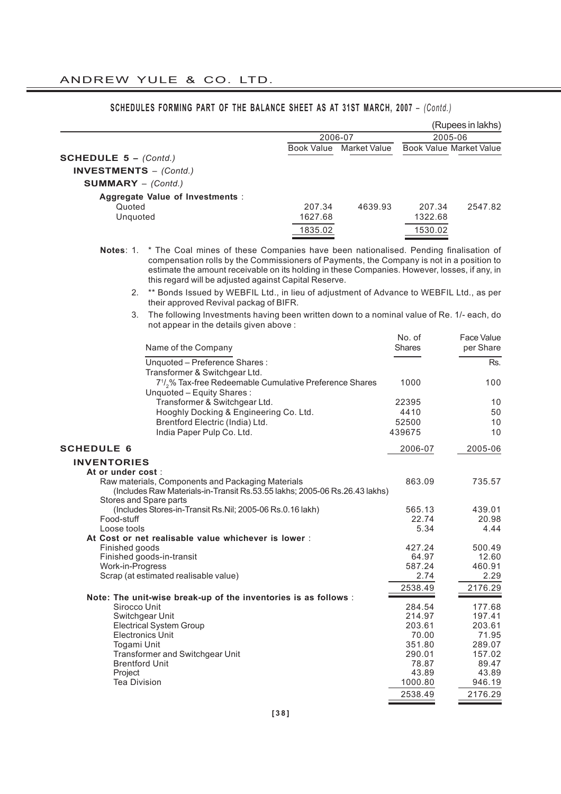|                                           |                                                                                                                                      |                   |              |                   | (Rupees in lakhs)              |
|-------------------------------------------|--------------------------------------------------------------------------------------------------------------------------------------|-------------------|--------------|-------------------|--------------------------------|
|                                           |                                                                                                                                      | 2006-07           |              |                   | 2005-06                        |
| <b>SCHEDULE 5 - <math>(Contd.)</math></b> |                                                                                                                                      | <b>Book Value</b> | Market Value |                   | <b>Book Value Market Value</b> |
|                                           |                                                                                                                                      |                   |              |                   |                                |
| <b>INVESTMENTS</b> - (Contd.)             |                                                                                                                                      |                   |              |                   |                                |
| <b>SUMMARY</b> $-$ (Contd.)               |                                                                                                                                      |                   |              |                   |                                |
| Quoted                                    | Aggregate Value of Investments :                                                                                                     |                   |              |                   |                                |
| Unquoted                                  |                                                                                                                                      | 207.34<br>1627.68 | 4639.93      | 207.34<br>1322.68 | 2547.82                        |
|                                           |                                                                                                                                      | 1835.02           |              | 1530.02           |                                |
|                                           |                                                                                                                                      |                   |              |                   |                                |
| Notes: $1$ .                              | * The Coal mines of these Companies have been nationalised. Pending finalisation of                                                  |                   |              |                   |                                |
|                                           | compensation rolls by the Commissioners of Payments, the Company is not in a position to                                             |                   |              |                   |                                |
|                                           | estimate the amount receivable on its holding in these Companies. However, losses, if any, in                                        |                   |              |                   |                                |
|                                           | this regard will be adjusted against Capital Reserve.                                                                                |                   |              |                   |                                |
| 2.                                        | ** Bonds Issued by WEBFIL Ltd., in lieu of adjustment of Advance to WEBFIL Ltd., as per<br>their approved Revival packag of BIFR.    |                   |              |                   |                                |
| 3.                                        | The following Investments having been written down to a nominal value of Re. 1/- each, do<br>not appear in the details given above : |                   |              |                   |                                |
|                                           |                                                                                                                                      |                   |              | No. of            | Face Value                     |
|                                           | Name of the Company                                                                                                                  |                   |              | <b>Shares</b>     | per Share                      |
|                                           | Unquoted - Preference Shares:                                                                                                        |                   |              |                   | Rs.                            |
|                                           | Transformer & Switchgear Ltd.                                                                                                        |                   |              |                   |                                |
|                                           | 7 <sup>1</sup> / <sub>2</sub> % Tax-free Redeemable Cumulative Preference Shares                                                     |                   |              | 1000              | 100                            |
|                                           | Unquoted - Equity Shares:                                                                                                            |                   |              |                   |                                |
|                                           | Transformer & Switchgear Ltd.                                                                                                        |                   |              | 22395             | 10                             |
|                                           | Hooghly Docking & Engineering Co. Ltd.<br>Brentford Electric (India) Ltd.                                                            |                   |              | 4410<br>52500     | 50<br>10                       |
|                                           | India Paper Pulp Co. Ltd.                                                                                                            |                   |              | 439675            | 10                             |
| <b>SCHEDULE 6</b>                         |                                                                                                                                      |                   |              | 2006-07           | 2005-06                        |
| <b>INVENTORIES</b>                        |                                                                                                                                      |                   |              |                   |                                |
| At or under cost :                        |                                                                                                                                      |                   |              |                   |                                |
|                                           | Raw materials, Components and Packaging Materials                                                                                    |                   |              | 863.09            | 735.57                         |
|                                           | (Includes Raw Materials-in-Transit Rs.53.55 lakhs; 2005-06 Rs.26.43 lakhs)                                                           |                   |              |                   |                                |
|                                           | Stores and Spare parts                                                                                                               |                   |              |                   |                                |
| Food-stuff                                | (Includes Stores-in-Transit Rs.Nil; 2005-06 Rs.0.16 lakh)                                                                            |                   |              | 565.13<br>22.74   | 439.01<br>20.98                |
| Loose tools                               |                                                                                                                                      |                   |              | 5.34              | 4.44                           |
|                                           | At Cost or net realisable value whichever is lower :                                                                                 |                   |              |                   |                                |
| Finished goods                            |                                                                                                                                      |                   |              | 427.24            | 500.49                         |
| Work-in-Progress                          | Finished goods-in-transit                                                                                                            |                   |              | 64.97<br>587.24   | 12.60<br>460.91                |
|                                           | Scrap (at estimated realisable value)                                                                                                |                   |              | 2.74              | 2.29                           |
|                                           |                                                                                                                                      |                   |              | 2538.49           | 2176.29                        |
|                                           | Note: The unit-wise break-up of the inventories is as follows :                                                                      |                   |              |                   |                                |
| Sirocco Unit                              |                                                                                                                                      |                   |              | 284.54            | 177.68<br>197.41               |
|                                           | Switchgear Unit<br><b>Electrical System Group</b>                                                                                    |                   |              | 214.97<br>203.61  | 203.61                         |
|                                           | <b>Electronics Unit</b>                                                                                                              |                   |              | 70.00             | 71.95                          |
| Togami Unit                               |                                                                                                                                      |                   |              | 351.80            | 289.07                         |
| <b>Brentford Unit</b>                     | Transformer and Switchgear Unit                                                                                                      |                   |              | 290.01<br>78.87   | 157.02                         |
| Project                                   |                                                                                                                                      |                   |              | 43.89             | 89.47<br>43.89                 |
| <b>Tea Division</b>                       |                                                                                                                                      |                   |              | 1000.80           | 946.19                         |
|                                           |                                                                                                                                      |                   |              | 2538.49           | 2176.29                        |

# **SCHEDULES FORMING PART OF THE BALANCE SHEET AS AT 31ST MARCH, 2007** – *(Contd.)*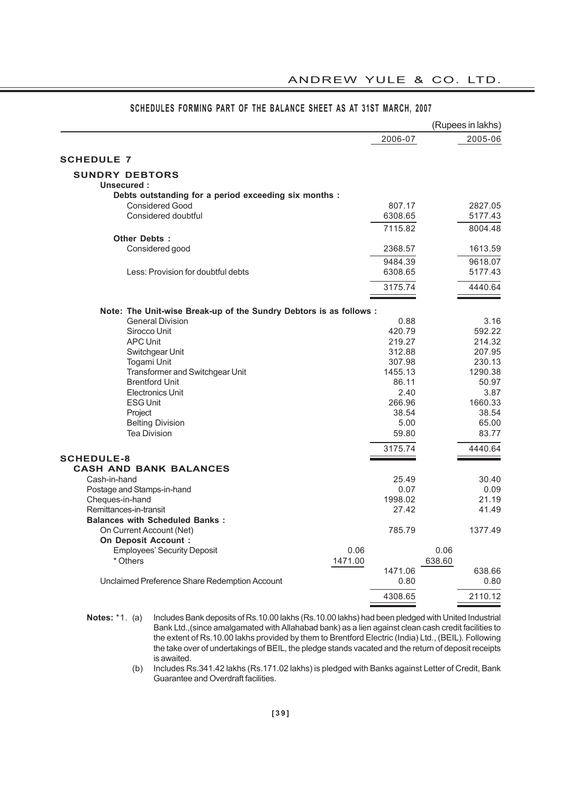|                                                                    |         |         | (Rupees in lakhs) |
|--------------------------------------------------------------------|---------|---------|-------------------|
|                                                                    |         | 2006-07 | 2005-06           |
| <b>SCHEDULE 7</b>                                                  |         |         |                   |
| <b>SUNDRY DEBTORS</b>                                              |         |         |                   |
| Unsecured:                                                         |         |         |                   |
| Debts outstanding for a period exceeding six months :              |         |         |                   |
| <b>Considered Good</b>                                             |         | 807.17  | 2827.05           |
| Considered doubtful                                                |         | 6308.65 | 5177.43           |
|                                                                    |         | 7115.82 | 8004.48           |
| Other Debts:                                                       |         |         |                   |
|                                                                    |         |         |                   |
| Considered good                                                    |         | 2368.57 | 1613.59           |
|                                                                    |         | 9484.39 | 9618.07           |
| Less: Provision for doubtful debts                                 |         | 6308.65 | 5177.43           |
|                                                                    |         | 3175.74 | 4440.64           |
| Note: The Unit-wise Break-up of the Sundry Debtors is as follows : |         |         |                   |
| <b>General Division</b>                                            |         | 0.88    | 3.16              |
| Sirocco Unit                                                       |         | 420.79  | 592.22            |
| <b>APC Unit</b>                                                    |         | 219.27  | 214.32            |
| Switchgear Unit                                                    |         | 312.88  | 207.95            |
| Togami Unit                                                        |         | 307.98  | 230.13            |
| Transformer and Switchgear Unit                                    |         | 1455.13 | 1290.38           |
| <b>Brentford Unit</b>                                              |         | 86.11   | 50.97             |
| <b>Electronics Unit</b>                                            |         | 2.40    | 3.87              |
|                                                                    |         | 266.96  | 1660.33           |
| <b>ESG Unit</b>                                                    |         | 38.54   | 38.54             |
| Project                                                            |         | 5.00    | 65.00             |
| <b>Belting Division</b><br><b>Tea Division</b>                     |         |         | 83.77             |
|                                                                    |         | 59.80   |                   |
| <b>SCHEDULE-8</b>                                                  |         | 3175.74 | 4440.64           |
| <b>CASH AND BANK BALANCES</b>                                      |         |         |                   |
| Cash-in-hand                                                       |         | 25.49   | 30.40             |
| Postage and Stamps-in-hand                                         |         | 0.07    | 0.09              |
| Cheques-in-hand                                                    |         | 1998.02 | 21.19             |
| Remittances-in-transit                                             |         | 27.42   | 41.49             |
| <b>Balances with Scheduled Banks:</b>                              |         |         |                   |
|                                                                    |         | 785.79  | 1377.49           |
| On Current Account (Net)                                           |         |         |                   |
| <b>On Deposit Account:</b>                                         |         |         |                   |
| <b>Employees' Security Deposit</b>                                 | 0.06    |         | 0.06              |
| * Others                                                           | 1471.00 |         | 638.60            |
|                                                                    |         | 1471.06 | 638.66            |
| Unclaimed Preference Share Redemption Account                      |         | 0.80    | 0.80              |
|                                                                    |         | 4308.65 | 2110.12           |

### **SCHEDULES FORMING PART OF THE BALANCE SHEET AS AT 31ST MARCH, 2007**

ANDREW YULE & CO. LTD.

(b) Includes Rs.341.42 lakhs (Rs.171.02 lakhs) is pledged with Banks against Letter of Credit, Bank Guarantee and Overdraft facilities.

**Notes:** \*1. (a) Includes Bank deposits of Rs.10.00 lakhs (Rs.10.00 lakhs) had been pledged with United Industrial Bank Ltd.,(since amalgamated with Allahabad bank) as a lien against clean cash credit facilities to the extent of Rs.10.00 lakhs provided by them to Brentford Electric (India) Ltd., (BEIL). Following the take over of undertakings of BEIL, the pledge stands vacated and the return of deposit receipts is awaited.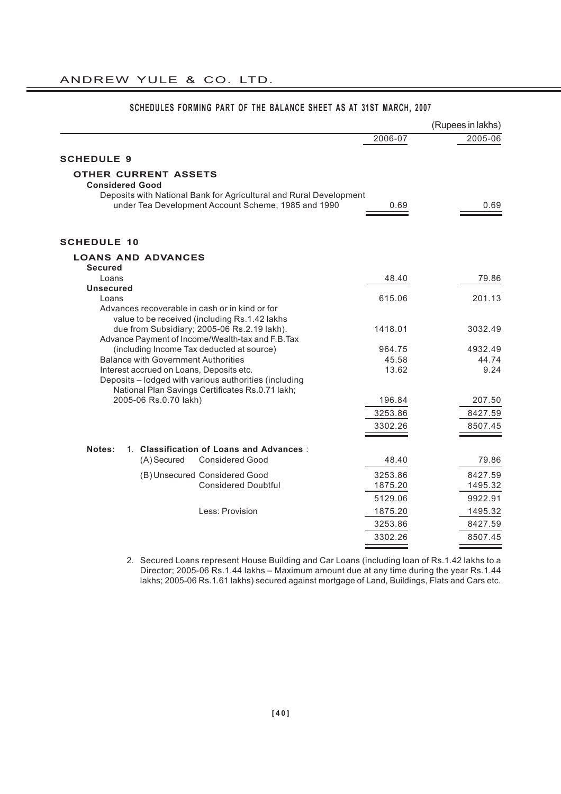|                                                                                                                           |         | (Rupees in lakhs) |
|---------------------------------------------------------------------------------------------------------------------------|---------|-------------------|
|                                                                                                                           | 2006-07 | 2005-06           |
| <b>SCHEDULE 9</b>                                                                                                         |         |                   |
| <b>OTHER CURRENT ASSETS</b><br><b>Considered Good</b>                                                                     |         |                   |
| Deposits with National Bank for Agricultural and Rural Development<br>under Tea Development Account Scheme, 1985 and 1990 | 0.69    | 0.69              |
| <b>SCHEDULE 10</b>                                                                                                        |         |                   |
| <b>LOANS AND ADVANCES</b>                                                                                                 |         |                   |
| <b>Secured</b><br>Loans                                                                                                   | 48.40   | 79.86             |
| <b>Unsecured</b>                                                                                                          |         |                   |
| Loans                                                                                                                     | 615.06  | 201.13            |
| Advances recoverable in cash or in kind or for                                                                            |         |                   |
| value to be received (including Rs.1.42 lakhs<br>due from Subsidiary; 2005-06 Rs.2.19 lakh).                              | 1418.01 | 3032.49           |
| Advance Payment of Income/Wealth-tax and F.B.Tax                                                                          |         |                   |
| (including Income Tax deducted at source)                                                                                 | 964.75  | 4932.49           |
| <b>Balance with Government Authorities</b>                                                                                | 45.58   | 44.74             |
| Interest accrued on Loans, Deposits etc.                                                                                  | 13.62   | 9.24              |
| Deposits - lodged with various authorities (including<br>National Plan Savings Certificates Rs.0.71 lakh;                 |         |                   |
| 2005-06 Rs.0.70 lakh)                                                                                                     | 196.84  | 207.50            |
|                                                                                                                           | 3253.86 | 8427.59           |
|                                                                                                                           | 3302.26 | 8507.45           |
|                                                                                                                           |         |                   |
| 1. Classification of Loans and Advances:<br>Notes:                                                                        |         |                   |
| (A) Secured<br><b>Considered Good</b>                                                                                     | 48.40   | 79.86             |
| (B) Unsecured Considered Good                                                                                             | 3253.86 | 8427.59           |
| <b>Considered Doubtful</b>                                                                                                | 1875.20 | 1495.32           |
|                                                                                                                           | 5129.06 | 9922.91           |
| Less: Provision                                                                                                           | 1875.20 | 1495.32           |
|                                                                                                                           | 3253.86 | 8427.59           |
|                                                                                                                           | 3302.26 | 8507.45           |
|                                                                                                                           |         |                   |

# **SCHEDULES FORMING PART OF THE BALANCE SHEET AS AT 31ST MARCH, 2007**

2. Secured Loans represent House Building and Car Loans (including loan of Rs.1.42 lakhs to a Director; 2005-06 Rs.1.44 lakhs – Maximum amount due at any time during the year Rs.1.44 lakhs; 2005-06 Rs.1.61 lakhs) secured against mortgage of Land, Buildings, Flats and Cars etc.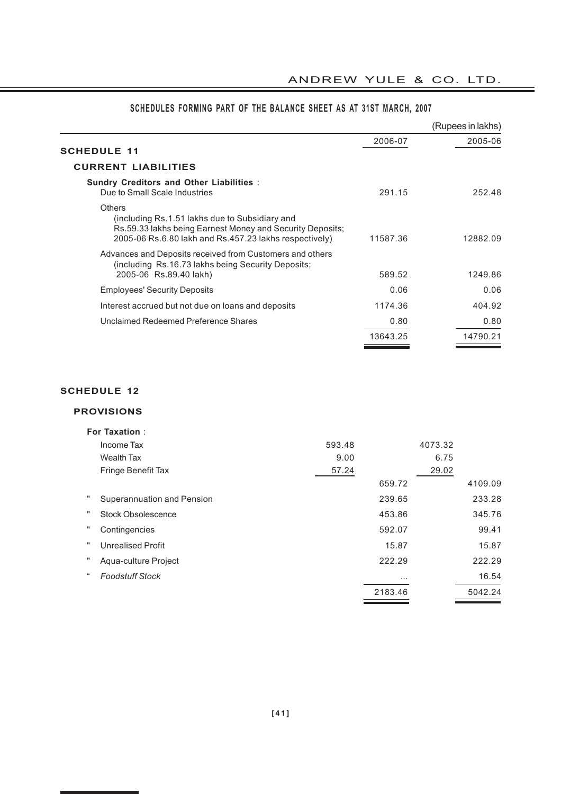L,

|                                                                                                                                                                                        |          | (Rupees in lakhs) |
|----------------------------------------------------------------------------------------------------------------------------------------------------------------------------------------|----------|-------------------|
| <b>SCHEDULE 11</b>                                                                                                                                                                     | 2006-07  | 2005-06           |
| <b>CURRENT LIABILITIES</b>                                                                                                                                                             |          |                   |
| <b>Sundry Creditors and Other Liabilities:</b><br>Due to Small Scale Industries                                                                                                        | 291.15   | 252.48            |
| <b>Others</b><br>(including Rs.1.51 lakhs due to Subsidiary and<br>Rs.59.33 lakhs being Earnest Money and Security Deposits;<br>2005-06 Rs.6.80 lakh and Rs.457.23 lakhs respectively) | 11587.36 | 12882.09          |
| Advances and Deposits received from Customers and others<br>(including Rs.16.73 lakhs being Security Deposits;<br>2005-06 Rs.89.40 lakh)                                               | 589.52   | 1249.86           |
| <b>Employees' Security Deposits</b>                                                                                                                                                    | 0.06     | 0.06              |
| Interest accrued but not due on loans and deposits                                                                                                                                     | 1174.36  | 404.92            |
| Unclaimed Redeemed Preference Shares                                                                                                                                                   | 0.80     | 0.80              |
|                                                                                                                                                                                        | 13643.25 | 14790.21          |

# **SCHEDULES FORMING PART OF THE BALANCE SHEET AS AT 31ST MARCH, 2007**

# **SCHEDULE 12**

# **PROVISIONS**

|         | <b>For Taxation:</b>       |        |          |         |         |
|---------|----------------------------|--------|----------|---------|---------|
|         | Income Tax                 | 593.48 |          | 4073.32 |         |
|         | Wealth Tax                 | 9.00   |          | 6.75    |         |
|         | Fringe Benefit Tax         | 57.24  |          | 29.02   |         |
|         |                            |        | 659.72   |         | 4109.09 |
|         | Superannuation and Pension |        | 239.65   |         | 233.28  |
|         | <b>Stock Obsolescence</b>  |        | 453.86   |         | 345.76  |
|         | Contingencies              |        | 592.07   |         | 99.41   |
|         | <b>Unrealised Profit</b>   |        | 15.87    |         | 15.87   |
|         | Aqua-culture Project       |        | 222.29   |         | 222.29  |
| $^{16}$ | <b>Foodstuff Stock</b>     |        | $\cdots$ |         | 16.54   |
|         |                            |        | 2183.46  |         | 5042.24 |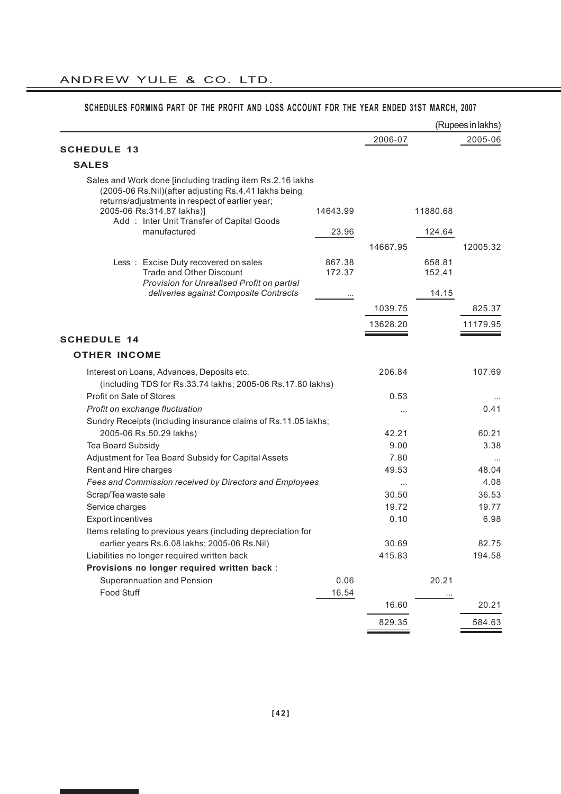|                                                                                                                                                                      |                  |                   |                  | (Rupees in lakhs) |
|----------------------------------------------------------------------------------------------------------------------------------------------------------------------|------------------|-------------------|------------------|-------------------|
|                                                                                                                                                                      |                  | 2006-07           |                  | 2005-06           |
| <b>SCHEDULE 13</b>                                                                                                                                                   |                  |                   |                  |                   |
| <b>SALES</b>                                                                                                                                                         |                  |                   |                  |                   |
| Sales and Work done [including trading item Rs.2.16 lakhs<br>(2005-06 Rs.Nil)(after adjusting Rs.4.41 lakhs being<br>returns/adjustments in respect of earlier year; |                  |                   |                  |                   |
| 2005-06 Rs.314.87 lakhs)]<br>Add: Inter Unit Transfer of Capital Goods                                                                                               | 14643.99         |                   | 11880.68         |                   |
| manufactured                                                                                                                                                         | 23.96            |                   | 124.64           |                   |
|                                                                                                                                                                      |                  | 14667.95          |                  | 12005.32          |
| Less: Excise Duty recovered on sales<br><b>Trade and Other Discount</b>                                                                                              | 867.38<br>172.37 |                   | 658.81<br>152.41 |                   |
| Provision for Unrealised Profit on partial<br>deliveries against Composite Contracts                                                                                 | $\cdots$         |                   | 14.15            |                   |
|                                                                                                                                                                      |                  | 1039.75           |                  | 825.37            |
|                                                                                                                                                                      |                  | 13628.20          |                  | 11179.95          |
| <b>SCHEDULE 14</b>                                                                                                                                                   |                  |                   |                  |                   |
| <b>OTHER INCOME</b>                                                                                                                                                  |                  |                   |                  |                   |
| Interest on Loans, Advances, Deposits etc.                                                                                                                           |                  | 206.84            |                  | 107.69            |
| (including TDS for Rs.33.74 lakhs; 2005-06 Rs.17.80 lakhs)                                                                                                           |                  |                   |                  |                   |
| Profit on Sale of Stores                                                                                                                                             |                  | 0.53              |                  |                   |
| Profit on exchange fluctuation                                                                                                                                       |                  | $\cdots$          |                  | 0.41              |
| Sundry Receipts (including insurance claims of Rs.11.05 lakhs;                                                                                                       |                  |                   |                  |                   |
| 2005-06 Rs.50.29 lakhs)                                                                                                                                              |                  | 42.21             |                  | 60.21             |
| Tea Board Subsidy                                                                                                                                                    |                  | 9.00              |                  | 3.38              |
| Adjustment for Tea Board Subsidy for Capital Assets                                                                                                                  |                  | 7.80<br>49.53     |                  | 48.04             |
| Rent and Hire charges<br>Fees and Commission received by Directors and Employees                                                                                     |                  |                   |                  | 4.08              |
| Scrap/Tea waste sale                                                                                                                                                 |                  | $\cdots$<br>30.50 |                  | 36.53             |
| Service charges                                                                                                                                                      |                  | 19.72             |                  | 19.77             |
| <b>Export incentives</b>                                                                                                                                             |                  | 0.10              |                  | 6.98              |
| Items relating to previous years (including depreciation for                                                                                                         |                  |                   |                  |                   |
| earlier years Rs.6.08 lakhs; 2005-06 Rs.Nil)                                                                                                                         |                  | 30.69             |                  | 82.75             |
| Liabilities no longer required written back                                                                                                                          |                  | 415.83            |                  | 194.58            |
| Provisions no longer required written back :                                                                                                                         |                  |                   |                  |                   |
| Superannuation and Pension                                                                                                                                           | 0.06             |                   | 20.21            |                   |
| Food Stuff                                                                                                                                                           | 16.54            |                   | $\cdots$         |                   |
|                                                                                                                                                                      |                  | 16.60             |                  | 20.21             |
|                                                                                                                                                                      |                  | 829.35            |                  | 584.63            |

# **SCHEDULES FORMING PART OF THE PROFIT AND LOSS ACCOUNT FOR THE YEAR ENDED 31ST MARCH, 2007**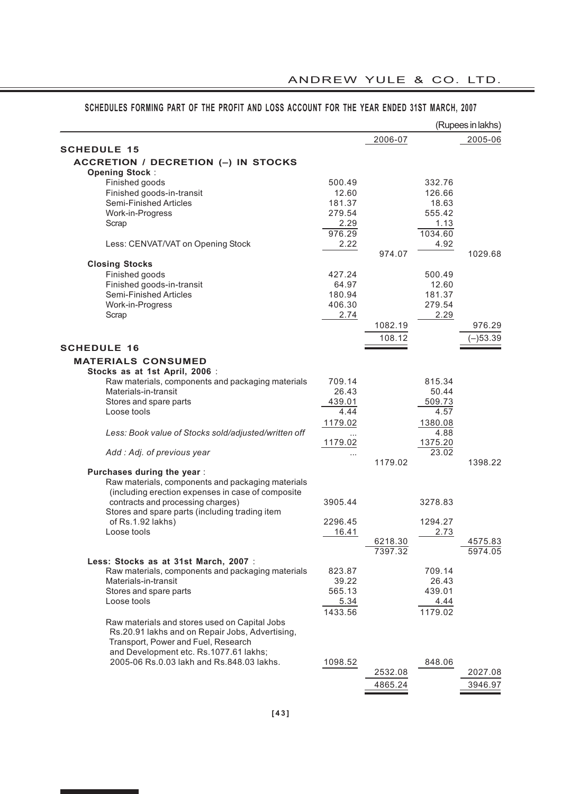|                                                      |          |                    |         | (Rupees in lakhs)  |
|------------------------------------------------------|----------|--------------------|---------|--------------------|
|                                                      |          | 2006-07            |         | 2005-06            |
| <b>SCHEDULE 15</b>                                   |          |                    |         |                    |
| ACCRETION / DECRETION (-) IN STOCKS                  |          |                    |         |                    |
| <b>Opening Stock:</b><br>Finished goods              | 500.49   |                    | 332.76  |                    |
| Finished goods-in-transit                            | 12.60    |                    | 126.66  |                    |
| Semi-Finished Articles                               | 181.37   |                    | 18.63   |                    |
| Work-in-Progress                                     | 279.54   |                    | 555.42  |                    |
| Scrap                                                | 2.29     |                    | 1.13    |                    |
|                                                      | 976.29   |                    | 1034.60 |                    |
| Less: CENVAT/VAT on Opening Stock                    | 2.22     |                    | 4.92    |                    |
|                                                      |          | 974.07             |         | 1029.68            |
| <b>Closing Stocks</b>                                |          |                    |         |                    |
| Finished goods                                       | 427.24   |                    | 500.49  |                    |
| Finished goods-in-transit                            | 64.97    |                    | 12.60   |                    |
| Semi-Finished Articles                               | 180.94   |                    | 181.37  |                    |
| Work-in-Progress                                     | 406.30   |                    | 279.54  |                    |
| Scrap                                                | 2.74     |                    | 2.29    |                    |
|                                                      |          | 1082.19            |         | 976.29             |
|                                                      |          | 108.12             |         | $(-)53.39$         |
| <b>SCHEDULE 16</b>                                   |          |                    |         |                    |
| <b>MATERIALS CONSUMED</b>                            |          |                    |         |                    |
| Stocks as at 1st April, 2006 :                       |          |                    |         |                    |
| Raw materials, components and packaging materials    | 709.14   |                    | 815.34  |                    |
| Materials-in-transit                                 | 26.43    |                    | 50.44   |                    |
| Stores and spare parts                               | 439.01   |                    | 509.73  |                    |
| Loose tools                                          | 4.44     |                    | 4.57    |                    |
|                                                      | 1179.02  |                    | 1380.08 |                    |
| Less: Book value of Stocks sold/adjusted/written off |          |                    | 4.88    |                    |
|                                                      | 1179.02  |                    | 1375.20 |                    |
| Add: Adj. of previous year                           | $\cdots$ |                    | 23.02   |                    |
|                                                      |          | 1179.02            |         | 1398.22            |
| Purchases during the year:                           |          |                    |         |                    |
| Raw materials, components and packaging materials    |          |                    |         |                    |
| (including erection expenses in case of composite    |          |                    |         |                    |
| contracts and processing charges)                    | 3905.44  |                    | 3278.83 |                    |
| Stores and spare parts (including trading item       |          |                    |         |                    |
| of Rs.1.92 lakhs)                                    | 2296.45  |                    | 1294.27 |                    |
| Loose tools                                          | 16.41    |                    | 2.73    |                    |
|                                                      |          | 6218.30<br>7397.32 |         | 4575.83<br>5974.05 |
| Less: Stocks as at 31st March, 2007 :                |          |                    |         |                    |
| Raw materials, components and packaging materials    | 823.87   |                    | 709.14  |                    |
| Materials-in-transit                                 | 39.22    |                    | 26.43   |                    |
| Stores and spare parts                               | 565.13   |                    | 439.01  |                    |
| Loose tools                                          | 5.34     |                    | 4.44    |                    |
|                                                      | 1433.56  |                    | 1179.02 |                    |
| Raw materials and stores used on Capital Jobs        |          |                    |         |                    |
| Rs.20.91 lakhs and on Repair Jobs, Advertising,      |          |                    |         |                    |
| Transport, Power and Fuel, Research                  |          |                    |         |                    |
| and Development etc. Rs.1077.61 lakhs;               |          |                    |         |                    |
| 2005-06 Rs.0.03 lakh and Rs.848.03 lakhs.            | 1098.52  |                    | 848.06  |                    |
|                                                      |          | 2532.08            |         | 2027.08            |
|                                                      |          | 4865.24            |         | 3946.97            |

# **SCHEDULES FORMING PART OF THE PROFIT AND LOSS ACCOUNT FOR THE YEAR ENDED 31ST MARCH, 2007**

ANDREW YULE & CO. LTD.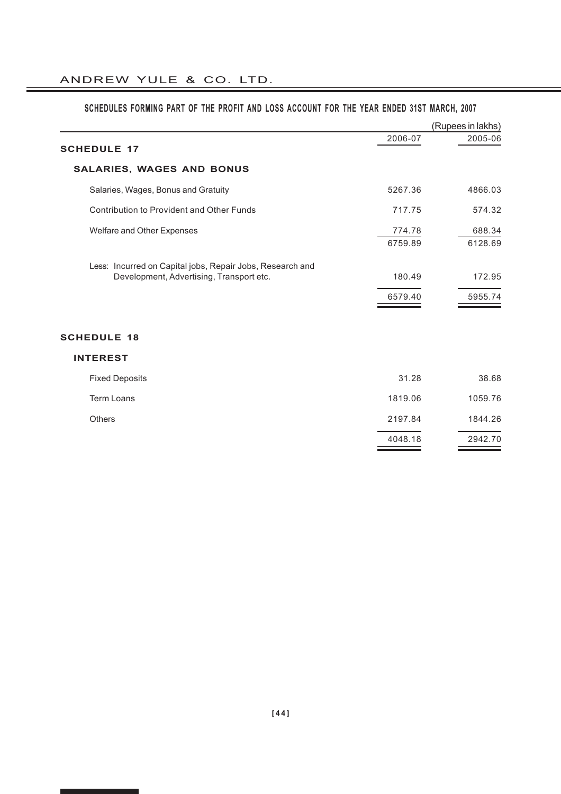|                                                           |         | (Rupees in lakhs) |
|-----------------------------------------------------------|---------|-------------------|
| <b>SCHEDULE 17</b>                                        | 2006-07 | 2005-06           |
| <b>SALARIES, WAGES AND BONUS</b>                          |         |                   |
| Salaries, Wages, Bonus and Gratuity                       | 5267.36 | 4866.03           |
| Contribution to Provident and Other Funds                 | 717.75  | 574.32            |
| Welfare and Other Expenses                                | 774.78  | 688.34            |
|                                                           | 6759.89 | 6128.69           |
| Less: Incurred on Capital jobs, Repair Jobs, Research and |         |                   |
| Development, Advertising, Transport etc.                  | 180.49  | 172.95            |
|                                                           | 6579.40 | 5955.74           |
|                                                           |         |                   |
| <b>SCHEDULE 18</b>                                        |         |                   |
| <b>INTEREST</b>                                           |         |                   |
| <b>Fixed Deposits</b>                                     | 31.28   | 38.68             |
| <b>Term Loans</b>                                         | 1819.06 | 1059.76           |
| <b>Others</b>                                             | 2197.84 | 1844.26           |
|                                                           | 4048.18 | 2942.70           |
|                                                           |         |                   |

# **SCHEDULES FORMING PART OF THE PROFIT AND LOSS ACCOUNT FOR THE YEAR ENDED 31ST MARCH, 2007**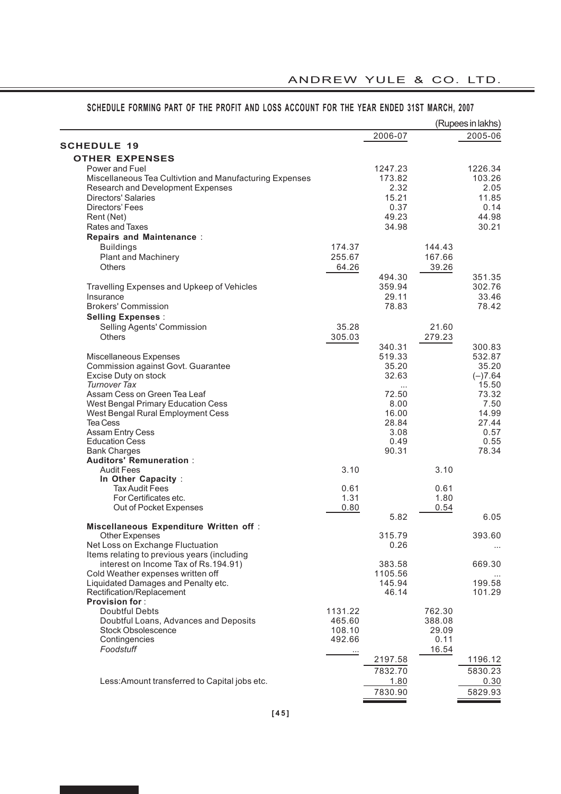|                                                         |         |         |        | (Rupees in lakhs) |
|---------------------------------------------------------|---------|---------|--------|-------------------|
|                                                         |         | 2006-07 |        | 2005-06           |
| <b>SCHEDULE 19</b>                                      |         |         |        |                   |
| <b>OTHER EXPENSES</b>                                   |         |         |        |                   |
| Power and Fuel                                          |         | 1247.23 |        | 1226.34           |
| Miscellaneous Tea Cultivtion and Manufacturing Expenses |         | 173.82  |        | 103.26            |
| Research and Development Expenses                       |         | 2.32    |        | 2.05              |
| <b>Directors' Salaries</b>                              |         | 15.21   |        | 11.85             |
| Directors' Fees                                         |         | 0.37    |        | 0.14              |
| Rent (Net)                                              |         | 49.23   |        | 44.98             |
| Rates and Taxes                                         |         | 34.98   |        | 30.21             |
| <b>Repairs and Maintenance:</b>                         |         |         |        |                   |
|                                                         | 174.37  |         | 144.43 |                   |
| <b>Buildings</b>                                        | 255.67  |         | 167.66 |                   |
| <b>Plant and Machinery</b>                              |         |         |        |                   |
| <b>Others</b>                                           | 64.26   |         | 39.26  |                   |
|                                                         |         | 494.30  |        | 351.35            |
| Travelling Expenses and Upkeep of Vehicles              |         | 359.94  |        | 302.76            |
| Insurance                                               |         | 29.11   |        | 33.46             |
| <b>Brokers' Commission</b>                              |         | 78.83   |        | 78.42             |
| <b>Selling Expenses:</b>                                |         |         |        |                   |
| Selling Agents' Commission                              | 35.28   |         | 21.60  |                   |
| <b>Others</b>                                           | 305.03  |         | 279.23 |                   |
|                                                         |         | 340.31  |        | 300.83            |
| Miscellaneous Expenses                                  |         | 519.33  |        | 532.87            |
| Commission against Govt. Guarantee                      |         | 35.20   |        | 35.20             |
| Excise Duty on stock                                    |         | 32.63   |        | $(-)7.64$         |
| <b>Turnover Tax</b>                                     |         |         |        | 15.50             |
| Assam Cess on Green Tea Leaf                            |         | 72.50   |        | 73.32             |
| West Bengal Primary Education Cess                      |         | 8.00    |        | 7.50              |
| West Bengal Rural Employment Cess                       |         | 16.00   |        | 14.99             |
| <b>Tea Cess</b>                                         |         | 28.84   |        | 27.44             |
| Assam Entry Cess                                        |         | 3.08    |        | 0.57              |
| <b>Education Cess</b>                                   |         | 0.49    |        | 0.55              |
| <b>Bank Charges</b>                                     |         | 90.31   |        | 78.34             |
| <b>Auditors' Remuneration:</b>                          |         |         |        |                   |
| <b>Audit Fees</b>                                       | 3.10    |         | 3.10   |                   |
| In Other Capacity :                                     |         |         |        |                   |
| <b>Tax Audit Fees</b>                                   | 0.61    |         | 0.61   |                   |
| For Certificates etc.                                   | 1.31    |         | 1.80   |                   |
| Out of Pocket Expenses                                  | 0.80    |         | 0.54   |                   |
|                                                         |         | 5.82    |        | 6.05              |
| Miscellaneous Expenditure Written off:                  |         |         |        |                   |
| Other Expenses                                          |         | 315.79  |        | 393.60            |
| Net Loss on Exchange Fluctuation                        |         | 0.26    |        | $\cdots$          |
| Items relating to previous years (including             |         |         |        |                   |
| interest on Income Tax of Rs.194.91)                    |         | 383.58  |        | 669.30            |
| Cold Weather expenses written off                       |         | 1105.56 |        |                   |
| Liquidated Damages and Penalty etc.                     |         | 145.94  |        | 199.58            |
| Rectification/Replacement                               |         | 46.14   |        | 101.29            |
| <b>Provision for:</b>                                   |         |         |        |                   |
| <b>Doubtful Debts</b>                                   | 1131.22 |         | 762.30 |                   |
| Doubtful Loans, Advances and Deposits                   | 465.60  |         | 388.08 |                   |
| <b>Stock Obsolescence</b>                               | 108.10  |         | 29.09  |                   |
| Contingencies                                           | 492.66  |         | 0.11   |                   |
| Foodstuff                                               |         |         | 16.54  |                   |
|                                                         |         | 2197.58 |        | 1196.12           |
|                                                         |         | 7832.70 |        | 5830.23           |
| Less: Amount transferred to Capital jobs etc.           |         | 1.80    |        | 0.30              |
|                                                         |         | 7830.90 |        | 5829.93           |
|                                                         |         |         |        |                   |

# **SCHEDULE FORMING PART OF THE PROFIT AND LOSS ACCOUNT FOR THE YEAR ENDED 31ST MARCH, 2007**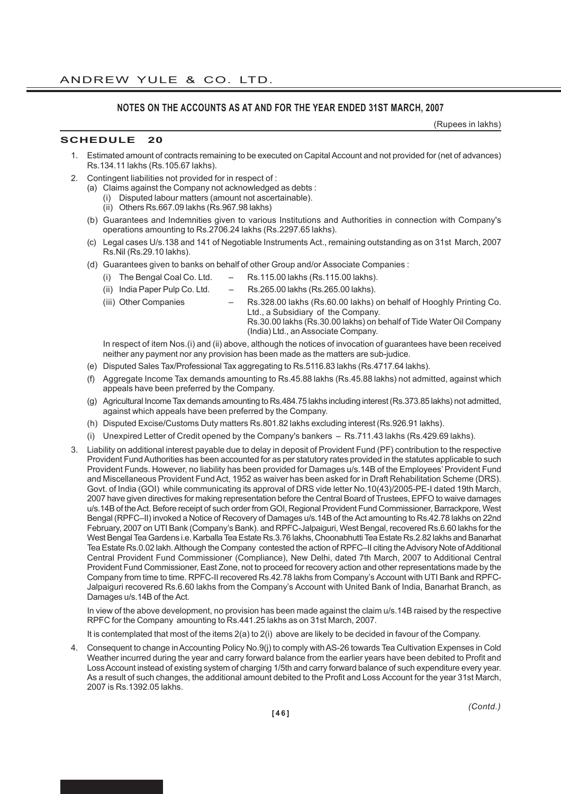# **NOTES ON THE ACCOUNTS AS AT AND FOR THE YEAR ENDED 31ST MARCH, 2007**

(Rupees in lakhs)

## **SCHEDULE 20**

- 1. Estimated amount of contracts remaining to be executed on Capital Account and not provided for (net of advances) Rs.134.11 lakhs (Rs.105.67 lakhs).
- 2. Contingent liabilities not provided for in respect of :
	- (a) Claims against the Company not acknowledged as debts :
		- (i) Disputed labour matters (amount not ascertainable).
		- (ii) Others Rs.667.09 lakhs (Rs.967.98 lakhs)
	- (b) Guarantees and Indemnities given to various Institutions and Authorities in connection with Company's operations amounting to Rs.2706.24 lakhs (Rs.2297.65 lakhs).
	- (c) Legal cases U/s.138 and 141 of Negotiable Instruments Act., remaining outstanding as on 31st March, 2007 Rs.Nil (Rs.29.10 lakhs).
	- (d) Guarantees given to banks on behalf of other Group and/or Associate Companies :
		- (i) The Bengal Coal Co. Ltd.  $-$  Rs.115.00 lakhs (Rs.115.00 lakhs).
		- (ii) India Paper Pulp Co. Ltd. Rs.265.00 lakhs (Rs.265.00 lakhs).
		-
		- (iii) Other Companies Rs.328.00 lakhs (Rs.60.00 lakhs) on behalf of Hooghly Printing Co.
			- Ltd., a Subsidiary of the Company.
				- Rs.30.00 lakhs (Rs.30.00 lakhs) on behalf of Tide Water Oil Company (India) Ltd., an Associate Company.

In respect of item Nos.(i) and (ii) above, although the notices of invocation of guarantees have been received neither any payment nor any provision has been made as the matters are sub-judice.

- (e) Disputed Sales Tax/Professional Tax aggregating to Rs.5116.83 lakhs (Rs.4717.64 lakhs).
- (f) Aggregate Income Tax demands amounting to Rs.45.88 lakhs (Rs.45.88 lakhs) not admitted, against which appeals have been preferred by the Company.
- (g) Agricultural Income Tax demands amounting to Rs.484.75 lakhs including interest (Rs.373.85 lakhs) not admitted, against which appeals have been preferred by the Company.
- (h) Disputed Excise/Customs Duty matters Rs.801.82 lakhs excluding interest (Rs.926.91 lakhs).
- (i) Unexpired Letter of Credit opened by the Company's bankers Rs.711.43 lakhs (Rs.429.69 lakhs).
- 3. Liability on additional interest payable due to delay in deposit of Provident Fund (PF) contribution to the respective Provident Fund Authorities has been accounted for as per statutory rates provided in the statutes applicable to such Provident Funds. However, no liability has been provided for Damages u/s.14B of the Employees' Provident Fund and Miscellaneous Provident Fund Act, 1952 as waiver has been asked for in Draft Rehabilitation Scheme (DRS). Govt. of India (GOI) while communicating its approval of DRS vide letter No.10(43)/2005-PE-I dated 19th March, 2007 have given directives for making representation before the Central Board of Trustees, EPFO to waive damages u/s.14B of the Act. Before receipt of such order from GOI, Regional Provident Fund Commissioner, Barrackpore, West Bengal (RPFC–II) invoked a Notice of Recovery of Damages u/s.14B of the Act amounting to Rs.42.78 lakhs on 22nd February, 2007 on UTI Bank (Company's Bank). and RPFC-Jalpaiguri, West Bengal, recovered Rs.6.60 lakhs for the West Bengal Tea Gardens i.e. Karballa Tea Estate Rs.3.76 lakhs, Choonabhutti Tea Estate Rs.2.82 lakhs and Banarhat Tea Estate Rs.0.02 lakh. Although the Company contested the action of RPFC–II citing the Advisory Note of Additional Central Provident Fund Commissioner (Compliance), New Delhi, dated 7th March, 2007 to Additional Central Provident Fund Commissioner, East Zone, not to proceed for recovery action and other representations made by the Company from time to time. RPFC-II recovered Rs.42.78 lakhs from Company's Account with UTI Bank and RPFC-Jalpaiguri recovered Rs.6.60 lakhs from the Company's Account with United Bank of India, Banarhat Branch, as Damages u/s.14B of the Act.

In view of the above development, no provision has been made against the claim u/s.14B raised by the respective RPFC for the Company amounting to Rs.441.25 lakhs as on 31st March, 2007.

It is contemplated that most of the items 2(a) to 2(i) above are likely to be decided in favour of the Company.

4. Consequent to change in Accounting Policy No.9(j) to comply with AS-26 towards Tea Cultivation Expenses in Cold Weather incurred during the year and carry forward balance from the earlier years have been debited to Profit and Loss Account instead of existing system of charging 1/5th and carry forward balance of such expenditure every year. As a result of such changes, the additional amount debited to the Profit and Loss Account for the year 31st March, 2007 is Rs.1392.05 lakhs.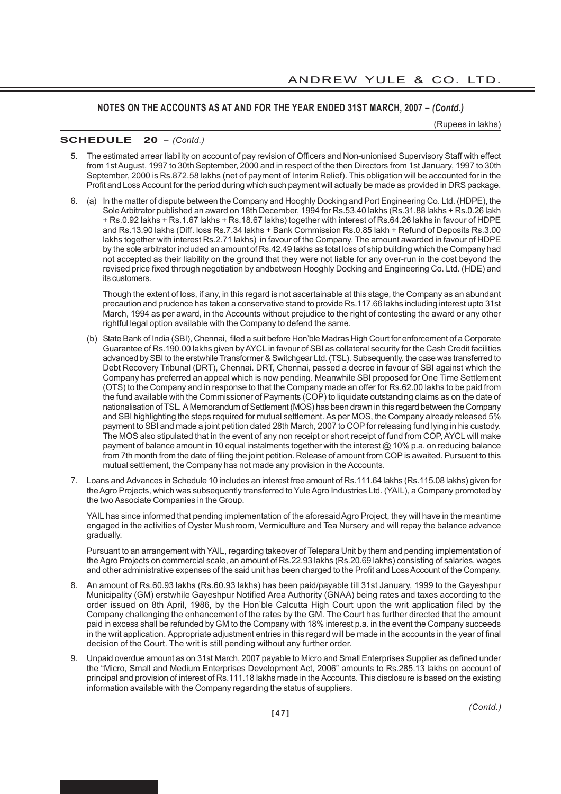(Rupees in lakhs)

#### **SCHEDULE 20** *– (Contd.)*

- 5. The estimated arrear liability on account of pay revision of Officers and Non-unionised Supervisory Staff with effect from 1st August, 1997 to 30th September, 2000 and in respect of the then Directors from 1st January, 1997 to 30th September, 2000 is Rs.872.58 lakhs (net of payment of Interim Relief). This obligation will be accounted for in the Profit and Loss Account for the period during which such payment will actually be made as provided in DRS package.
- 6. (a) In the matter of dispute between the Company and Hooghly Docking and Port Engineering Co. Ltd. (HDPE), the Sole Arbitrator published an award on 18th December, 1994 for Rs.53.40 lakhs (Rs.31.88 lakhs + Rs.0.26 lakh + Rs.0.92 lakhs + Rs.1.67 lakhs + Rs.18.67 lakhs) together with interest of Rs.64.26 lakhs in favour of HDPE and Rs.13.90 lakhs (Diff. loss Rs.7.34 lakhs + Bank Commission Rs.0.85 lakh + Refund of Deposits Rs.3.00 lakhs together with interest Rs.2.71 lakhs) in favour of the Company. The amount awarded in favour of HDPE by the sole arbitrator included an amount of Rs.42.49 lakhs as total loss of ship building which the Company had not accepted as their liability on the ground that they were not liable for any over-run in the cost beyond the revised price fixed through negotiation by andbetween Hooghly Docking and Engineering Co. Ltd. (HDE) and its customers.

Though the extent of loss, if any, in this regard is not ascertainable at this stage, the Company as an abundant precaution and prudence has taken a conservative stand to provide Rs.117.66 lakhs including interest upto 31st March, 1994 as per award, in the Accounts without prejudice to the right of contesting the award or any other rightful legal option available with the Company to defend the same.

- (b) State Bank of India (SBI), Chennai, filed a suit before Hon'ble Madras High Court for enforcement of a Corporate Guarantee of Rs.190.00 lakhs given by AYCL in favour of SBI as collateral security for the Cash Credit facilities advanced by SBI to the erstwhile Transformer & Switchgear Ltd. (TSL). Subsequently, the case was transferred to Debt Recovery Tribunal (DRT), Chennai. DRT, Chennai, passed a decree in favour of SBI against which the Company has preferred an appeal which is now pending. Meanwhile SBI proposed for One Time Settlement (OTS) to the Company and in response to that the Company made an offer for Rs.62.00 lakhs to be paid from the fund available with the Commissioner of Payments (COP) to liquidate outstanding claims as on the date of nationalisation of TSL. A Memorandum of Settlement (MOS) has been drawn in this regard between the Company and SBI highlighting the steps required for mutual settlement. As per MOS, the Company already released 5% payment to SBI and made a joint petition dated 28th March, 2007 to COP for releasing fund lying in his custody. The MOS also stipulated that in the event of any non receipt or short receipt of fund from COP, AYCL will make payment of balance amount in 10 equal instalments together with the interest @ 10% p.a. on reducing balance from 7th month from the date of filing the joint petition. Release of amount from COP is awaited. Pursuent to this mutual settlement, the Company has not made any provision in the Accounts.
- 7. Loans and Advances in Schedule 10 includes an interest free amount of Rs.111.64 lakhs (Rs.115.08 lakhs) given for the Agro Projects, which was subsequently transferred to Yule Agro Industries Ltd. (YAIL), a Company promoted by the two Associate Companies in the Group.

YAIL has since informed that pending implementation of the aforesaid Agro Project, they will have in the meantime engaged in the activities of Oyster Mushroom, Vermiculture and Tea Nursery and will repay the balance advance gradually.

Pursuant to an arrangement with YAIL, regarding takeover of Telepara Unit by them and pending implementation of the Agro Projects on commercial scale, an amount of Rs.22.93 lakhs (Rs.20.69 lakhs) consisting of salaries, wages and other administrative expenses of the said unit has been charged to the Profit and Loss Account of the Company.

- 8. An amount of Rs.60.93 lakhs (Rs.60.93 lakhs) has been paid/payable till 31st January, 1999 to the Gayeshpur Municipality (GM) erstwhile Gayeshpur Notified Area Authority (GNAA) being rates and taxes according to the order issued on 8th April, 1986, by the Hon'ble Calcutta High Court upon the writ application filed by the Company challenging the enhancement of the rates by the GM. The Court has further directed that the amount paid in excess shall be refunded by GM to the Company with 18% interest p.a. in the event the Company succeeds in the writ application. Appropriate adjustment entries in this regard will be made in the accounts in the year of final decision of the Court. The writ is still pending without any further order.
- 9. Unpaid overdue amount as on 31st March, 2007 payable to Micro and Small Enterprises Supplier as defined under the "Micro, Small and Medium Enterprises Development Act, 2006" amounts to Rs.285.13 lakhs on account of principal and provision of interest of Rs.111.18 lakhs made in the Accounts. This disclosure is based on the existing information available with the Company regarding the status of suppliers.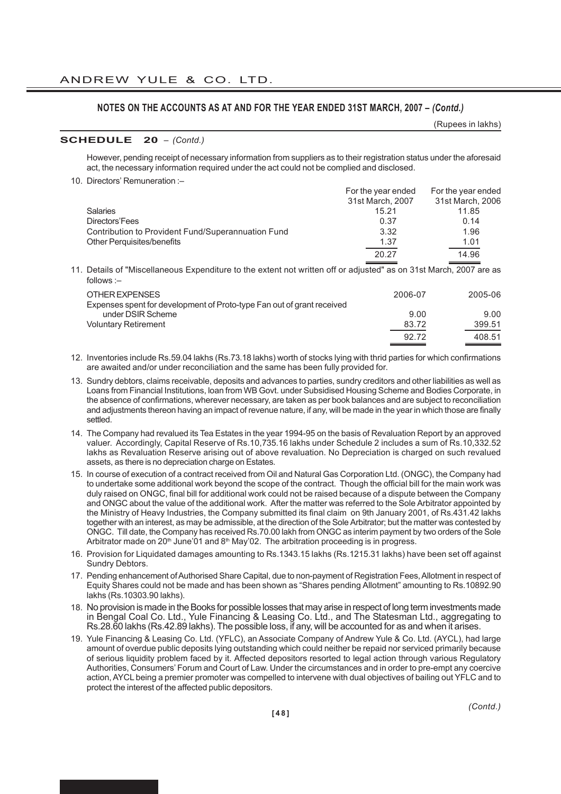(Rupees in lakhs)

### **SCHEDULE 20** *– (Contd.)*

However, pending receipt of necessary information from suppliers as to their registration status under the aforesaid act, the necessary information required under the act could not be complied and disclosed.

10. Directors' Remuneration :–

|                                                    | For the year ended | For the year ended |
|----------------------------------------------------|--------------------|--------------------|
|                                                    | 31st March, 2007   | 31st March, 2006   |
| <b>Salaries</b>                                    | 15.21              | 11.85              |
| Directors'Fees                                     | 0.37               | 0.14               |
| Contribution to Provident Fund/Superannuation Fund | 3.32               | 1.96               |
| <b>Other Perquisites/benefits</b>                  | 1.37               | 1.01               |
|                                                    | 20.27              | 14.96              |

11. Details of "Miscellaneous Expenditure to the extent not written off or adjusted" as on 31st March, 2007 are as follows :–

| OTHER EXPENSES<br>Expenses spent for development of Proto-type Fan out of grant received | 2006-07 | 2005-06 |
|------------------------------------------------------------------------------------------|---------|---------|
| under DSIR Scheme                                                                        | 9.00    | 9.00    |
| Voluntary Retirement                                                                     | 83.72   | 399.51  |
|                                                                                          | 92.72   | 408.51  |

12. Inventories include Rs.59.04 lakhs (Rs.73.18 lakhs) worth of stocks lying with thrid parties for which confirmations are awaited and/or under reconciliation and the same has been fully provided for.

- 13. Sundry debtors, claims receivable, deposits and advances to parties, sundry creditors and other liabilities as well as Loans from Financial Institutions, loan from WB Govt. under Subsidised Housing Scheme and Bodies Corporate, in the absence of confirmations, wherever necessary, are taken as per book balances and are subject to reconciliation and adjustments thereon having an impact of revenue nature, if any, will be made in the year in which those are finally settled.
- 14. The Company had revalued its Tea Estates in the year 1994-95 on the basis of Revaluation Report by an approved valuer. Accordingly, Capital Reserve of Rs.10,735.16 lakhs under Schedule 2 includes a sum of Rs.10,332.52 lakhs as Revaluation Reserve arising out of above revaluation. No Depreciation is charged on such revalued assets, as there is no depreciation charge on Estates.
- 15. In course of execution of a contract received from Oil and Natural Gas Corporation Ltd. (ONGC), the Company had to undertake some additional work beyond the scope of the contract. Though the official bill for the main work was duly raised on ONGC, final bill for additional work could not be raised because of a dispute between the Company and ONGC about the value of the additional work. After the matter was referred to the Sole Arbitrator appointed by the Ministry of Heavy Industries, the Company submitted its final claim on 9th January 2001, of Rs.431.42 lakhs together with an interest, as may be admissible, at the direction of the Sole Arbitrator; but the matter was contested by ONGC. Till date, the Company has received Rs.70.00 lakh from ONGC as interim payment by two orders of the Sole Arbitrator made on 20<sup>th</sup> June'01 and 8<sup>th</sup> May'02. The arbitration proceeding is in progress.
- 16. Provision for Liquidated damages amounting to Rs.1343.15 lakhs (Rs.1215.31 lakhs) have been set off against Sundry Debtors.
- 17. Pending enhancement of Authorised Share Capital, due to non-payment of Registration Fees, Allotment in respect of Equity Shares could not be made and has been shown as "Shares pending Allotment" amounting to Rs.10892.90 lakhs (Rs.10303.90 lakhs).
- 18. No provision is made in the Books for possible losses that may arise in respect of long term investments made in Bengal Coal Co. Ltd., Yule Financing & Leasing Co. Ltd., and The Statesman Ltd., aggregating to Rs.28.60 lakhs (Rs.42.89 lakhs). The possible loss, if any, will be accounted for as and when it arises.
- 19. Yule Financing & Leasing Co. Ltd. (YFLC), an Associate Company of Andrew Yule & Co. Ltd. (AYCL), had large amount of overdue public deposits lying outstanding which could neither be repaid nor serviced primarily because of serious liquidity problem faced by it. Affected depositors resorted to legal action through various Regulatory Authorities, Consumers' Forum and Court of Law. Under the circumstances and in order to pre-empt any coercive action, AYCL being a premier promoter was compelled to intervene with dual objectives of bailing out YFLC and to protect the interest of the affected public depositors.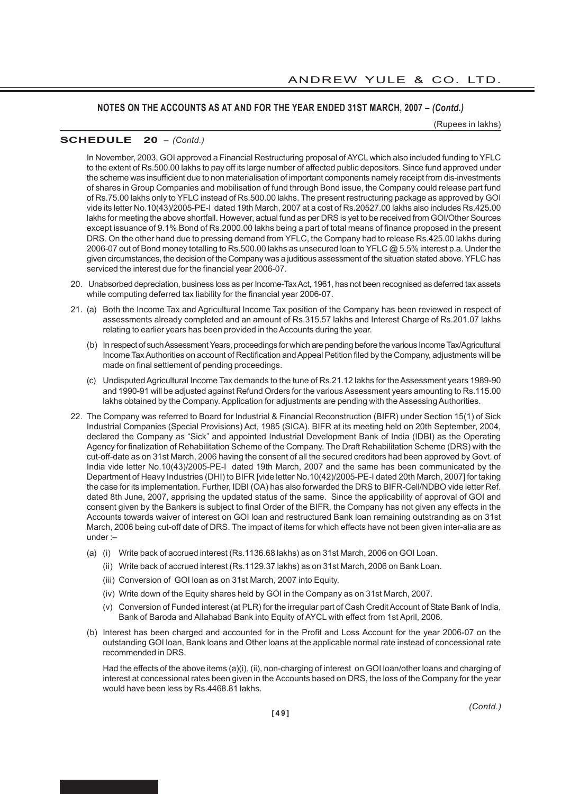(Rupees in lakhs)

# **SCHEDULE 20** *– (Contd.)*

In November, 2003, GOI approved a Financial Restructuring proposal of AYCL which also included funding to YFLC to the extent of Rs.500.00 lakhs to pay off its large number of affected public depositors. Since fund approved under the scheme was insufficient due to non materialisation of important components namely receipt from dis-investments of shares in Group Companies and mobilisation of fund through Bond issue, the Company could release part fund of Rs.75.00 lakhs only to YFLC instead of Rs.500.00 lakhs. The present restructuring package as approved by GOI vide its letter No.10(43)/2005-PE-I dated 19th March, 2007 at a cost of Rs.20527.00 lakhs also includes Rs.425.00 lakhs for meeting the above shortfall. However, actual fund as per DRS is yet to be received from GOI/Other Sources except issuance of 9.1% Bond of Rs.2000.00 lakhs being a part of total means of finance proposed in the present DRS. On the other hand due to pressing demand from YFLC, the Company had to release Rs.425.00 lakhs during 2006-07 out of Bond money totalling to Rs.500.00 lakhs as unsecured loan to YFLC @ 5.5% interest p.a. Under the given circumstances, the decision of the Company was a juditious assessment of the situation stated above. YFLC has serviced the interest due for the financial year 2006-07.

- 20. Unabsorbed depreciation, business loss as per Income-Tax Act, 1961, has not been recognised as deferred tax assets while computing deferred tax liability for the financial year 2006-07.
- 21. (a) Both the Income Tax and Agricultural Income Tax position of the Company has been reviewed in respect of assessments already completed and an amount of Rs.315.57 lakhs and Interest Charge of Rs.201.07 lakhs relating to earlier years has been provided in the Accounts during the year.
	- (b) In respect of such Assessment Years, proceedings for which are pending before the various Income Tax/Agricultural Income Tax Authorities on account of Rectification and Appeal Petition filed by the Company, adjustments will be made on final settlement of pending proceedings.
	- (c) Undisputed Agricultural Income Tax demands to the tune of Rs.21.12 lakhs for the Assessment years 1989-90 and 1990-91 will be adjusted against Refund Orders for the various Assessment years amounting to Rs.115.00 lakhs obtained by the Company. Application for adjustments are pending with the Assessing Authorities.
- 22. The Company was referred to Board for Industrial & Financial Reconstruction (BIFR) under Section 15(1) of Sick Industrial Companies (Special Provisions) Act, 1985 (SICA). BIFR at its meeting held on 20th September, 2004, declared the Company as "Sick" and appointed Industrial Development Bank of India (IDBI) as the Operating Agency for finalization of Rehabilitation Scheme of the Company. The Draft Rehabilitation Scheme (DRS) with the cut-off-date as on 31st March, 2006 having the consent of all the secured creditors had been approved by Govt. of India vide letter No.10(43)/2005-PE-I dated 19th March, 2007 and the same has been communicated by the Department of Heavy Industries (DHI) to BIFR [vide letter No.10(42)/2005-PE-I dated 20th March, 2007] for taking the case for its implementation. Further, IDBI (OA) has also forwarded the DRS to BIFR-Cell/NDBO vide letter Ref. dated 8th June, 2007, apprising the updated status of the same. Since the applicability of approval of GOI and consent given by the Bankers is subject to final Order of the BIFR, the Company has not given any effects in the Accounts towards waiver of interest on GOI loan and restructured Bank loan remaining outstranding as on 31st March, 2006 being cut-off date of DRS. The impact of items for which effects have not been given inter-alia are as under :–
	- (a) (i) Write back of accrued interest (Rs.1136.68 lakhs) as on 31st March, 2006 on GOI Loan.
		- (ii) Write back of accrued interest (Rs.1129.37 lakhs) as on 31st March, 2006 on Bank Loan.
		- (iii) Conversion of GOI loan as on 31st March, 2007 into Equity.
		- (iv) Write down of the Equity shares held by GOI in the Company as on 31st March, 2007.
		- (v) Conversion of Funded interest (at PLR) for the irregular part of Cash Credit Account of State Bank of India, Bank of Baroda and Allahabad Bank into Equity of AYCL with effect from 1st April, 2006.
	- (b) Interest has been charged and accounted for in the Profit and Loss Account for the year 2006-07 on the outstanding GOI loan, Bank loans and Other loans at the applicable normal rate instead of concessional rate recommended in DRS.

Had the effects of the above items (a)(i), (ii), non-charging of interest on GOI loan/other loans and charging of interest at concessional rates been given in the Accounts based on DRS, the loss of the Company for the year would have been less by Rs.4468.81 lakhs.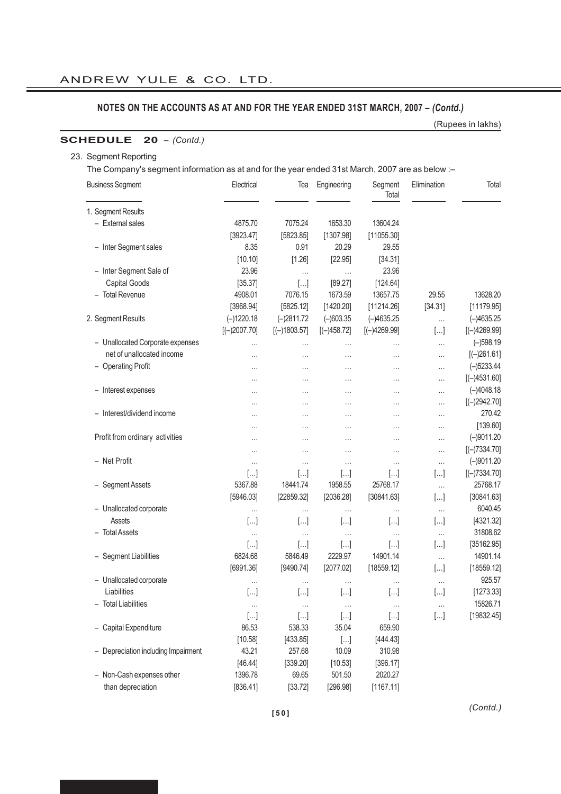(Rupees in lakhs)

# **SCHEDULE 20** *– (Contd.)*

### 23. Segment Reporting

The Company's segment information as at and for the year ended 31st March, 2007 are as below :–

| 1. Segment Results<br>- External sales<br>4875.70<br>7075.24<br>1653.30<br>13604.24<br>[3923.47]<br>[5823.85]<br>[1307.98]<br>[11055.30]<br>- Inter Segment sales<br>8.35<br>0.91<br>20.29<br>29.55<br>[10.10]<br>[34.31]<br>[1.26]<br>[22.95]<br>- Inter Segment Sale of<br>23.96<br>23.96<br>.<br>$\cdots$<br>Capital Goods<br>[35.37]<br>[89.27]<br>[124.64]<br>$[]$<br>- Total Revenue<br>4908.01<br>7076.15<br>13628.20<br>1673.59<br>13657.75<br>29.55<br>[3968.94]<br>[5825.12]<br>[1420.20]<br>[34.31]<br>[11179.95]<br>[11214.26]<br>2. Segment Results<br>$(-)1220.18$<br>$(-)2811.72$<br>$(-)603.35$<br>$(-)4635.25$<br>$(-)4635.25$<br>$\cdots$<br>$[(-)2007.70]$<br>$[(-)1803.57]$<br>$[(-)458.72]$<br>$[(-)4269.99]$<br>$[(-)4269.99]$<br>$[]$<br>$(-)598.19$<br>- Unallocated Corporate expenses<br>$\cdots$<br>.<br>$\cdots$<br><br>$\cdots$<br>net of unallocated income<br>$[(-)261.61]$<br>.<br>$\cdots$<br>.<br>$\cdots$<br>$\cdots$<br>- Operating Profit<br>$(-)5233.44$<br><br>.<br>$\cdots$<br>$\cdots$<br>$\cdots$<br>$[(-)4531.60]$<br>.<br>.<br>.<br>$\cdots$<br>.<br>$(-)4048.18$<br>- Interest expenses<br>.<br>$\cdots$<br>.<br>.<br>$\cdots$<br>$[(-)2942.70]$<br>$\cdots$<br>$\cdots$<br>$\cdots$<br>$\cdots$<br>$\cdots$<br>270.42<br>- Interest/dividend income<br>.<br>.<br>$\cdots$<br>$\cdots$<br>$\cdots$<br>[139.60]<br><br>.<br>.<br>$\cdots$<br>$\cdots$<br>Profit from ordinary activities<br>$(-)9011.20$<br>.<br>.<br>.<br>$\cdots$<br>.<br>$[(-)7334.70]$<br>.<br>.<br>.<br>.<br>- Net Profit<br>$(-)9011.20$<br>$\cdots$<br>.<br>$\cdots$<br>$\cdots$<br>.<br>$[]$<br>[]<br>$[]$<br>$[(-)7334.70]$<br>[]<br>[] |
|--------------------------------------------------------------------------------------------------------------------------------------------------------------------------------------------------------------------------------------------------------------------------------------------------------------------------------------------------------------------------------------------------------------------------------------------------------------------------------------------------------------------------------------------------------------------------------------------------------------------------------------------------------------------------------------------------------------------------------------------------------------------------------------------------------------------------------------------------------------------------------------------------------------------------------------------------------------------------------------------------------------------------------------------------------------------------------------------------------------------------------------------------------------------------------------------------------------------------------------------------------------------------------------------------------------------------------------------------------------------------------------------------------------------------------------------------------------------------------------------------------------------------------------------------------------------------------------------------------------------------------------------------------------|
|                                                                                                                                                                                                                                                                                                                                                                                                                                                                                                                                                                                                                                                                                                                                                                                                                                                                                                                                                                                                                                                                                                                                                                                                                                                                                                                                                                                                                                                                                                                                                                                                                                                              |
|                                                                                                                                                                                                                                                                                                                                                                                                                                                                                                                                                                                                                                                                                                                                                                                                                                                                                                                                                                                                                                                                                                                                                                                                                                                                                                                                                                                                                                                                                                                                                                                                                                                              |
|                                                                                                                                                                                                                                                                                                                                                                                                                                                                                                                                                                                                                                                                                                                                                                                                                                                                                                                                                                                                                                                                                                                                                                                                                                                                                                                                                                                                                                                                                                                                                                                                                                                              |
|                                                                                                                                                                                                                                                                                                                                                                                                                                                                                                                                                                                                                                                                                                                                                                                                                                                                                                                                                                                                                                                                                                                                                                                                                                                                                                                                                                                                                                                                                                                                                                                                                                                              |
|                                                                                                                                                                                                                                                                                                                                                                                                                                                                                                                                                                                                                                                                                                                                                                                                                                                                                                                                                                                                                                                                                                                                                                                                                                                                                                                                                                                                                                                                                                                                                                                                                                                              |
|                                                                                                                                                                                                                                                                                                                                                                                                                                                                                                                                                                                                                                                                                                                                                                                                                                                                                                                                                                                                                                                                                                                                                                                                                                                                                                                                                                                                                                                                                                                                                                                                                                                              |
|                                                                                                                                                                                                                                                                                                                                                                                                                                                                                                                                                                                                                                                                                                                                                                                                                                                                                                                                                                                                                                                                                                                                                                                                                                                                                                                                                                                                                                                                                                                                                                                                                                                              |
|                                                                                                                                                                                                                                                                                                                                                                                                                                                                                                                                                                                                                                                                                                                                                                                                                                                                                                                                                                                                                                                                                                                                                                                                                                                                                                                                                                                                                                                                                                                                                                                                                                                              |
|                                                                                                                                                                                                                                                                                                                                                                                                                                                                                                                                                                                                                                                                                                                                                                                                                                                                                                                                                                                                                                                                                                                                                                                                                                                                                                                                                                                                                                                                                                                                                                                                                                                              |
|                                                                                                                                                                                                                                                                                                                                                                                                                                                                                                                                                                                                                                                                                                                                                                                                                                                                                                                                                                                                                                                                                                                                                                                                                                                                                                                                                                                                                                                                                                                                                                                                                                                              |
|                                                                                                                                                                                                                                                                                                                                                                                                                                                                                                                                                                                                                                                                                                                                                                                                                                                                                                                                                                                                                                                                                                                                                                                                                                                                                                                                                                                                                                                                                                                                                                                                                                                              |
|                                                                                                                                                                                                                                                                                                                                                                                                                                                                                                                                                                                                                                                                                                                                                                                                                                                                                                                                                                                                                                                                                                                                                                                                                                                                                                                                                                                                                                                                                                                                                                                                                                                              |
|                                                                                                                                                                                                                                                                                                                                                                                                                                                                                                                                                                                                                                                                                                                                                                                                                                                                                                                                                                                                                                                                                                                                                                                                                                                                                                                                                                                                                                                                                                                                                                                                                                                              |
|                                                                                                                                                                                                                                                                                                                                                                                                                                                                                                                                                                                                                                                                                                                                                                                                                                                                                                                                                                                                                                                                                                                                                                                                                                                                                                                                                                                                                                                                                                                                                                                                                                                              |
|                                                                                                                                                                                                                                                                                                                                                                                                                                                                                                                                                                                                                                                                                                                                                                                                                                                                                                                                                                                                                                                                                                                                                                                                                                                                                                                                                                                                                                                                                                                                                                                                                                                              |
|                                                                                                                                                                                                                                                                                                                                                                                                                                                                                                                                                                                                                                                                                                                                                                                                                                                                                                                                                                                                                                                                                                                                                                                                                                                                                                                                                                                                                                                                                                                                                                                                                                                              |
|                                                                                                                                                                                                                                                                                                                                                                                                                                                                                                                                                                                                                                                                                                                                                                                                                                                                                                                                                                                                                                                                                                                                                                                                                                                                                                                                                                                                                                                                                                                                                                                                                                                              |
|                                                                                                                                                                                                                                                                                                                                                                                                                                                                                                                                                                                                                                                                                                                                                                                                                                                                                                                                                                                                                                                                                                                                                                                                                                                                                                                                                                                                                                                                                                                                                                                                                                                              |
|                                                                                                                                                                                                                                                                                                                                                                                                                                                                                                                                                                                                                                                                                                                                                                                                                                                                                                                                                                                                                                                                                                                                                                                                                                                                                                                                                                                                                                                                                                                                                                                                                                                              |
|                                                                                                                                                                                                                                                                                                                                                                                                                                                                                                                                                                                                                                                                                                                                                                                                                                                                                                                                                                                                                                                                                                                                                                                                                                                                                                                                                                                                                                                                                                                                                                                                                                                              |
|                                                                                                                                                                                                                                                                                                                                                                                                                                                                                                                                                                                                                                                                                                                                                                                                                                                                                                                                                                                                                                                                                                                                                                                                                                                                                                                                                                                                                                                                                                                                                                                                                                                              |
|                                                                                                                                                                                                                                                                                                                                                                                                                                                                                                                                                                                                                                                                                                                                                                                                                                                                                                                                                                                                                                                                                                                                                                                                                                                                                                                                                                                                                                                                                                                                                                                                                                                              |
|                                                                                                                                                                                                                                                                                                                                                                                                                                                                                                                                                                                                                                                                                                                                                                                                                                                                                                                                                                                                                                                                                                                                                                                                                                                                                                                                                                                                                                                                                                                                                                                                                                                              |
| - Segment Assets<br>5367.88<br>18441.74<br>1958.55<br>25768.17<br>25768.17<br>$\ldots$                                                                                                                                                                                                                                                                                                                                                                                                                                                                                                                                                                                                                                                                                                                                                                                                                                                                                                                                                                                                                                                                                                                                                                                                                                                                                                                                                                                                                                                                                                                                                                       |
| [5946.03]<br>[30841.63]<br>[22859.32]<br>[2036.28]<br>[30841.63]<br>$[]$                                                                                                                                                                                                                                                                                                                                                                                                                                                                                                                                                                                                                                                                                                                                                                                                                                                                                                                                                                                                                                                                                                                                                                                                                                                                                                                                                                                                                                                                                                                                                                                     |
| - Unallocated corporate<br>6040.45<br>$\cdots$<br>$\cdots$<br>$\cdots$<br>.<br>$\cdots$                                                                                                                                                                                                                                                                                                                                                                                                                                                                                                                                                                                                                                                                                                                                                                                                                                                                                                                                                                                                                                                                                                                                                                                                                                                                                                                                                                                                                                                                                                                                                                      |
| Assets<br>$[]$<br>$[]$<br>$[]$<br>[4321.32]<br>$[]$<br>[]                                                                                                                                                                                                                                                                                                                                                                                                                                                                                                                                                                                                                                                                                                                                                                                                                                                                                                                                                                                                                                                                                                                                                                                                                                                                                                                                                                                                                                                                                                                                                                                                    |
| 31808.62<br>- Total Assets<br>$\ldots$<br>$\cdots$<br>$\cdots$<br>$\ldots$<br>$\cdots$                                                                                                                                                                                                                                                                                                                                                                                                                                                                                                                                                                                                                                                                                                                                                                                                                                                                                                                                                                                                                                                                                                                                                                                                                                                                                                                                                                                                                                                                                                                                                                       |
| [35162.95]<br>$[]$<br>$[]$<br>$[]$<br>$[]$<br>$[]$                                                                                                                                                                                                                                                                                                                                                                                                                                                                                                                                                                                                                                                                                                                                                                                                                                                                                                                                                                                                                                                                                                                                                                                                                                                                                                                                                                                                                                                                                                                                                                                                           |
| 14901.14<br>14901.14<br>- Segment Liabilities<br>6824.68<br>5846.49<br>2229.97                                                                                                                                                                                                                                                                                                                                                                                                                                                                                                                                                                                                                                                                                                                                                                                                                                                                                                                                                                                                                                                                                                                                                                                                                                                                                                                                                                                                                                                                                                                                                                               |
| $\ldots$<br>$[]$<br>[18559.12]<br>[6991.36]<br>[9490.74]<br>[2077.02]<br>[18559.12]                                                                                                                                                                                                                                                                                                                                                                                                                                                                                                                                                                                                                                                                                                                                                                                                                                                                                                                                                                                                                                                                                                                                                                                                                                                                                                                                                                                                                                                                                                                                                                          |
| - Unallocated corporate<br>925.57<br>$\cdots$                                                                                                                                                                                                                                                                                                                                                                                                                                                                                                                                                                                                                                                                                                                                                                                                                                                                                                                                                                                                                                                                                                                                                                                                                                                                                                                                                                                                                                                                                                                                                                                                                |
| $\cdots$<br>$\cdots$<br>$\cdots$<br>$\cdots$<br>Liabilities<br>$[]$<br>[1273.33]<br>$[]$<br>$[ \ldots ]$<br>$[ \ldots ]$<br>$[]$                                                                                                                                                                                                                                                                                                                                                                                                                                                                                                                                                                                                                                                                                                                                                                                                                                                                                                                                                                                                                                                                                                                                                                                                                                                                                                                                                                                                                                                                                                                             |
| <b>Total Liabilities</b><br>15826.71                                                                                                                                                                                                                                                                                                                                                                                                                                                                                                                                                                                                                                                                                                                                                                                                                                                                                                                                                                                                                                                                                                                                                                                                                                                                                                                                                                                                                                                                                                                                                                                                                         |
| $\ldots$<br>$\cdots$<br>$\ldots$<br>$\ldots$<br>$\cdots$<br>[19832.45]<br>$[]$<br>$[]$<br>$[]$<br>$[]$<br>$[]$                                                                                                                                                                                                                                                                                                                                                                                                                                                                                                                                                                                                                                                                                                                                                                                                                                                                                                                                                                                                                                                                                                                                                                                                                                                                                                                                                                                                                                                                                                                                               |
| - Capital Expenditure<br>538.33<br>86.53<br>35.04<br>659.90                                                                                                                                                                                                                                                                                                                                                                                                                                                                                                                                                                                                                                                                                                                                                                                                                                                                                                                                                                                                                                                                                                                                                                                                                                                                                                                                                                                                                                                                                                                                                                                                  |
| [433.85]<br>[444.43]<br>[10.58]                                                                                                                                                                                                                                                                                                                                                                                                                                                                                                                                                                                                                                                                                                                                                                                                                                                                                                                                                                                                                                                                                                                                                                                                                                                                                                                                                                                                                                                                                                                                                                                                                              |
| $[]$<br>43.21<br>310.98<br>- Depreciation including Impairment<br>257.68<br>10.09                                                                                                                                                                                                                                                                                                                                                                                                                                                                                                                                                                                                                                                                                                                                                                                                                                                                                                                                                                                                                                                                                                                                                                                                                                                                                                                                                                                                                                                                                                                                                                            |
| [10.53]<br>[396.17]<br>[339.20]                                                                                                                                                                                                                                                                                                                                                                                                                                                                                                                                                                                                                                                                                                                                                                                                                                                                                                                                                                                                                                                                                                                                                                                                                                                                                                                                                                                                                                                                                                                                                                                                                              |
| [46.44]<br>- Non-Cash expenses other<br>1396.78<br>69.65<br>501.50<br>2020.27                                                                                                                                                                                                                                                                                                                                                                                                                                                                                                                                                                                                                                                                                                                                                                                                                                                                                                                                                                                                                                                                                                                                                                                                                                                                                                                                                                                                                                                                                                                                                                                |
| than depreciation<br>[836.41]<br>[33.72]<br>[296.98]<br>[1167.11]                                                                                                                                                                                                                                                                                                                                                                                                                                                                                                                                                                                                                                                                                                                                                                                                                                                                                                                                                                                                                                                                                                                                                                                                                                                                                                                                                                                                                                                                                                                                                                                            |

*(Contd.)*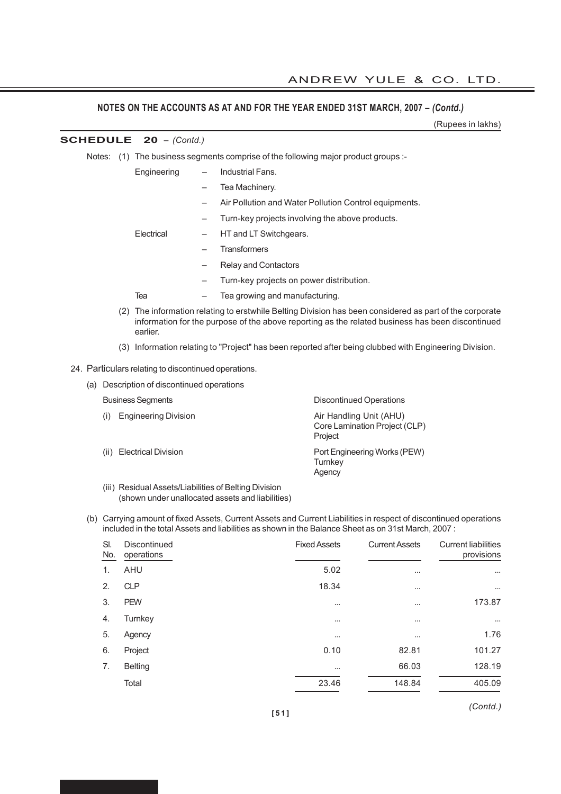(Rupees in lakhs)

|  |     |                                 |   |                                                                                                                                                                                                         | (Rupees III lakiis) |
|--|-----|---------------------------------|---|---------------------------------------------------------------------------------------------------------------------------------------------------------------------------------------------------------|---------------------|
|  |     | <b>SCHEDULE</b> $20 - (Contd.)$ |   |                                                                                                                                                                                                         |                     |
|  |     |                                 |   | Notes: (1) The business segments comprise of the following major product groups :-                                                                                                                      |                     |
|  |     | Engineering                     |   | Industrial Fans.                                                                                                                                                                                        |                     |
|  |     |                                 |   | Tea Machinery.                                                                                                                                                                                          |                     |
|  |     |                                 | - | Air Pollution and Water Pollution Control equipments.                                                                                                                                                   |                     |
|  |     |                                 |   | Turn-key projects involving the above products.                                                                                                                                                         |                     |
|  |     | Electrical                      |   | HT and LT Switchgears.                                                                                                                                                                                  |                     |
|  |     |                                 |   | <b>Transformers</b>                                                                                                                                                                                     |                     |
|  |     |                                 |   | <b>Relay and Contactors</b>                                                                                                                                                                             |                     |
|  |     |                                 |   | Turn-key projects on power distribution.                                                                                                                                                                |                     |
|  |     | Tea                             |   | Tea growing and manufacturing.                                                                                                                                                                          |                     |
|  | (2) | earlier.                        |   | The information relating to erstwhile Belting Division has been considered as part of the corporate<br>information for the purpose of the above reporting as the related business has been discontinued |                     |
|  |     |                                 |   |                                                                                                                                                                                                         |                     |

(3) Information relating to "Project" has been reported after being clubbed with Engineering Division.

# 24. Particulars relating to discontinued operations.

| (a) Description of discontinued operations |                                                                     |
|--------------------------------------------|---------------------------------------------------------------------|
| <b>Business Segments</b>                   | <b>Discontinued Operations</b>                                      |
| <b>Engineering Division</b>                | Air Handling Unit (AHU)<br>Core Lamination Project (CLP)<br>Project |
| (ii) Electrical Division                   | Port Engineering Works (PEW)<br>Turnkey                             |

(iii) Residual Assets/Liabilities of Belting Division (shown under unallocated assets and liabilities)

(b) Carrying amount of fixed Assets, Current Assets and Current Liabilities in respect of discontinued operations included in the total Assets and liabilities as shown in the Balance Sheet as on 31st March, 2007 :

Agency

| Discontinued<br>operations | <b>Fixed Assets</b> | <b>Current Assets</b> | <b>Current liabilities</b><br>provisions |  |  |  |
|----------------------------|---------------------|-----------------------|------------------------------------------|--|--|--|
| <b>AHU</b>                 | 5.02                | $\cdots$              | $\cdots$                                 |  |  |  |
| <b>CLP</b>                 | 18.34               | $\cdots$              | $\cdots$                                 |  |  |  |
| <b>PEW</b>                 | $\cdots$            | $\cdots$              | 173.87                                   |  |  |  |
| Turnkey                    | $\cdots$            | $\cdots$              | $\cdots$                                 |  |  |  |
| Agency                     | $\cdots$            | $\cdots$              | 1.76                                     |  |  |  |
| Project                    | 0.10                | 82.81                 | 101.27                                   |  |  |  |
| <b>Belting</b>             | $\cdots$            | 66.03                 | 128.19                                   |  |  |  |
| Total                      | 23.46               | 148.84                | 405.09                                   |  |  |  |
|                            |                     |                       |                                          |  |  |  |

*(Contd.)*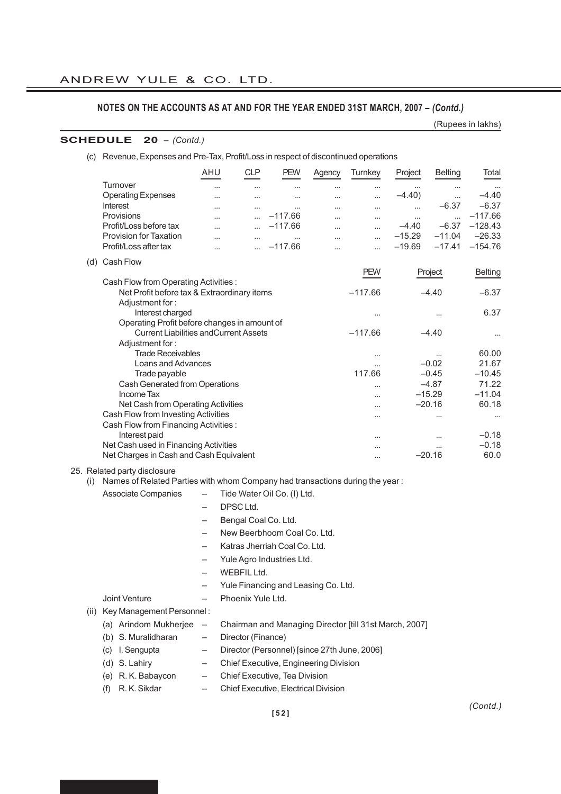(Rupees in lakhs)

#### **SCHEDULE 20** *– (Contd.)*

| (C) | Revenue, Expenses and Pre-Tax, Profit/Loss in respect of discontinued operations |                          |            |                             |           |            |          |                |                |
|-----|----------------------------------------------------------------------------------|--------------------------|------------|-----------------------------|-----------|------------|----------|----------------|----------------|
|     |                                                                                  | <b>AHU</b>               | <b>CLP</b> | <b>PEW</b>                  | Agency    | Turnkey    | Project  | <b>Belting</b> | Total          |
|     | Turnover                                                                         |                          |            | $\cdots$                    | $\cdots$  |            | $\cdots$ | $\cdots$       |                |
|     | <b>Operating Expenses</b>                                                        |                          |            |                             |           |            | $-4.40$  |                | $-4.40$        |
|     | <b>Interest</b>                                                                  | $\overline{\phantom{a}}$ | $\cdots$   | $\cdots$                    | $\cdots$  |            | $\cdots$ | $-6.37$        | $-6.37$        |
|     | Provisions                                                                       | $\overline{\phantom{a}}$ | $\ddotsc$  | $-117.66$                   | $\cdots$  | $\cdots$   | $\cdots$ | $\cdots$       | $-117.66$      |
|     | Profit/Loss before tax                                                           |                          |            | $-117.66$                   |           |            | $-4.40$  | $-6.37$        | $-128.43$      |
|     | <b>Provision for Taxation</b>                                                    | $\cdots$                 | $\cdots$   | $\cdots$                    |           |            | $-15.29$ | $-11.04$       | $-26.33$       |
|     | Profit/Loss after tax                                                            | $\cdots$                 |            | $-117.66$                   | $\ddotsc$ | $\cdots$   | $-19.69$ | $-17.41$       | $-154.76$      |
| (d) | Cash Flow                                                                        |                          |            |                             |           |            |          |                |                |
|     |                                                                                  |                          |            |                             |           | <b>PEW</b> |          | Project        | <b>Belting</b> |
|     | Cash Flow from Operating Activities :                                            |                          |            |                             |           |            |          |                |                |
|     | Net Profit before tax & Extraordinary items                                      |                          |            |                             |           | $-117.66$  |          | $-4.40$        | $-6.37$        |
|     | Adjustment for:                                                                  |                          |            |                             |           |            |          |                | 6.37           |
|     | Interest charged<br>Operating Profit before changes in amount of                 |                          |            |                             |           |            |          |                |                |
|     | <b>Current Liabilities and Current Assets</b>                                    |                          |            | $-117.66$                   |           | $-4.40$    |          |                |                |
|     | Adjustment for:                                                                  |                          |            |                             |           |            |          |                |                |
|     | <b>Trade Receivables</b><br>                                                     |                          |            |                             |           |            |          |                |                |
|     | Loans and Advances                                                               |                          |            |                             |           |            | $-0.02$  | 21.67          |                |
|     | Trade payable                                                                    |                          |            |                             |           | 117.66     |          | $-0.45$        | $-10.45$       |
|     | Cash Generated from Operations                                                   |                          |            |                             |           |            |          | $-4.87$        | 71.22          |
|     | Income Tax                                                                       |                          |            |                             |           |            |          | $-15.29$       | $-11.04$       |
|     | Net Cash from Operating Activities                                               |                          |            |                             |           | $\ddotsc$  |          | $-20.16$       | 60.18          |
|     | Cash Flow from Investing Activities                                              |                          |            |                             |           |            |          |                | $\cdots$       |
|     | Cash Flow from Financing Activities:                                             |                          |            |                             |           |            |          |                |                |
|     | Interest paid                                                                    |                          |            |                             |           |            |          |                | $-0.18$        |
|     | Net Cash used in Financing Activities                                            |                          |            |                             |           |            |          |                | $-0.18$        |
|     | Net Charges in Cash and Cash Equivalent                                          |                          |            |                             |           |            |          | $-20.16$       | 60.0           |
|     | Related party disclosure                                                         |                          |            |                             |           |            |          |                |                |
| (i) | Names of Related Parties with whom Company had transactions during the year:     |                          |            |                             |           |            |          |                |                |
|     | Associate Companies                                                              |                          |            | Tide Water Oil Co. (I) Ltd. |           |            |          |                |                |

- DPSC Ltd.
- Bengal Coal Co. Ltd.
- New Beerbhoom Coal Co. Ltd.
- Katras Jherriah Coal Co. Ltd.
- Yule Agro Industries Ltd.
- WEBFIL Ltd.
- Yule Financing and Leasing Co. Ltd.

 $25.$ 

- Joint Venture Phoenix Yule Ltd.
- (ii) Key Management Personnel :
	- (a) Arindom Mukherjee Chairman and Managing Director [till 31st March, 2007]
	- (b) S. Muralidharan Director (Finance)
	-
	- (c) I. Sengupta Director (Personnel) [since 27th June, 2006]
	- (d) S. Lahiry Chief Executive, Engineering Division
	- (e) R. K. Babaycon Chief Executive, Tea Division
	- (f) R. K. Sikdar Chief Executive, Electrical Division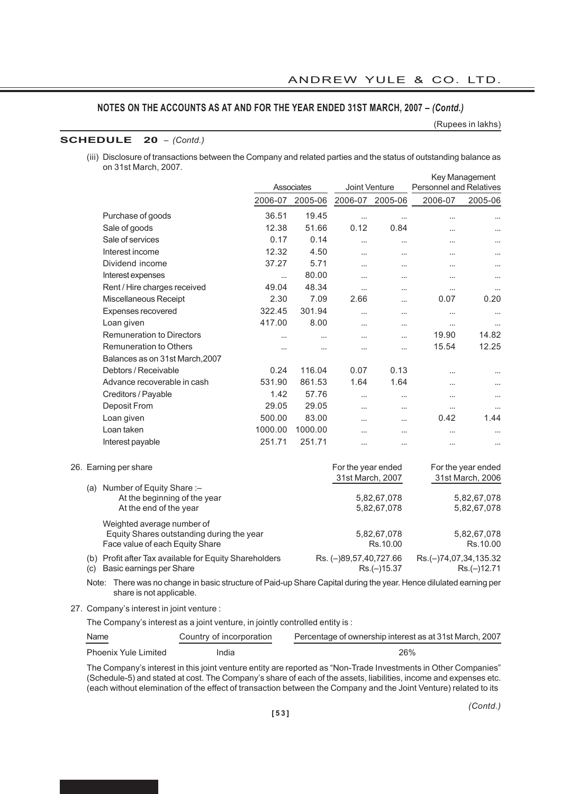(Rupees in lakhs)

# **SCHEDULE 20** *– (Contd.)*

(iii) Disclosure of transactions between the Company and related parties and the status of outstanding balance as on 31st March, 2007. Key Management

|     |                                                                                                            |          | Associates | Joint Venture                          |                            | <b>Personnel and Relatives</b> | <b>Ney Ividi idyement</b>              |
|-----|------------------------------------------------------------------------------------------------------------|----------|------------|----------------------------------------|----------------------------|--------------------------------|----------------------------------------|
|     |                                                                                                            | 2006-07  | 2005-06    | 2006-07                                | 2005-06                    | 2006-07                        | 2005-06                                |
|     | Purchase of goods                                                                                          | 36.51    | 19.45      | $\cdots$                               |                            |                                |                                        |
|     | Sale of goods                                                                                              | 12.38    | 51.66      | 0.12                                   | 0.84                       |                                |                                        |
|     | Sale of services                                                                                           | 0.17     | 0.14       |                                        | $\cdots$                   |                                |                                        |
|     | Interest income                                                                                            | 12.32    | 4.50       | $\cdots$                               | $\cdots$                   | $\cdots$                       |                                        |
|     | Dividend income                                                                                            | 37.27    | 5.71       |                                        | $\ddotsc$                  |                                |                                        |
|     | Interest expenses                                                                                          |          | 80.00      | $\cdots$                               | $\ddotsc$                  | $\cdots$                       |                                        |
|     | Rent / Hire charges received                                                                               | 49.04    | 48.34      |                                        | $\cdots$                   |                                | $\cdots$                               |
|     | Miscellaneous Receipt                                                                                      | 2.30     | 7.09       | 2.66                                   | $\cdots$                   | 0.07                           | 0.20                                   |
|     | Expenses recovered                                                                                         | 322.45   | 301.94     |                                        |                            |                                |                                        |
|     | Loan given                                                                                                 | 417.00   | 8.00       | $\cdots$                               | $\cdots$                   | $\cdots$                       |                                        |
|     | <b>Remuneration to Directors</b>                                                                           |          |            |                                        | $\cdots$                   | 19.90                          | 14.82                                  |
|     | <b>Remuneration to Others</b>                                                                              | $\cdots$ | $\cdots$   |                                        | $\cdots$                   | 15.54                          | 12.25                                  |
|     | Balances as on 31st March, 2007                                                                            |          |            |                                        |                            |                                |                                        |
|     | Debtors / Receivable                                                                                       | 0.24     | 116.04     | 0.07                                   | 0.13                       |                                |                                        |
|     | Advance recoverable in cash                                                                                | 531.90   | 861.53     | 1.64                                   | 1.64                       |                                |                                        |
|     | Creditors / Payable                                                                                        | 1.42     | 57.76      |                                        |                            |                                |                                        |
|     | Deposit From                                                                                               | 29.05    | 29.05      | $\cdots$                               | $\cdots$                   |                                | $\ddotsc$                              |
|     | Loan given                                                                                                 | 500.00   | 83.00      | $\ddotsc$                              | $\ddotsc$                  | 0.42                           | 1.44                                   |
|     | Loan taken                                                                                                 | 1000.00  | 1000.00    |                                        | $\ddotsc$                  |                                |                                        |
|     | Interest payable                                                                                           | 251.71   | 251.71     |                                        | $\ddotsc$                  | $\cdots$                       |                                        |
|     | 26. Earning per share                                                                                      |          |            | For the year ended<br>31st March, 2007 |                            |                                | For the year ended<br>31st March, 2006 |
| (a) | Number of Equity Share :-<br>At the beginning of the year<br>At the end of the year                        |          |            |                                        | 5,82,67,078<br>5,82,67,078 |                                | 5,82,67,078<br>5,82,67,078             |
|     | Weighted average number of<br>Equity Shares outstanding during the year<br>Face value of each Equity Share |          |            |                                        | 5,82,67,078<br>Rs.10.00    |                                | 5,82,67,078<br>Rs.10.00                |
| (c) | (b) Profit after Tax available for Equity Shareholders<br>Basic earnings per Share                         |          |            | Rs. (-)89,57,40,727.66                 | Rs.(-)15.37                | Rs.(-)74,07,34,135.32          | Rs.(-)12.71                            |
|     |                                                                                                            |          |            |                                        |                            |                                |                                        |

Note: There was no change in basic structure of Paid-up Share Capital during the year. Hence dilulated earning per share is not applicable.

27. Company's interest in joint venture :

The Company's interest as a joint venture, in jointly controlled entity is :

| Name<br>$\sim$ $\sim$ $\sim$ $\sim$ $\sim$ $\sim$ | Country of incorporation | Percentage of ownership interest as at 31st March, 2007 |
|---------------------------------------------------|--------------------------|---------------------------------------------------------|
| <b>Phoenix Yule Limited</b>                       | India                    | 26%                                                     |

The Company's interest in this joint venture entity are reported as "Non-Trade Investments in Other Companies" (Schedule-5) and stated at cost. The Company's share of each of the assets, liabilities, income and expenses etc. (each without elemination of the effect of transaction between the Company and the Joint Venture) related to its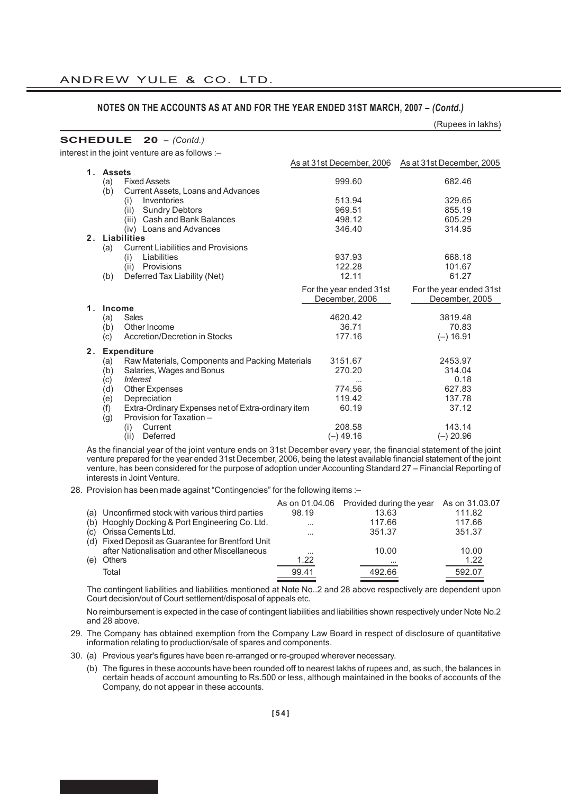|                |                                                           |                           | (Rupees in lakhs)         |
|----------------|-----------------------------------------------------------|---------------------------|---------------------------|
|                | <b>SCHEDULE</b> $20 - (Contd.)$                           |                           |                           |
|                | interest in the joint venture are as follows :-           |                           |                           |
|                |                                                           | As at 31st December, 2006 | As at 31st December, 2005 |
|                | 1. Assets                                                 |                           |                           |
|                | <b>Fixed Assets</b><br>(a)                                | 999.60                    | 682.46                    |
|                | Current Assets, Loans and Advances<br>(b)                 |                           |                           |
|                | Inventories<br>(i)                                        | 513.94                    | 329.65                    |
|                | <b>Sundry Debtors</b><br>(ii)                             | 969.51                    | 855.19                    |
|                | (iii) Cash and Bank Balances                              | 498.12                    | 605.29                    |
|                | (iv) Loans and Advances                                   | 346.40                    | 314.95                    |
|                | 2. Liabilities                                            |                           |                           |
|                | <b>Current Liabilities and Provisions</b><br>(a)          |                           |                           |
|                | Liabilities<br>(i)                                        | 937.93                    | 668.18                    |
|                | (ii) Provisions                                           | 122.28<br>12.11           | 101.67<br>61.27           |
|                | Deferred Tax Liability (Net)<br>(b)                       |                           |                           |
|                |                                                           | For the year ended 31st   | For the year ended 31st   |
|                |                                                           | December, 2006            | December, 2005            |
| 1 <sub>1</sub> | Income                                                    |                           |                           |
|                | Sales<br>(a)                                              | 4620.42                   | 3819.48                   |
|                | Other Income<br>(b)                                       | 36.71                     | 70.83                     |
|                | Accretion/Decretion in Stocks<br>(c)                      | 177.16                    | $(-) 16.91$               |
| 2.             | <b>Expenditure</b>                                        |                           |                           |
|                | Raw Materials, Components and Packing Materials<br>(a)    | 3151.67                   | 2453.97                   |
|                | (b)<br>Salaries, Wages and Bonus                          | 270.20                    | 314.04                    |
|                | <i><b>Interest</b></i><br>(c)                             |                           | 0.18                      |
|                | Other Expenses<br>(d)                                     | 774.56                    | 627.83                    |
|                | Depreciation<br>(e)                                       | 119.42                    | 137.78                    |
|                | (f)<br>Extra-Ordinary Expenses net of Extra-ordinary item | 60.19                     | 37.12                     |
|                | (g)<br>Provision for Taxation -                           |                           |                           |

As the financial year of the joint venture ends on 31st December every year, the financial statement of the joint venture prepared for the year ended 31st December, 2006, being the latest available financial statement of the joint venture, has been considered for the purpose of adoption under Accounting Standard 27 – Financial Reporting of interests in Joint Venture.

(i) Current 208.58 143.14 (ii) Deferred (–) 49.16 (–) 20.96

28. Provision has been made against "Contingencies" for the following items :-

|     | (a) Unconfirmed stock with various third parties  | 98.19    | As on 01.04.06 Provided during the year<br>13.63 | As on 31.03.07<br>111.82 |
|-----|---------------------------------------------------|----------|--------------------------------------------------|--------------------------|
|     | (b) Hooghly Docking & Port Engineering Co. Ltd.   | $\cdots$ | 117.66                                           | 117.66                   |
|     | (c) Orissa Cements Ltd.                           | $\cdots$ | 351.37                                           | 351.37                   |
|     | (d) Fixed Deposit as Guarantee for Brentford Unit |          |                                                  |                          |
|     | after Nationalisation and other Miscellaneous     | $\cdots$ | 10.00                                            | 10.00                    |
| (e) | <b>Others</b>                                     | 1.22     | $\cdots$                                         | 1.22                     |
|     | Total                                             | 99.41    | 492.66                                           | 592.07                   |

The contingent liabilities and liabilities mentioned at Note No..2 and 28 above respectively are dependent upon Court decision/out of Court settlement/disposal of appeals etc.

No reimbursement is expected in the case of contingent liabilities and liabilities shown respectively under Note No.2 and 28 above.

- 29. The Company has obtained exemption from the Company Law Board in respect of disclosure of quantitative information relating to production/sale of spares and components.
- 30. (a) Previous year's figures have been re-arranged or re-grouped wherever necessary.
	- (b) The figures in these accounts have been rounded off to nearest lakhs of rupees and, as such, the balances in certain heads of account amounting to Rs.500 or less, although maintained in the books of accounts of the Company, do not appear in these accounts.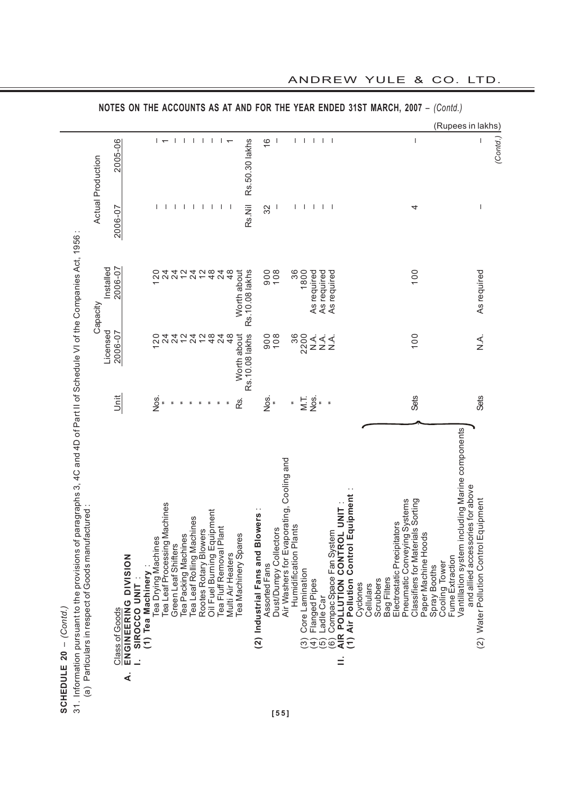|                                                                                                                                                                                                                  |                          |                                                              |                                   |                          |                                                     |                                |                |                                                    |                                                       |                 |                                           |                 |                                                            |                       |                                          |                       |                      |                                                              |                                          |                                                                                          |           |                          |                                                            |                                   |                     |                               |                 |                                                                                     | (Rupees in lakhs)                     |          |
|------------------------------------------------------------------------------------------------------------------------------------------------------------------------------------------------------------------|--------------------------|--------------------------------------------------------------|-----------------------------------|--------------------------|-----------------------------------------------------|--------------------------------|----------------|----------------------------------------------------|-------------------------------------------------------|-----------------|-------------------------------------------|-----------------|------------------------------------------------------------|-----------------------|------------------------------------------|-----------------------|----------------------|--------------------------------------------------------------|------------------------------------------|------------------------------------------------------------------------------------------|-----------|--------------------------|------------------------------------------------------------|-----------------------------------|---------------------|-------------------------------|-----------------|-------------------------------------------------------------------------------------|---------------------------------------|----------|
|                                                                                                                                                                                                                  | <b>Actual Production</b> | 2005-06                                                      |                                   | $\overline{\phantom{0}}$ | -1                                                  | $\mathbf{I}$                   | $\mathbf{I}$   | $\mathbf{I}$                                       | $\mathbf{I}$                                          | $\vdash$        |                                           | Rs.50.30 lakhs  | $\frac{6}{1}$                                              |                       |                                          | L                     | T                    | $\mathbf{I}$                                                 | $\mathbf{L}$                             |                                                                                          |           |                          |                                                            | $\overline{\phantom{a}}$          |                     |                               |                 |                                                                                     |                                       | (Contd.) |
|                                                                                                                                                                                                                  |                          | 2006-07                                                      |                                   |                          |                                                     | $\overline{1}$<br>$\mathbf{I}$ | $\mathbf{I}$   | $\mathbf{I}$                                       | $\mathbf{I}$                                          | Τ.              | ı                                         | Rs.Nil          | 32                                                         |                       |                                          |                       | $\mathbf{I}$         | $\mathbf{I}$                                                 | $\mathbf{L}$<br>$\overline{\phantom{a}}$ |                                                                                          |           |                          |                                                            | 4                                 |                     |                               |                 |                                                                                     | $\overline{\phantom{a}}$              |          |
|                                                                                                                                                                                                                  | Capacity                 | 2006-07<br>Installed                                         |                                   | 120                      | 24<br>24                                            | $\frac{1}{2}$                  |                | 2428                                               |                                                       | $^{24}$         | $\frac{8}{4}$<br>Worth about              | Rs.10.08 lakhs  | 900                                                        | 108                   |                                          | 36                    | 1800                 | As required<br>As required                                   | As required                              |                                                                                          |           |                          |                                                            | 100                               |                     |                               |                 |                                                                                     | As required                           |          |
|                                                                                                                                                                                                                  |                          | Licensed<br>2006-07                                          |                                   | $\overline{2}0$          | $\overline{24}$<br>$\overline{2}$                   | $\frac{2}{3}$                  | $\overline{2}$ | $\frac{2}{4}$                                      |                                                       | $\overline{24}$ | $\frac{8}{4}$<br>Worth about              | Rs. 10.08 lakhs |                                                            | 908                   |                                          | 36                    | 2200                 | $\frac{1}{2}$<br>$\frac{1}{2}$                               | $\frac{1}{2}$                            |                                                                                          |           |                          |                                                            | 100                               |                     |                               |                 |                                                                                     | X.<br>Z.                              |          |
|                                                                                                                                                                                                                  |                          | j<br>S                                                       |                                   | Nos.                     | $\overline{a}$                                      | ÷                              | $\equiv$       | Ξ                                                  | ÷                                                     | $\equiv$        | Rs.                                       |                 | Nos.                                                       |                       |                                          | $\overline{a}$        |                      | $\sum_{i=1}^{n}$                                             | $\ddot{\phantom{a}}$                     |                                                                                          |           |                          |                                                            | Sets                              |                     |                               |                 |                                                                                     | <b>Sets</b>                           |          |
| of paragraphs 3, 4C and 4D of Part II of Schedule VI of the Companies Act, 1956:<br>(a) Particulars in respect of Goods manufactured:<br>31. Information pursuant to the provisions<br>SCHEDULE 20 - $(Contol.)$ |                          | ENGINEERING DIVISION<br>Class of Goods<br>$\dot{\mathbf{z}}$ | (1) Tea Machinery<br>SIROCCO UNIT | Tea Drying Machines      | Tea Leaf Processing Machines<br>Green Leaf Shifters | Tea Packing Machines           |                | Tea Leaf Rolling Machines<br>Rootes Rotary Blowers | Oil Fuel Burning Equipment<br>Tea Fluff Removal Plant |                 | Tea Machinery Spares<br>Multi Air Heaters |                 | <b>Blowers</b><br>(2) Industrial Fans and<br>Assorted Fans | Dust/Dumpy Collectors | Air Washers for Evaporating, Cooling and | Humidification Plants | Core Lamination<br>ၐ | Flanged Pipes<br>Ladle Car<br>$\widehat{5}$<br>$\widehat{4}$ | Compac Space Fan System<br>6             | 1) Air Pollution Control Equipment<br>AIR POLLUTION CONTROL UNIT<br>Cyclones<br>$\equiv$ | Cellulars | Bag Filters<br>Scrubbers | Pneumatic Conveying Systems<br>Electrostatic Precipitators | Classifiers for Materials Sorting | Paper Machine Hoods | Cooling Tower<br>Spray Booths | Fume Extraction | Vantillation system including Marine components<br>and allied accessories for above | (2) Water Pollution Control Equipment |          |
|                                                                                                                                                                                                                  |                          |                                                              |                                   |                          |                                                     |                                |                |                                                    |                                                       |                 |                                           |                 |                                                            | $[55]$                |                                          |                       |                      |                                                              |                                          |                                                                                          |           |                          |                                                            |                                   |                     |                               |                 |                                                                                     |                                       |          |

ANDREW YULE & CO. LTD.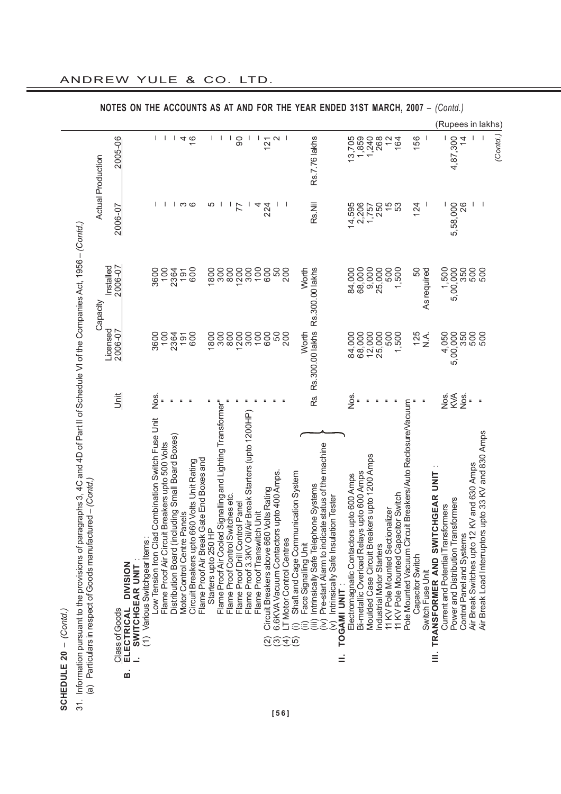|         | <b>I</b> pursuar |
|---------|------------------|
| ິລ      |                  |
|         | nation           |
|         | ۳                |
| بے<br>S | Ž                |

|                                                                                                                                                                                                                                                                                                                                                          |                          |                      | <b>NOTES ON</b>                                       |                               |                                                    |                                                     |                                                  |                                 |                                             |                                          |                      |                                                             |                                   |                                 |                                                                                       |                                         |                                             |                              |                                                                 |                      |                                              | THE ACCOUNTS AS AT AND FOR THE YEAR ENDED 31ST MARCH, 2007 -                                                                     |                                          |                                                                                           |                           |                                  |                                     |                                                               |                  |                                                          |                                    | (Contd.)                                |                                                                         |                                                         |                   |
|----------------------------------------------------------------------------------------------------------------------------------------------------------------------------------------------------------------------------------------------------------------------------------------------------------------------------------------------------------|--------------------------|----------------------|-------------------------------------------------------|-------------------------------|----------------------------------------------------|-----------------------------------------------------|--------------------------------------------------|---------------------------------|---------------------------------------------|------------------------------------------|----------------------|-------------------------------------------------------------|-----------------------------------|---------------------------------|---------------------------------------------------------------------------------------|-----------------------------------------|---------------------------------------------|------------------------------|-----------------------------------------------------------------|----------------------|----------------------------------------------|----------------------------------------------------------------------------------------------------------------------------------|------------------------------------------|-------------------------------------------------------------------------------------------|---------------------------|----------------------------------|-------------------------------------|---------------------------------------------------------------|------------------|----------------------------------------------------------|------------------------------------|-----------------------------------------|-------------------------------------------------------------------------|---------------------------------------------------------|-------------------|
|                                                                                                                                                                                                                                                                                                                                                          |                          |                      |                                                       |                               |                                                    |                                                     |                                                  |                                 |                                             |                                          |                      |                                                             |                                   |                                 |                                                                                       |                                         |                                             |                              |                                                                 |                      |                                              |                                                                                                                                  |                                          |                                                                                           |                           |                                  |                                     |                                                               |                  |                                                          |                                    |                                         |                                                                         |                                                         | (Rupees in lakhs) |
|                                                                                                                                                                                                                                                                                                                                                          | <b>Actual Production</b> | 2005-06              |                                                       |                               | $\mathbf{I}$                                       | $\mathbf{I}$                                        | $\mathbf{I}$                                     |                                 | $4\overline{6}$                             |                                          | $\mathbf{I}$         | ı                                                           | $\mathbf{I}$                      | $\overline{0}$                  | $\mathbf{I}$                                                                          | 121                                     | $\sim$                                      | -1                           |                                                                 |                      | <b>Rs.7.76 lakhs</b>                         |                                                                                                                                  | 13,705                                   | 1,859<br>1,240                                                                            | 268                       | $\frac{1}{2}$                    | 164                                 |                                                               | 156              | $\mathbf{I}$                                             |                                    | 4,87,300                                | $\frac{4}{3}$                                                           |                                                         | (Contd.)          |
|                                                                                                                                                                                                                                                                                                                                                          |                          | 2006-07              |                                                       |                               |                                                    |                                                     |                                                  | ၊ က                             | G                                           |                                          | 5                    |                                                             | T                                 |                                 | J.<br>4                                                                               | 224                                     |                                             | L                            |                                                                 |                      | Rs.Nil                                       |                                                                                                                                  | 14,595                                   | 2,206                                                                                     | 250                       |                                  | $\frac{5}{9}$                       |                                                               | 124              |                                                          |                                    | 5,58,000                                | 26                                                                      |                                                         |                   |
| binbailmains is                                                                                                                                                                                                                                                                                                                                          | Capacity                 | 2006-07<br>Installed |                                                       |                               | 100<br>3600                                        |                                                     | 2364                                             | 191                             | 600                                         |                                          | 1800                 | 300                                                         | 800                               | 1200                            | 100<br>300                                                                            | 600                                     | 50                                          | 200                          |                                                                 | Worth                | Rs.300.00 lakhs                              |                                                                                                                                  | 84,000                                   | 9,000<br>68,000                                                                           | 25,000                    | 500                              | 1,500                               |                                                               | 50               | As required                                              | 1,500                              | 5,00,000                                | 350<br>500                                                              | 500                                                     |                   |
|                                                                                                                                                                                                                                                                                                                                                          |                          | Licensed<br>2006-07  |                                                       |                               | 3600<br>100                                        |                                                     | 2364                                             | 191                             | 600                                         |                                          | 1800                 | 300                                                         | 800                               | 1200                            | 300<br>100                                                                            | 600                                     | 50                                          | 200                          |                                                                 | Worth                | Rs.300.00 lakhs                              |                                                                                                                                  | 84,000                                   | 68,000                                                                                    | 12,000<br>25,000          | 500                              | ,500                                |                                                               | 125              | <<br>≥                                                   | 4,050                              | 5,00,000                                | 350<br>500                                                              | 500                                                     |                   |
|                                                                                                                                                                                                                                                                                                                                                          |                          | jiat                 |                                                       |                               | Nos.                                               |                                                     |                                                  |                                 |                                             |                                          |                      |                                                             |                                   |                                 |                                                                                       |                                         |                                             |                              |                                                                 |                      | RS.                                          |                                                                                                                                  | Nos.                                     |                                                                                           |                           |                                  |                                     |                                                               |                  |                                                          | Sok                                | KVA                                     | Nos.<br>$\overline{a}$                                                  | $\,$ $\,$                                               |                   |
| Particulars in respect of Goods manufactured - (Contd.<br>District<br>ה<br>הכונה בכונה בכונה בכונה בכונה בכונה בכונה בכונה בכונה בכונה בכונה בכונה בכונה בכונה בכונה בכונה בכונה בכונה<br>כונה בכונה בכונה בכונה בכונה בכונה בכונה בכונה בכונה בכונה בכונה בכונה בכונה בכונה בכונה בכונה בכונה בכונה בכו<br>ing the same to the control<br>$\widehat{a}$ |                          | Class of Goods       | <b>DIVISION</b><br>SWITCHGEAR UNIT<br>ELECTRICAL<br>ø | (1) Various Switchgear Items: | Low Tension Iron Clad Combination Switch Fuse Unit | eakers upto 500 Volts<br>Flame Proof Air Circuit Br | Distribution Board (including Small Board Boxes) | els<br>Motor Control Centre Pan | Circuit Breakers upto 660 Volts Unit Rating | Flame Proof Air Break Gate End Boxes and | Starters upto 250 HP | Flame Proof Air Cooled Signalling and Lighting Transformer" | Flame Proof Control Switches etc. | Flame Proof Drill Control Panel | Flame Proof 3.3KV Oil/Air Break Starters (upto 1200HP)<br>Flame Proof Transwitch Unit | Circuit Breakers above 660 Volts Rating | 6.6KVA Vacuum Contactors upto 400 Amps<br>ၐ | T Motor Control Centres<br>Đ | Shaft and Cage Communication System<br>$\widehat{\mathfrak{G}}$ | Face Signalling Unit | Intrinsically Safe Telephone Systems<br>îii) | Pre-start Alarm to indicate status of the machine<br>(v) Intrinsically Safe Insulation Tester<br>TOGAMI UNIT<br>$\widehat{\geq}$ | Electromagnatic Contactors upto 600 Amps | Moulded Case Circuit Breakers upto 1200 Amps<br>Bi-metallic Overload Relays upto 600 Amps | Industrial Motor Starters | 11 KV Pole Mounted Sectionalizer | 11 KV Pole Mounted Capacitor Switch | Breakers/Auto Reclosure/Vacuum<br>Pole Mounted Vacuum Circuit | Capacitor Switch | TRANSFORMER AND SWITCHGEAR UNIT<br>Switch Fuse Unit<br>É | Current and Potential Transformers | ormers<br>Power and Distribution Transf | Air Break Switches upto 12 KV and 630 Amps<br>Control Panel and Systems | pto 33 KV and 830 Amps<br>Air Break Load Interruptors u |                   |

ANDREW YULE & CO. LTD.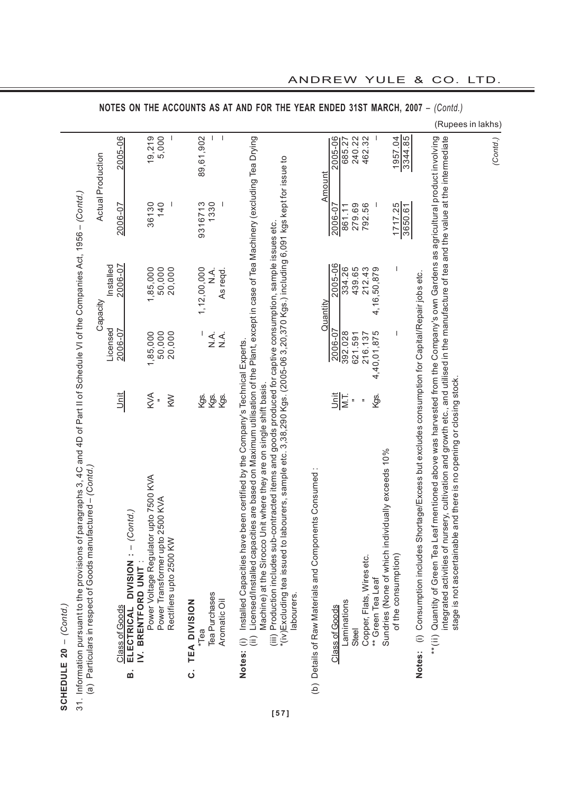| the provisions of paragraphs 3, 4C and 4D of Part II of Schedule VI of the Companies Act, 1956 – (Contd.)<br>.<br>Caracterist<br>ct of Goods manufactured - (Contd.)<br>(a) Particulars in resper<br>31. Information pursuant to<br>SCHEDULE 20 - (Contd. |
|-----------------------------------------------------------------------------------------------------------------------------------------------------------------------------------------------------------------------------------------------------------|
|-----------------------------------------------------------------------------------------------------------------------------------------------------------------------------------------------------------------------------------------------------------|

|                                                             | <b>NOTES</b>         |                                                                                |                                       |                                                            |                 |                                  |                          |                                                                                                                                                                                                                                        | ON THE ACCOUNTS AS AT AND FOR THE YEAR ENDED 31ST MARCH, 2007 -                                                                                                                                                                                                                                                        |                                                                   |          |                |             |                |                           |                                                                       |                         |                                                                                                            | (Contd.)                                                                                                                                                                                                                                                                                                                                            |          |
|-------------------------------------------------------------|----------------------|--------------------------------------------------------------------------------|---------------------------------------|------------------------------------------------------------|-----------------|----------------------------------|--------------------------|----------------------------------------------------------------------------------------------------------------------------------------------------------------------------------------------------------------------------------------|------------------------------------------------------------------------------------------------------------------------------------------------------------------------------------------------------------------------------------------------------------------------------------------------------------------------|-------------------------------------------------------------------|----------|----------------|-------------|----------------|---------------------------|-----------------------------------------------------------------------|-------------------------|------------------------------------------------------------------------------------------------------------|-----------------------------------------------------------------------------------------------------------------------------------------------------------------------------------------------------------------------------------------------------------------------------------------------------------------------------------------------------|----------|
|                                                             |                      |                                                                                |                                       |                                                            |                 |                                  |                          |                                                                                                                                                                                                                                        |                                                                                                                                                                                                                                                                                                                        |                                                                   |          |                |             |                |                           |                                                                       |                         |                                                                                                            | (Rupees in lakhs)                                                                                                                                                                                                                                                                                                                                   |          |
| <b>Actual Production</b>                                    | 2005-06              |                                                                                | 19,219                                | 5,000                                                      |                 | 89,61,902                        | $\overline{\phantom{a}}$ |                                                                                                                                                                                                                                        |                                                                                                                                                                                                                                                                                                                        |                                                                   | Amount   | 2005-06        | 685.27      | 240.22         | 462.32                    |                                                                       | 1957.04<br>3344.85      |                                                                                                            |                                                                                                                                                                                                                                                                                                                                                     | (Contd.) |
|                                                             | 2006-07              |                                                                                | 36130                                 | $\overline{\phantom{a}}$<br>140                            |                 | 9316713<br>1330                  | $\mathbf{I}$             |                                                                                                                                                                                                                                        |                                                                                                                                                                                                                                                                                                                        |                                                                   |          | 2006-07        | 861.11      | 279.69         | 792.56                    |                                                                       | .25<br>3650.61<br>1717. |                                                                                                            |                                                                                                                                                                                                                                                                                                                                                     |          |
| ;<br>)<br> <br> <br> <br> <br> <br> <br> <br>Capacity       | 2006-07<br>Installed |                                                                                | 1,85,000                              | 50,000<br>20,000                                           |                 | 1,12,00,000<br>$\frac{1}{2}$     | As regd.                 |                                                                                                                                                                                                                                        |                                                                                                                                                                                                                                                                                                                        |                                                                   | Quantity | 2005-06        | 334.26      | 439.65         | 212.43                    | 4,16,50,879                                                           |                         |                                                                                                            |                                                                                                                                                                                                                                                                                                                                                     |          |
|                                                             | Licensed<br>2006-07  |                                                                                | 1,85,000                              | 50,000<br>20,000                                           |                 | L<br>$\frac{1}{2}$               | $\sum_{i=1}^{n}$         |                                                                                                                                                                                                                                        |                                                                                                                                                                                                                                                                                                                        |                                                                   |          | 2006-07        | 392.028     | 621.591        | 216.137                   | 4,40,01,875                                                           | ı                       |                                                                                                            |                                                                                                                                                                                                                                                                                                                                                     |          |
|                                                             | <b>Unit</b>          |                                                                                | KVA<br>$\overline{\phantom{a}}$       | $\geqslant$                                                |                 | Kgs.<br>Kgs.                     | Kgs.                     |                                                                                                                                                                                                                                        |                                                                                                                                                                                                                                                                                                                        |                                                                   |          | <b>FIE</b>     |             | $\overline{a}$ | $\overline{a}$            | Kgs.                                                                  |                         |                                                                                                            |                                                                                                                                                                                                                                                                                                                                                     |          |
| (a) Particulars in respect of Goods manufactured - (Contd.) |                      | Class of Goods<br>ELECTRICAL DIVISION : - (Contd.)<br>IV. BRENTFORD UNIT<br>ம் | Power Voltage Regulator upto 7500 KVA | Power Transformer upto 2500 KVA<br>Rectifiers upto 2500 KW | C. TEA DIVISION | Tea Purchases<br><sup>*Tea</sup> | Aromatic Oil             | (ii) Licensed/Installed capacities are based on Maximum utilisation of the Plant, except in case of Tea Machinery (excluding Tea Drying<br>en certified by the Company's Technical Experts.<br>Notes: (i) Installed Capacities have be | *(iv)Excluding tea issued to labourers, sample etc. 3,38,290 Kgs. (2005-06 3,20,370 Kgs.) including 6,091 kgs kept for issue to<br>(iii) Production includes sub-contracted items and goods produced for captive consumption, sample issues etc.<br>Machine) at the Sirocco Unit where they are on single shift basis. | (b) Details of Raw Materials and Components Consumed<br>abourers. |          | Class of Goods | Laminations | Steel          | Copper, Flats, Wires etc. | Sundries (None of which individually exceeds 10%<br>** Green Tea Leaf | of the consumption)     | tage/Excess but excludes consumption for Capital/Repair jobs etc.<br>Notes: (i) Consumption includes Short | integrated activities of nursery, cultivation and growth etc., and utilised in the manufacture of tea and the value at the intermediate<br>**(ii) Quantity of Green Tea Leaf mentioned above was harvested from the Company's own Gardens as agricultural product involving<br>stage is not ascertainable and there is no opening or closing stock. |          |

**[57]**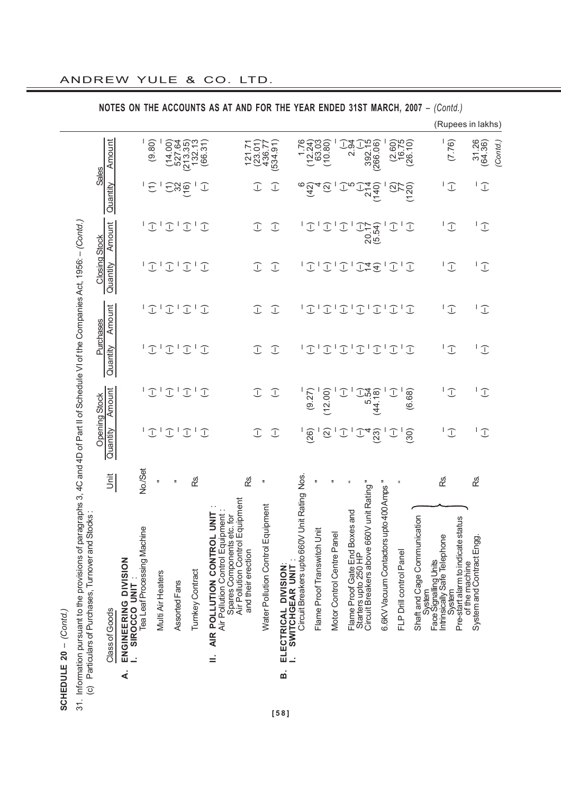$\overline{5}$ 

| 31. Information pursuant to the provisions of paragraphs 3, 4C and 4D of Part II of Schedule VI of the Companies Act, 1956: -- (Contd.) |               |                                                                |                    |                   |                       |              |               |                     |
|-----------------------------------------------------------------------------------------------------------------------------------------|---------------|----------------------------------------------------------------|--------------------|-------------------|-----------------------|--------------|---------------|---------------------|
| <b>Stocks</b><br>(c) Particulars of Purchases, Turnover and                                                                             |               |                                                                |                    |                   |                       |              |               |                     |
|                                                                                                                                         |               | <b>Opening Stock</b>                                           |                    | Purchases         | <b>Closing Stock</b>  |              | <b>Sales</b>  |                     |
| Class of Goods                                                                                                                          | $rac{\pi}{2}$ | Amount<br>Quantity                                             | Quantity           | Amount            | Quantity              | Amount       | Quantity      | Amount              |
| A. ENGINEERING DIVISION<br>SIROCCO UNIT                                                                                                 |               |                                                                |                    |                   |                       |              |               |                     |
| Tea Leaf Processing Machine                                                                                                             | No./Set       |                                                                |                    |                   |                       |              |               |                     |
|                                                                                                                                         | ÷             | I<br>T                                                         | I                  | I                 | $\mathbb{C}$          | I            | E             | (9.80)              |
| Multi Air Heaters                                                                                                                       |               |                                                                |                    | I                 | I                     |              |               |                     |
| Assorted Fans                                                                                                                           | Ξ             | I<br>$\mathbb{C}$<br>$\overline{\phantom{a}}$<br>$\mathcal{I}$ | I<br>$\mathcal{I}$ | ļ<br>$\bigcup$    | I<br>$\mathcal{I}$    | J            | Egé           | 527.64<br>14.00     |
| Turnkey Contract                                                                                                                        | œ.            | $\mathbb{C}$<br>I                                              | I<br>I             | ľ<br>$\mathbb{C}$ | ľ<br>$\widehat{\bot}$ | I            |               | 213.35<br>132.13    |
|                                                                                                                                         |               | $\mathbb{C}$<br>J                                              | $\bigcirc$         | $\mathbb{C}$      | $\widehat{\bot}$      | I            | $\bigcup$     | (66.31)             |
| Air Pollution Control Equipment<br><b>II. AIR POLLUTION CONTROL UNI</b>                                                                 |               |                                                                |                    |                   |                       |              |               |                     |
| meni<br>Spares Components etc. for<br>Air Pollution Control Equipn<br>and their erection                                                | ൙             |                                                                |                    |                   |                       |              |               |                     |
|                                                                                                                                         | ÷             | I<br>J                                                         | $\mathcal{I}$      | J                 | J                     | I            | I             | $(23.01)$<br>436.77 |
| Water Pollution Control Equipment                                                                                                       |               | $\mathbb{C}$<br>$\mathbb{C}$                                   | J                  | J                 | $\mathbb{C}$          | $\mathbb{C}$ | $\mathcal{I}$ | 534.91              |
| <b>B. ELECTRICAL DIVISION:</b><br>SWITCHGEAR UNIT                                                                                       |               |                                                                |                    |                   |                       |              |               |                     |

ANDREW YULE & CO. LTD.

**NOTES ON THE ACCOUNTS AS AT AND FOR THE YEAR ENDED 31ST MARCH, 2007** – *(Contd.)*

 $\frac{1}{2\frac{1}{2}}$ 

 $\begin{array}{c}\n\overset{\mathcal{A}}{\circ} \\
\overset{\mathcal{A}}{\circ} \\
\overset{\mathcal{A}}{\circ} \\
\overset{\mathcal{A}}{\circ} \\
\overset{\mathcal{A}}{\circ} \\
\overset{\mathcal{A}}{\circ} \\
\overset{\mathcal{A}}{\circ} \\
\overset{\mathcal{A}}{\circ} \\
\overset{\mathcal{A}}{\circ} \\
\overset{\mathcal{A}}{\circ} \\
\overset{\mathcal{A}}{\circ} \\
\overset{\mathcal{A}}{\circ} \\
\overset{\mathcal{A}}{\circ} \\
\overset{\mathcal{A}}{\circ} \\
\overset{\mathcal{A}}{\circ} \\
\overset{\mathcal{A}}{\circ} \\
\overset{\$ 

 $(12.24)$ <br> $(12.24)$ <br> $63.03$ <br> $(10.80)$ 

 $\begin{array}{c} -1 \\ -292.15 \\ -266.06 \end{array}$ 

 $1717177777777777777$ 

 $(2.60)$ <br> $16.75$ <br> $(26.10)$ 

 $\frac{1}{2}$ 

(Rupees in lakhs)

 $(7.76)$  $\overline{\phantom{a}}$ 

 $\overline{\mathcal{L}}$ 

 $\overline{L}$ 

 $\overline{L}$ 

*(Contd.)*

 $31.26$ <br>(64.36)

 $\overline{\mathcal{L}}$ 

 $\overline{L}$ 

(98.49) (–) (–) (–) (–) (–) (–) (–) (–) (–)

 $\overline{L}$ 

(26) (9.27) (–) (–) (–) (–) (42) (12.24) (2) (2) (–) (–) (–) (–) (2) (2) (2) (2) Motor Control Centre Panel " – – – – – – – – 6.6KV Vacuum Contactors upto 400 Amps " – – – – – – – – (–) (–) (–) (–) (–) (–) (2) (2.60) PLP DRILL DE DRILL DE DRILL DE DRILL DE DRILL DE DRILL DE DRILL DE DRILL DE DRILL DE DRILL DE DRILL DE DRILL D<br>DE DRILL DE DRILL DE DRILL DE DRILL DE DRILL DE DRILL DE DRILL DE DRILL DE DRILL DE DRILL DE DRILL DE DRILL DE (30) (6.68) (–) (–) (–) (–) (120) (26.10) Intrinsically Safe Telephone Rs. – – – – – – – – System (–) (–) (–) (–) (–) (–) (–) (7.76) Circuit Breakers upto 660V Unit Rating Nos. – – – – – – 6 1.76 SO. Some Proof Proof Proof Proof Proof Proof Proof Proof Proof Proof Proof Proof Proof Proof Proof P (–) (–) (–) (–) (–) (–) (–) (–) Flame Proof Gate End Boxes and " – – – – – – 5 2.94 Starters upto 250 HP (–) (–) (–) (–) (–) (–) (–) (–) Circuit Breakers above 660V unit Rating " 4 5.54 – – 14 20.17 214 392.15 (23) (24.19) (44.19) (44.19) (44.19) (1) (1) (26.1987.1947 (19.1980) Sovive and Product Engines and Product Engines and Product Engines and Product Engines and Product Engines and  $10101010101010$  $\overline{1}$  $\sqrt{L}$  $\mathbf{1} \mathbf{1} \mathbf{1} \mathbf{1} \mathbf{1} \mathbf{1} \mathbf{1} \mathbf{1} \mathbf{1} \mathbf{1} \mathbf{1} \mathbf{1} \mathbf{1} \mathbf{1} \mathbf{1} \mathbf{1} \mathbf{1} \mathbf{1} \mathbf{1} \mathbf{1} \mathbf{1} \mathbf{1} \mathbf{1} \mathbf{1} \mathbf{1} \mathbf{1} \mathbf{1} \mathbf{1} \mathbf{1} \mathbf{1} \mathbf{1} \mathbf{1} \mathbf{1} \mathbf{1} \mathbf{1} \mathbf{1} \mathbf{$  $\overline{L}$  $\overline{\mathbb{C}}$  $(9.27)$ <br> $(12.00)$  $\frac{44}{-}$ <br> $\frac{44}{-}$ <br> $\frac{44}{-}$ <br> $\frac{44}{-}$  $(6.68)$  $\overline{\mathbb{C}}$  $\overline{\mathbb{C}}$  $\overline{L}$  $\overline{L}$ TCHGEAR UNIT:<br>Circuit Breakers upto 660V Unit Rating Nos. R8. œ.  $\ddot{\phantom{a}}$ Flame Proof Gate End Boxes and<br>Starters upto 250 HP<br>Circuit Breakers above 660V unit Rating " 6.6KV Vacuum Contactors upto 400 Amps " u. Shaft and Cage Communication<br>System<br>Face Signalling Units<br>Intrinsically Safe Telephone Pre-start alarm to indicate status Shaft and Cage Communication Pre-start alarm to indicate status Flame Proof Transwitch Unit Motor Control Centre Panel of the machine<br>System and Contract Engg. FLP Drill control Panel **I. SWITCHGEAR UNIT** : Face Signalling Units of the machine Svstem<br>Svstem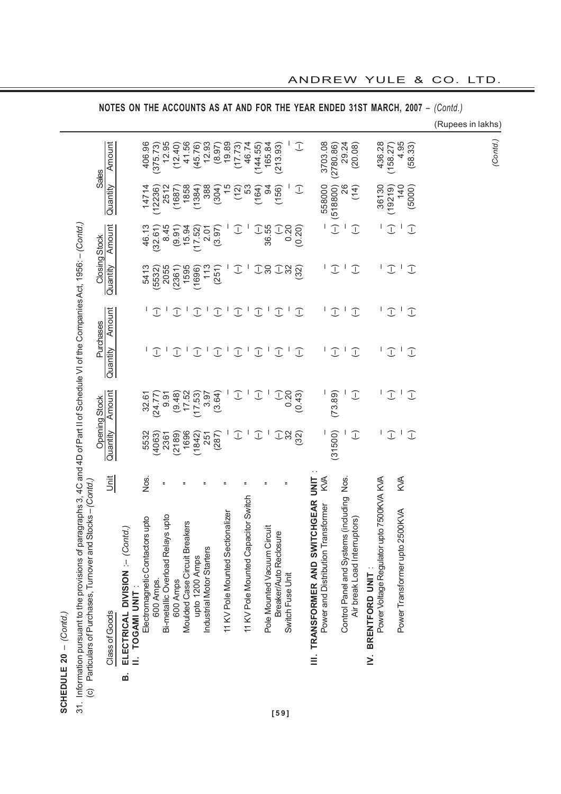| I<br>ומלחמת חדותת מי<br>SCHEDULE 20                                                                                                                                                                      |
|----------------------------------------------------------------------------------------------------------------------------------------------------------------------------------------------------------|
| rsuant to the provisions of paragraphs 3, 4C and 4D of Part II of Schedule VI of the Companies Act, 1956: $-($ Contd.<br>of Purchases. Tumover and Stocks – <i>(Contd.)</i><br>articulars<br>3<br>ć<br>J |

|                                                     | 406.96 | 375.73       | 12.95                                                      | (12.40)                                                       | 41.56        | (45.76)                                                         | 12.93          | (8.97)                            |                         |                                                            |                                                                                                        |                                                                                    |                                                                     |                                                                                                                   | $\mathcal{I}$                                                                                          |                                                                  |                                        | 29.24                                                             | (20.08)                                                                                  |                                      | 436.28 |                                          |                                                                                                        |                                                                                                                             |                                                                                                                 |  |  | (Contd.)          |
|-----------------------------------------------------|--------|--------------|------------------------------------------------------------|---------------------------------------------------------------|--------------|-----------------------------------------------------------------|----------------|-----------------------------------|-------------------------|------------------------------------------------------------|--------------------------------------------------------------------------------------------------------|------------------------------------------------------------------------------------|---------------------------------------------------------------------|-------------------------------------------------------------------------------------------------------------------|--------------------------------------------------------------------------------------------------------|------------------------------------------------------------------|----------------------------------------|-------------------------------------------------------------------|------------------------------------------------------------------------------------------|--------------------------------------|--------|------------------------------------------|--------------------------------------------------------------------------------------------------------|-----------------------------------------------------------------------------------------------------------------------------|-----------------------------------------------------------------------------------------------------------------|--|--|-------------------|
|                                                     | 14714  |              |                                                            | (1687)                                                        |              | 1384)                                                           | 388            |                                   |                         |                                                            |                                                                                                        |                                                                                    |                                                                     |                                                                                                                   | J                                                                                                      |                                                                  |                                        | 26                                                                | (14)                                                                                     |                                      | 36130  |                                          |                                                                                                        |                                                                                                                             |                                                                                                                 |  |  |                   |
|                                                     | 46.13  | (32.61)      | 8.45                                                       | (9.91)                                                        |              | (17.52)                                                         |                | (3.97)                            |                         |                                                            |                                                                                                        |                                                                                    |                                                                     |                                                                                                                   | (0.20)                                                                                                 |                                                                  |                                        |                                                                   | J                                                                                        |                                      |        |                                          |                                                                                                        |                                                                                                                             |                                                                                                                 |  |  |                   |
|                                                     | 5413   | (5532)       |                                                            | (2361)                                                        |              | (1696)                                                          | 113            |                                   |                         |                                                            |                                                                                                        |                                                                                    |                                                                     |                                                                                                                   | 32)                                                                                                    |                                                                  |                                        |                                                                   | I                                                                                        |                                      |        |                                          |                                                                                                        |                                                                                                                             |                                                                                                                 |  |  |                   |
|                                                     |        |              |                                                            | I                                                             | J,           | I                                                               | J,             | J                                 | J,                      |                                                            |                                                                                                        |                                                                                    |                                                                     | $\mathbf{I}$                                                                                                      | $\mathbb{C}$                                                                                           |                                                                  |                                        |                                                                   | $\bigcirc$                                                                               |                                      | L      |                                          |                                                                                                        |                                                                                                                             |                                                                                                                 |  |  |                   |
|                                                     |        | $\mathbb{C}$ |                                                            | $\mathbb{C}$                                                  | $\mathbf{I}$ | J                                                               | $\mathbf{I}$   | J                                 |                         |                                                            |                                                                                                        |                                                                                    |                                                                     | $\mathbf{I}$                                                                                                      | $\mathbb{C}$                                                                                           |                                                                  |                                        | $\mathbf{I}$                                                      | $\bigcup$                                                                                |                                      |        |                                          |                                                                                                        |                                                                                                                             |                                                                                                                 |  |  |                   |
|                                                     | 32.61  | (24.77)      | 9.91                                                       | (9.48)                                                        |              | (17.53)                                                         | 3.97           | (3.64)                            |                         |                                                            |                                                                                                        |                                                                                    |                                                                     |                                                                                                                   | (0.43)                                                                                                 |                                                                  |                                        |                                                                   | $\mathbb{C}$                                                                             |                                      |        |                                          |                                                                                                        |                                                                                                                             |                                                                                                                 |  |  |                   |
|                                                     | 5532   | (4063)       |                                                            | (2189)                                                        | 1696         | (1842)                                                          | 251            |                                   |                         |                                                            |                                                                                                        |                                                                                    |                                                                     |                                                                                                                   | $\widetilde{32}$                                                                                       |                                                                  |                                        |                                                                   | $\mathbb{C}$                                                                             |                                      |        |                                          |                                                                                                        |                                                                                                                             |                                                                                                                 |  |  |                   |
|                                                     | Nos.   |              |                                                            |                                                               |              |                                                                 |                |                                   |                         |                                                            |                                                                                                        | ÷                                                                                  |                                                                     | Ξ                                                                                                                 |                                                                                                        | UNIT                                                             |                                        | Nos.                                                              |                                                                                          |                                      |        |                                          |                                                                                                        |                                                                                                                             |                                                                                                                 |  |  |                   |
| ELECTRICAL DIVISION :- (Contd.)<br>TOGAMI UNIT<br>ø |        | 600 Amps.    |                                                            | 600 Amps                                                      |              |                                                                 |                |                                   |                         |                                                            |                                                                                                        |                                                                                    |                                                                     |                                                                                                                   |                                                                                                        |                                                                  |                                        |                                                                   | Air break Load Interruptors)                                                             | BRENTFORD UNIT<br>$\geq$             |        |                                          |                                                                                                        |                                                                                                                             |                                                                                                                 |  |  |                   |
|                                                     |        |              | (12236)<br>$\mathbb{C}$<br>Electromagnetic Contactors upto | 2512<br>2055<br>2361<br>Ξ<br>Bi-metallic Overload Relays upto |              | 1858<br>15.94<br>1595<br>17.52<br>Moulded Case Circuit Breakers | upto 1200 Amps | 2.01<br>Industrial Motor Starters | (304)<br>(251)<br>(287) | 19.89<br>$\frac{5}{3}$<br>11 KV Pole Mounted Sectionalizer | (17.73)<br>(12)<br>I<br>$\mathbb{C}$<br>$\mathbb{C}$<br>$\mathbb{C}$<br>$\mathcal{I}$<br>$\mathcal{I}$ | 46.74<br>53<br>$\mathbf{I}$<br>$\mathbf{I}$<br>11 KV Pole Mounted Capacitor Switch | 144.55<br>(164)<br>I<br>J<br>$\mathbb{C}$<br>$\mathbb{C}$<br>J<br>J | 165.84<br>$\mathfrak{A}$<br>36.55<br>$\overline{\mathrm{S}}$<br>$\mathbf{I}$<br>J.<br>Pole Mounted Vacuum Circuit | (213.93)<br>(156)<br>0.20<br>J<br>$\mathcal{I}$<br>$\mathbb{C}$<br>0.20<br>J<br>Breaker/Auto Reclosure | $\sum_{i=1}^{n} a_i$<br>$\sum_{i=1}^{n} a_i$<br>Switch Fuse Unit | <b>III. TRANSFORMER AND SWITCHGEAR</b> | 3703.08<br>558000<br>КW<br>ansformer<br>Power and Distribution Tr | (2780.86)<br>(518800)<br>$\mathcal{I}$<br>$\mathbb{C}$<br>ΙJ<br>ΙJ<br>(73.89)<br>(31500) | Control Panel and Systems (including |        | Power Voltage Regulator upto 7500KVA KVA | (158.27)<br>(19219)<br>I<br>I<br>$\mathbb{C}$<br>$\mathbb{C}$<br>$\overline{\mathbb{C}}$<br>$\bigcirc$ | 4.95<br>140<br>$\mathbf{I}$<br>$\mathbf{I}$<br>$\mathbf{I}$<br>$\mathbf{I}$<br><b>KVA</b><br>Power Transformer upto 2500KVA | (58.33)<br>(5000)<br>$\mathbb{C}$<br>$\mathbb{C}$<br>$\bigcirc$<br>$\mathcal{I}$<br>$\mathcal{I}$<br>$\bigcirc$ |  |  | (Rupees in lakhs) |

**NOTES ON THE ACCOUNTS AS AT AND FOR THE YEAR ENDED 31ST MARCH, 2007** – *(Contd.)*

# ANDREW YULE & CO. LTD.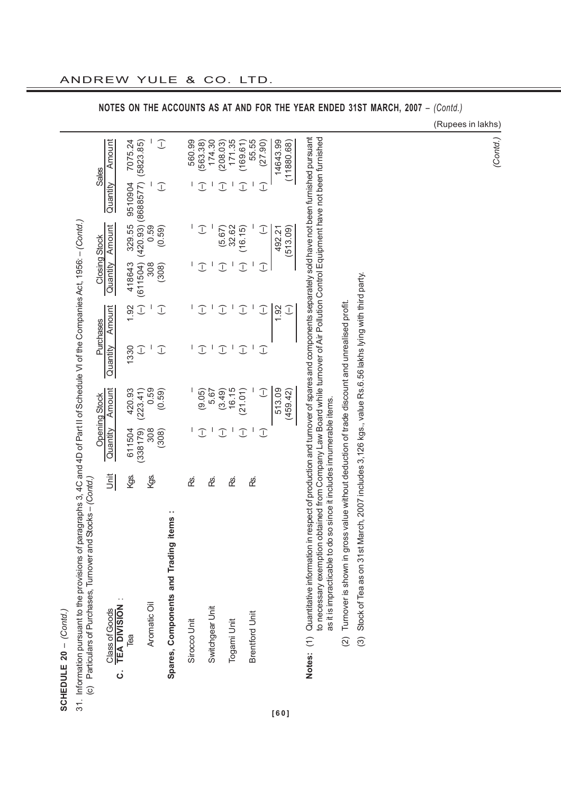| ፣<br>ŕ    | Ę<br>nformation pursuant |
|-----------|--------------------------|
|           |                          |
| 02<br>- 미 |                          |
|           |                          |
| ŗ<br>5    |                          |
| こっ        | J.                       |

| j.<br>l<br>1<br>֧֧֧֧֦֧ׅ֧֦֧֧֦֧֦֧֧֦֧֧֧֧֦֧֧֧֧֦֧֚֚֚֚֚֚֚֚֚֚֚֚֚֚֚֚֚֚֚֚֚֚֚֚֚֚֚֬֘֝֘֝֘֝֝֬֝֓֜֓֡֞֓֓֞֞֞֞֞֡֝֬֝֓֞֝֬֞֞֞֞֞֞֞ |                                                                                                                                       |
|--------------------------------------------------------------------------------------------------------------|---------------------------------------------------------------------------------------------------------------------------------------|
| ם<br>י<br>ة<br>ح                                                                                             |                                                                                                                                       |
| ١<br> <br> <br> <br> <br>$50 - 24$<br>1                                                                      | I<br>$\overline{\phantom{0}}$<br>֦֧֦֧ׅ֧ׅ֪ׅ֧ׅ֧֪ׅ֪ׅ֧֧ׅ֧ׅ֧ׅ֪ׅ֧֚֚֚֚֚֚֚֚֚֚֚֚֚֚֚֚֚֚֚֚֚֚֚֡֡֡֡֡֡֡֬֓֡֬֜֓֡֓֡֬֓֓֡֡֬֓֜֓֓֡֬֓֓֞֡֝֓֞֝֬֝֬֝֬֝֬֝֬֝֝֬֝֝֬ |
| - בח+ ה+ הפווס״<br>5<br>Ś<br>j<br>Í<br>j                                                                     | i<br>L<br>cf<br>i<br>I<br>ׇ֚֬                                                                                                         |
|                                                                                                              |                                                                                                                                       |

|                                       |             |          | Opening Stock |          | Purchases          | <b>Closing Stock</b>   |                      |                                             | <b>Sales</b> |
|---------------------------------------|-------------|----------|---------------|----------|--------------------|------------------------|----------------------|---------------------------------------------|--------------|
| <b>TEA DIVISION</b><br>Class of Goods | <u>Jnit</u> | Quantity | Amoun'        | Quantity | Amoun <sup>-</sup> |                        | Quantity Amount      | Quantity                                    | Amoun        |
| Tea                                   | kgs.        | 611504   | 420.93        | 1330     | 1.92               |                        |                      | 418643 329.55 9510904                       | 7075.24      |
|                                       |             | (338179) | (223.41)      | J        |                    |                        |                      | $(-)$ (611504) (420.93) (8688577) (5823.85) |              |
| Aromatic Oil                          | ලි.<br>ආ    | 308      | 0.59          |          | I                  | 308                    | 0.59                 |                                             |              |
|                                       |             | (308)    | (0.59)        | I        | J                  | (308)                  | (0.59)               | J                                           | J            |
| Spares, Components and Trading items  |             |          |               |          |                    |                        |                      |                                             |              |
| Sirocco Unit                          | ൙           |          |               |          |                    |                        |                      |                                             | 560.99       |
|                                       |             | I        | (9.05)        | I        | $\top$             | I                      | $\tilde{\mathbb{L}}$ | $\mathbb{C}$                                | (563.38)     |
| Switchgear Unit                       | ൙           |          | 5.67          |          |                    |                        |                      |                                             | 174.30       |
|                                       |             | T        | (3.49)        | I        | I                  | J                      | (5.67)               | ╗                                           | 208.03       |
| Togami Unit                           | දී          |          | 16.15         |          |                    |                        | 32.62                |                                             | 171.35       |
|                                       |             | I        | (21.01)       | I        | ī                  | $\widehat{\mathbb{C}}$ | (16.15)              | T                                           | 169.61       |
| <b>Brentford Unit</b>                 | දී          |          |               |          |                    |                        |                      |                                             | 55.55        |
|                                       |             | J        | J             | I        | I                  | T                      | J                    | $\mathbb{C}$                                | (27.90)      |
|                                       |             |          | 513.09        |          | 1.92               |                        | 492.21               |                                             | 14643.99     |
|                                       |             |          | (459.42)      |          | I                  |                        | (513.09)             |                                             | (11880.68)   |
|                                       |             |          |               |          |                    |                        |                      |                                             |              |

Notes: (1)Quantitative information in respect of production and turnover of spares and components separately sold have not been furnished pursuant<br>to necessary exemption obtained from Company Law Board while turnover of Ai **Notes:** (1) Quantitative information in respect of production and turnover of spares and components separately sold have not been furnished pursuant to necessary exemption obtained from Company Law Board while turnover of Air Pollution Control Equipment have not been furnished as it is impracticable to do so since it includes innumerable items. as it is impracticable to do so since it includes innumerable items.

(2) Tumover is shown in gross value without deduction of trade discount and unrealised profit. (2) Turnover is shown in gross value without deduction of trade discount and unrealised profit. (3) Stock of Tea as on 31st March, 2007 includes 3,126 kgs., value Rs.6.56 lakhs lying with third party. (3) Stock of Tea as on 31st March, 2007 includes 3,126 kgs., value Rs.6.56 lakhs lying with third party.

**NOTES ON THE ACCOUNTS AS AT AND FOR THE YEAR ENDED 31ST MARCH, 2007** – *(Contd.)*

(Rupees in lakhs)

*(Contd.)*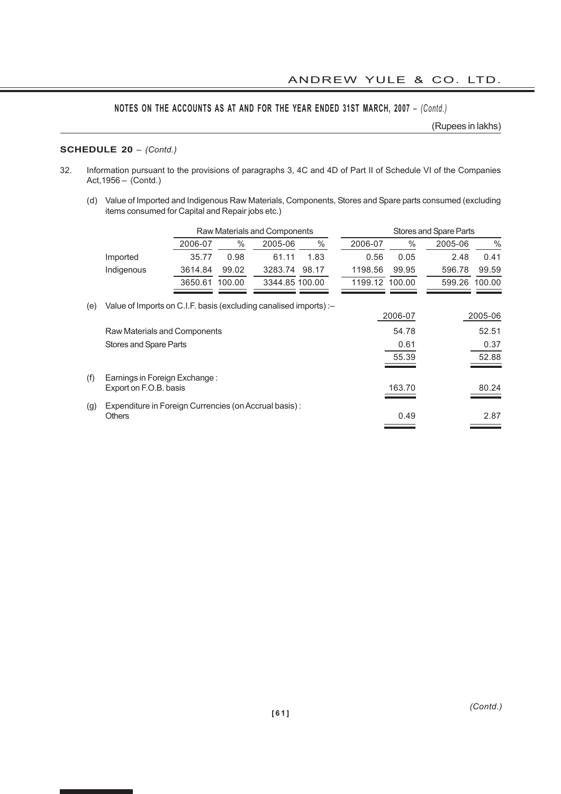(Rupees in lakhs)

# **SCHEDULE 20** – *(Contd.)*

- 32. Information pursuant to the provisions of paragraphs 3, 4C and 4D of Part II of Schedule VI of the Companies Act,1956 – (Contd.)
	- (d) Value of Imported and Indigenous Raw Materials, Components, Stores and Spare parts consumed (excluding items consumed for Capital and Repair jobs etc.)

|     |                                                                   |         |        | Raw Materials and Components |       |         |                | Stores and Spare Parts |               |
|-----|-------------------------------------------------------------------|---------|--------|------------------------------|-------|---------|----------------|------------------------|---------------|
|     |                                                                   | 2006-07 | $\%$   | 2005-06                      | $\%$  | 2006-07 | $\%$           | 2005-06                | $\frac{0}{0}$ |
|     | Imported                                                          | 35.77   | 0.98   | 61.11                        | 1.83  | 0.56    | 0.05           | 2.48                   | 0.41          |
|     | Indigenous                                                        | 3614.84 | 99.02  | 3283.74                      | 98.17 | 1198.56 | 99.95          | 596.78                 | 99.59         |
|     |                                                                   | 3650.61 | 100.00 | 3344.85 100.00               |       |         | 1199.12 100.00 | 599.26                 | 100.00        |
| (e) | Value of Imports on C.I.F. basis (excluding canalised imports) :- |         |        |                              |       |         | 2006-07        |                        | 2005-06       |
|     | Raw Materials and Components                                      |         |        |                              |       |         | 54.78          |                        | 52.51         |
|     | Stores and Spare Parts                                            |         |        |                              |       |         | 0.61           |                        | 0.37          |
|     |                                                                   |         |        |                              |       |         | 55.39          |                        | 52.88         |
| (f) | Earnings in Foreign Exchange:<br>Export on F.O.B. basis           |         |        |                              |       |         | 163.70         |                        | 80.24         |
| (g) | Expenditure in Foreign Currencies (on Accrual basis):<br>Others   |         |        |                              |       |         | 0.49           |                        | 2.87          |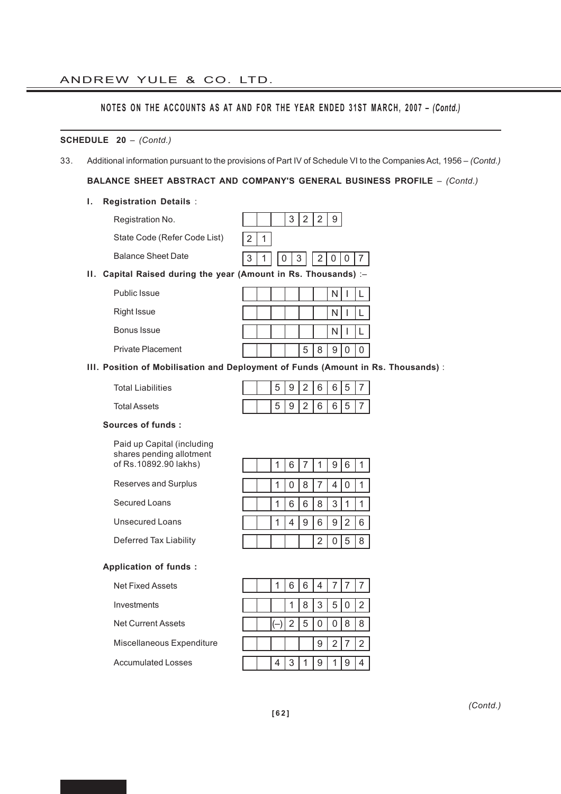# ANDREW YULE & CO. LTD.

# **NOTES ON THE ACCOUNTS AS AT AND FOR THE YEAR ENDED 31ST MARCH, 2007 –** *(Contd.)*

### **SCHEDULE 20** – *(Contd.)*

33. Additional information pursuant to the provisions of Part IV of Schedule VI to the Companies Act, 1956 – *(Contd.)*

**BALANCE SHEET ABSTRACT AND COMPANY'S GENERAL BUSINESS PROFILE** – *(Contd.)*

# **I. Registration Details** :

| Registration No.                                                  | 3<br>2<br>9 |
|-------------------------------------------------------------------|-------------|
| State Code (Refer Code List)                                      |             |
| <b>Balance Sheet Date</b>                                         | 3<br>3      |
| Capital Raised during the year (Amount in Rs. Thousands) :-<br>н. |             |
| Public Issue                                                      | N           |
| <b>Right Issue</b>                                                | N           |
| Bonus Issue                                                       | N           |
| <b>Private Placement</b>                                          | 8<br>5<br>9 |

# **III. Position of Mobilisation and Deployment of Funds (Amount in Rs. Thousands)** :

Total Liabilities

Total Assets

# **Sources of funds :**

Paid up Capital (including shares pending allotment of Rs.10892.90 lakhs)

Reserves and Surplus

Secured Loans

Unsecured Loans

Deferred Tax Liability

# **Application of funds :**

Net Fixed Assets

Investments

Net Current Assets

Miscellaneous Expenditure

Accumulated Losses

|  |  | 6 7 | 1 <sup>1</sup> |     | 9 6 |  |
|--|--|-----|----------------|-----|-----|--|
|  |  |     | 0 8 7          | 4 0 |     |  |
|  |  |     | 6 6 8 3        |     |     |  |
|  |  |     | 9 6 9 2 6      |     |     |  |
|  |  |     | 2              | 0   | 5 8 |  |

 $5 | 9 | 2 | 6 | 6 | 5 | 7$ 

 $5 | 9 | 2 | 6 | 6 | 5 | 7$ 

|  |   |              | 6 6 4 7 7 |         |   |
|--|---|--------------|-----------|---------|---|
|  |   |              | 1 8 3 5 0 |         | 2 |
|  |   |              | 2 5 0     | 0 8     | 8 |
|  |   |              |           | 9 2 7 2 |   |
|  | 3 | $\mathbf{1}$ | 9         | -1      |   |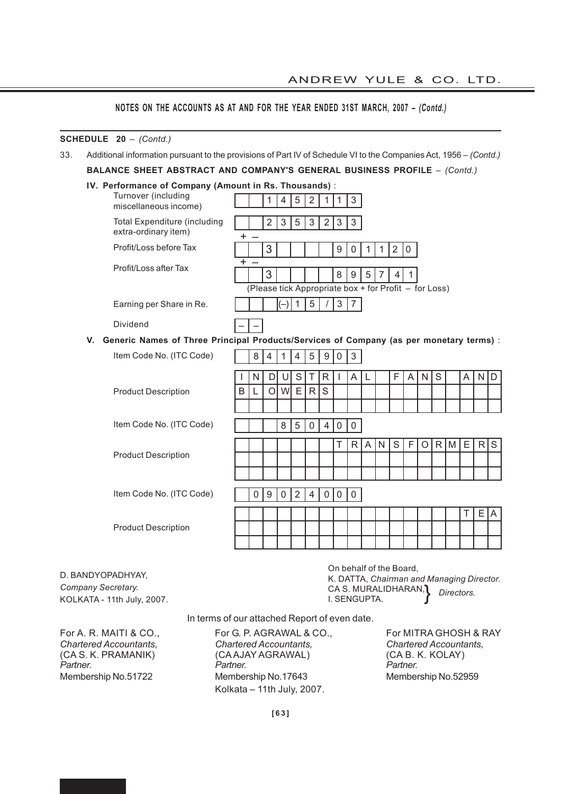# **SCHEDULE 20** – *(Contd.)*

33. Additional information pursuant to the provisions of Part IV of Schedule VI to the Companies Act, 1956 – *(Contd.)*

**BALANCE SHEET ABSTRACT AND COMPANY'S GENERAL BUSINESS PROFILE** – *(Contd.)*

| IV. Performance of Company (Amount in Rs. Thousands): |  |  |  |
|-------------------------------------------------------|--|--|--|
|-------------------------------------------------------|--|--|--|

|    | Turnover (including<br>miscellaneous income)                                            |   |   | 1                | 4              | 5              | 2               | 1                | $\mathbf{1}$ | 3                                                     |              |              |                |             |   |   |   |   |    |                |
|----|-----------------------------------------------------------------------------------------|---|---|------------------|----------------|----------------|-----------------|------------------|--------------|-------------------------------------------------------|--------------|--------------|----------------|-------------|---|---|---|---|----|----------------|
|    | <b>Total Expenditure (including</b><br>extra-ordinary item)                             |   |   | 2                | $\mathfrak{S}$ | 5              | $\sqrt{3}$      | 2 <sup>1</sup>   | $\mathbf{3}$ | $\mathbf{3}$                                          |              |              |                |             |   |   |   |   |    |                |
|    | Profit/Loss before Tax                                                                  |   |   | 3                |                |                |                 |                  | 9            | 0                                                     | $\mathbf{1}$ | $\mathbf{1}$ | $\overline{2}$ | $\mathbf 0$ |   |   |   |   |    |                |
|    | Profit/Loss after Tax                                                                   |   |   | 3                |                |                |                 |                  | 8            | 9                                                     | 5            | 7            | 4              | 1           |   |   |   |   |    |                |
|    |                                                                                         |   |   |                  |                |                |                 |                  |              | (Please tick Appropriate box + for Profit - for Loss) |              |              |                |             |   |   |   |   |    |                |
|    | Earning per Share in Re.                                                                |   |   |                  |                | $\mathbf{1}$   | $5\phantom{.0}$ |                  | $\mathbf{3}$ | $\overline{7}$                                        |              |              |                |             |   |   |   |   |    |                |
|    | Dividend                                                                                |   |   |                  |                |                |                 |                  |              |                                                       |              |              |                |             |   |   |   |   |    |                |
| V. | Generic Names of Three Principal Products/Services of Company (as per monetary terms) : |   |   |                  |                |                |                 |                  |              |                                                       |              |              |                |             |   |   |   |   |    |                |
|    | Item Code No. (ITC Code)                                                                |   | 8 | $\overline{4}$   | $\mathbf{1}$   | $\overline{4}$ | 5               | $\boldsymbol{9}$ | $\mathbf 0$  | 3                                                     |              |              |                |             |   |   |   |   |    |                |
|    |                                                                                         |   | N | D                | U              | S              | Τ               | $\mathsf{R}$     |              | A                                                     | L            |              | F              | A           | N | S |   | A | N  | D              |
|    | <b>Product Description</b>                                                              | B | L | O                | W              | E              | R               | S                |              |                                                       |              |              |                |             |   |   |   |   |    |                |
|    |                                                                                         |   |   |                  |                |                |                 |                  |              |                                                       |              |              |                |             |   |   |   |   |    |                |
|    | Item Code No. (ITC Code)                                                                |   |   |                  | 8              | 5              | $\mathbf{0}$    | 4                | 0            | $\mathbf{0}$                                          |              |              |                |             |   |   |   |   |    |                |
|    |                                                                                         |   |   |                  |                |                |                 |                  | Т            | R                                                     | A            | N            | S              | F           | O | R | M | E | R  | S              |
|    | <b>Product Description</b>                                                              |   |   |                  |                |                |                 |                  |              |                                                       |              |              |                |             |   |   |   |   |    |                |
|    |                                                                                         |   |   |                  |                |                |                 |                  |              |                                                       |              |              |                |             |   |   |   |   |    |                |
|    | Item Code No. (ITC Code)                                                                |   | 0 | $\boldsymbol{9}$ | $\mathbf 0$    | $\sqrt{2}$     | $\overline{4}$  | 0 <sup>1</sup>   | $\mathsf 0$  | $\mathbf 0$                                           |              |              |                |             |   |   |   |   |    |                |
|    |                                                                                         |   |   |                  |                |                |                 |                  |              |                                                       |              |              |                |             |   |   |   | Τ | E. | $\overline{A}$ |
|    | <b>Product Description</b>                                                              |   |   |                  |                |                |                 |                  |              |                                                       |              |              |                |             |   |   |   |   |    |                |
|    |                                                                                         |   |   |                  |                |                |                 |                  |              |                                                       |              |              |                |             |   |   |   |   |    |                |

D. BANDYOPADHYAY, *Company Secretary.* KOLKATA - 11th July, 2007.

On behalf of the Board, K. DATTA, *Chairman and Managing Director.* CA S. MURALIDHARAN, I. SENGUPTA. *Directors.* }

In terms of our attached Report of even date.

For A. R. MAITI & CO., For G. P. AGRAWAL & CO., For MITRA GHOSH & RAY<br>Chartered Accountants, Chartered Accountants, Chartered Accountants, *Chartered Accountants, Chartered Accountants, Chartered Accountants,* (CA S. K. PRAMANIK) (CA AJAY AGRAWAL) (CA B. K. CA B. K. KOLAT)<br>Partner. The Partner Partner. *Partner. Partner. Partner.* Membership No.51722 Membership No.17643 Membership No.52959 Kolkata – 11th July, 2007.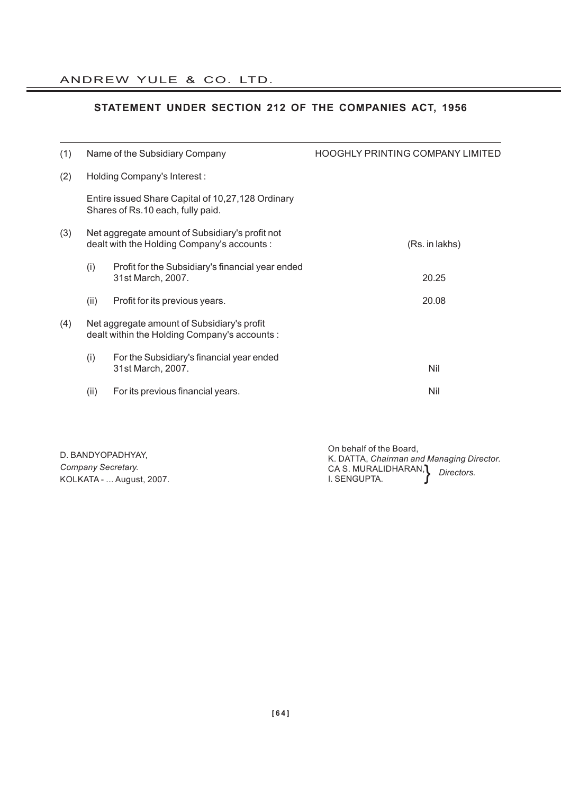# **STATEMENT UNDER SECTION 212 OF THE COMPANIES ACT, 1956**

| (1) |      | Name of the Subsidiary Company                                                                 | <b>HOOGHLY PRINTING COMPANY LIMITED</b> |
|-----|------|------------------------------------------------------------------------------------------------|-----------------------------------------|
| (2) |      | Holding Company's Interest:                                                                    |                                         |
|     |      | Entire issued Share Capital of 10,27,128 Ordinary<br>Shares of Rs.10 each, fully paid.         |                                         |
| (3) |      | Net aggregate amount of Subsidiary's profit not<br>dealt with the Holding Company's accounts : | (Rs. in lakhs)                          |
|     | (i)  | Profit for the Subsidiary's financial year ended<br>31st March, 2007.                          | 20.25                                   |
|     | (ii) | Profit for its previous years.                                                                 | 20.08                                   |
| (4) |      | Net aggregate amount of Subsidiary's profit<br>dealt within the Holding Company's accounts :   |                                         |
|     | (i)  | For the Subsidiary's financial year ended<br>31st March, 2007.                                 | Nil                                     |
|     | (ii) | For its previous financial years.                                                              | Nil                                     |

| D. BANDYOPADHYAY.        | On behalf of the Board,<br>K. DATTA, Chairman and Managing Director. |  |
|--------------------------|----------------------------------------------------------------------|--|
| Company Secretary.       | CA S. MURALIDHARAN, Directors.                                       |  |
| KOLKATA -  August, 2007. | I. SENGUPTA.                                                         |  |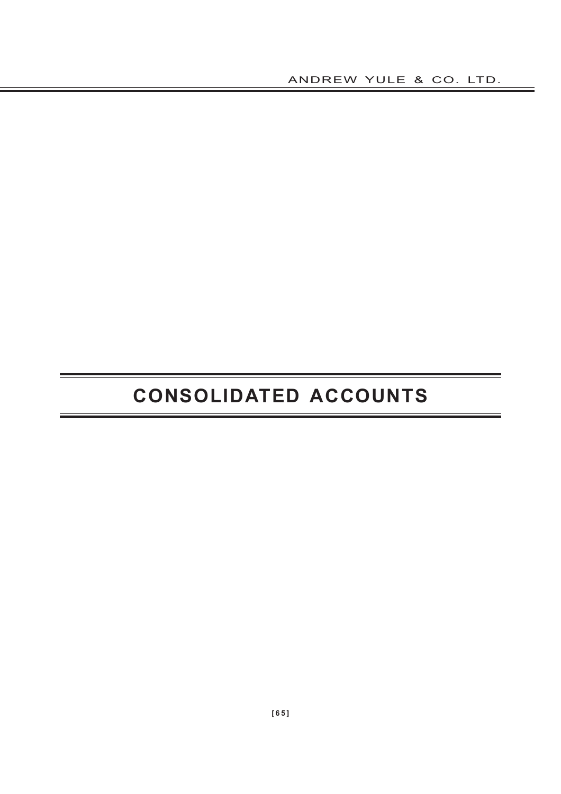ANDREW YULE & CO. LTD.

# **CONSOLIDATED ACCOUNTS**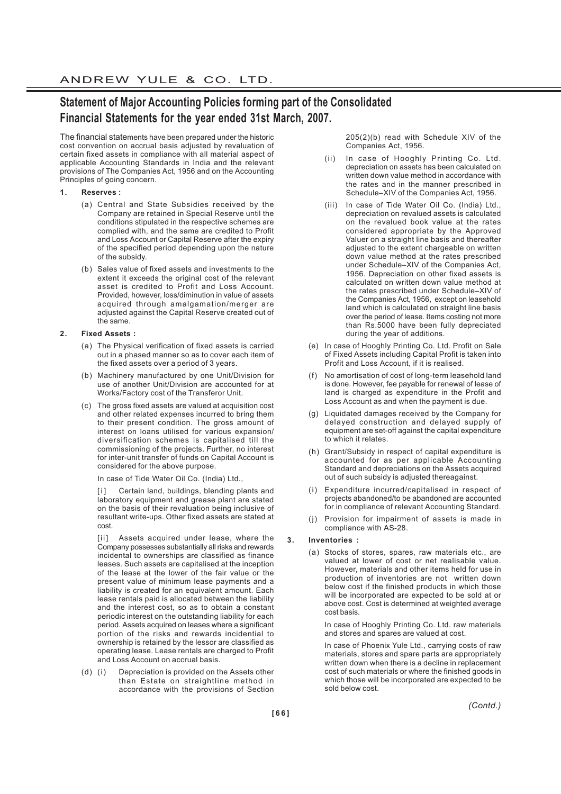# **Statement of Major Accounting Policies forming part of the Consolidated Financial Statements for the year ended 31st March, 2007.**

The financial statements have been prepared under the historic cost convention on accrual basis adjusted by revaluation of certain fixed assets in compliance with all material aspect of applicable Accounting Standards in India and the relevant provisions of The Companies Act, 1956 and on the Accounting Principles of going concern.

#### **1. Reserves :**

- (a) Central and State Subsidies received by the Company are retained in Special Reserve until the conditions stipulated in the respective schemes are complied with, and the same are credited to Profit and Loss Account or Capital Reserve after the expiry of the specified period depending upon the nature of the subsidy.
- (b) Sales value of fixed assets and investments to the extent it exceeds the original cost of the relevant asset is credited to Profit and Loss Account. Provided, however, loss/diminution in value of assets acquired through amalgamation/merger are adjusted against the Capital Reserve created out of the same.

#### **2. Fixed Assets :**

- (a) The Physical verification of fixed assets is carried out in a phased manner so as to cover each item of the fixed assets over a period of 3 years.
- (b) Machinery manufactured by one Unit/Division for use of another Unit/Division are accounted for at Works/Factory cost of the Transferor Unit.
- (c) The gross fixed assets are valued at acquisition cost and other related expenses incurred to bring them to their present condition. The gross amount of interest on loans utilised for various expansion/ diversification schemes is capitalised till the commissioning of the projects. Further, no interest for inter-unit transfer of funds on Capital Account is considered for the above purpose.

In case of Tide Water Oil Co. (India) Ltd.,

Certain land, buildings, blending plants and laboratory equipment and grease plant are stated on the basis of their revaluation being inclusive of resultant write-ups. Other fixed assets are stated at cost.

[ii] Assets acquired under lease, where the Company possesses substantially all risks and rewards incidental to ownerships are classified as finance leases. Such assets are capitalised at the inception of the lease at the lower of the fair value or the present value of minimum lease payments and a liability is created for an equivalent amount. Each lease rentals paid is allocated between the liability and the interest cost, so as to obtain a constant periodic interest on the outstanding liability for each period. Assets acquired on leases where a significant portion of the risks and rewards incidential to ownership is retained by the lessor are classified as operating lease. Lease rentals are charged to Profit and Loss Account on accrual basis.

(d) (i) Depreciation is provided on the Assets other than Estate on straightline method in accordance with the provisions of Section 205(2)(b) read with Schedule XIV of the Companies Act, 1956.

- (ii) In case of Hooghly Printing Co. Ltd. depreciation on assets has been calculated on written down value method in accordance with the rates and in the manner prescribed in Schedule–XIV of the Companies Act, 1956.
- (iii) In case of Tide Water Oil Co. (India) Ltd., depreciation on revalued assets is calculated on the revalued book value at the rates considered appropriate by the Approved Valuer on a straight line basis and thereafter adjusted to the extent chargeable on written down value method at the rates prescribed under Schedule–XIV of the Companies Act, 1956. Depreciation on other fixed assets is calculated on written down value method at the rates prescribed under Schedule–XIV of the Companies Act, 1956, except on leasehold land which is calculated on straight line basis over the period of lease. Items costing not more than Rs.5000 have been fully depreciated during the year of additions.
- (e) In case of Hooghly Printing Co. Ltd. Profit on Sale of Fixed Assets including Capital Profit is taken into Profit and Loss Account, if it is realised.
- No amortisation of cost of long-term leasehold land is done. However, fee payable for renewal of lease of land is charged as expenditure in the Profit and Loss Account as and when the payment is due.
- (g) Liquidated damages received by the Company for delayed construction and delayed supply of equipment are set-off against the capital expenditure to which it relates.
- (h) Grant/Subsidy in respect of capital expenditure is accounted for as per applicable Accounting Standard and depreciations on the Assets acquired out of such subsidy is adjusted thereagainst.
- (i) Expenditure incurred/capitalised in respect of projects abandoned/to be abandoned are accounted for in compliance of relevant Accounting Standard.
- (j) Provision for impairment of assets is made in compliance with AS-28.

#### **3. Inventories :**

(a) Stocks of stores, spares, raw materials etc., are valued at lower of cost or net realisable value. However, materials and other items held for use in production of inventories are not written down below cost if the finished products in which those will be incorporated are expected to be sold at or above cost. Cost is determined at weighted average cost basis.

In case of Hooghly Printing Co. Ltd. raw materials and stores and spares are valued at cost.

In case of Phoenix Yule Ltd., carrying costs of raw materials, stores and spare parts are appropriately written down when there is a decline in replacement cost of such materials or where the finished goods in which those will be incorporated are expected to be sold below cost.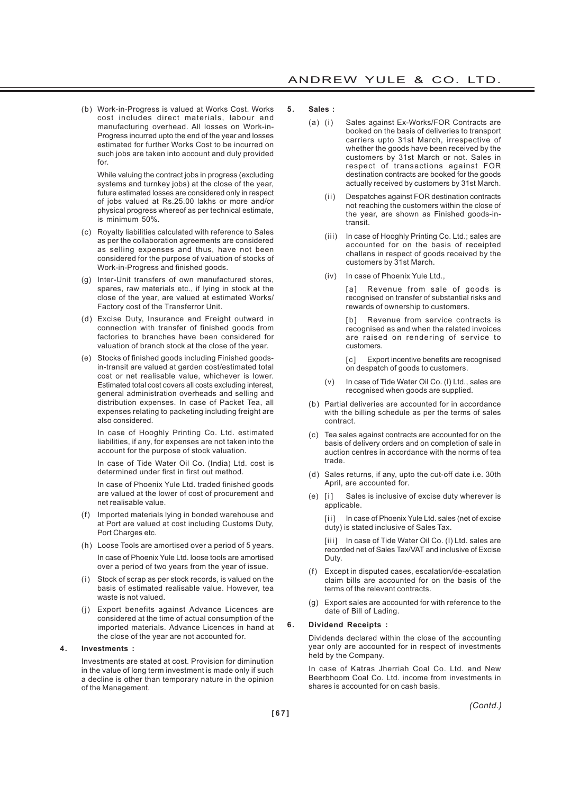(b) Work-in-Progress is valued at Works Cost. Works cost includes direct materials, labour and manufacturing overhead. All losses on Work-in-Progress incurred upto the end of the year and losses estimated for further Works Cost to be incurred on such jobs are taken into account and duly provided for.

While valuing the contract jobs in progress (excluding systems and turnkey jobs) at the close of the year, future estimated losses are considered only in respect of jobs valued at Rs.25.00 lakhs or more and/or physical progress whereof as per technical estimate, is minimum 50%.

- (c) Royalty liabilities calculated with reference to Sales as per the collaboration agreements are considered as selling expenses and thus, have not been considered for the purpose of valuation of stocks of Work-in-Progress and finished goods.
- (g) Inter-Unit transfers of own manufactured stores, spares, raw materials etc., if lying in stock at the close of the year, are valued at estimated Works/ Factory cost of the Transferror Unit.
- (d) Excise Duty, Insurance and Freight outward in connection with transfer of finished goods from factories to branches have been considered for valuation of branch stock at the close of the year.
- (e) Stocks of finished goods including Finished goodsin-transit are valued at garden cost/estimated total cost or net realisable value, whichever is lower. Estimated total cost covers all costs excluding interest, general administration overheads and selling and distribution expenses. In case of Packet Tea, all expenses relating to packeting including freight are also considered.

In case of Hooghly Printing Co. Ltd. estimated liabilities, if any, for expenses are not taken into the account for the purpose of stock valuation.

In case of Tide Water Oil Co. (India) Ltd. cost is determined under first in first out method.

In case of Phoenix Yule Ltd. traded finished goods are valued at the lower of cost of procurement and net realisable value.

- (f) Imported materials lying in bonded warehouse and at Port are valued at cost including Customs Duty, Port Charges etc.
- (h) Loose Tools are amortised over a period of 5 years. In case of Phoenix Yule Ltd. loose tools are amortised over a period of two years from the year of issue.
- (i) Stock of scrap as per stock records, is valued on the basis of estimated realisable value. However, tea waste is not valued.
- (j) Export benefits against Advance Licences are considered at the time of actual consumption of the imported materials. Advance Licences in hand at the close of the year are not accounted for.

#### **4. Investments :**

Investments are stated at cost. Provision for diminution in the value of long term investment is made only if such a decline is other than temporary nature in the opinion of the Management.

#### **5. Sales :**

- (a) (i) Sales against Ex-Works/FOR Contracts are booked on the basis of deliveries to transport carriers upto 31st March, irrespective of whether the goods have been received by the customers by 31st March or not. Sales in respect of transactions against FOR destination contracts are booked for the goods actually received by customers by 31st March.
	- (ii) Despatches against FOR destination contracts not reaching the customers within the close of the year, are shown as Finished goods-intransit.
	- (iii) In case of Hooghly Printing Co. Ltd.; sales are accounted for on the basis of receipted challans in respect of goods received by the customers by 31st March.
	- (iv) In case of Phoenix Yule Ltd.,

[a] Revenue from sale of goods is recognised on transfer of substantial risks and rewards of ownership to customers.

[b] Revenue from service contracts is recognised as and when the related invoices are raised on rendering of service to customers.

[c] Export incentive benefits are recognised on despatch of goods to customers.

- (v) In case of Tide Water Oil Co. (I) Ltd., sales are recognised when goods are supplied.
- (b) Partial deliveries are accounted for in accordance with the billing schedule as per the terms of sales contract.
- (c) Tea sales against contracts are accounted for on the basis of delivery orders and on completion of sale in auction centres in accordance with the norms of tea trade.
- (d) Sales returns, if any, upto the cut-off date i.e. 30th April, are accounted for.
- (e) [i] Sales is inclusive of excise duty wherever is applicable.

[ii] In case of Phoenix Yule Ltd. sales (net of excise duty) is stated inclusive of Sales Tax.

[iii] In case of Tide Water Oil Co. (I) Ltd. sales are recorded net of Sales Tax/VAT and inclusive of Excise Duty.

- (f) Except in disputed cases, escalation/de-escalation claim bills are accounted for on the basis of the terms of the relevant contracts.
- (g) Export sales are accounted for with reference to the date of Bill of Lading.

#### **6. Dividend Receipts :**

Dividends declared within the close of the accounting year only are accounted for in respect of investments held by the Company.

In case of Katras Jherriah Coal Co. Ltd. and New Beerbhoom Coal Co. Ltd. income from investments in shares is accounted for on cash basis.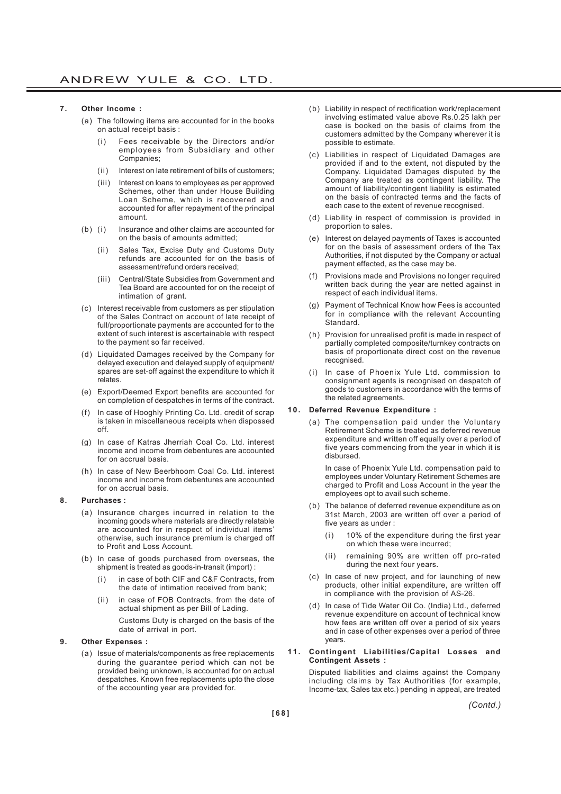#### **7. Other Income :**

- (a) The following items are accounted for in the books on actual receipt basis :
	- Fees receivable by the Directors and/or employees from Subsidiary and other Companies;
	- (ii) Interest on late retirement of bills of customers;
	- (iii) Interest on loans to employees as per approved Schemes, other than under House Building Loan Scheme, which is recovered and accounted for after repayment of the principal amount.
- (b) (i) Insurance and other claims are accounted for on the basis of amounts admitted;
	- (ii) Sales Tax, Excise Duty and Customs Duty refunds are accounted for on the basis of assessment/refund orders received;
	- (iii) Central/State Subsidies from Government and Tea Board are accounted for on the receipt of intimation of grant.
- (c) Interest receivable from customers as per stipulation of the Sales Contract on account of late receipt of full/proportionate payments are accounted for to the extent of such interest is ascertainable with respect to the payment so far received.
- (d) Liquidated Damages received by the Company for delayed execution and delayed supply of equipment/ spares are set-off against the expenditure to which it relates.
- (e) Export/Deemed Export benefits are accounted for on completion of despatches in terms of the contract.
- (f) In case of Hooghly Printing Co. Ltd. credit of scrap is taken in miscellaneous receipts when dispossed off.
- (g) In case of Katras Jherriah Coal Co. Ltd. interest income and income from debentures are accounted for on accrual basis.
- (h) In case of New Beerbhoom Coal Co. Ltd. interest income and income from debentures are accounted for on accrual basis.

#### **8. Purchases :**

- (a) Insurance charges incurred in relation to the incoming goods where materials are directly relatable are accounted for in respect of individual items' otherwise, such insurance premium is charged off to Profit and Loss Account.
- (b) In case of goods purchased from overseas, the shipment is treated as goods-in-transit (import) :
	- (i) in case of both CIF and C&F Contracts, from the date of intimation received from bank;
	- (ii) in case of FOB Contracts, from the date of actual shipment as per Bill of Lading.

Customs Duty is charged on the basis of the date of arrival in port.

#### **9. Other Expenses :**

(a) Issue of materials/components as free replacements during the guarantee period which can not be provided being unknown, is accounted for on actual despatches. Known free replacements upto the close of the accounting year are provided for.

- (b) Liability in respect of rectification work/replacement involving estimated value above Rs.0.25 lakh per case is booked on the basis of claims from the customers admitted by the Company wherever it is possible to estimate.
- (c) Liabilities in respect of Liquidated Damages are provided if and to the extent, not disputed by the Company. Liquidated Damages disputed by the Company are treated as contingent liability. The amount of liability/contingent liability is estimated on the basis of contracted terms and the facts of each case to the extent of revenue recognised.
- (d) Liability in respect of commission is provided in proportion to sales.
- (e) Interest on delayed payments of Taxes is accounted for on the basis of assessment orders of the Tax Authorities, if not disputed by the Company or actual payment effected, as the case may be.
- (f) Provisions made and Provisions no longer required written back during the year are netted against in respect of each individual items.
- Payment of Technical Know how Fees is accounted for in compliance with the relevant Accounting Standard.
- (h) Provision for unrealised profit is made in respect of partially completed composite/turnkey contracts on basis of proportionate direct cost on the revenue recognised.
- (i) In case of Phoenix Yule Ltd. commission to consignment agents is recognised on despatch of goods to customers in accordance with the terms of the related agreements.

#### **10. Deferred Revenue Expenditure :**

(a) The compensation paid under the Voluntary Retirement Scheme is treated as deferred revenue expenditure and written off equally over a period of five years commencing from the year in which it is disbursed.

In case of Phoenix Yule Ltd. compensation paid to employees under Voluntary Retirement Schemes are charged to Profit and Loss Account in the year the employees opt to avail such scheme.

- (b) The balance of deferred revenue expenditure as on 31st March, 2003 are written off over a period of five years as under :
	- (i) 10% of the expenditure during the first year on which these were incurred;
	- (ii) remaining 90% are written off pro-rated during the next four years.
- (c) In case of new project, and for launching of new products, other initial expenditure, are written off in compliance with the provision of AS-26.
- (d) In case of Tide Water Oil Co. (India) Ltd., deferred revenue expenditure on account of technical know how fees are written off over a period of six years and in case of other expenses over a period of three years.

#### **11. Contingent Liabilities/Capital Losses and Contingent Assets :**

Disputed liabilities and claims against the Company including claims by Tax Authorities (for example, Income-tax, Sales tax etc.) pending in appeal, are treated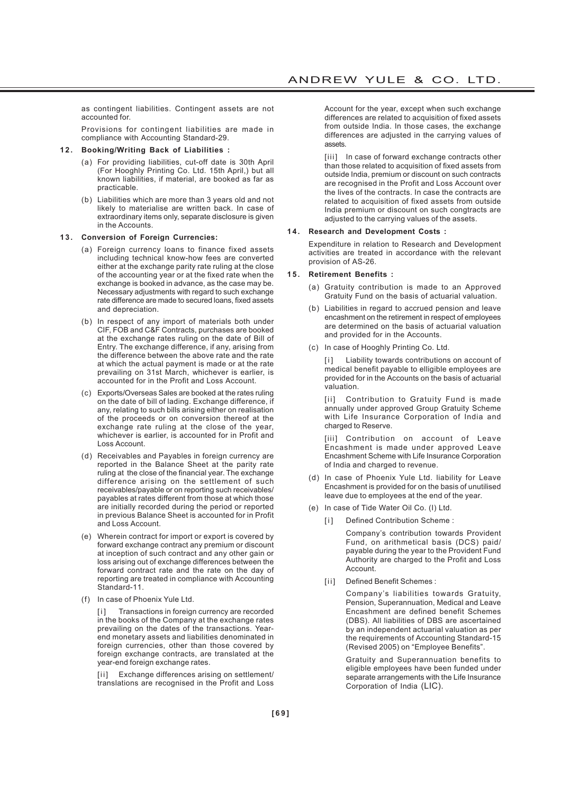as contingent liabilities. Contingent assets are not accounted for.

Provisions for contingent liabilities are made in compliance with Accounting Standard-29.

#### **12. Booking/Writing Back of Liabilities :**

- (a) For providing liabilities, cut-off date is 30th April (For Hooghly Printing Co. Ltd. 15th April,) but all known liabilities, if material, are booked as far as practicable.
- (b) Liabilities which are more than 3 years old and not likely to materialise are written back. In case of extraordinary items only, separate disclosure is given in the Accounts.

#### **13. Conversion of Foreign Currencies:**

- (a) Foreign currency loans to finance fixed assets including technical know-how fees are converted either at the exchange parity rate ruling at the close of the accounting year or at the fixed rate when the exchange is booked in advance, as the case may be. Necessary adjustments with regard to such exchange rate difference are made to secured loans, fixed assets and depreciation.
- (b) In respect of any import of materials both under CIF, FOB and C&F Contracts, purchases are booked at the exchange rates ruling on the date of Bill of Entry. The exchange difference, if any, arising from the difference between the above rate and the rate at which the actual payment is made or at the rate prevailing on 31st March, whichever is earlier, is accounted for in the Profit and Loss Account.
- (c) Exports/Overseas Sales are booked at the rates ruling on the date of bill of lading. Exchange difference, if any, relating to such bills arising either on realisation of the proceeds or on conversion thereof at the exchange rate ruling at the close of the year, whichever is earlier, is accounted for in Profit and Loss Account.
- (d) Receivables and Payables in foreign currency are reported in the Balance Sheet at the parity rate ruling at the close of the financial year. The exchange difference arising on the settlement of such receivables/payable or on reporting such receivables/ payables at rates different from those at which those are initially recorded during the period or reported in previous Balance Sheet is accounted for in Profit and Loss Account.
- (e) Wherein contract for import or export is covered by forward exchange contract any premium or discount at inception of such contract and any other gain or loss arising out of exchange differences between the forward contract rate and the rate on the day of reporting are treated in compliance with Accounting Standard-11.
- (f) In case of Phoenix Yule Ltd.

[i] Transactions in foreign currency are recorded in the books of the Company at the exchange rates prevailing on the dates of the transactions. Yearend monetary assets and liabilities denominated in foreign currencies, other than those covered by foreign exchange contracts, are translated at the year-end foreign exchange rates.

[ii] Exchange differences arising on settlement/ translations are recognised in the Profit and Loss Account for the year, except when such exchange differences are related to acquisition of fixed assets from outside India. In those cases, the exchange differences are adjusted in the carrying values of assets.

[iii] In case of forward exchange contracts other than those related to acquisition of fixed assets from outside India, premium or discount on such contracts are recognised in the Profit and Loss Account over the lives of the contracts. In case the contracts are related to acquisition of fixed assets from outside India premium or discount on such congtracts are adjusted to the carrying values of the assets.

#### **14. Research and Development Costs :**

Expenditure in relation to Research and Development activities are treated in accordance with the relevant provision of AS-26.

#### **15. Retirement Benefits :**

- (a) Gratuity contribution is made to an Approved Gratuity Fund on the basis of actuarial valuation.
- (b) Liabilities in regard to accrued pension and leave encashment on the retirement in respect of employees are determined on the basis of actuarial valuation and provided for in the Accounts.
- (c) In case of Hooghly Printing Co. Ltd.

[i] Liability towards contributions on account of medical benefit payable to elligible employees are provided for in the Accounts on the basis of actuarial valuation.

[ii] Contribution to Gratuity Fund is made annually under approved Group Gratuity Scheme with Life Insurance Corporation of India and charged to Reserve.

[iii] Contribution on account of Leave Encashment is made under approved Leave Encashment Scheme with Life Insurance Corporation of India and charged to revenue.

- (d) In case of Phoenix Yule Ltd. liability for Leave Encashment is provided for on the basis of unutilised leave due to employees at the end of the year.
- (e) In case of Tide Water Oil Co. (I) Ltd.
	- [i] Defined Contribution Scheme:

Company's contribution towards Provident Fund, on arithmetical basis (DCS) paid/ payable during the year to the Provident Fund Authority are charged to the Profit and Loss Account.

[ii] Defined Benefit Schemes :

Company's liabilities towards Gratuity, Pension, Superannuation, Medical and Leave Encashment are defined benefit Schemes (DBS). All liabilities of DBS are ascertained by an independent actuarial valuation as per the requirements of Accounting Standard-15 (Revised 2005) on "Employee Benefits".

Gratuity and Superannuation benefits to eligible employees have been funded under separate arrangements with the Life Insurance Corporation of India (LIC).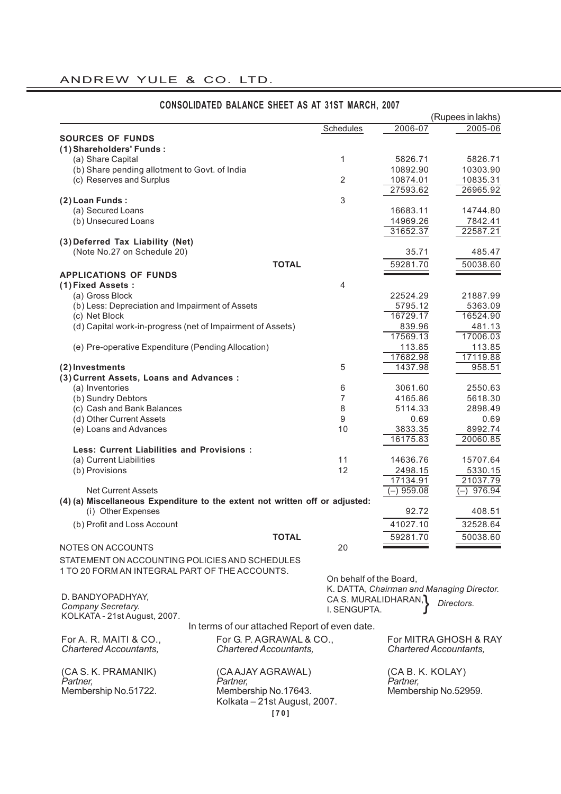# ANDREW YULE & CO. LTD.

|                                                                              |                                               |                         |                                           | (Rupees in lakhs)     |
|------------------------------------------------------------------------------|-----------------------------------------------|-------------------------|-------------------------------------------|-----------------------|
|                                                                              |                                               | Schedules               | 2006-07                                   | 2005-06               |
| <b>SOURCES OF FUNDS</b>                                                      |                                               |                         |                                           |                       |
| (1) Shareholders' Funds:                                                     |                                               |                         |                                           |                       |
| (a) Share Capital                                                            |                                               | 1                       | 5826.71                                   | 5826.71               |
| (b) Share pending allotment to Govt. of India                                |                                               |                         | 10892.90                                  | 10303.90              |
| (c) Reserves and Surplus                                                     |                                               | $\overline{2}$          | 10874.01                                  | 10835.31              |
|                                                                              |                                               |                         | 27593.62                                  | 26965.92              |
| (2) Loan Funds:                                                              |                                               | 3                       |                                           |                       |
| (a) Secured Loans                                                            |                                               |                         | 16683.11                                  | 14744.80              |
| (b) Unsecured Loans                                                          |                                               |                         | 14969.26                                  | 7842.41               |
|                                                                              |                                               |                         | 31652.37                                  | 22587.21              |
| (3) Deferred Tax Liability (Net)                                             |                                               |                         |                                           |                       |
| (Note No.27 on Schedule 20)                                                  |                                               |                         | 35.71                                     | 485.47                |
|                                                                              | <b>TOTAL</b>                                  |                         | 59281.70                                  | 50038.60              |
| <b>APPLICATIONS OF FUNDS</b>                                                 |                                               |                         |                                           |                       |
| (1) Fixed Assets:                                                            |                                               | 4                       |                                           |                       |
| (a) Gross Block                                                              |                                               |                         | 22524.29                                  | 21887.99              |
| (b) Less: Depreciation and Impairment of Assets                              |                                               |                         | 5795.12                                   | 5363.09               |
| (c) Net Block                                                                |                                               |                         | 16729.17                                  | 16524.90              |
| (d) Capital work-in-progress (net of Impairment of Assets)                   |                                               |                         | 839.96                                    | 481.13                |
|                                                                              |                                               |                         | 17569.13                                  | 17006.03              |
| (e) Pre-operative Expenditure (Pending Allocation)                           |                                               |                         | 113.85                                    | 113.85                |
|                                                                              |                                               |                         | 17682.98                                  | 17119.88              |
| (2) Investments                                                              |                                               | 5                       | 1437.98                                   | 958.51                |
| (3) Current Assets, Loans and Advances :                                     |                                               |                         |                                           |                       |
| (a) Inventories                                                              |                                               | 6                       | 3061.60                                   | 2550.63               |
| (b) Sundry Debtors                                                           |                                               | 7                       | 4165.86                                   | 5618.30               |
| (c) Cash and Bank Balances                                                   |                                               | 8                       | 5114.33                                   | 2898.49               |
| (d) Other Current Assets                                                     |                                               | 9                       | 0.69                                      | 0.69                  |
| (e) Loans and Advances                                                       |                                               | 10                      | 3833.35                                   | 8992.74               |
|                                                                              |                                               |                         | 16175.83                                  | 20060.85              |
| <b>Less: Current Liabilities and Provisions:</b>                             |                                               |                         |                                           |                       |
| (a) Current Liabilities                                                      |                                               | 11                      | 14636.76                                  | 15707.64              |
| (b) Provisions                                                               |                                               | 12                      | 2498.15                                   | 5330.15               |
|                                                                              |                                               |                         | 17134.91                                  | 21037.79              |
| <b>Net Current Assets</b>                                                    |                                               |                         | $(-)$ 959.08                              | 976.94<br>$(-)$       |
| (4) (a) Miscellaneous Expenditure to the extent not written off or adjusted: |                                               |                         |                                           |                       |
| (i) Other Expenses                                                           |                                               |                         | 92.72                                     | 408.51                |
| (b) Profit and Loss Account                                                  |                                               |                         | 41027.10                                  | 32528.64              |
|                                                                              |                                               |                         |                                           |                       |
|                                                                              | <b>TOTAL</b>                                  |                         | 59281.70                                  | 50038.60              |
| NOTES ON ACCOUNTS                                                            |                                               | 20                      |                                           |                       |
| STATEMENT ON ACCOUNTING POLICIES AND SCHEDULES                               |                                               |                         |                                           |                       |
| 1 TO 20 FORM AN INTEGRAL PART OF THE ACCOUNTS.                               |                                               |                         |                                           |                       |
|                                                                              |                                               | On behalf of the Board, |                                           |                       |
| D. BANDYOPADHYAY,                                                            |                                               | CA S. MURALIDHARAN,     | K. DATTA, Chairman and Managing Director. |                       |
| Company Secretary.                                                           |                                               | I. SENGUPTA.            |                                           | Directors.            |
| KOLKATA - 21st August, 2007.                                                 |                                               |                         |                                           |                       |
|                                                                              | In terms of our attached Report of even date. |                         |                                           |                       |
| For A. R. MAITI & CO.,                                                       | For G. P. AGRAWAL & CO.,                      |                         |                                           | For MITRA GHOSH & RAY |
| <b>Chartered Accountants,</b>                                                | <b>Chartered Accountants,</b>                 |                         | <b>Chartered Accountants,</b>             |                       |
|                                                                              |                                               |                         |                                           |                       |
|                                                                              |                                               |                         |                                           |                       |
| (CA S. K. PRAMANIK)<br>Partner,                                              | (CA AJAY AGRAWAL)<br>Partner,                 |                         | (CA B. K. KOLAY)<br>Partner,              |                       |
| Membership No.51722.                                                         | Membership No.17643.                          |                         | Membership No.52959.                      |                       |
|                                                                              | Kolkata - 21st August, 2007.                  |                         |                                           |                       |
|                                                                              |                                               |                         |                                           |                       |
|                                                                              | $[70]$                                        |                         |                                           |                       |

# **CONSOLIDATED BALANCE SHEET AS AT 31ST MARCH, 2007**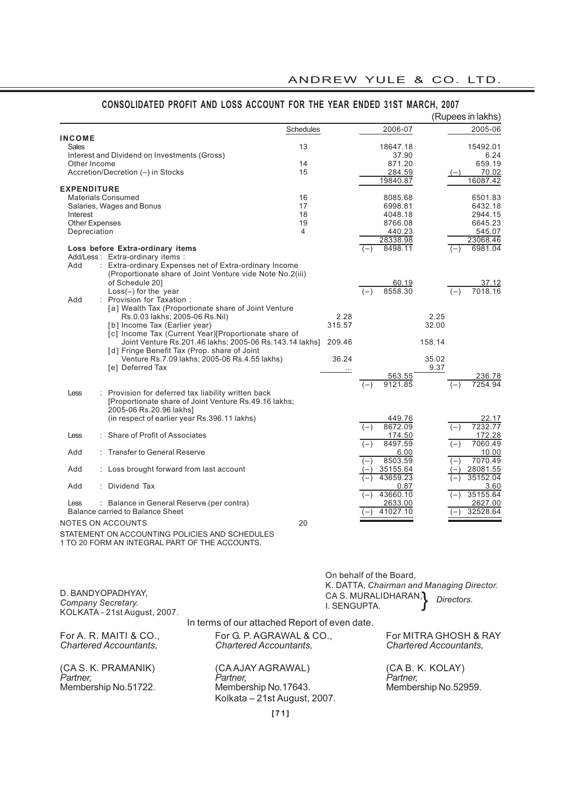|                                                                                                                                                                        | Schedules                                                 |              |                              |                                                        |
|------------------------------------------------------------------------------------------------------------------------------------------------------------------------|-----------------------------------------------------------|--------------|------------------------------|--------------------------------------------------------|
|                                                                                                                                                                        |                                                           |              | 2006-07                      | 2005-06                                                |
| <b>INCOME</b><br><b>Sales</b><br>Interest and Dividend on Investments (Gross)                                                                                          | 13                                                        |              | 18647.18<br>37.90            | 15492.01<br>6.24                                       |
| Other Income<br>Accretion/Decretion (-) in Stocks                                                                                                                      | 14<br>15                                                  |              | 871.20<br>284.59             | 659.19<br>70.02                                        |
|                                                                                                                                                                        |                                                           |              | 19840.87                     | 16087.42                                               |
| <b>EXPENDITURE</b><br><b>Materials Consumed</b>                                                                                                                        | 16                                                        |              | 8085.68                      | 6501.83                                                |
| Salaries, Wages and Bonus                                                                                                                                              | 17                                                        |              | 6998.81                      | 6432.18                                                |
| Interest                                                                                                                                                               | 18                                                        |              | 4048.18                      | 2944.15                                                |
| Other Expenses                                                                                                                                                         | 19<br>4                                                   |              | 8766.08                      | 6645.23                                                |
| Depreciation                                                                                                                                                           |                                                           |              | 440.23<br>28338.98           | 545.07<br>23068.46                                     |
| Loss before Extra-ordinary items                                                                                                                                       |                                                           |              | 8498.11<br>$(-)$             | 6981.04<br>$(-)$                                       |
| Add/Less: Extra-ordinary items:<br>: Extra-ordinary Expenses net of Extra-ordinary Income<br>Add<br>(Proportionate share of Joint Venture vide Note No.2(iii)          |                                                           |              |                              |                                                        |
| of Schedule 20]                                                                                                                                                        |                                                           |              | 60.19                        | 37.12                                                  |
| $Loss(-)$ for the year                                                                                                                                                 |                                                           |              | 8558.30<br>$(-)$             | 7018.16<br>$(-)$                                       |
| : Provision for Taxation :<br>Add<br>[a] Wealth Tax (Proportionate share of Joint Venture                                                                              |                                                           |              |                              |                                                        |
| Rs.0.03 lakhs; 2005-06 Rs.Nil)                                                                                                                                         |                                                           | 2.28         |                              | 2.25                                                   |
| [b] Income Tax (Earlier year)                                                                                                                                          |                                                           | 315.57       |                              | 32.00                                                  |
| [c] Income Tax (Current Year)[Proportionate share of<br>Joint Venture Rs.201.46 lakhs; 2005-06 Rs.143.14 lakhs] 209.46<br>[d] Fringe Benefit Tax (Prop. share of Joint |                                                           |              |                              | 158.14                                                 |
| Venture Rs.7.09 lakhs; 2005-06 Rs.4.55 lakhs)                                                                                                                          |                                                           | 36.24        |                              | 35.02                                                  |
| [e] Deferred Tax                                                                                                                                                       |                                                           |              |                              | 9.37                                                   |
|                                                                                                                                                                        |                                                           |              | 563.55<br>9121.85<br>$(-)$   | 236.78<br>7254.94<br>$(-)$                             |
| : Provision for deferred tax liability written back<br>Less<br>[Proportionate share of Joint Venture Rs.49.16 lakhs;<br>2005-06 Rs.20.96 lakhs]                        |                                                           |              |                              |                                                        |
| (in respect of earlier year Rs.396.11 lakhs)                                                                                                                           |                                                           |              | 449.76                       | 22.17                                                  |
| : Share of Profit of Associates<br>Less                                                                                                                                |                                                           |              | 8672.09<br>$(-)$<br>174.50   | 7232.77<br>$(-)$<br>172.28                             |
| : Transfer to General Reserve<br>Add                                                                                                                                   |                                                           |              | 8497.59<br>$(-)$<br>6.00     | 7060.49<br>$(-)$<br>10.00                              |
| Add<br>: Loss brought forward from last account                                                                                                                        |                                                           |              | 8503.59<br>$(-)$<br>35155.64 | 7070.49<br>$(-)$<br>28081.55                           |
| : Dividend Tax<br>Add                                                                                                                                                  |                                                           |              | 43659.23<br>0.87             | 35152.04<br>3.60                                       |
| : Balance in General Reserve (per contra)<br>Less                                                                                                                      |                                                           |              | 43660.10<br>$(-)$<br>2633.00 | 35155.64<br>2627.00                                    |
| Balance carried to Balance Sheet                                                                                                                                       |                                                           |              | 41027.10                     | 32528.64                                               |
| NOTES ON ACCOUNTS                                                                                                                                                      | 20                                                        |              |                              |                                                        |
| STATEMENT ON ACCOUNTING POLICIES AND SCHEDULES<br>1 TO 20 FORM AN INTEGRAL PART OF THE ACCOUNTS.                                                                       |                                                           |              |                              |                                                        |
|                                                                                                                                                                        |                                                           |              |                              |                                                        |
|                                                                                                                                                                        |                                                           |              | On behalf of the Board,      | K. DATTA, Chairman and Managing Director.              |
| D. BANDYOPADHYAY,                                                                                                                                                      |                                                           |              | CA S. MURALIDHARAN, 1        |                                                        |
| Company Secretary.                                                                                                                                                     |                                                           | I. SENGUPTA. |                              | Directors.                                             |
| KOLKATA - 21st August, 2007.                                                                                                                                           |                                                           |              |                              |                                                        |
|                                                                                                                                                                        | In terms of our attached Report of even date.             |              |                              |                                                        |
| For A. R. MAITI & CO.,<br><b>Chartered Accountants,</b>                                                                                                                | For G. P. AGRAWAL & CO.,<br><b>Chartered Accountants.</b> |              |                              | For MITRA GHOSH & RAY<br><b>Chartered Accountants,</b> |
| (CA S. K. PRAMANIK)                                                                                                                                                    | (CA AJAY AGRAWAL)                                         |              |                              | (CA B. K. KOLAY)                                       |
| Partner,<br>Partner,<br>Membership No.51722.                                                                                                                           | Membership No.17643.<br>Kolkata - 21st August, 2007.      |              | Partner,                     | Membership No.52959.                                   |

# **CONSOLIDATED PROFIT AND LOSS ACCOUNT FOR THE YEAR ENDED 31ST MARCH, 2007**

**[71]**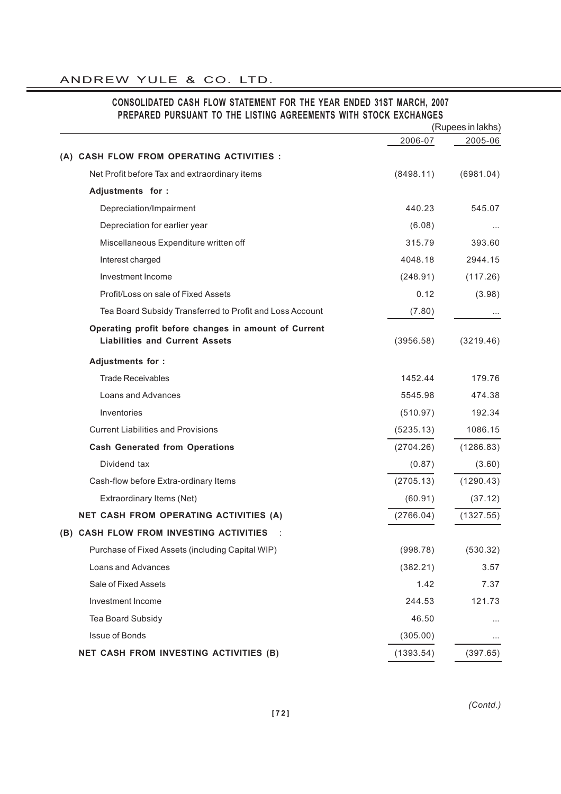|                                                                                               |           | (Rupees in lakhs)<br>2005-06 |
|-----------------------------------------------------------------------------------------------|-----------|------------------------------|
|                                                                                               | 2006-07   |                              |
| (A) CASH FLOW FROM OPERATING ACTIVITIES :                                                     |           |                              |
| Net Profit before Tax and extraordinary items                                                 | (8498.11) | (6981.04)                    |
| Adjustments for :                                                                             |           |                              |
| Depreciation/Impairment                                                                       | 440.23    | 545.07                       |
| Depreciation for earlier year                                                                 | (6.08)    |                              |
| Miscellaneous Expenditure written off                                                         | 315.79    | 393.60                       |
| Interest charged                                                                              | 4048.18   | 2944.15                      |
| Investment Income                                                                             | (248.91)  | (117.26)                     |
| Profit/Loss on sale of Fixed Assets                                                           | 0.12      | (3.98)                       |
| Tea Board Subsidy Transferred to Profit and Loss Account                                      | (7.80)    |                              |
| Operating profit before changes in amount of Current<br><b>Liabilities and Current Assets</b> | (3956.58) | (3219.46)                    |
| Adjustments for :                                                                             |           |                              |
| <b>Trade Receivables</b>                                                                      | 1452.44   | 179.76                       |
| Loans and Advances                                                                            | 5545.98   | 474.38                       |
| Inventories                                                                                   | (510.97)  | 192.34                       |
| <b>Current Liabilities and Provisions</b>                                                     | (5235.13) | 1086.15                      |
| <b>Cash Generated from Operations</b>                                                         | (2704.26) | (1286.83)                    |
| Dividend tax                                                                                  | (0.87)    | (3.60)                       |
| Cash-flow before Extra-ordinary Items                                                         | (2705.13) | (1290.43)                    |
| Extraordinary Items (Net)                                                                     | (60.91)   | (37.12)                      |
| <b>NET CASH FROM OPERATING ACTIVITIES (A)</b>                                                 | (2766.04) | (1327.55)                    |
| (B) CASH FLOW FROM INVESTING ACTIVITIES                                                       |           |                              |
| Purchase of Fixed Assets (including Capital WIP)                                              | (998.78)  | (530.32)                     |
| Loans and Advances                                                                            | (382.21)  | 3.57                         |
| Sale of Fixed Assets                                                                          | 1.42      | 7.37                         |
| Investment Income                                                                             | 244.53    | 121.73                       |
| Tea Board Subsidy                                                                             | 46.50     |                              |
| Issue of Bonds                                                                                | (305.00)  |                              |
| NET CASH FROM INVESTING ACTIVITIES (B)                                                        | (1393.54) | (397.65)                     |

# **CONSOLIDATED CASH FLOW STATEMENT FOR THE YEAR ENDED 31ST MARCH, 2007 PREPARED PURSUANT TO THE LISTING AGREEMENTS WITH STOCK EXCHANGES**

*(Contd.)*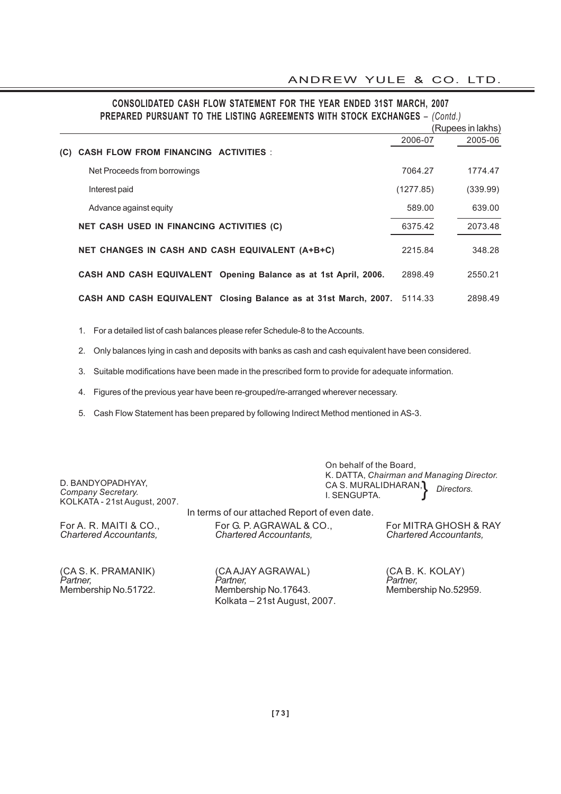|                              | <b>FREFARED FURGUAILE TO THE EIGHT AUREEMENTS WITH STUCK EXCHANGES - (COMO.)</b> |           |                   |
|------------------------------|----------------------------------------------------------------------------------|-----------|-------------------|
|                              |                                                                                  |           | (Rupees in lakhs) |
|                              |                                                                                  | 2006-07   | 2005-06           |
| (C)                          | <b>CASH FLOW FROM FINANCING ACTIVITIES :</b>                                     |           |                   |
| Net Proceeds from borrowings |                                                                                  | 7064.27   | 1774.47           |
| Interest paid                |                                                                                  | (1277.85) | (339.99)          |
| Advance against equity       |                                                                                  | 589.00    | 639.00            |
|                              | NET CASH USED IN FINANCING ACTIVITIES (C)                                        | 6375.42   | 2073.48           |
|                              | NET CHANGES IN CASH AND CASH EQUIVALENT (A+B+C)                                  | 2215.84   | 348.28            |
|                              | CASH AND CASH EQUIVALENT Opening Balance as at 1st April, 2006.                  | 2898.49   | 2550.21           |
|                              | CASH AND CASH EQUIVALENT Closing Balance as at 31st March, 2007.                 | 5114.33   | 2898.49           |

#### **CONSOLIDATED CASH FLOW STATEMENT FOR THE YEAR ENDED 31ST MARCH, 2007 PREPARED PURSUANT TO THE LISTING AGREEMENTS WITH STOCK EXCHANGES** – *(Contd.)*

1. For a detailed list of cash balances please refer Schedule-8 to the Accounts.

2. Only balances lying in cash and deposits with banks as cash and cash equivalent have been considered.

3. Suitable modifications have been made in the prescribed form to provide for adequate information.

4. Figures of the previous year have been re-grouped/re-arranged wherever necessary.

5. Cash Flow Statement has been prepared by following Indirect Method mentioned in AS-3.

D. BANDYOPADHYAY, *Company Secretary.* KOLKATA - 21st August, 2007.

In terms of our attached Report of even date.

*Chartered Accountants, Chartered Accountants, Chartered Accountants,*

For A. R. MAITI & CO., For G. P. AGRAWAL & CO., For MITRA GHOSH & RAY<br>Chartered Accountants. Chartered Accountants. Chartered Accountants.

*Directors.* }

(CA S. K. PRAMANIK) (CA AJAY AGRAWAL) (CA B. K. KOLAY)<br>Partner, Partner, Partner, Partner, Partner, Partner, *Partner, Partner, Partner,* Membership No.51722. Membership No.17643. Membership No.52959. Kolkata – 21st August, 2007.

On behalf of the Board,

I. SENGUPTA.

CA S. MURALIDHARAN,

K. DATTA, *Chairman and Managing Director.*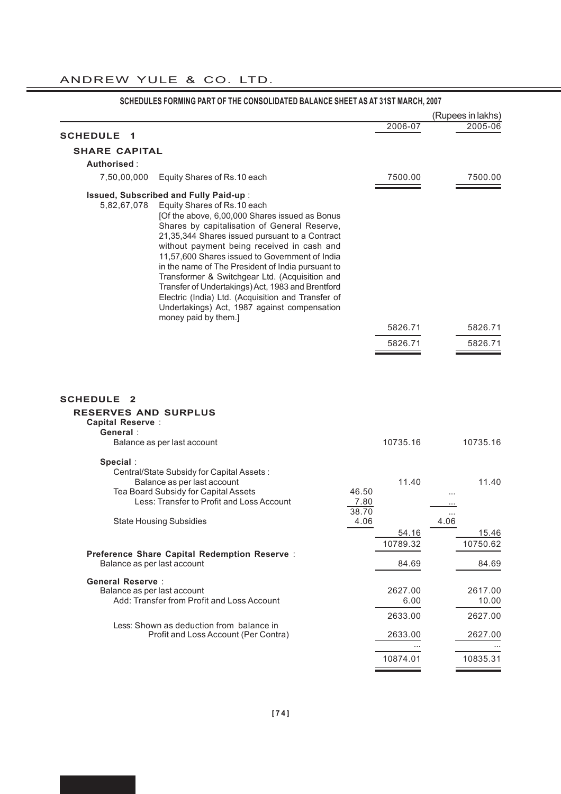|                                                                                              |                                                                                                                                                                                                                                                                                                                                                                                                                                                                                                                                                                                             |               |                 |      | (Rupees in lakhs) |
|----------------------------------------------------------------------------------------------|---------------------------------------------------------------------------------------------------------------------------------------------------------------------------------------------------------------------------------------------------------------------------------------------------------------------------------------------------------------------------------------------------------------------------------------------------------------------------------------------------------------------------------------------------------------------------------------------|---------------|-----------------|------|-------------------|
| <b>SCHEDULE</b><br>1                                                                         |                                                                                                                                                                                                                                                                                                                                                                                                                                                                                                                                                                                             |               | 2006-07         |      | 2005-06           |
| <b>SHARE CAPITAL</b>                                                                         |                                                                                                                                                                                                                                                                                                                                                                                                                                                                                                                                                                                             |               |                 |      |                   |
| Authorised:                                                                                  |                                                                                                                                                                                                                                                                                                                                                                                                                                                                                                                                                                                             |               |                 |      |                   |
| 7,50,00,000                                                                                  | Equity Shares of Rs.10 each                                                                                                                                                                                                                                                                                                                                                                                                                                                                                                                                                                 |               | 7500.00         |      | 7500.00           |
|                                                                                              |                                                                                                                                                                                                                                                                                                                                                                                                                                                                                                                                                                                             |               |                 |      |                   |
| 5,82,67,078                                                                                  | Issued, Subscribed and Fully Paid-up :<br>Equity Shares of Rs.10 each<br>[Of the above, 6,00,000 Shares issued as Bonus<br>Shares by capitalisation of General Reserve,<br>21,35,344 Shares issued pursuant to a Contract<br>without payment being received in cash and<br>11,57,600 Shares issued to Government of India<br>in the name of The President of India pursuant to<br>Transformer & Switchgear Ltd. (Acquisition and<br>Transfer of Undertakings) Act, 1983 and Brentford<br>Electric (India) Ltd. (Acquisition and Transfer of<br>Undertakings) Act, 1987 against compensation |               |                 |      |                   |
|                                                                                              | money paid by them.]                                                                                                                                                                                                                                                                                                                                                                                                                                                                                                                                                                        |               | 5826.71         |      | 5826.71           |
|                                                                                              |                                                                                                                                                                                                                                                                                                                                                                                                                                                                                                                                                                                             |               | 5826.71         |      | 5826.71           |
|                                                                                              |                                                                                                                                                                                                                                                                                                                                                                                                                                                                                                                                                                                             |               |                 |      |                   |
| <b>SCHEDULE</b><br>- 2<br><b>RESERVES AND SURPLUS</b><br><b>Capital Reserve:</b><br>General: |                                                                                                                                                                                                                                                                                                                                                                                                                                                                                                                                                                                             |               |                 |      |                   |
|                                                                                              | Balance as per last account                                                                                                                                                                                                                                                                                                                                                                                                                                                                                                                                                                 |               | 10735.16        |      | 10735.16          |
| Special:                                                                                     |                                                                                                                                                                                                                                                                                                                                                                                                                                                                                                                                                                                             |               |                 |      |                   |
|                                                                                              |                                                                                                                                                                                                                                                                                                                                                                                                                                                                                                                                                                                             |               |                 |      |                   |
|                                                                                              | Central/State Subsidy for Capital Assets:<br>Balance as per last account<br>Tea Board Subsidy for Capital Assets<br>Less: Transfer to Profit and Loss Account                                                                                                                                                                                                                                                                                                                                                                                                                               | 46.50<br>7.80 | 11.40           |      | 11.40             |
|                                                                                              |                                                                                                                                                                                                                                                                                                                                                                                                                                                                                                                                                                                             | 38.70         |                 |      |                   |
|                                                                                              | <b>State Housing Subsidies</b>                                                                                                                                                                                                                                                                                                                                                                                                                                                                                                                                                              | 4.06          | 54.16           | 4.06 | 15.46             |
|                                                                                              |                                                                                                                                                                                                                                                                                                                                                                                                                                                                                                                                                                                             |               | 10789.32        |      | 10750.62          |
| Balance as per last account                                                                  | Preference Share Capital Redemption Reserve :                                                                                                                                                                                                                                                                                                                                                                                                                                                                                                                                               |               | 84.69           |      | 84.69             |
| <b>General Reserve:</b><br>Balance as per last account                                       | Add: Transfer from Profit and Loss Account                                                                                                                                                                                                                                                                                                                                                                                                                                                                                                                                                  |               | 2627.00<br>6.00 |      | 2617.00<br>10.00  |
|                                                                                              |                                                                                                                                                                                                                                                                                                                                                                                                                                                                                                                                                                                             |               | 2633.00         |      | 2627.00           |
|                                                                                              | Less: Shown as deduction from balance in<br>Profit and Loss Account (Per Contra)                                                                                                                                                                                                                                                                                                                                                                                                                                                                                                            |               | 2633.00         |      | 2627.00           |

# **SCHEDULES FORMING PART OF THE CONSOLIDATED BALANCE SHEET AS AT 31ST MARCH, 2007**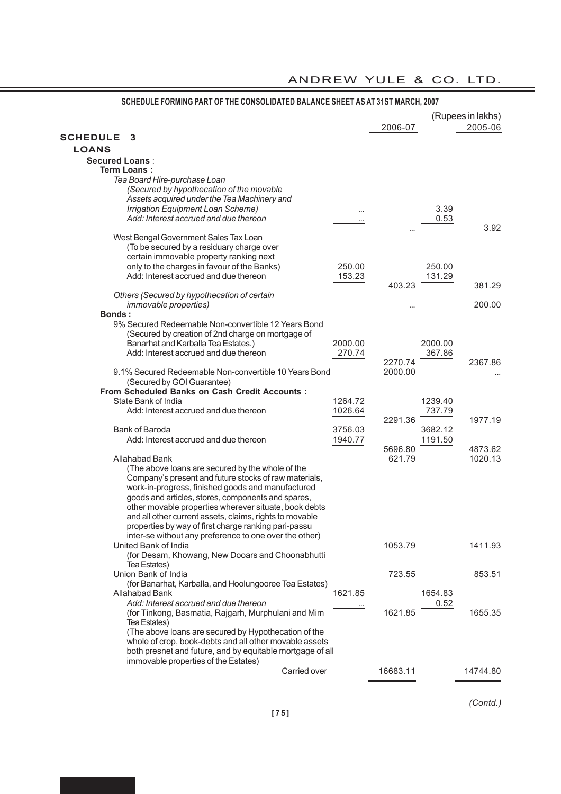|                                                                                                                |         |          |         | (Rupees in lakhs) |
|----------------------------------------------------------------------------------------------------------------|---------|----------|---------|-------------------|
|                                                                                                                |         | 2006-07  |         | 2005-06           |
| <b>SCHEDULE</b><br>3                                                                                           |         |          |         |                   |
| <b>LOANS</b>                                                                                                   |         |          |         |                   |
| <b>Secured Loans:</b>                                                                                          |         |          |         |                   |
| <b>Term Loans:</b>                                                                                             |         |          |         |                   |
| Tea Board Hire-purchase Loan                                                                                   |         |          |         |                   |
| (Secured by hypothecation of the movable                                                                       |         |          |         |                   |
| Assets acquired under the Tea Machinery and                                                                    |         |          |         |                   |
| Irrigation Equipment Loan Scheme)                                                                              |         |          | 3.39    |                   |
| Add: Interest accrued and due thereon                                                                          |         |          | 0.53    |                   |
|                                                                                                                |         |          |         | 3.92              |
| West Bengal Government Sales Tax Loan<br>(To be secured by a residuary charge over                             |         |          |         |                   |
| certain immovable property ranking next                                                                        |         |          |         |                   |
| only to the charges in favour of the Banks)                                                                    | 250.00  |          | 250.00  |                   |
| Add: Interest accrued and due thereon                                                                          | 153.23  |          | 131.29  |                   |
|                                                                                                                |         | 403.23   |         | 381.29            |
| Others (Secured by hypothecation of certain                                                                    |         |          |         |                   |
| <i>immovable properties)</i>                                                                                   |         |          |         | 200.00            |
| <b>Bonds:</b>                                                                                                  |         |          |         |                   |
| 9% Secured Redeemable Non-convertible 12 Years Bond                                                            |         |          |         |                   |
| (Secured by creation of 2nd charge on mortgage of                                                              |         |          |         |                   |
| Banarhat and Karballa Tea Estates.)                                                                            | 2000.00 |          | 2000.00 |                   |
| Add: Interest accrued and due thereon                                                                          | 270.74  |          | 367.86  |                   |
|                                                                                                                |         | 2270.74  |         | 2367.86           |
| 9.1% Secured Redeemable Non-convertible 10 Years Bond                                                          |         | 2000.00  |         |                   |
| (Secured by GOI Guarantee)                                                                                     |         |          |         |                   |
| <b>From Scheduled Banks on Cash Credit Accounts:</b>                                                           |         |          |         |                   |
| State Bank of India                                                                                            | 1264.72 |          | 1239.40 |                   |
| Add: Interest accrued and due thereon                                                                          | 1026.64 |          | 737.79  |                   |
|                                                                                                                |         | 2291.36  |         | 1977.19           |
| <b>Bank of Baroda</b>                                                                                          | 3756.03 |          | 3682.12 |                   |
| Add: Interest accrued and due thereon                                                                          | 1940.77 |          | 1191.50 |                   |
|                                                                                                                |         | 5696.80  |         | 4873.62           |
| Allahabad Bank                                                                                                 |         | 621.79   |         | 1020.13           |
| (The above loans are secured by the whole of the                                                               |         |          |         |                   |
| Company's present and future stocks of raw materials,                                                          |         |          |         |                   |
| work-in-progress, finished goods and manufactured                                                              |         |          |         |                   |
| goods and articles, stores, components and spares,                                                             |         |          |         |                   |
| other movable properties wherever situate, book debts                                                          |         |          |         |                   |
| and all other current assets, claims, rights to movable                                                        |         |          |         |                   |
| properties by way of first charge ranking pari-passu                                                           |         |          |         |                   |
| inter-se without any preference to one over the other)                                                         |         |          |         |                   |
| United Bank of India                                                                                           |         | 1053.79  |         | 1411.93           |
| (for Desam, Khowang, New Dooars and Choonabhutti                                                               |         |          |         |                   |
| Tea Estates)                                                                                                   |         |          |         |                   |
| Union Bank of India                                                                                            |         | 723.55   |         | 853.51            |
| (for Banarhat, Karballa, and Hoolungooree Tea Estates)                                                         |         |          |         |                   |
| Allahabad Bank<br>Add: Interest accrued and due thereon                                                        | 1621.85 |          | 1654.83 |                   |
|                                                                                                                |         |          | 0.52    |                   |
| (for Tinkong, Basmatia, Rajgarh, Murphulani and Mim                                                            |         | 1621.85  |         | 1655.35           |
| Tea Estates)                                                                                                   |         |          |         |                   |
| (The above loans are secured by Hypothecation of the<br>whole of crop, book-debts and all other movable assets |         |          |         |                   |
| both presnet and future, and by equitable mortgage of all                                                      |         |          |         |                   |
| immovable properties of the Estates)                                                                           |         |          |         |                   |
| Carried over                                                                                                   |         | 16683.11 |         | 14744.80          |
|                                                                                                                |         |          |         |                   |
|                                                                                                                |         |          |         |                   |

## **SCHEDULE FORMING PART OF THE CONSOLIDATED BALANCE SHEET AS AT 31ST MARCH, 2007**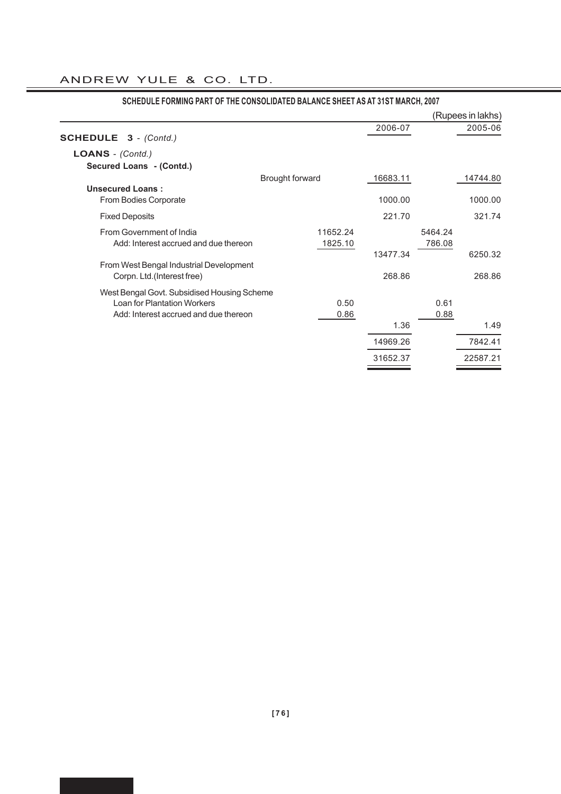|                                                  |                        |      |          |         | (Rupees in lakhs) |
|--------------------------------------------------|------------------------|------|----------|---------|-------------------|
|                                                  |                        |      | 2006-07  |         | 2005-06           |
| <b>SCHEDULE 3</b> - (Contd.)                     |                        |      |          |         |                   |
| LOANS - (Contd.)                                 |                        |      |          |         |                   |
| Secured Loans - (Contd.)                         |                        |      |          |         |                   |
|                                                  | <b>Brought forward</b> |      | 16683.11 |         | 14744.80          |
| <b>Unsecured Loans:</b><br>From Bodies Corporate |                        |      | 1000.00  |         | 1000.00           |
| <b>Fixed Deposits</b>                            |                        |      | 221.70   |         | 321.74            |
| From Government of India                         | 11652.24               |      |          | 5464.24 |                   |
| Add: Interest accrued and due thereon            | 1825.10                |      |          | 786.08  |                   |
|                                                  |                        |      | 13477.34 |         | 6250.32           |
| From West Bengal Industrial Development          |                        |      |          |         |                   |
| Corpn. Ltd. (Interest free)                      |                        |      | 268.86   |         | 268.86            |
| West Bengal Govt. Subsidised Housing Scheme      |                        |      |          |         |                   |
| <b>Loan for Plantation Workers</b>               |                        | 0.50 |          | 0.61    |                   |
| Add: Interest accrued and due thereon            |                        | 0.86 |          | 0.88    |                   |
|                                                  |                        |      | 1.36     |         | 1.49              |
|                                                  |                        |      | 14969.26 |         | 7842.41           |
|                                                  |                        |      | 31652.37 |         | 22587.21          |

# **SCHEDULE FORMING PART OF THE CONSOLIDATED BALANCE SHEET AS AT 31ST MARCH, 2007**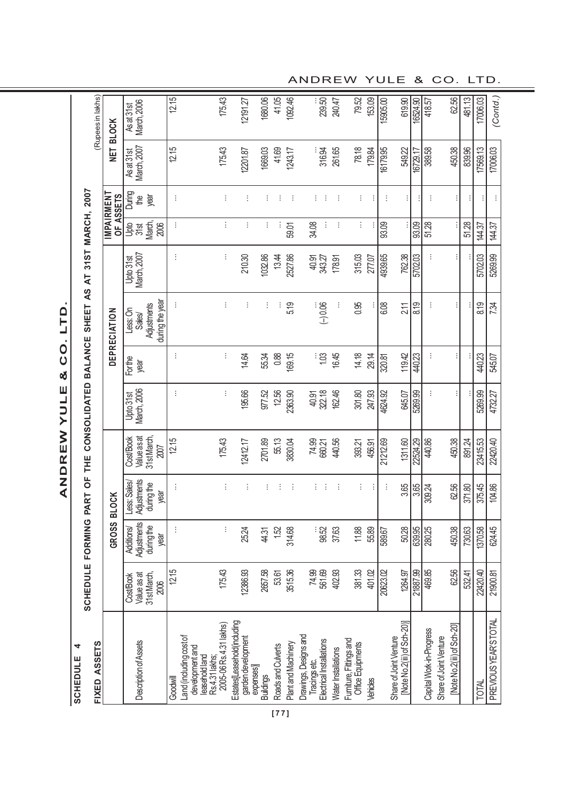ANDREW YULE & CO. LTD. **ANDREW YULE & CO. LTD.**

| <b>SCHEDULE</b>                                | FORMING                                         | PART                                             |                                                 | OF THE CONSOLIDATED BALANCE |                |                                                      | $\overline{\mathbf{z}}$  | 31ST MARCH, 2007           |                     |                                            |                           |
|------------------------------------------------|-------------------------------------------------|--------------------------------------------------|-------------------------------------------------|-----------------------------|----------------|------------------------------------------------------|--------------------------|----------------------------|---------------------|--------------------------------------------|---------------------------|
|                                                |                                                 |                                                  |                                                 |                             |                | SHEET AS                                             |                          |                            |                     |                                            | (Rupees in lakhs)         |
|                                                | GROSS                                           | <b>BLOCK</b>                                     |                                                 |                             |                | DEPRECIATION                                         |                          | <b>MPAIRMENT</b>           | OF ASSETS           | NET BLOCK                                  |                           |
| 31st March,<br>Value as at<br>CostBook<br>2006 | Adjustments<br>during the<br>Additions/<br>year | Adjustments<br>Less: Sales<br>during the<br>year | 31st March,<br>Value as at<br>Cost/Book<br>2007 | March, 2006<br>Upto 31st    | Forthe<br>year | during the year<br>Adjustments<br>Less: On<br>Sales/ | March, 2007<br>Upto 31st | March,<br>요.<br>양성<br>2006 | During<br>year<br>₽ | <b>March, 2007</b><br>Asat <sub>31st</sub> | As at 31st<br>March, 2006 |
| 12.15                                          | ÷                                               | ŧ                                                | 12.15                                           | ÷                           | ÷              | ŧ                                                    | ŧ                        | ŧ,                         | ÷                   | 12.15                                      | 12.15                     |
| 175.43                                         | ÷                                               | ŧ                                                | 175.43                                          | ÷                           | t              | ÷                                                    | ŧ                        | ÷                          | ŧ                   | 175.43                                     | 175.43                    |
| 12386.93                                       | 25.24                                           | ÷                                                | 12412.17                                        | 195.66                      | 14.64          |                                                      | 210.30                   | ÷                          | ÷                   | 12201.87                                   | 12191.27                  |
| 2657.58                                        | 44.31                                           | ŧ                                                | 2701.89                                         | 977.52                      | 55.34          | ÷                                                    | 1032.86                  | ÷                          | ÷                   | 1669.03                                    | 1680.06                   |
| 53.61                                          | 1.52                                            | ÷                                                | 55.13                                           | 12.56                       | 0.88           |                                                      | 13.44                    |                            | ÷                   | 41.69                                      | 41.05                     |
| 3515.36                                        | 314.68                                          | ÷                                                | 3830.04                                         | 2363.90                     | 169.15         | 5.19                                                 | 2527.86                  | 59.01                      | - E                 | 1243.17                                    | 1092.46                   |
| 74.99<br>561.69                                | : 52<br>98                                      | ÷<br>÷                                           | 74.99<br>660.21                                 | 322.18<br>40.91             | $\frac{1}{2}$  | $-0.06$                                              | 40.91<br>343.27          | ÷<br>34.08                 | ÷<br>÷              | 316.94                                     | 239.50                    |
| 402.93                                         | 37.63                                           | ÷                                                | 440.56                                          | 162.46                      | 16.45          |                                                      | 178.91                   | ÷                          | ÷                   | 261.65                                     | 240.47                    |
| 381.33                                         | 11.88                                           | ÷                                                | 393.21                                          | 301.80                      | 14.18          | 0.95                                                 | 315.03                   | ÷                          | ŧ                   | 78.18                                      | 79.52                     |
| 401.02                                         | 55.89                                           | ÷                                                | 456.91                                          | 247.93                      | 29.14          |                                                      | 277.07                   |                            | ÷                   | 179.84                                     | 153.09                    |
| 20623.02                                       | 589.67                                          | ÷                                                | 21212.69                                        | 4624.92                     | 320.81         | 6.08                                                 | 4939.65                  | 93.09                      | ÷                   | 16179.95                                   | 15905.00                  |
| 1264.97                                        | 50.28                                           | 3.65                                             | 1311.60                                         | 645.07                      | 119.42         | 2.11                                                 | 762.38                   |                            | ÷                   | 549.22                                     | 619.90                    |
| 21887.99                                       | 639.95                                          | 3.65                                             | 22524.29                                        | 5269.99                     | 440.23         | 8.19                                                 | 5702.03                  | 93.09                      |                     | 16729.17                                   | 16524.90                  |
| 469.85                                         | 280.25                                          | 309.24                                           | 440.86                                          |                             | ÷              |                                                      |                          | $\overline{51.28}$         | ÷                   | 389.58                                     | 418.57                    |
| 62.56                                          | 450.38                                          | 62.56                                            | 450.38                                          |                             |                |                                                      |                          |                            |                     | 450.38                                     | 62.56                     |
| 532.41                                         | 730.63                                          | 371.80                                           | 891.24                                          | ŧ                           |                |                                                      |                          | 51.28                      | ÷<br>÷              | 839.96                                     | 481.13                    |
| 22420.40                                       | 1370.58                                         | 375.45                                           | 23415.53                                        | 5269.99                     | 440.23         | 8.19                                                 | 5702.03                  | 144.37                     |                     | 17569.13                                   | 17006.03                  |
| 21900.81                                       | 624.45                                          | 104.86                                           | 22420.40                                        | 4732.27                     | 545.07         | 7.34                                                 | 5269.99                  | 144.37                     | ÷                   | 17006.03                                   | (Contd.)                  |

ANDREW YULE & CO. LTD.

**[77]**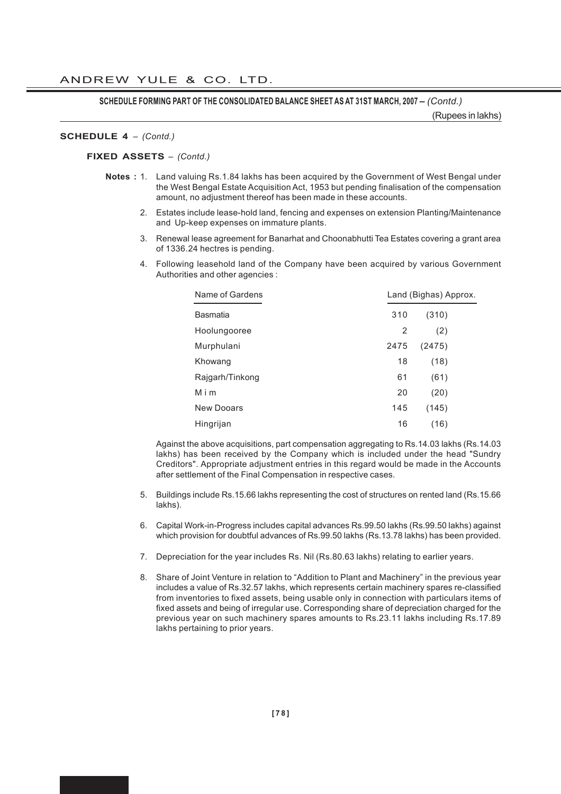**SCHEDULE FORMING PART OF THE CONSOLIDATED BALANCE SHEET AS AT 31ST MARCH, 2007 –** *(Contd.)*

(Rupees in lakhs)

#### **SCHEDULE 4** *– (Contd.)*

**FIXED ASSETS** *– (Contd.)*

- **Notes :** 1. Land valuing Rs.1.84 lakhs has been acquired by the Government of West Bengal under the West Bengal Estate Acquisition Act, 1953 but pending finalisation of the compensation amount, no adjustment thereof has been made in these accounts.
	- 2. Estates include lease-hold land, fencing and expenses on extension Planting/Maintenance and Up-keep expenses on immature plants.
	- 3. Renewal lease agreement for Banarhat and Choonabhutti Tea Estates covering a grant area of 1336.24 hectres is pending.
	- 4. Following leasehold land of the Company have been acquired by various Government Authorities and other agencies :

| Name of Gardens |      | Land (Bighas) Approx. |  |  |
|-----------------|------|-----------------------|--|--|
| Basmatia        | 310  | (310)                 |  |  |
| Hoolungooree    | 2    | (2)                   |  |  |
| Murphulani      | 2475 | (2475)                |  |  |
| Khowang         | 18   | (18)                  |  |  |
| Rajgarh/Tinkong | 61   | (61)                  |  |  |
| Mim             | 20   | (20)                  |  |  |
| New Dooars      | 145  | (145)                 |  |  |
| Hingrijan       | 16   | (16)                  |  |  |

Against the above acquisitions, part compensation aggregating to Rs.14.03 lakhs (Rs.14.03 lakhs) has been received by the Company which is included under the head "Sundry Creditors". Appropriate adjustment entries in this regard would be made in the Accounts after settlement of the Final Compensation in respective cases.

- 5. Buildings include Rs.15.66 lakhs representing the cost of structures on rented land (Rs.15.66 lakhs).
- 6. Capital Work-in-Progress includes capital advances Rs.99.50 lakhs (Rs.99.50 lakhs) against which provision for doubtful advances of Rs.99.50 lakhs (Rs.13.78 lakhs) has been provided.
- 7. Depreciation for the year includes Rs. Nil (Rs.80.63 lakhs) relating to earlier years.
- 8. Share of Joint Venture in relation to "Addition to Plant and Machinery" in the previous year includes a value of Rs.32.57 lakhs, which represents certain machinery spares re-classified from inventories to fixed assets, being usable only in connection with particulars items of fixed assets and being of irregular use. Corresponding share of depreciation charged for the previous year on such machinery spares amounts to Rs.23.11 lakhs including Rs.17.89 lakhs pertaining to prior years.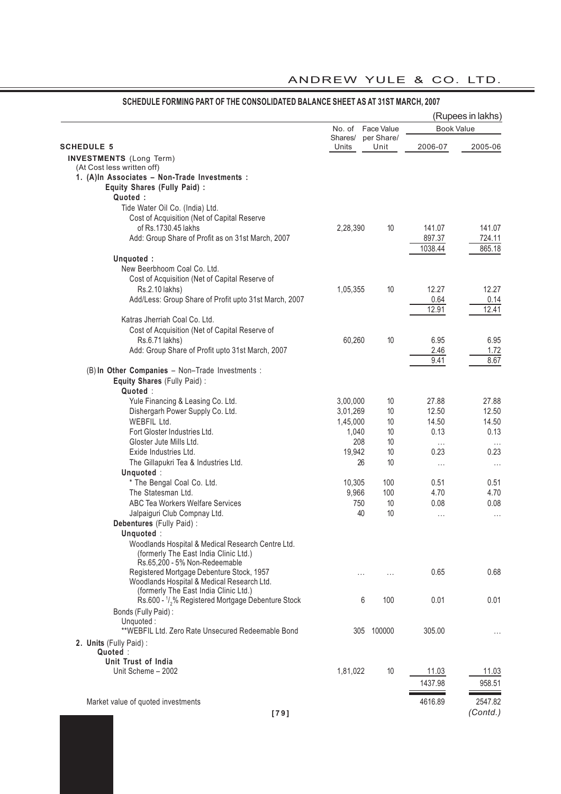| Face Value<br><b>Book Value</b><br>per Share/<br>Shares/<br>Units<br>2006-07<br>2005-06<br>Unit<br><b>INVESTMENTS</b> (Long Term)<br>(At Cost less written off)<br>1. (A)In Associates - Non-Trade Investments :<br>Equity Shares (Fully Paid) :<br>Quoted:<br>Tide Water Oil Co. (India) Ltd.<br>Cost of Acquisition (Net of Capital Reserve<br>of Rs.1730.45 lakhs<br>141.07<br>2,28,390<br>10<br>141.07<br>Add: Group Share of Profit as on 31st March, 2007<br>897.37<br>724.11<br>865.18<br>1038.44<br>Unquoted:<br>New Beerbhoom Coal Co. Ltd.<br>Cost of Acquisition (Net of Capital Reserve of<br>Rs.2.10 lakhs)<br>10<br>12.27<br>12.27<br>1,05,355<br>Add/Less: Group Share of Profit upto 31st March, 2007<br>0.64<br>0.14<br>12.41<br>12.91<br>Katras Jherriah Coal Co. Ltd.<br>Cost of Acquisition (Net of Capital Reserve of<br>10<br>Rs.6.71 lakhs)<br>60,260<br>6.95<br>6.95<br>Add: Group Share of Profit upto 31st March, 2007<br>1.72<br>2.46<br>8.67<br>9.41<br>(B) In Other Companies - Non-Trade Investments :<br>Equity Shares (Fully Paid) :<br>Quoted:<br>Yule Financing & Leasing Co. Ltd.<br>3,00,000<br>10<br>27.88<br>27.88<br>Dishergarh Power Supply Co. Ltd.<br>10<br>12.50<br>12.50<br>3,01,269<br>WEBFIL Ltd.<br>10<br>14.50<br>1,45,000<br>14.50<br>0.13<br>0.13<br>Fort Gloster Industries Ltd.<br>1,040<br>10<br>Gloster Jute Mills Ltd.<br>208<br>10<br>$\cdots$<br>$\cdots$<br>10<br>0.23<br>0.23<br>Exide Industries Ltd.<br>19,942<br>10<br>The Gillapukri Tea & Industries Ltd.<br>26<br>$\cdots$<br>$\cdots$<br>Unquoted:<br>* The Bengal Coal Co. Ltd.<br>10,305<br>100<br>0.51<br>0.51<br>The Statesman Ltd.<br>9,966<br>100<br>4.70<br>4.70<br>ABC Tea Workers Welfare Services<br>750<br>10<br>0.08<br>0.08<br>Jalpaiguri Club Compnay Ltd.<br>40<br>10<br>$\cdots$<br>.<br>Debentures (Fully Paid) :<br>Unquoted:<br>Woodlands Hospital & Medical Research Centre Ltd.<br>(formerly The East India Clinic Ltd.)<br>Rs.65,200 - 5% Non-Redeemable<br>Registered Mortgage Debenture Stock, 1957<br>0.65<br>0.68<br>.<br>Woodlands Hospital & Medical Research Ltd.<br>(formerly The East India Clinic Ltd.)<br>Rs.600 - 1/ <sub>2</sub> % Registered Mortgage Debenture Stock<br>100<br>0.01<br>0.01<br>6<br>Bonds (Fully Paid):<br>Unquoted:<br>**WEBFIL Ltd. Zero Rate Unsecured Redeemable Bond<br>100000<br>305.00<br>305<br>$\cdots$<br>2. Units (Fully Paid):<br>Quoted:<br>Unit Trust of India<br>10<br>Unit Scheme - 2002<br>1,81,022<br>11.03<br>11.03<br>1437.98<br>958.51<br>2547.82<br>Market value of quoted investments<br>4616.89<br>(Contd.)<br>$[79]$ |                   |        |  | (Rupees in lakhs) |
|----------------------------------------------------------------------------------------------------------------------------------------------------------------------------------------------------------------------------------------------------------------------------------------------------------------------------------------------------------------------------------------------------------------------------------------------------------------------------------------------------------------------------------------------------------------------------------------------------------------------------------------------------------------------------------------------------------------------------------------------------------------------------------------------------------------------------------------------------------------------------------------------------------------------------------------------------------------------------------------------------------------------------------------------------------------------------------------------------------------------------------------------------------------------------------------------------------------------------------------------------------------------------------------------------------------------------------------------------------------------------------------------------------------------------------------------------------------------------------------------------------------------------------------------------------------------------------------------------------------------------------------------------------------------------------------------------------------------------------------------------------------------------------------------------------------------------------------------------------------------------------------------------------------------------------------------------------------------------------------------------------------------------------------------------------------------------------------------------------------------------------------------------------------------------------------------------------------------------------------------------------------------------------------------------------------------------------------------------------------------------------------------------------------------------------------------------------------------------------------------------------------------------------------------------------------------------------------------------------------------|-------------------|--------|--|-------------------|
|                                                                                                                                                                                                                                                                                                                                                                                                                                                                                                                                                                                                                                                                                                                                                                                                                                                                                                                                                                                                                                                                                                                                                                                                                                                                                                                                                                                                                                                                                                                                                                                                                                                                                                                                                                                                                                                                                                                                                                                                                                                                                                                                                                                                                                                                                                                                                                                                                                                                                                                                                                                                                      |                   | No. of |  |                   |
|                                                                                                                                                                                                                                                                                                                                                                                                                                                                                                                                                                                                                                                                                                                                                                                                                                                                                                                                                                                                                                                                                                                                                                                                                                                                                                                                                                                                                                                                                                                                                                                                                                                                                                                                                                                                                                                                                                                                                                                                                                                                                                                                                                                                                                                                                                                                                                                                                                                                                                                                                                                                                      | <b>SCHEDULE 5</b> |        |  |                   |
|                                                                                                                                                                                                                                                                                                                                                                                                                                                                                                                                                                                                                                                                                                                                                                                                                                                                                                                                                                                                                                                                                                                                                                                                                                                                                                                                                                                                                                                                                                                                                                                                                                                                                                                                                                                                                                                                                                                                                                                                                                                                                                                                                                                                                                                                                                                                                                                                                                                                                                                                                                                                                      |                   |        |  |                   |
|                                                                                                                                                                                                                                                                                                                                                                                                                                                                                                                                                                                                                                                                                                                                                                                                                                                                                                                                                                                                                                                                                                                                                                                                                                                                                                                                                                                                                                                                                                                                                                                                                                                                                                                                                                                                                                                                                                                                                                                                                                                                                                                                                                                                                                                                                                                                                                                                                                                                                                                                                                                                                      |                   |        |  |                   |
|                                                                                                                                                                                                                                                                                                                                                                                                                                                                                                                                                                                                                                                                                                                                                                                                                                                                                                                                                                                                                                                                                                                                                                                                                                                                                                                                                                                                                                                                                                                                                                                                                                                                                                                                                                                                                                                                                                                                                                                                                                                                                                                                                                                                                                                                                                                                                                                                                                                                                                                                                                                                                      |                   |        |  |                   |
|                                                                                                                                                                                                                                                                                                                                                                                                                                                                                                                                                                                                                                                                                                                                                                                                                                                                                                                                                                                                                                                                                                                                                                                                                                                                                                                                                                                                                                                                                                                                                                                                                                                                                                                                                                                                                                                                                                                                                                                                                                                                                                                                                                                                                                                                                                                                                                                                                                                                                                                                                                                                                      |                   |        |  |                   |
|                                                                                                                                                                                                                                                                                                                                                                                                                                                                                                                                                                                                                                                                                                                                                                                                                                                                                                                                                                                                                                                                                                                                                                                                                                                                                                                                                                                                                                                                                                                                                                                                                                                                                                                                                                                                                                                                                                                                                                                                                                                                                                                                                                                                                                                                                                                                                                                                                                                                                                                                                                                                                      |                   |        |  |                   |
|                                                                                                                                                                                                                                                                                                                                                                                                                                                                                                                                                                                                                                                                                                                                                                                                                                                                                                                                                                                                                                                                                                                                                                                                                                                                                                                                                                                                                                                                                                                                                                                                                                                                                                                                                                                                                                                                                                                                                                                                                                                                                                                                                                                                                                                                                                                                                                                                                                                                                                                                                                                                                      |                   |        |  |                   |
|                                                                                                                                                                                                                                                                                                                                                                                                                                                                                                                                                                                                                                                                                                                                                                                                                                                                                                                                                                                                                                                                                                                                                                                                                                                                                                                                                                                                                                                                                                                                                                                                                                                                                                                                                                                                                                                                                                                                                                                                                                                                                                                                                                                                                                                                                                                                                                                                                                                                                                                                                                                                                      |                   |        |  |                   |
|                                                                                                                                                                                                                                                                                                                                                                                                                                                                                                                                                                                                                                                                                                                                                                                                                                                                                                                                                                                                                                                                                                                                                                                                                                                                                                                                                                                                                                                                                                                                                                                                                                                                                                                                                                                                                                                                                                                                                                                                                                                                                                                                                                                                                                                                                                                                                                                                                                                                                                                                                                                                                      |                   |        |  |                   |
|                                                                                                                                                                                                                                                                                                                                                                                                                                                                                                                                                                                                                                                                                                                                                                                                                                                                                                                                                                                                                                                                                                                                                                                                                                                                                                                                                                                                                                                                                                                                                                                                                                                                                                                                                                                                                                                                                                                                                                                                                                                                                                                                                                                                                                                                                                                                                                                                                                                                                                                                                                                                                      |                   |        |  |                   |
|                                                                                                                                                                                                                                                                                                                                                                                                                                                                                                                                                                                                                                                                                                                                                                                                                                                                                                                                                                                                                                                                                                                                                                                                                                                                                                                                                                                                                                                                                                                                                                                                                                                                                                                                                                                                                                                                                                                                                                                                                                                                                                                                                                                                                                                                                                                                                                                                                                                                                                                                                                                                                      |                   |        |  |                   |
|                                                                                                                                                                                                                                                                                                                                                                                                                                                                                                                                                                                                                                                                                                                                                                                                                                                                                                                                                                                                                                                                                                                                                                                                                                                                                                                                                                                                                                                                                                                                                                                                                                                                                                                                                                                                                                                                                                                                                                                                                                                                                                                                                                                                                                                                                                                                                                                                                                                                                                                                                                                                                      |                   |        |  |                   |
|                                                                                                                                                                                                                                                                                                                                                                                                                                                                                                                                                                                                                                                                                                                                                                                                                                                                                                                                                                                                                                                                                                                                                                                                                                                                                                                                                                                                                                                                                                                                                                                                                                                                                                                                                                                                                                                                                                                                                                                                                                                                                                                                                                                                                                                                                                                                                                                                                                                                                                                                                                                                                      |                   |        |  |                   |
|                                                                                                                                                                                                                                                                                                                                                                                                                                                                                                                                                                                                                                                                                                                                                                                                                                                                                                                                                                                                                                                                                                                                                                                                                                                                                                                                                                                                                                                                                                                                                                                                                                                                                                                                                                                                                                                                                                                                                                                                                                                                                                                                                                                                                                                                                                                                                                                                                                                                                                                                                                                                                      |                   |        |  |                   |
|                                                                                                                                                                                                                                                                                                                                                                                                                                                                                                                                                                                                                                                                                                                                                                                                                                                                                                                                                                                                                                                                                                                                                                                                                                                                                                                                                                                                                                                                                                                                                                                                                                                                                                                                                                                                                                                                                                                                                                                                                                                                                                                                                                                                                                                                                                                                                                                                                                                                                                                                                                                                                      |                   |        |  |                   |
|                                                                                                                                                                                                                                                                                                                                                                                                                                                                                                                                                                                                                                                                                                                                                                                                                                                                                                                                                                                                                                                                                                                                                                                                                                                                                                                                                                                                                                                                                                                                                                                                                                                                                                                                                                                                                                                                                                                                                                                                                                                                                                                                                                                                                                                                                                                                                                                                                                                                                                                                                                                                                      |                   |        |  |                   |
|                                                                                                                                                                                                                                                                                                                                                                                                                                                                                                                                                                                                                                                                                                                                                                                                                                                                                                                                                                                                                                                                                                                                                                                                                                                                                                                                                                                                                                                                                                                                                                                                                                                                                                                                                                                                                                                                                                                                                                                                                                                                                                                                                                                                                                                                                                                                                                                                                                                                                                                                                                                                                      |                   |        |  |                   |
|                                                                                                                                                                                                                                                                                                                                                                                                                                                                                                                                                                                                                                                                                                                                                                                                                                                                                                                                                                                                                                                                                                                                                                                                                                                                                                                                                                                                                                                                                                                                                                                                                                                                                                                                                                                                                                                                                                                                                                                                                                                                                                                                                                                                                                                                                                                                                                                                                                                                                                                                                                                                                      |                   |        |  |                   |
|                                                                                                                                                                                                                                                                                                                                                                                                                                                                                                                                                                                                                                                                                                                                                                                                                                                                                                                                                                                                                                                                                                                                                                                                                                                                                                                                                                                                                                                                                                                                                                                                                                                                                                                                                                                                                                                                                                                                                                                                                                                                                                                                                                                                                                                                                                                                                                                                                                                                                                                                                                                                                      |                   |        |  |                   |
|                                                                                                                                                                                                                                                                                                                                                                                                                                                                                                                                                                                                                                                                                                                                                                                                                                                                                                                                                                                                                                                                                                                                                                                                                                                                                                                                                                                                                                                                                                                                                                                                                                                                                                                                                                                                                                                                                                                                                                                                                                                                                                                                                                                                                                                                                                                                                                                                                                                                                                                                                                                                                      |                   |        |  |                   |
|                                                                                                                                                                                                                                                                                                                                                                                                                                                                                                                                                                                                                                                                                                                                                                                                                                                                                                                                                                                                                                                                                                                                                                                                                                                                                                                                                                                                                                                                                                                                                                                                                                                                                                                                                                                                                                                                                                                                                                                                                                                                                                                                                                                                                                                                                                                                                                                                                                                                                                                                                                                                                      |                   |        |  |                   |
|                                                                                                                                                                                                                                                                                                                                                                                                                                                                                                                                                                                                                                                                                                                                                                                                                                                                                                                                                                                                                                                                                                                                                                                                                                                                                                                                                                                                                                                                                                                                                                                                                                                                                                                                                                                                                                                                                                                                                                                                                                                                                                                                                                                                                                                                                                                                                                                                                                                                                                                                                                                                                      |                   |        |  |                   |
|                                                                                                                                                                                                                                                                                                                                                                                                                                                                                                                                                                                                                                                                                                                                                                                                                                                                                                                                                                                                                                                                                                                                                                                                                                                                                                                                                                                                                                                                                                                                                                                                                                                                                                                                                                                                                                                                                                                                                                                                                                                                                                                                                                                                                                                                                                                                                                                                                                                                                                                                                                                                                      |                   |        |  |                   |
|                                                                                                                                                                                                                                                                                                                                                                                                                                                                                                                                                                                                                                                                                                                                                                                                                                                                                                                                                                                                                                                                                                                                                                                                                                                                                                                                                                                                                                                                                                                                                                                                                                                                                                                                                                                                                                                                                                                                                                                                                                                                                                                                                                                                                                                                                                                                                                                                                                                                                                                                                                                                                      |                   |        |  |                   |
|                                                                                                                                                                                                                                                                                                                                                                                                                                                                                                                                                                                                                                                                                                                                                                                                                                                                                                                                                                                                                                                                                                                                                                                                                                                                                                                                                                                                                                                                                                                                                                                                                                                                                                                                                                                                                                                                                                                                                                                                                                                                                                                                                                                                                                                                                                                                                                                                                                                                                                                                                                                                                      |                   |        |  |                   |
|                                                                                                                                                                                                                                                                                                                                                                                                                                                                                                                                                                                                                                                                                                                                                                                                                                                                                                                                                                                                                                                                                                                                                                                                                                                                                                                                                                                                                                                                                                                                                                                                                                                                                                                                                                                                                                                                                                                                                                                                                                                                                                                                                                                                                                                                                                                                                                                                                                                                                                                                                                                                                      |                   |        |  |                   |
|                                                                                                                                                                                                                                                                                                                                                                                                                                                                                                                                                                                                                                                                                                                                                                                                                                                                                                                                                                                                                                                                                                                                                                                                                                                                                                                                                                                                                                                                                                                                                                                                                                                                                                                                                                                                                                                                                                                                                                                                                                                                                                                                                                                                                                                                                                                                                                                                                                                                                                                                                                                                                      |                   |        |  |                   |
|                                                                                                                                                                                                                                                                                                                                                                                                                                                                                                                                                                                                                                                                                                                                                                                                                                                                                                                                                                                                                                                                                                                                                                                                                                                                                                                                                                                                                                                                                                                                                                                                                                                                                                                                                                                                                                                                                                                                                                                                                                                                                                                                                                                                                                                                                                                                                                                                                                                                                                                                                                                                                      |                   |        |  |                   |
|                                                                                                                                                                                                                                                                                                                                                                                                                                                                                                                                                                                                                                                                                                                                                                                                                                                                                                                                                                                                                                                                                                                                                                                                                                                                                                                                                                                                                                                                                                                                                                                                                                                                                                                                                                                                                                                                                                                                                                                                                                                                                                                                                                                                                                                                                                                                                                                                                                                                                                                                                                                                                      |                   |        |  |                   |
|                                                                                                                                                                                                                                                                                                                                                                                                                                                                                                                                                                                                                                                                                                                                                                                                                                                                                                                                                                                                                                                                                                                                                                                                                                                                                                                                                                                                                                                                                                                                                                                                                                                                                                                                                                                                                                                                                                                                                                                                                                                                                                                                                                                                                                                                                                                                                                                                                                                                                                                                                                                                                      |                   |        |  |                   |
|                                                                                                                                                                                                                                                                                                                                                                                                                                                                                                                                                                                                                                                                                                                                                                                                                                                                                                                                                                                                                                                                                                                                                                                                                                                                                                                                                                                                                                                                                                                                                                                                                                                                                                                                                                                                                                                                                                                                                                                                                                                                                                                                                                                                                                                                                                                                                                                                                                                                                                                                                                                                                      |                   |        |  |                   |
|                                                                                                                                                                                                                                                                                                                                                                                                                                                                                                                                                                                                                                                                                                                                                                                                                                                                                                                                                                                                                                                                                                                                                                                                                                                                                                                                                                                                                                                                                                                                                                                                                                                                                                                                                                                                                                                                                                                                                                                                                                                                                                                                                                                                                                                                                                                                                                                                                                                                                                                                                                                                                      |                   |        |  |                   |
|                                                                                                                                                                                                                                                                                                                                                                                                                                                                                                                                                                                                                                                                                                                                                                                                                                                                                                                                                                                                                                                                                                                                                                                                                                                                                                                                                                                                                                                                                                                                                                                                                                                                                                                                                                                                                                                                                                                                                                                                                                                                                                                                                                                                                                                                                                                                                                                                                                                                                                                                                                                                                      |                   |        |  |                   |
|                                                                                                                                                                                                                                                                                                                                                                                                                                                                                                                                                                                                                                                                                                                                                                                                                                                                                                                                                                                                                                                                                                                                                                                                                                                                                                                                                                                                                                                                                                                                                                                                                                                                                                                                                                                                                                                                                                                                                                                                                                                                                                                                                                                                                                                                                                                                                                                                                                                                                                                                                                                                                      |                   |        |  |                   |
|                                                                                                                                                                                                                                                                                                                                                                                                                                                                                                                                                                                                                                                                                                                                                                                                                                                                                                                                                                                                                                                                                                                                                                                                                                                                                                                                                                                                                                                                                                                                                                                                                                                                                                                                                                                                                                                                                                                                                                                                                                                                                                                                                                                                                                                                                                                                                                                                                                                                                                                                                                                                                      |                   |        |  |                   |
|                                                                                                                                                                                                                                                                                                                                                                                                                                                                                                                                                                                                                                                                                                                                                                                                                                                                                                                                                                                                                                                                                                                                                                                                                                                                                                                                                                                                                                                                                                                                                                                                                                                                                                                                                                                                                                                                                                                                                                                                                                                                                                                                                                                                                                                                                                                                                                                                                                                                                                                                                                                                                      |                   |        |  |                   |
|                                                                                                                                                                                                                                                                                                                                                                                                                                                                                                                                                                                                                                                                                                                                                                                                                                                                                                                                                                                                                                                                                                                                                                                                                                                                                                                                                                                                                                                                                                                                                                                                                                                                                                                                                                                                                                                                                                                                                                                                                                                                                                                                                                                                                                                                                                                                                                                                                                                                                                                                                                                                                      |                   |        |  |                   |
|                                                                                                                                                                                                                                                                                                                                                                                                                                                                                                                                                                                                                                                                                                                                                                                                                                                                                                                                                                                                                                                                                                                                                                                                                                                                                                                                                                                                                                                                                                                                                                                                                                                                                                                                                                                                                                                                                                                                                                                                                                                                                                                                                                                                                                                                                                                                                                                                                                                                                                                                                                                                                      |                   |        |  |                   |
|                                                                                                                                                                                                                                                                                                                                                                                                                                                                                                                                                                                                                                                                                                                                                                                                                                                                                                                                                                                                                                                                                                                                                                                                                                                                                                                                                                                                                                                                                                                                                                                                                                                                                                                                                                                                                                                                                                                                                                                                                                                                                                                                                                                                                                                                                                                                                                                                                                                                                                                                                                                                                      |                   |        |  |                   |
|                                                                                                                                                                                                                                                                                                                                                                                                                                                                                                                                                                                                                                                                                                                                                                                                                                                                                                                                                                                                                                                                                                                                                                                                                                                                                                                                                                                                                                                                                                                                                                                                                                                                                                                                                                                                                                                                                                                                                                                                                                                                                                                                                                                                                                                                                                                                                                                                                                                                                                                                                                                                                      |                   |        |  |                   |
|                                                                                                                                                                                                                                                                                                                                                                                                                                                                                                                                                                                                                                                                                                                                                                                                                                                                                                                                                                                                                                                                                                                                                                                                                                                                                                                                                                                                                                                                                                                                                                                                                                                                                                                                                                                                                                                                                                                                                                                                                                                                                                                                                                                                                                                                                                                                                                                                                                                                                                                                                                                                                      |                   |        |  |                   |
|                                                                                                                                                                                                                                                                                                                                                                                                                                                                                                                                                                                                                                                                                                                                                                                                                                                                                                                                                                                                                                                                                                                                                                                                                                                                                                                                                                                                                                                                                                                                                                                                                                                                                                                                                                                                                                                                                                                                                                                                                                                                                                                                                                                                                                                                                                                                                                                                                                                                                                                                                                                                                      |                   |        |  |                   |
|                                                                                                                                                                                                                                                                                                                                                                                                                                                                                                                                                                                                                                                                                                                                                                                                                                                                                                                                                                                                                                                                                                                                                                                                                                                                                                                                                                                                                                                                                                                                                                                                                                                                                                                                                                                                                                                                                                                                                                                                                                                                                                                                                                                                                                                                                                                                                                                                                                                                                                                                                                                                                      |                   |        |  |                   |
|                                                                                                                                                                                                                                                                                                                                                                                                                                                                                                                                                                                                                                                                                                                                                                                                                                                                                                                                                                                                                                                                                                                                                                                                                                                                                                                                                                                                                                                                                                                                                                                                                                                                                                                                                                                                                                                                                                                                                                                                                                                                                                                                                                                                                                                                                                                                                                                                                                                                                                                                                                                                                      |                   |        |  |                   |
|                                                                                                                                                                                                                                                                                                                                                                                                                                                                                                                                                                                                                                                                                                                                                                                                                                                                                                                                                                                                                                                                                                                                                                                                                                                                                                                                                                                                                                                                                                                                                                                                                                                                                                                                                                                                                                                                                                                                                                                                                                                                                                                                                                                                                                                                                                                                                                                                                                                                                                                                                                                                                      |                   |        |  |                   |
|                                                                                                                                                                                                                                                                                                                                                                                                                                                                                                                                                                                                                                                                                                                                                                                                                                                                                                                                                                                                                                                                                                                                                                                                                                                                                                                                                                                                                                                                                                                                                                                                                                                                                                                                                                                                                                                                                                                                                                                                                                                                                                                                                                                                                                                                                                                                                                                                                                                                                                                                                                                                                      |                   |        |  |                   |
|                                                                                                                                                                                                                                                                                                                                                                                                                                                                                                                                                                                                                                                                                                                                                                                                                                                                                                                                                                                                                                                                                                                                                                                                                                                                                                                                                                                                                                                                                                                                                                                                                                                                                                                                                                                                                                                                                                                                                                                                                                                                                                                                                                                                                                                                                                                                                                                                                                                                                                                                                                                                                      |                   |        |  |                   |
|                                                                                                                                                                                                                                                                                                                                                                                                                                                                                                                                                                                                                                                                                                                                                                                                                                                                                                                                                                                                                                                                                                                                                                                                                                                                                                                                                                                                                                                                                                                                                                                                                                                                                                                                                                                                                                                                                                                                                                                                                                                                                                                                                                                                                                                                                                                                                                                                                                                                                                                                                                                                                      |                   |        |  |                   |
|                                                                                                                                                                                                                                                                                                                                                                                                                                                                                                                                                                                                                                                                                                                                                                                                                                                                                                                                                                                                                                                                                                                                                                                                                                                                                                                                                                                                                                                                                                                                                                                                                                                                                                                                                                                                                                                                                                                                                                                                                                                                                                                                                                                                                                                                                                                                                                                                                                                                                                                                                                                                                      |                   |        |  |                   |
|                                                                                                                                                                                                                                                                                                                                                                                                                                                                                                                                                                                                                                                                                                                                                                                                                                                                                                                                                                                                                                                                                                                                                                                                                                                                                                                                                                                                                                                                                                                                                                                                                                                                                                                                                                                                                                                                                                                                                                                                                                                                                                                                                                                                                                                                                                                                                                                                                                                                                                                                                                                                                      |                   |        |  |                   |
|                                                                                                                                                                                                                                                                                                                                                                                                                                                                                                                                                                                                                                                                                                                                                                                                                                                                                                                                                                                                                                                                                                                                                                                                                                                                                                                                                                                                                                                                                                                                                                                                                                                                                                                                                                                                                                                                                                                                                                                                                                                                                                                                                                                                                                                                                                                                                                                                                                                                                                                                                                                                                      |                   |        |  |                   |
|                                                                                                                                                                                                                                                                                                                                                                                                                                                                                                                                                                                                                                                                                                                                                                                                                                                                                                                                                                                                                                                                                                                                                                                                                                                                                                                                                                                                                                                                                                                                                                                                                                                                                                                                                                                                                                                                                                                                                                                                                                                                                                                                                                                                                                                                                                                                                                                                                                                                                                                                                                                                                      |                   |        |  |                   |
|                                                                                                                                                                                                                                                                                                                                                                                                                                                                                                                                                                                                                                                                                                                                                                                                                                                                                                                                                                                                                                                                                                                                                                                                                                                                                                                                                                                                                                                                                                                                                                                                                                                                                                                                                                                                                                                                                                                                                                                                                                                                                                                                                                                                                                                                                                                                                                                                                                                                                                                                                                                                                      |                   |        |  |                   |
|                                                                                                                                                                                                                                                                                                                                                                                                                                                                                                                                                                                                                                                                                                                                                                                                                                                                                                                                                                                                                                                                                                                                                                                                                                                                                                                                                                                                                                                                                                                                                                                                                                                                                                                                                                                                                                                                                                                                                                                                                                                                                                                                                                                                                                                                                                                                                                                                                                                                                                                                                                                                                      |                   |        |  |                   |
|                                                                                                                                                                                                                                                                                                                                                                                                                                                                                                                                                                                                                                                                                                                                                                                                                                                                                                                                                                                                                                                                                                                                                                                                                                                                                                                                                                                                                                                                                                                                                                                                                                                                                                                                                                                                                                                                                                                                                                                                                                                                                                                                                                                                                                                                                                                                                                                                                                                                                                                                                                                                                      |                   |        |  |                   |
|                                                                                                                                                                                                                                                                                                                                                                                                                                                                                                                                                                                                                                                                                                                                                                                                                                                                                                                                                                                                                                                                                                                                                                                                                                                                                                                                                                                                                                                                                                                                                                                                                                                                                                                                                                                                                                                                                                                                                                                                                                                                                                                                                                                                                                                                                                                                                                                                                                                                                                                                                                                                                      |                   |        |  |                   |

# **SCHEDULE FORMING PART OF THE CONSOLIDATED BALANCE SHEET AS AT 31ST MARCH, 2007**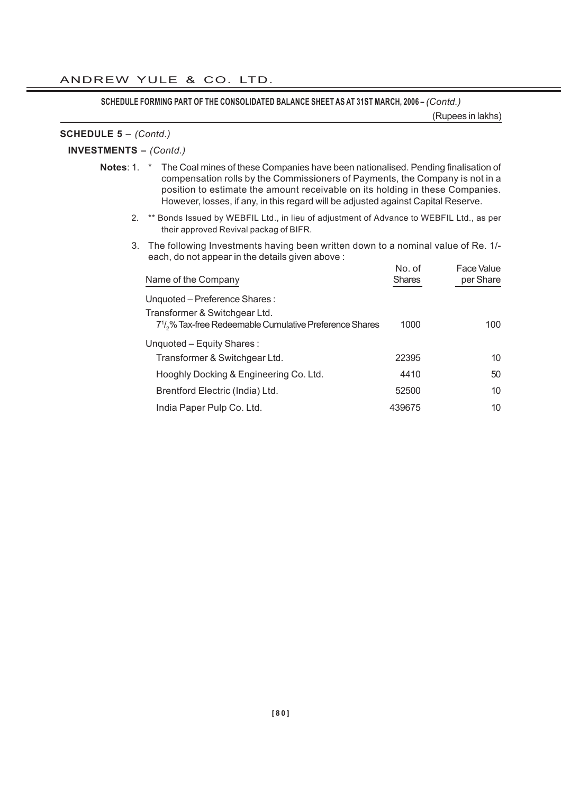**SCHEDULE FORMING PART OF THE CONSOLIDATED BALANCE SHEET AS AT 31ST MARCH, 2006 –** *(Contd.)*

(Rupees in lakhs)

#### **SCHEDULE 5** – *(Contd.)*

# **INVESTMENTS –** *(Contd.)*

- **Notes**: 1. \* The Coal mines of these Companies have been nationalised. Pending finalisation of compensation rolls by the Commissioners of Payments, the Company is not in a position to estimate the amount receivable on its holding in these Companies. However, losses, if any, in this regard will be adjusted against Capital Reserve.
	- 2. \*\* Bonds Issued by WEBFIL Ltd., in lieu of adjustment of Advance to WEBFIL Ltd., as per their approved Revival packag of BIFR.
	- 3. The following Investments having been written down to a nominal value of Re. 1/ each, do not appear in the details given above :

| Name of the Company                                                                                               | No. of<br><b>Shares</b> | Face Value<br>per Share |
|-------------------------------------------------------------------------------------------------------------------|-------------------------|-------------------------|
| Unquoted - Preference Shares:                                                                                     |                         |                         |
| Transformer & Switchgear Ltd.<br>7 <sup>1</sup> / <sub>2</sub> % Tax-free Redeemable Cumulative Preference Shares | 1000                    | 100                     |
| Unquoted - Equity Shares:                                                                                         |                         |                         |
| Transformer & Switchgear Ltd.                                                                                     | 22395                   | 10                      |
| Hooghly Docking & Engineering Co. Ltd.                                                                            | 4410                    | 50                      |
| Brentford Electric (India) Ltd.                                                                                   | 52500                   | 10                      |
| India Paper Pulp Co. Ltd.                                                                                         | 439675                  | 10                      |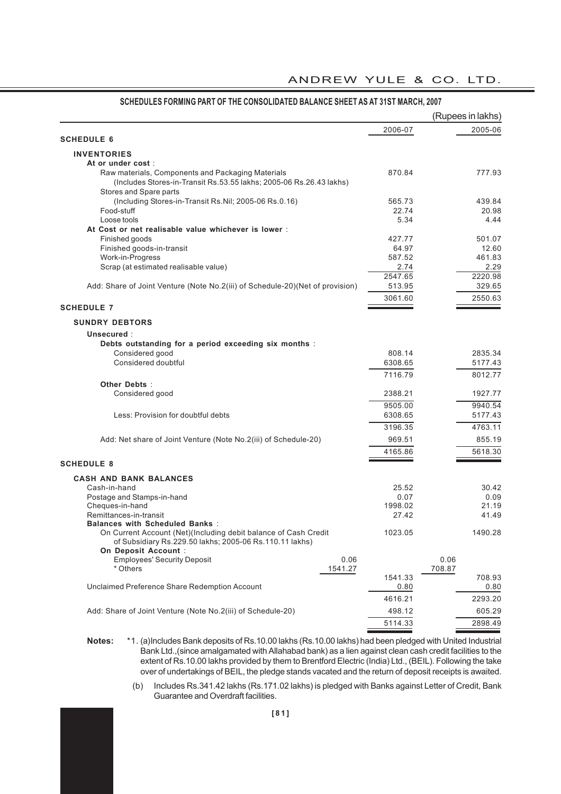#### 2006-07 2005-06 **SCHEDULE 6 INVENTORIES At or under cost** : Raw materials, Components and Packaging Materials 670.84 870.84 777.93 (Includes Stores-in-Transit Rs.53.55 lakhs; 2005-06 Rs.26.43 lakhs) Stores and Spare parts (Including Stores-in-Transit Rs.Nil; 2005-06 Rs.0.16) 565.73 439.84 Food-stuff 22.74 20.98 Loose tools 5.34 4.44 **At Cost or net realisable value whichever is lower** : Finished goods 427.77 501.07 Finished goods-in-transit 12.60<br>
Work-in-Progress 12.60<br>
Work-in-Progress 164.83 Work-in-Progress Scrap (at estimated realisable value) 2.74 2.29 2547.65 2220.98<br>513.95 329.65 Add: Share of Joint Venture (Note No.2(iii) of Schedule-20)(Net of provision) 3061.60 2550.63 **SCHEDULE 7 SUNDRY DEBTORS Unsecured** : **Debts outstanding for a period exceeding six months** : Considered good 808.14 2835.34 Considered doubtful 6308.65 5177.43 7116.79 8012.77 **Other Debts** : Considered good 2388.21 1927.77 9505.00 9940.54 Less: Provision for doubtful debts 6308.65 6308.65 5177.43 3196.35 4763.11 Add: Net share of Joint Venture (Note No.2(iii) of Schedule-20) 969.51 855.19 4165.86 5618.30 **SCHEDULE 8 CASH AND BANK BALANCES** Cash-in-hand 25.52 30.42 Postage and Stamps-in-hand 21.19<br>
Cheques-in-hand 21.19 0.07 0.09<br>
21.19 0.07 0.09 Cheques-in-hand 1998.02 21.19 Remittances-in-transit 27.42 41.49 **Balances with Scheduled Banks** : On Current Account (Net)(Including debit balance of Cash Credit 1023.05 1490.28 of Subsidiary Rs.229.50 lakhs; 2005-06 Rs.110.11 lakhs) **On Deposit Account** : Employees' Security Deposit 0.06 0.06 \* Others 1541.27 708.87 1541.33 708.93 Unclaimed Preference Share Redemption Account 0.80 0.80 4616.21 2293.20 Add: Share of Joint Venture (Note No.2(iii) of Schedule-20) 498.12 605.29 5114.33 2898.49 **SCHEDULES FORMING PART OF THE CONSOLIDATED BALANCE SHEET AS AT 31ST MARCH, 2007** (Rupees in lakhs)

ANDREW YULE & CO. LTD.

**Notes:** \*1. (a)Includes Bank deposits of Rs.10.00 lakhs (Rs.10.00 lakhs) had been pledged with United Industrial Bank Ltd.,(since amalgamated with Allahabad bank) as a lien against clean cash credit facilities to the extent of Rs.10.00 lakhs provided by them to Brentford Electric (India) Ltd., (BEIL). Following the take over of undertakings of BEIL, the pledge stands vacated and the return of deposit receipts is awaited.

> (b) Includes Rs.341.42 lakhs (Rs.171.02 lakhs) is pledged with Banks against Letter of Credit, Bank Guarantee and Overdraft facilities.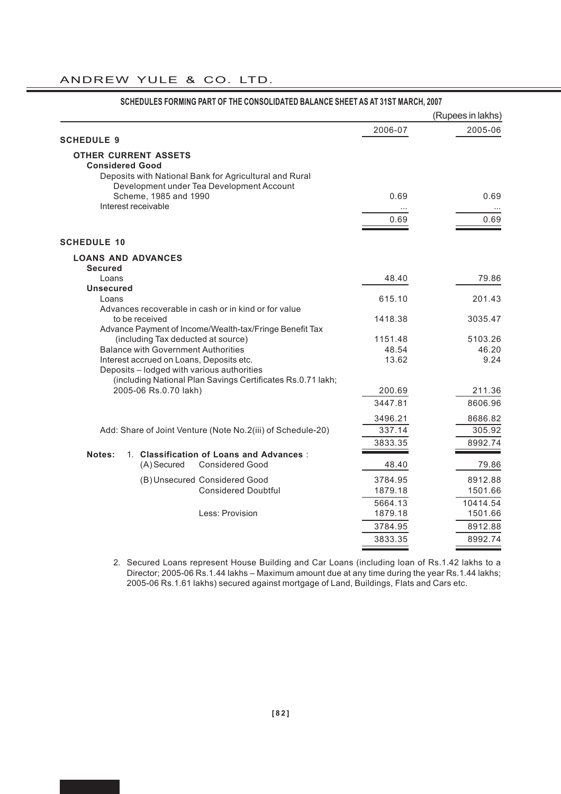|                                                                                                           |         | (Rupees in lakhs) |
|-----------------------------------------------------------------------------------------------------------|---------|-------------------|
|                                                                                                           | 2006-07 | 2005-06           |
| <b>SCHEDULE 9</b>                                                                                         |         |                   |
| <b>OTHER CURRENT ASSETS</b>                                                                               |         |                   |
| <b>Considered Good</b>                                                                                    |         |                   |
| Deposits with National Bank for Agricultural and Rural<br>Development under Tea Development Account       |         |                   |
| Scheme, 1985 and 1990                                                                                     | 0.69    | 0.69              |
| Interest receivable                                                                                       |         |                   |
|                                                                                                           | 0.69    | 0.69              |
| <b>SCHEDULE 10</b>                                                                                        |         |                   |
| <b>LOANS AND ADVANCES</b>                                                                                 |         |                   |
| <b>Secured</b><br>Loans                                                                                   | 48.40   | 79.86             |
| <b>Unsecured</b>                                                                                          |         |                   |
| Loans                                                                                                     | 615.10  | 201.43            |
| Advances recoverable in cash or in kind or for value<br>to be received                                    | 1418.38 | 3035.47           |
| Advance Payment of Income/Wealth-tax/Fringe Benefit Tax                                                   |         |                   |
| (including Tax deducted at source)                                                                        | 1151.48 | 5103.26           |
| <b>Balance with Government Authorities</b>                                                                | 48.54   | 46.20             |
| Interest accrued on Loans, Deposits etc.                                                                  | 13.62   | 9.24              |
| Deposits - lodged with various authorities<br>(including National Plan Savings Certificates Rs.0.71 lakh; |         |                   |
| 2005-06 Rs.0.70 lakh)                                                                                     | 200.69  | 211.36            |
|                                                                                                           | 3447.81 | 8606.96           |
|                                                                                                           | 3496.21 | 8686.82           |
| Add: Share of Joint Venture (Note No.2(iii) of Schedule-20)                                               | 337.14  | 305.92            |
|                                                                                                           | 3833.35 | 8992.74           |
| 1. Classification of Loans and Advances :<br>Notes:                                                       |         |                   |
| (A) Secured<br><b>Considered Good</b>                                                                     | 48.40   | 79.86             |
| (B) Unsecured Considered Good                                                                             | 3784.95 | 8912.88           |
| <b>Considered Doubtful</b>                                                                                | 1879.18 | 1501.66           |
|                                                                                                           | 5664.13 | 10414.54          |
| Less: Provision                                                                                           | 1879.18 | 1501.66           |
|                                                                                                           | 3784.95 | 8912.88           |
|                                                                                                           | 3833.35 | 8992.74           |

# SCHEDULES FORMING PART OF THE CONSOLIDATED BALANCE SHEET AS AT 31ST MARCH, 2007

2. Secured Loans represent House Building and Car Loans (including loan of Rs.1.42 lakhs to a Director; 2005-06 Rs.1.44 lakhs – Maximum amount due at any time during the year Rs.1.44 lakhs; 2005-06 Rs.1.61 lakhs) secured against mortgage of Land, Buildings, Flats and Cars etc.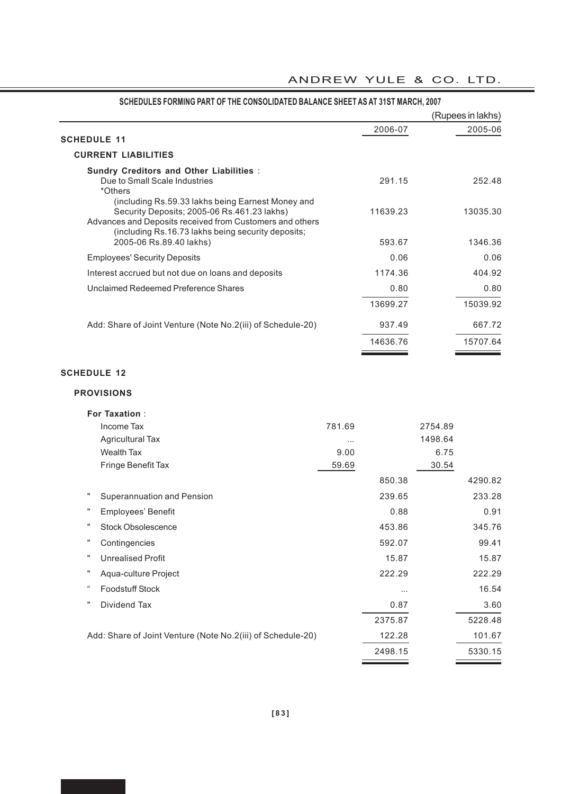|                                                                                                                                                                                                                    |          | (Rupees in lakhs) |
|--------------------------------------------------------------------------------------------------------------------------------------------------------------------------------------------------------------------|----------|-------------------|
| <b>SCHEDULE 11</b>                                                                                                                                                                                                 | 2006-07  | 2005-06           |
| <b>CURRENT LIABILITIES</b>                                                                                                                                                                                         |          |                   |
| <b>Sundry Creditors and Other Liabilities:</b><br>Due to Small Scale Industries<br>*Others                                                                                                                         | 291.15   | 252.48            |
| (including Rs.59.33 lakhs being Earnest Money and<br>Security Deposits: 2005-06 Rs.461.23 lakhs)<br>Advances and Deposits received from Customers and others<br>(including Rs.16.73 lakhs being security deposits; | 11639.23 | 13035.30          |
| 2005-06 Rs.89.40 lakhs)                                                                                                                                                                                            | 593.67   | 1346.36           |
| <b>Employees' Security Deposits</b>                                                                                                                                                                                | 0.06     | 0.06              |
| Interest accrued but not due on loans and deposits                                                                                                                                                                 | 1174.36  | 404.92            |
| Unclaimed Redeemed Preference Shares                                                                                                                                                                               | 0.80     | 0.80              |
|                                                                                                                                                                                                                    | 13699.27 | 15039.92          |
| Add: Share of Joint Venture (Note No.2(iii) of Schedule-20)                                                                                                                                                        | 937.49   | 667.72            |
|                                                                                                                                                                                                                    | 14636.76 | 15707.64          |

### **SCHEDULES FORMING PART OF THE CONSOLIDATED BALANCE SHEET AS AT 31ST MARCH, 2007**

# **SCHEDULE 12**

#### **PROVISIONS**

| <b>For Taxation:</b>                                        |        |          |         |         |
|-------------------------------------------------------------|--------|----------|---------|---------|
| Income Tax                                                  | 781.69 |          | 2754.89 |         |
| <b>Agricultural Tax</b>                                     | .      |          | 1498.64 |         |
| <b>Wealth Tax</b>                                           | 9.00   |          | 6.75    |         |
| Fringe Benefit Tax                                          | 59.69  |          | 30.54   |         |
|                                                             |        | 850.38   |         | 4290.82 |
| Superannuation and Pension                                  |        | 239.65   |         | 233.28  |
| π<br>Employees' Benefit                                     |        | 0.88     |         | 0.91    |
| <b>Stock Obsolescence</b>                                   |        | 453.86   |         | 345.76  |
| Contingencies                                               |        | 592.07   |         | 99.41   |
| <b>Unrealised Profit</b>                                    |        | 15.87    |         | 15.87   |
| Aqua-culture Project                                        |        | 222.29   |         | 222.29  |
| $\epsilon\epsilon$<br><b>Foodstuff Stock</b>                |        | $\cdots$ |         | 16.54   |
| Dividend Tax                                                |        | 0.87     |         | 3.60    |
|                                                             |        | 2375.87  |         | 5228.48 |
| Add: Share of Joint Venture (Note No.2(iii) of Schedule-20) |        | 122.28   |         | 101.67  |
|                                                             |        | 2498.15  |         | 5330.15 |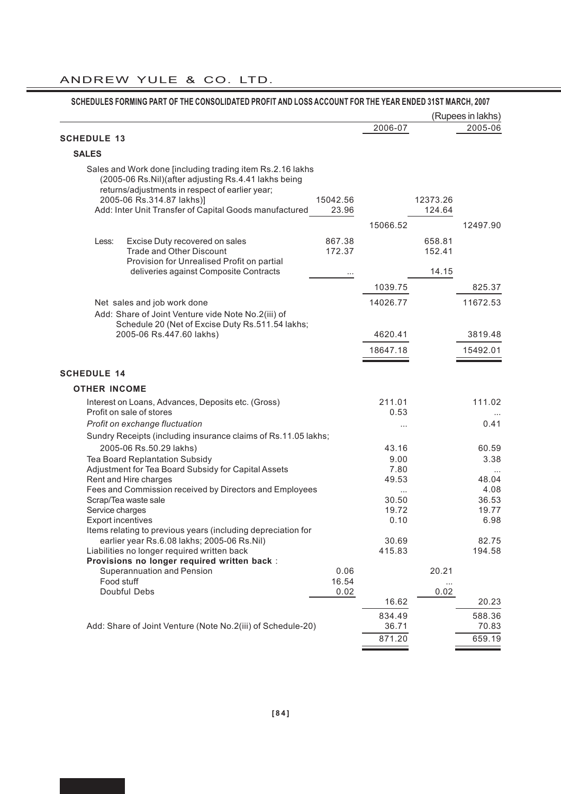| <b>SCHEDULE 13</b><br><b>SALES</b><br>Sales and Work done [including trading item Rs.2.16 lakhs<br>(2005-06 Rs.Nil)(after adjusting Rs.4.41 lakhs being<br>returns/adjustments in respect of earlier year;<br>2005-06 Rs.314.87 lakhs)]<br>Add: Inter Unit Transfer of Capital Goods manufactured | 15042.56<br>23.96 | 2006-07      |                  | (Rupees in lakhs)<br>2005-06 |
|---------------------------------------------------------------------------------------------------------------------------------------------------------------------------------------------------------------------------------------------------------------------------------------------------|-------------------|--------------|------------------|------------------------------|
|                                                                                                                                                                                                                                                                                                   |                   |              |                  |                              |
|                                                                                                                                                                                                                                                                                                   |                   |              |                  |                              |
|                                                                                                                                                                                                                                                                                                   |                   |              |                  |                              |
|                                                                                                                                                                                                                                                                                                   |                   |              | 12373.26         |                              |
|                                                                                                                                                                                                                                                                                                   |                   |              | 124.64           |                              |
|                                                                                                                                                                                                                                                                                                   |                   | 15066.52     |                  | 12497.90                     |
| Excise Duty recovered on sales<br>Less:<br><b>Trade and Other Discount</b><br>Provision for Unrealised Profit on partial                                                                                                                                                                          | 867.38<br>172.37  |              | 658.81<br>152.41 |                              |
| deliveries against Composite Contracts                                                                                                                                                                                                                                                            |                   |              | 14.15            |                              |
|                                                                                                                                                                                                                                                                                                   |                   | 1039.75      |                  | 825.37                       |
| Net sales and job work done                                                                                                                                                                                                                                                                       |                   | 14026.77     |                  | 11672.53                     |
| Add: Share of Joint Venture vide Note No.2(iii) of<br>Schedule 20 (Net of Excise Duty Rs.511.54 lakhs;                                                                                                                                                                                            |                   |              |                  |                              |
| 2005-06 Rs.447.60 lakhs)                                                                                                                                                                                                                                                                          |                   | 4620.41      |                  | 3819.48                      |
|                                                                                                                                                                                                                                                                                                   |                   | 18647.18     |                  | 15492.01                     |
| <b>SCHEDULE 14</b>                                                                                                                                                                                                                                                                                |                   |              |                  |                              |
| <b>OTHER INCOME</b>                                                                                                                                                                                                                                                                               |                   |              |                  |                              |
| Interest on Loans, Advances, Deposits etc. (Gross)                                                                                                                                                                                                                                                |                   | 211.01       |                  | 111.02                       |
| Profit on sale of stores                                                                                                                                                                                                                                                                          |                   | 0.53         |                  |                              |
| Profit on exchange fluctuation                                                                                                                                                                                                                                                                    |                   | $\cdots$     |                  | 0.41                         |
| Sundry Receipts (including insurance claims of Rs.11.05 lakhs;                                                                                                                                                                                                                                    |                   |              |                  |                              |
| 2005-06 Rs.50.29 lakhs)                                                                                                                                                                                                                                                                           |                   | 43.16        |                  | 60.59                        |
| Tea Board Replantation Subsidy<br>Adjustment for Tea Board Subsidy for Capital Assets                                                                                                                                                                                                             |                   | 9.00<br>7.80 |                  | 3.38                         |
| Rent and Hire charges                                                                                                                                                                                                                                                                             |                   | 49.53        |                  | 48.04                        |
| Fees and Commission received by Directors and Employees                                                                                                                                                                                                                                           |                   | $\cdots$     |                  | 4.08                         |
| Scrap/Tea waste sale                                                                                                                                                                                                                                                                              |                   | 30.50        |                  | 36.53                        |
| Service charges                                                                                                                                                                                                                                                                                   |                   | 19.72        |                  | 19.77                        |
| Export incentives                                                                                                                                                                                                                                                                                 |                   | 0.10         |                  | 6.98                         |
| Items relating to previous years (including depreciation for<br>earlier year Rs.6.08 lakhs; 2005-06 Rs.Nil)                                                                                                                                                                                       |                   | 30.69        |                  | 82.75                        |
| Liabilities no longer required written back                                                                                                                                                                                                                                                       |                   | 415.83       |                  | 194.58                       |
| Provisions no longer required written back :<br>Superannuation and Pension                                                                                                                                                                                                                        | 0.06              |              | 20.21            |                              |
| Food stuff                                                                                                                                                                                                                                                                                        | 16.54             |              |                  |                              |
| Doubful Debs                                                                                                                                                                                                                                                                                      | 0.02              | 16.62        | 0.02             | 20.23                        |
|                                                                                                                                                                                                                                                                                                   |                   | 834.49       |                  | 588.36                       |
| Add: Share of Joint Venture (Note No.2(iii) of Schedule-20)                                                                                                                                                                                                                                       |                   | 36.71        |                  | 70.83                        |
|                                                                                                                                                                                                                                                                                                   |                   | 871.20       |                  | 659.19                       |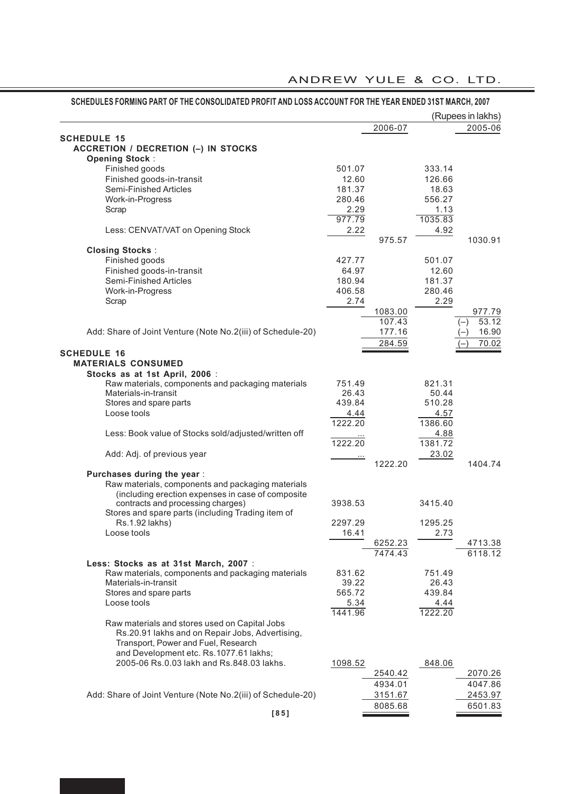|                                                                                        |             |         |         | (Rupees in lakhs) |
|----------------------------------------------------------------------------------------|-------------|---------|---------|-------------------|
|                                                                                        |             | 2006-07 |         | 2005-06           |
| <b>SCHEDULE 15</b>                                                                     |             |         |         |                   |
| ACCRETION / DECRETION (-) IN STOCKS                                                    |             |         |         |                   |
| <b>Opening Stock:</b>                                                                  |             |         |         |                   |
| Finished goods                                                                         | 501.07      |         | 333.14  |                   |
| Finished goods-in-transit                                                              | 12.60       |         | 126.66  |                   |
| Semi-Finished Articles                                                                 | 181.37      |         | 18.63   |                   |
| Work-in-Progress                                                                       | 280.46      |         | 556.27  |                   |
| Scrap                                                                                  | 2.29        |         | 1.13    |                   |
|                                                                                        | 977.79      |         | 1035.83 |                   |
| Less: CENVAT/VAT on Opening Stock                                                      | 2.22        |         | 4.92    |                   |
|                                                                                        |             | 975.57  |         | 1030.91           |
| <b>Closing Stocks:</b>                                                                 |             |         |         |                   |
| Finished goods                                                                         | 427.77      |         | 501.07  |                   |
| Finished goods-in-transit                                                              | 64.97       |         | 12.60   |                   |
| Semi-Finished Articles                                                                 | 180.94      |         | 181.37  |                   |
| Work-in-Progress                                                                       | 406.58      |         | 280.46  |                   |
| Scrap                                                                                  | 2.74        |         | 2.29    |                   |
|                                                                                        |             | 1083.00 |         | 977.79            |
|                                                                                        |             | 107.43  |         | 53.12<br>$(-)$    |
| Add: Share of Joint Venture (Note No.2(iii) of Schedule-20)                            |             | 177.16  |         | 16.90<br>$(-)$    |
|                                                                                        |             | 284.59  |         | 70.02<br>$(-)$    |
| <b>SCHEDULE 16</b>                                                                     |             |         |         |                   |
| <b>MATERIALS CONSUMED</b>                                                              |             |         |         |                   |
| Stocks as at 1st April, 2006 :                                                         |             |         |         |                   |
| Raw materials, components and packaging materials                                      | 751.49      |         | 821.31  |                   |
| Materials-in-transit                                                                   | 26.43       |         | 50.44   |                   |
| Stores and spare parts                                                                 | 439.84      |         | 510.28  |                   |
| Loose tools                                                                            | <u>4.44</u> |         | 4.57    |                   |
|                                                                                        | 1222.20     |         | 1386.60 |                   |
| Less: Book value of Stocks sold/adjusted/written off                                   |             |         | 4.88    |                   |
|                                                                                        | 1222.20     |         | 1381.72 |                   |
| Add: Adj. of previous year                                                             |             |         | 23.02   |                   |
|                                                                                        |             | 1222.20 |         | 1404.74           |
| Purchases during the year :                                                            |             |         |         |                   |
| Raw materials, components and packaging materials                                      |             |         |         |                   |
| (including erection expenses in case of composite                                      |             |         |         |                   |
| contracts and processing charges)<br>Stores and spare parts (including Trading item of | 3938.53     |         | 3415.40 |                   |
| Rs.1.92 lakhs)                                                                         | 2297.29     |         | 1295.25 |                   |
| Loose tools                                                                            | 16.41       |         | 2.73    |                   |
|                                                                                        |             | 6252.23 |         | 4713.38           |
|                                                                                        |             | 7474.43 |         | 6118.12           |
| Less: Stocks as at 31st March, 2007 :                                                  |             |         |         |                   |
| Raw materials, components and packaging materials                                      | 831.62      |         | 751.49  |                   |
| Materials-in-transit                                                                   | 39.22       |         | 26.43   |                   |
| Stores and spare parts                                                                 | 565.72      |         | 439.84  |                   |
| Loose tools                                                                            | 5.34        |         | 4.44    |                   |
|                                                                                        | 1441.96     |         | 1222.20 |                   |
| Raw materials and stores used on Capital Jobs                                          |             |         |         |                   |
| Rs.20.91 lakhs and on Repair Jobs, Advertising,                                        |             |         |         |                   |
| Transport, Power and Fuel, Research                                                    |             |         |         |                   |
| and Development etc. Rs.1077.61 lakhs;                                                 |             |         |         |                   |
| 2005-06 Rs.0.03 lakh and Rs.848.03 lakhs.                                              | 1098.52     |         | 848.06  |                   |
|                                                                                        |             | 2540.42 |         | 2070.26           |
|                                                                                        |             | 4934.01 |         | 4047.86           |
| Add: Share of Joint Venture (Note No.2(iii) of Schedule-20)                            |             | 3151.67 |         | 2453.97           |
|                                                                                        |             | 8085.68 |         | 6501.83           |
|                                                                                        |             |         |         |                   |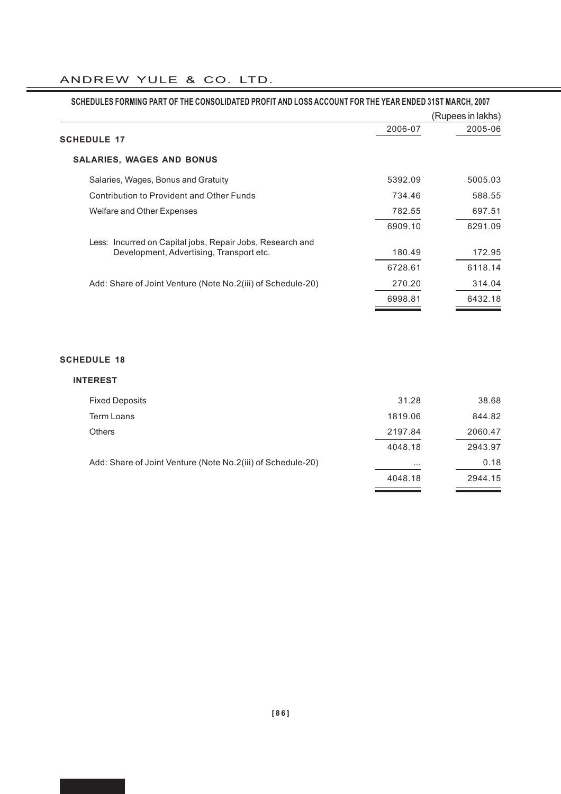| SCHEDULES FORMING PART OF THE CONSOLIDATED PROFIT AND LOSS ACCOUNT FOR THE YEAR ENDED 31ST MARCH, 2007 |         |                   |
|--------------------------------------------------------------------------------------------------------|---------|-------------------|
|                                                                                                        |         | (Rupees in lakhs) |
| <b>SCHEDULE 17</b>                                                                                     | 2006-07 | 2005-06           |
| <b>SALARIES, WAGES AND BONUS</b>                                                                       |         |                   |
|                                                                                                        |         |                   |
| Salaries, Wages, Bonus and Gratuity                                                                    | 5392.09 | 5005.03           |
| Contribution to Provident and Other Funds                                                              | 734.46  | 588.55            |
| Welfare and Other Expenses                                                                             | 782.55  | 697.51            |
|                                                                                                        | 6909.10 | 6291.09           |
| Less: Incurred on Capital jobs, Repair Jobs, Research and                                              |         |                   |
| Development, Advertising, Transport etc.                                                               | 180.49  | 172.95            |
|                                                                                                        | 6728.61 | 6118.14           |
| Add: Share of Joint Venture (Note No.2(iii) of Schedule-20)                                            | 270.20  | 314.04            |
|                                                                                                        | 6998.81 | 6432.18           |

# **SCHEDULE 18**

| <b>INTEREST</b>                                             |          |         |
|-------------------------------------------------------------|----------|---------|
| <b>Fixed Deposits</b>                                       | 31.28    | 38.68   |
| Term Loans                                                  | 1819.06  | 844.82  |
| <b>Others</b>                                               | 2197.84  | 2060.47 |
|                                                             | 4048.18  | 2943.97 |
| Add: Share of Joint Venture (Note No.2(iii) of Schedule-20) | $\cdots$ | 0.18    |
|                                                             | 4048.18  | 2944.15 |
|                                                             |          |         |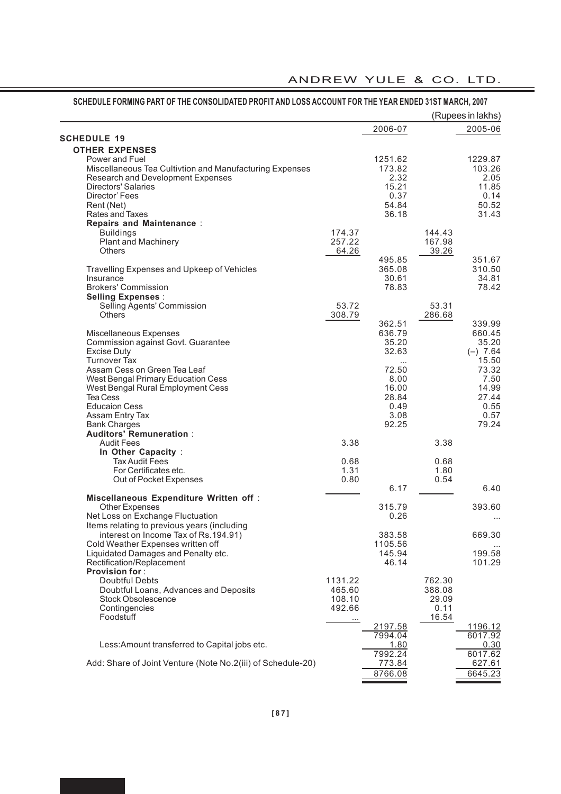|                                                             |          |                |        | (Rupees in lakhs) |
|-------------------------------------------------------------|----------|----------------|--------|-------------------|
|                                                             |          | 2006-07        |        | 2005-06           |
| <b>SCHEDULE 19</b>                                          |          |                |        |                   |
| <b>OTHER EXPENSES</b>                                       |          |                |        |                   |
| Power and Fuel                                              |          | 1251.62        |        | 1229.87           |
| Miscellaneous Tea Cultivtion and Manufacturing Expenses     |          | 173.82         |        | 103.26            |
| Research and Development Expenses                           |          | 2.32           |        | 2.05              |
| <b>Directors' Salaries</b>                                  |          | 15.21          |        | 11.85             |
| Director' Fees                                              |          | 0.37           |        | 0.14              |
| Rent (Net)<br>Rates and Taxes                               |          | 54.84<br>36.18 |        | 50.52<br>31.43    |
| <b>Repairs and Maintenance:</b>                             |          |                |        |                   |
| <b>Buildings</b>                                            | 174.37   |                | 144.43 |                   |
| <b>Plant and Machinery</b>                                  | 257.22   |                | 167.98 |                   |
| <b>Others</b>                                               | 64.26    |                | 39.26  |                   |
|                                                             |          | 495.85         |        | 351.67            |
| Travelling Expenses and Upkeep of Vehicles                  |          | 365.08         |        | 310.50            |
| Insurance                                                   |          | 30.61          |        | 34.81             |
| <b>Brokers' Commission</b>                                  |          | 78.83          |        | 78.42             |
| <b>Selling Expenses:</b>                                    |          |                |        |                   |
| Selling Agents' Commission                                  | 53.72    |                | 53.31  |                   |
| <b>Others</b>                                               | 308.79   |                | 286.68 |                   |
|                                                             |          | 362.51         |        | 339.99            |
| Miscellaneous Expenses                                      |          | 636.79         |        | 660.45            |
| Commission against Govt. Guarantee                          |          | 35.20          |        | 35.20             |
| <b>Excise Duty</b>                                          |          | 32.63          |        | $(-) 7.64$        |
| <b>Turnover Tax</b>                                         |          |                |        | 15.50             |
| Assam Cess on Green Tea Leaf                                |          | 72.50          |        | 73.32             |
| West Bengal Primary Education Cess                          |          | 8.00           |        | 7.50              |
| West Bengal Rural Employment Cess                           |          | 16.00          |        | 14.99             |
| <b>Tea Cess</b>                                             |          | 28.84          |        | 27.44             |
| <b>Educaion Cess</b>                                        |          | 0.49           |        | 0.55              |
| Assam Entry Tax                                             |          | 3.08           |        | 0.57              |
| <b>Bank Charges</b>                                         |          | 92.25          |        | 79.24             |
| <b>Auditors' Remuneration:</b>                              |          |                |        |                   |
| <b>Audit Fees</b>                                           | 3.38     |                | 3.38   |                   |
| In Other Capacity :                                         |          |                |        |                   |
| <b>Tax Audit Fees</b>                                       | 0.68     |                | 0.68   |                   |
| For Certificates etc.                                       | 1.31     |                | 1.80   |                   |
| Out of Pocket Expenses                                      | 0.80     |                | 0.54   | 6.40              |
|                                                             |          | 6.17           |        |                   |
| Miscellaneous Expenditure Written off :                     |          | 315.79         |        | 393.60            |
| Other Expenses<br>Net Loss on Exchange Fluctuation          |          | 0.26           |        |                   |
| Items relating to previous years (including                 |          |                |        |                   |
| interest on Income Tax of Rs.194.91)                        |          | 383.58         |        | 669.30            |
| Cold Weather Expenses written off                           |          | 1105.56        |        |                   |
| Liquidated Damages and Penalty etc.                         |          | 145.94         |        | 199.58            |
| Rectification/Replacement                                   |          | 46.14          |        | 101.29            |
| <b>Provision for:</b>                                       |          |                |        |                   |
| Doubtful Debts                                              | 1131.22  |                | 762.30 |                   |
| Doubtful Loans, Advances and Deposits                       | 465.60   |                | 388.08 |                   |
| <b>Stock Obsolescence</b>                                   | 108.10   |                | 29.09  |                   |
| Contingencies                                               | 492.66   |                | 0.11   |                   |
| Foodstuff                                                   | $\ldots$ |                | 16.54  |                   |
|                                                             |          | 2197.58        |        | 1196.12           |
|                                                             |          | 7994.04        |        | 6017.92           |
| Less: Amount transferred to Capital jobs etc.               |          | 1.80           |        | <u>0.30</u>       |
|                                                             |          | 7992.24        |        | 6017.62           |
|                                                             |          | 773.84         |        | 627.61            |
| Add: Share of Joint Venture (Note No.2(iii) of Schedule-20) |          |                |        |                   |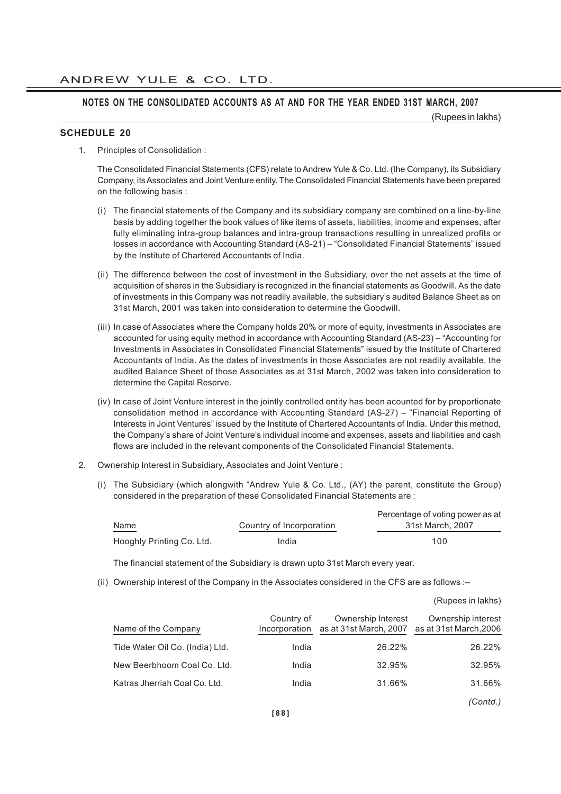#### **NOTES ON THE CONSOLIDATED ACCOUNTS AS AT AND FOR THE YEAR ENDED 31ST MARCH, 2007**

(Rupees in lakhs)

#### **SCHEDULE 20**

1. Principles of Consolidation :

The Consolidated Financial Statements (CFS) relate to Andrew Yule & Co. Ltd. (the Company), its Subsidiary Company, its Associates and Joint Venture entity. The Consolidated Financial Statements have been prepared on the following basis :

- (i) The financial statements of the Company and its subsidiary company are combined on a line-by-line basis by adding together the book values of like items of assets, liabilities, income and expenses, after fully eliminating intra-group balances and intra-group transactions resulting in unrealized profits or losses in accordance with Accounting Standard (AS-21) – "Consolidated Financial Statements" issued by the Institute of Chartered Accountants of India.
- (ii) The difference between the cost of investment in the Subsidiary, over the net assets at the time of acquisition of shares in the Subsidiary is recognized in the financial statements as Goodwill. As the date of investments in this Company was not readily available, the subsidiary's audited Balance Sheet as on 31st March, 2001 was taken into consideration to determine the Goodwill.
- (iii) In case of Associates where the Company holds 20% or more of equity, investments in Associates are accounted for using equity method in accordance with Accounting Standard (AS-23) – "Accounting for Investments in Associates in Consolidated Financial Statements" issued by the Institute of Chartered Accountants of India. As the dates of investments in those Associates are not readily available, the audited Balance Sheet of those Associates as at 31st March, 2002 was taken into consideration to determine the Capital Reserve.
- (iv) In case of Joint Venture interest in the jointly controlled entity has been acounted for by proportionate consolidation method in accordance with Accounting Standard (AS-27) – "Financial Reporting of Interests in Joint Ventures" issued by the Institute of Chartered Accountants of India. Under this method, the Company's share of Joint Venture's individual income and expenses, assets and liabilities and cash flows are included in the relevant components of the Consolidated Financial Statements.
- 2. Ownership Interest in Subsidiary, Associates and Joint Venture :
	- (i) The Subsidiary (which alongwith "Andrew Yule & Co. Ltd., (AY) the parent, constitute the Group) considered in the preparation of these Consolidated Financial Statements are :

|                           |                          | Percentage of voting power as at |
|---------------------------|--------------------------|----------------------------------|
| Name                      | Country of Incorporation | 31st March, 2007                 |
| Hooghly Printing Co. Ltd. | India                    | 100                              |

The financial statement of the Subsidiary is drawn upto 31st March every year.

(ii) Ownership interest of the Company in the Associates considered in the CFS are as follows :–

|                                 |                             |                                              | (Rupees in lakhs)                            |
|---------------------------------|-----------------------------|----------------------------------------------|----------------------------------------------|
| Name of the Company             | Country of<br>Incorporation | Ownership Interest<br>as at 31st March, 2007 | Ownership interest<br>as at 31st March, 2006 |
| Tide Water Oil Co. (India) Ltd. | India                       | 26.22%                                       | 26.22%                                       |
| New Beerbhoom Coal Co. Ltd.     | India                       | 32.95%                                       | 32.95%                                       |
| Katras Jherriah Coal Co. Ltd.   | India                       | 31.66%                                       | 31.66%                                       |
|                                 |                             |                                              | (Contd.)                                     |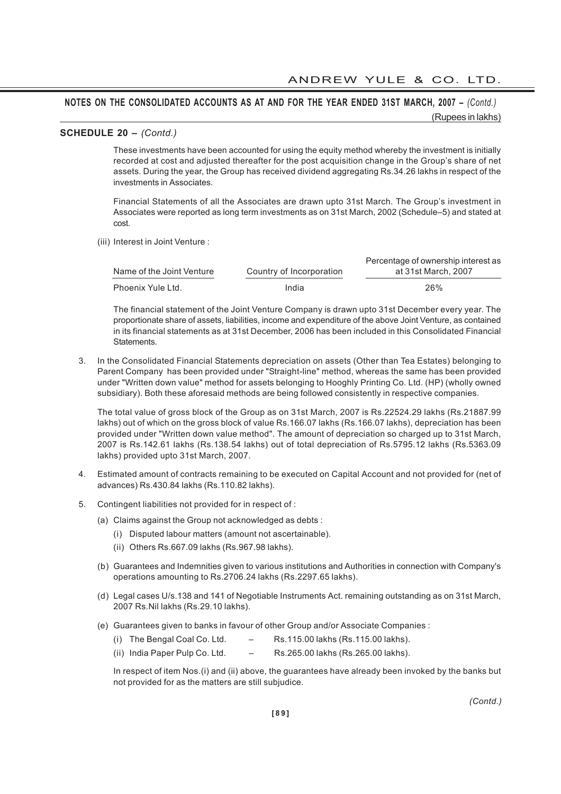#### **SCHEDULE 20 –** *(Contd.)*

These investments have been accounted for using the equity method whereby the investment is initially recorded at cost and adjusted thereafter for the post acquisition change in the Group's share of net assets. During the year, the Group has received dividend aggregating Rs.34.26 lakhs in respect of the investments in Associates.

Financial Statements of all the Associates are drawn upto 31st March. The Group's investment in Associates were reported as long term investments as on 31st March, 2002 (Schedule–5) and stated at cost.

(iii) Interest in Joint Venture :

|                           |                          | Percentage of ownership interest as |
|---------------------------|--------------------------|-------------------------------------|
| Name of the Joint Venture | Country of Incorporation | at 31st March, 2007                 |
| Phoenix Yule Ltd.         | India                    | 26%                                 |

The financial statement of the Joint Venture Company is drawn upto 31st December every year. The proportionate share of assets, liabilities, income and expenditure of the above Joint Venture, as contained in its financial statements as at 31st December, 2006 has been included in this Consolidated Financial Statements.

3. In the Consolidated Financial Statements depreciation on assets (Other than Tea Estates) belonging to Parent Company has been provided under "Straight-line" method, whereas the same has been provided under "Written down value" method for assets belonging to Hooghly Printing Co. Ltd. (HP) (wholly owned subsidiary). Both these aforesaid methods are being followed consistently in respective companies.

The total value of gross block of the Group as on 31st March, 2007 is Rs.22524.29 lakhs (Rs.21887.99 lakhs) out of which on the gross block of value Rs.166.07 lakhs (Rs.166.07 lakhs), depreciation has been provided under "Written down value method". The amount of depreciation so charged up to 31st March, 2007 is Rs.142.61 lakhs (Rs.138.54 lakhs) out of total depreciation of Rs.5795.12 lakhs (Rs.5363.09 lakhs) provided upto 31st March, 2007.

- 4. Estimated amount of contracts remaining to be executed on Capital Account and not provided for (net of advances) Rs.430.84 lakhs (Rs.110.82 lakhs).
- 5. Contingent liabilities not provided for in respect of :
	- (a) Claims against the Group not acknowledged as debts :
		- (i) Disputed labour matters (amount not ascertainable).
		- (ii) Others Rs.667.09 lakhs (Rs.967.98 lakhs).
	- (b) Guarantees and Indemnities given to various institutions and Authorities in connection with Company's operations amounting to Rs.2706.24 lakhs (Rs.2297.65 lakhs).
	- (d) Legal cases U/s.138 and 141 of Negotiable Instruments Act. remaining outstanding as on 31st March, 2007 Rs.Nil lakhs (Rs.29.10 lakhs).
	- (e) Guarantees given to banks in favour of other Group and/or Associate Companies :
		- (i) The Bengal Coal Co. Ltd.  $-$  Rs.115.00 lakhs (Rs.115.00 lakhs).
		- (ii) India Paper Pulp Co. Ltd. Rs.265.00 lakhs (Rs.265.00 lakhs).

In respect of item Nos.(i) and (ii) above, the guarantees have already been invoked by the banks but not provided for as the matters are still subjudice.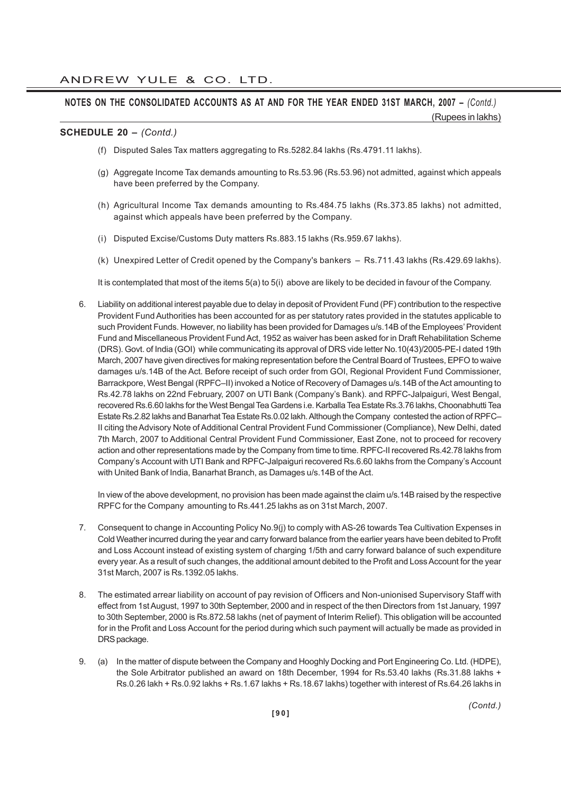#### **SCHEDULE 20 –** *(Contd.)*

- (f) Disputed Sales Tax matters aggregating to Rs.5282.84 lakhs (Rs.4791.11 lakhs).
- (g) Aggregate Income Tax demands amounting to Rs.53.96 (Rs.53.96) not admitted, against which appeals have been preferred by the Company.
- (h) Agricultural Income Tax demands amounting to Rs.484.75 lakhs (Rs.373.85 lakhs) not admitted, against which appeals have been preferred by the Company.
- (i) Disputed Excise/Customs Duty matters Rs.883.15 lakhs (Rs.959.67 lakhs).
- (k) Unexpired Letter of Credit opened by the Company's bankers Rs.711.43 lakhs (Rs.429.69 lakhs).

It is contemplated that most of the items 5(a) to 5(i) above are likely to be decided in favour of the Company.

6. Liability on additional interest payable due to delay in deposit of Provident Fund (PF) contribution to the respective Provident Fund Authorities has been accounted for as per statutory rates provided in the statutes applicable to such Provident Funds. However, no liability has been provided for Damages u/s.14B of the Employees' Provident Fund and Miscellaneous Provident Fund Act, 1952 as waiver has been asked for in Draft Rehabilitation Scheme (DRS). Govt. of India (GOI) while communicating its approval of DRS vide letter No.10(43)/2005-PE-I dated 19th March, 2007 have given directives for making representation before the Central Board of Trustees, EPFO to waive damages u/s.14B of the Act. Before receipt of such order from GOI, Regional Provident Fund Commissioner, Barrackpore, West Bengal (RPFC–II) invoked a Notice of Recovery of Damages u/s.14B of the Act amounting to Rs.42.78 lakhs on 22nd February, 2007 on UTI Bank (Company's Bank). and RPFC-Jalpaiguri, West Bengal, recovered Rs.6.60 lakhs for the West Bengal Tea Gardens i.e. Karballa Tea Estate Rs.3.76 lakhs, Choonabhutti Tea Estate Rs.2.82 lakhs and Banarhat Tea Estate Rs.0.02 lakh. Although the Company contested the action of RPFC– II citing the Advisory Note of Additional Central Provident Fund Commissioner (Compliance), New Delhi, dated 7th March, 2007 to Additional Central Provident Fund Commissioner, East Zone, not to proceed for recovery action and other representations made by the Company from time to time. RPFC-II recovered Rs.42.78 lakhs from Company's Account with UTI Bank and RPFC-Jalpaiguri recovered Rs.6.60 lakhs from the Company's Account with United Bank of India, Banarhat Branch, as Damages u/s.14B of the Act.

In view of the above development, no provision has been made against the claim u/s.14B raised by the respective RPFC for the Company amounting to Rs.441.25 lakhs as on 31st March, 2007.

- 7. Consequent to change in Accounting Policy No.9(j) to comply with AS-26 towards Tea Cultivation Expenses in Cold Weather incurred during the year and carry forward balance from the earlier years have been debited to Profit and Loss Account instead of existing system of charging 1/5th and carry forward balance of such expenditure every year. As a result of such changes, the additional amount debited to the Profit and Loss Account for the year 31st March, 2007 is Rs.1392.05 lakhs.
- 8. The estimated arrear liability on account of pay revision of Officers and Non-unionised Supervisory Staff with effect from 1st August, 1997 to 30th September, 2000 and in respect of the then Directors from 1st January, 1997 to 30th September, 2000 is Rs.872.58 lakhs (net of payment of Interim Relief). This obligation will be accounted for in the Profit and Loss Account for the period during which such payment will actually be made as provided in DRS package.
- 9. (a) In the matter of dispute between the Company and Hooghly Docking and Port Engineering Co. Ltd. (HDPE), the Sole Arbitrator published an award on 18th December, 1994 for Rs.53.40 lakhs (Rs.31.88 lakhs + Rs.0.26 lakh + Rs.0.92 lakhs + Rs.1.67 lakhs + Rs.18.67 lakhs) together with interest of Rs.64.26 lakhs in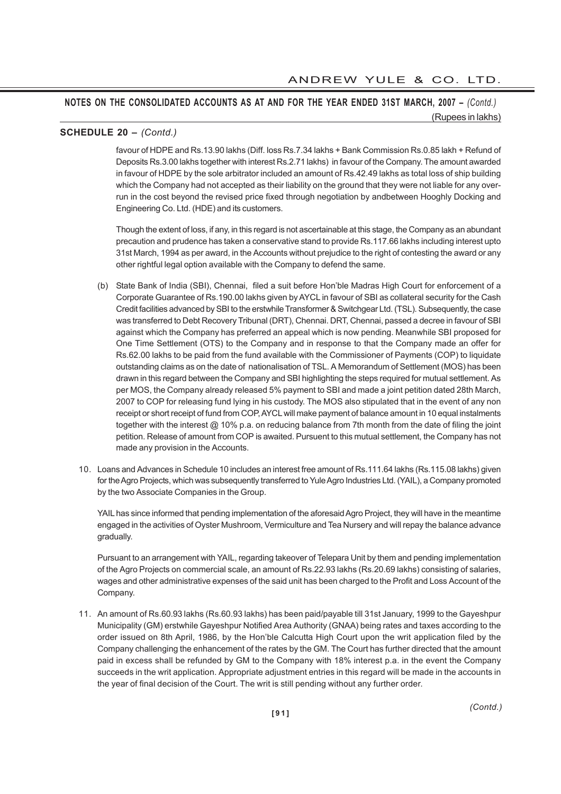#### **SCHEDULE 20 –** *(Contd.)*

favour of HDPE and Rs.13.90 lakhs (Diff. loss Rs.7.34 lakhs + Bank Commission Rs.0.85 lakh + Refund of Deposits Rs.3.00 lakhs together with interest Rs.2.71 lakhs) in favour of the Company. The amount awarded in favour of HDPE by the sole arbitrator included an amount of Rs.42.49 lakhs as total loss of ship building which the Company had not accepted as their liability on the ground that they were not liable for any overrun in the cost beyond the revised price fixed through negotiation by andbetween Hooghly Docking and Engineering Co. Ltd. (HDE) and its customers.

Though the extent of loss, if any, in this regard is not ascertainable at this stage, the Company as an abundant precaution and prudence has taken a conservative stand to provide Rs.117.66 lakhs including interest upto 31st March, 1994 as per award, in the Accounts without prejudice to the right of contesting the award or any other rightful legal option available with the Company to defend the same.

- (b) State Bank of India (SBI), Chennai, filed a suit before Hon'ble Madras High Court for enforcement of a Corporate Guarantee of Rs.190.00 lakhs given by AYCL in favour of SBI as collateral security for the Cash Credit facilities advanced by SBI to the erstwhile Transformer & Switchgear Ltd. (TSL). Subsequently, the case was transferred to Debt Recovery Tribunal (DRT), Chennai. DRT, Chennai, passed a decree in favour of SBI against which the Company has preferred an appeal which is now pending. Meanwhile SBI proposed for One Time Settlement (OTS) to the Company and in response to that the Company made an offer for Rs.62.00 lakhs to be paid from the fund available with the Commissioner of Payments (COP) to liquidate outstanding claims as on the date of nationalisation of TSL. A Memorandum of Settlement (MOS) has been drawn in this regard between the Company and SBI highlighting the steps required for mutual settlement. As per MOS, the Company already released 5% payment to SBI and made a joint petition dated 28th March, 2007 to COP for releasing fund lying in his custody. The MOS also stipulated that in the event of any non receipt or short receipt of fund from COP, AYCL will make payment of balance amount in 10 equal instalments together with the interest @ 10% p.a. on reducing balance from 7th month from the date of filing the joint petition. Release of amount from COP is awaited. Pursuent to this mutual settlement, the Company has not made any provision in the Accounts.
- 10. Loans and Advances in Schedule 10 includes an interest free amount of Rs.111.64 lakhs (Rs.115.08 lakhs) given for the Agro Projects, which was subsequently transferred to Yule Agro Industries Ltd. (YAIL), a Company promoted by the two Associate Companies in the Group.

YAIL has since informed that pending implementation of the aforesaid Agro Project, they will have in the meantime engaged in the activities of Oyster Mushroom, Vermiculture and Tea Nursery and will repay the balance advance gradually.

Pursuant to an arrangement with YAIL, regarding takeover of Telepara Unit by them and pending implementation of the Agro Projects on commercial scale, an amount of Rs.22.93 lakhs (Rs.20.69 lakhs) consisting of salaries, wages and other administrative expenses of the said unit has been charged to the Profit and Loss Account of the Company.

11. An amount of Rs.60.93 lakhs (Rs.60.93 lakhs) has been paid/payable till 31st January, 1999 to the Gayeshpur Municipality (GM) erstwhile Gayeshpur Notified Area Authority (GNAA) being rates and taxes according to the order issued on 8th April, 1986, by the Hon'ble Calcutta High Court upon the writ application filed by the Company challenging the enhancement of the rates by the GM. The Court has further directed that the amount paid in excess shall be refunded by GM to the Company with 18% interest p.a. in the event the Company succeeds in the writ application. Appropriate adjustment entries in this regard will be made in the accounts in the year of final decision of the Court. The writ is still pending without any further order.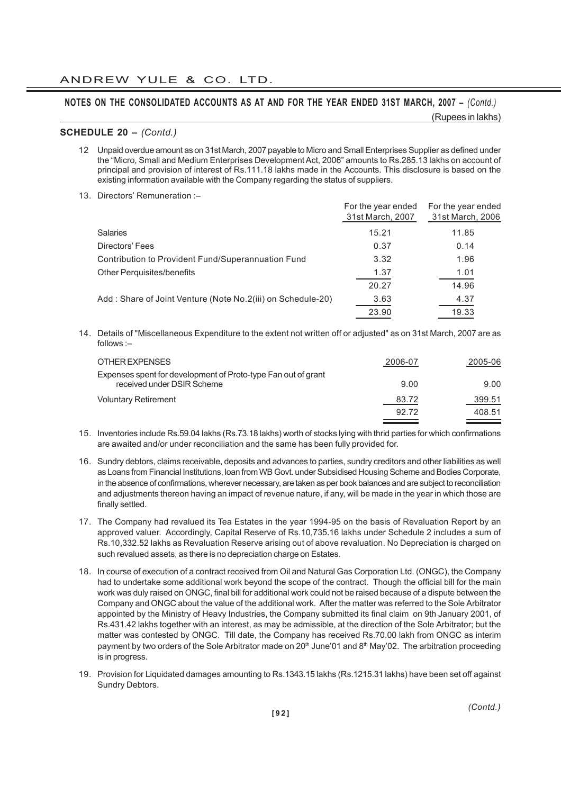(Rupees in lakhs)

#### **SCHEDULE 20 –** *(Contd.)*

- 12 Unpaid overdue amount as on 31st March, 2007 payable to Micro and Small Enterprises Supplier as defined under the "Micro, Small and Medium Enterprises Development Act, 2006" amounts to Rs.285.13 lakhs on account of principal and provision of interest of Rs.111.18 lakhs made in the Accounts. This disclosure is based on the existing information available with the Company regarding the status of suppliers.
- 13. Directors' Remuneration :–

|                                                             | For the year ended<br>31st March, 2007 | For the year ended<br>31st March, 2006 |
|-------------------------------------------------------------|----------------------------------------|----------------------------------------|
| <b>Salaries</b>                                             | 15.21                                  | 11.85                                  |
| Directors' Fees                                             | 0.37                                   | 0.14                                   |
| Contribution to Provident Fund/Superannuation Fund          | 3.32                                   | 1.96                                   |
| <b>Other Perquisites/benefits</b>                           | 1.37                                   | 1.01                                   |
|                                                             | 20.27                                  | 14.96                                  |
| Add: Share of Joint Venture (Note No.2(iii) on Schedule-20) | 3.63                                   | 4.37                                   |
|                                                             | 23.90                                  | 19.33                                  |
|                                                             |                                        |                                        |

14. Details of "Miscellaneous Expenditure to the extent not written off or adjusted" as on 31st March, 2007 are as follows :–

| OTHER EXPENSES                                                                              | 2006-07 | 2005-06 |
|---------------------------------------------------------------------------------------------|---------|---------|
| Expenses spent for development of Proto-type Fan out of grant<br>received under DSIR Scheme | 9.00    | 9.00    |
| <b>Voluntary Retirement</b>                                                                 | 83.72   | 399.51  |
|                                                                                             | 92.72   | 408.51  |

- 15. Inventories include Rs.59.04 lakhs (Rs.73.18 lakhs) worth of stocks lying with thrid parties for which confirmations are awaited and/or under reconciliation and the same has been fully provided for.
- 16. Sundry debtors, claims receivable, deposits and advances to parties, sundry creditors and other liabilities as well as Loans from Financial Institutions, loan from WB Govt. under Subsidised Housing Scheme and Bodies Corporate, in the absence of confirmations, wherever necessary, are taken as per book balances and are subject to reconciliation and adjustments thereon having an impact of revenue nature, if any, will be made in the year in which those are finally settled.
- 17. The Company had revalued its Tea Estates in the year 1994-95 on the basis of Revaluation Report by an approved valuer. Accordingly, Capital Reserve of Rs.10,735.16 lakhs under Schedule 2 includes a sum of Rs.10,332.52 lakhs as Revaluation Reserve arising out of above revaluation. No Depreciation is charged on such revalued assets, as there is no depreciation charge on Estates.
- 18. In course of execution of a contract received from Oil and Natural Gas Corporation Ltd. (ONGC), the Company had to undertake some additional work beyond the scope of the contract. Though the official bill for the main work was duly raised on ONGC, final bill for additional work could not be raised because of a dispute between the Company and ONGC about the value of the additional work. After the matter was referred to the Sole Arbitrator appointed by the Ministry of Heavy Industries, the Company submitted its final claim on 9th January 2001, of Rs.431.42 lakhs together with an interest, as may be admissible, at the direction of the Sole Arbitrator; but the matter was contested by ONGC. Till date, the Company has received Rs.70.00 lakh from ONGC as interim payment by two orders of the Sole Arbitrator made on 20<sup>th</sup> June'01 and 8<sup>th</sup> May'02. The arbitration proceeding is in progress.
- 19. Provision for Liquidated damages amounting to Rs.1343.15 lakhs (Rs.1215.31 lakhs) have been set off against Sundry Debtors.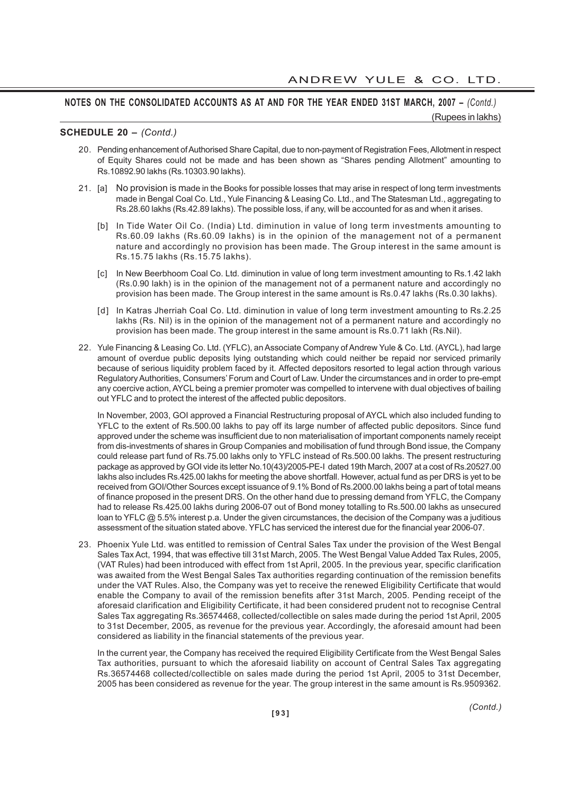#### **SCHEDULE 20 –** *(Contd.)*

- 20. Pending enhancement of Authorised Share Capital, due to non-payment of Registration Fees, Allotment in respect of Equity Shares could not be made and has been shown as "Shares pending Allotment" amounting to Rs.10892.90 lakhs (Rs.10303.90 lakhs).
- 21. [a] No provision is made in the Books for possible losses that may arise in respect of long term investments made in Bengal Coal Co. Ltd., Yule Financing & Leasing Co. Ltd., and The Statesman Ltd., aggregating to Rs.28.60 lakhs (Rs.42.89 lakhs). The possible loss, if any, will be accounted for as and when it arises.
	- [b] In Tide Water Oil Co. (India) Ltd. diminution in value of long term investments amounting to Rs.60.09 lakhs (Rs.60.09 lakhs) is in the opinion of the management not of a permanent nature and accordingly no provision has been made. The Group interest in the same amount is Rs.15.75 lakhs (Rs.15.75 lakhs).
	- [c] In New Beerbhoom Coal Co. Ltd. diminution in value of long term investment amounting to Rs.1.42 lakh (Rs.0.90 lakh) is in the opinion of the management not of a permanent nature and accordingly no provision has been made. The Group interest in the same amount is Rs.0.47 lakhs (Rs.0.30 lakhs).
	- [d] In Katras Jherriah Coal Co. Ltd. diminution in value of long term investment amounting to Rs.2.25 lakhs (Rs. Nil) is in the opinion of the management not of a permanent nature and accordingly no provision has been made. The group interest in the same amount is Rs.0.71 lakh (Rs.Nil).
- 22. Yule Financing & Leasing Co. Ltd. (YFLC), an Associate Company of Andrew Yule & Co. Ltd. (AYCL), had large amount of overdue public deposits lying outstanding which could neither be repaid nor serviced primarily because of serious liquidity problem faced by it. Affected depositors resorted to legal action through various Regulatory Authorities, Consumers' Forum and Court of Law. Under the circumstances and in order to pre-empt any coercive action, AYCL being a premier promoter was compelled to intervene with dual objectives of bailing out YFLC and to protect the interest of the affected public depositors.

In November, 2003, GOI approved a Financial Restructuring proposal of AYCL which also included funding to YFLC to the extent of Rs.500.00 lakhs to pay off its large number of affected public depositors. Since fund approved under the scheme was insufficient due to non materialisation of important components namely receipt from dis-investments of shares in Group Companies and mobilisation of fund through Bond issue, the Company could release part fund of Rs.75.00 lakhs only to YFLC instead of Rs.500.00 lakhs. The present restructuring package as approved by GOI vide its letter No.10(43)/2005-PE-I dated 19th March, 2007 at a cost of Rs.20527.00 lakhs also includes Rs.425.00 lakhs for meeting the above shortfall. However, actual fund as per DRS is yet to be received from GOI/Other Sources except issuance of 9.1% Bond of Rs.2000.00 lakhs being a part of total means of finance proposed in the present DRS. On the other hand due to pressing demand from YFLC, the Company had to release Rs.425.00 lakhs during 2006-07 out of Bond money totalling to Rs.500.00 lakhs as unsecured loan to YFLC @ 5.5% interest p.a. Under the given circumstances, the decision of the Company was a juditious assessment of the situation stated above. YFLC has serviced the interest due for the financial year 2006-07.

23. Phoenix Yule Ltd. was entitled to remission of Central Sales Tax under the provision of the West Bengal Sales Tax Act, 1994, that was effective till 31st March, 2005. The West Bengal Value Added Tax Rules, 2005, (VAT Rules) had been introduced with effect from 1st April, 2005. In the previous year, specific clarification was awaited from the West Bengal Sales Tax authorities regarding continuation of the remission benefits under the VAT Rules. Also, the Company was yet to receive the renewed Eligibility Certificate that would enable the Company to avail of the remission benefits after 31st March, 2005. Pending receipt of the aforesaid clarification and Eligibility Certificate, it had been considered prudent not to recognise Central Sales Tax aggregating Rs.36574468, collected/collectible on sales made during the period 1st April, 2005 to 31st December, 2005, as revenue for the previous year. Accordingly, the aforesaid amount had been considered as liability in the financial statements of the previous year.

In the current year, the Company has received the required Eligibility Certificate from the West Bengal Sales Tax authorities, pursuant to which the aforesaid liability on account of Central Sales Tax aggregating Rs.36574468 collected/collectible on sales made during the period 1st April, 2005 to 31st December, 2005 has been considered as revenue for the year. The group interest in the same amount is Rs.9509362.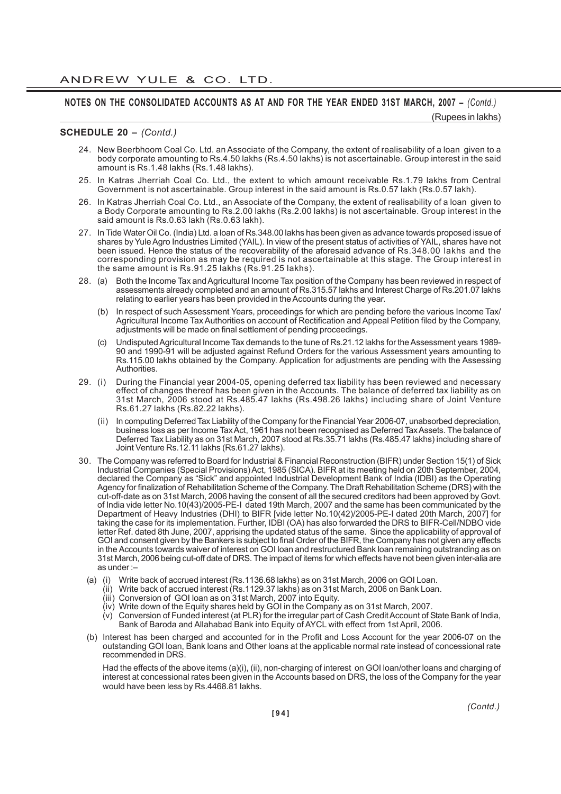(Rupees in lakhs)

#### **SCHEDULE 20 –** *(Contd.)*

- 24. New Beerbhoom Coal Co. Ltd. an Associate of the Company, the extent of realisability of a loan given to a body corporate amounting to Rs.4.50 lakhs (Rs.4.50 lakhs) is not ascertainable. Group interest in the said amount is Rs.1.48 lakhs (Rs.1.48 lakhs).
- 25. In Katras Jherriah Coal Co. Ltd., the extent to which amount receivable Rs.1.79 lakhs from Central Government is not ascertainable. Group interest in the said amount is Rs.0.57 lakh (Rs.0.57 lakh).
- 26. In Katras Jherriah Coal Co. Ltd., an Associate of the Company, the extent of realisability of a loan given to a Body Corporate amounting to Rs.2.00 lakhs (Rs.2.00 lakhs) is not ascertainable. Group interest in the said amount is Rs.0.63 lakh (Rs.0.63 lakh).
- 27. In Tide Water Oil Co. (India) Ltd. a loan of Rs.348.00 lakhs has been given as advance towards proposed issue of shares by Yule Agro Industries Limited (YAIL). In view of the present status of activities of YAIL, shares have not been issued. Hence the status of the recoverability of the aforesaid advance of Rs.348.00 lakhs and the corresponding provision as may be required is not ascertainable at this stage. The Group interest in the same amount is Rs.91.25 lakhs (Rs.91.25 lakhs).
- 28. (a) Both the Income Tax and Agricultural Income Tax position of the Company has been reviewed in respect of assessments already completed and an amount of Rs.315.57 lakhs and Interest Charge of Rs.201.07 lakhs relating to earlier years has been provided in the Accounts during the year.
	- (b) In respect of such Assessment Years, proceedings for which are pending before the various Income Tax/ Agricultural Income Tax Authorities on account of Rectification and Appeal Petition filed by the Company, adjustments will be made on final settlement of pending proceedings.
	- (c) Undisputed Agricultural Income Tax demands to the tune of Rs.21.12 lakhs for the Assessment years 1989- 90 and 1990-91 will be adjusted against Refund Orders for the various Assessment years amounting to Rs.115.00 lakhs obtained by the Company. Application for adjustments are pending with the Assessing **Authorities**
- 29. (i) During the Financial year 2004-05, opening deferred tax liability has been reviewed and necessary effect of changes thereof has been given in the Accounts. The balance of deferred tax liability as on 31st March, 2006 stood at Rs.485.47 lakhs (Rs.498.26 lakhs) including share of Joint Venture Rs.61.27 lakhs (Rs.82.22 lakhs).
	- (ii) In computing Deferred Tax Liability of the Company for the Financial Year 2006-07, unabsorbed depreciation, business loss as per Income Tax Act, 1961 has not been recognised as Deferred Tax Assets. The balance of Deferred Tax Liability as on 31st March, 2007 stood at Rs.35.71 lakhs (Rs.485.47 lakhs) including share of Joint Venture Rs.12.11 lakhs (Rs.61.27 lakhs).
- 30. The Company was referred to Board for Industrial & Financial Reconstruction (BIFR) under Section 15(1) of Sick Industrial Companies (Special Provisions) Act, 1985 (SICA). BIFR at its meeting held on 20th September, 2004, declared the Company as "Sick" and appointed Industrial Development Bank of India (IDBI) as the Operating Agency for finalization of Rehabilitation Scheme of the Company. The Draft Rehabilitation Scheme (DRS) with the cut-off-date as on 31st March, 2006 having the consent of all the secured creditors had been approved by Govt. of India vide letter No.10(43)/2005-PE-I dated 19th March, 2007 and the same has been communicated by the Department of Heavy Industries (DHI) to BIFR [vide letter No.10(42)/2005-PE-I dated 20th March, 2007] for taking the case for its implementation. Further, IDBI (OA) has also forwarded the DRS to BIFR-Cell/NDBO vide letter Ref. dated 8th June, 2007, apprising the updated status of the same. Since the applicability of approval of GOI and consent given by the Bankers is subject to final Order of the BIFR, the Company has not given any effects in the Accounts towards waiver of interest on GOI loan and restructured Bank loan remaining outstranding as on 31st March, 2006 being cut-off date of DRS. The impact of items for which effects have not been given inter-alia are as under :–
	- (a) (i) Write back of accrued interest (Rs.1136.68 lakhs) as on 31st March, 2006 on GOI Loan.
		- (ii) Write back of accrued interest (Rs.1129.37 lakhs) as on 31st March, 2006 on Bank Loan.
		- (iii) Conversion of GOI loan as on 31st March, 2007 into Equity.
		- (iv) Write down of the Equity shares held by GOI in the Company as on 31st March, 2007.
		- (v) Conversion of Funded interest (at PLR) for the irregular part of Cash Credit Account of State Bank of India, Bank of Baroda and Allahabad Bank into Equity of AYCL with effect from 1st April, 2006.
	- (b) Interest has been charged and accounted for in the Profit and Loss Account for the year 2006-07 on the outstanding GOI loan, Bank loans and Other loans at the applicable normal rate instead of concessional rate recommended in DRS.

Had the effects of the above items (a)(i), (ii), non-charging of interest on GOI loan/other loans and charging of interest at concessional rates been given in the Accounts based on DRS, the loss of the Company for the year would have been less by Rs.4468.81 lakhs.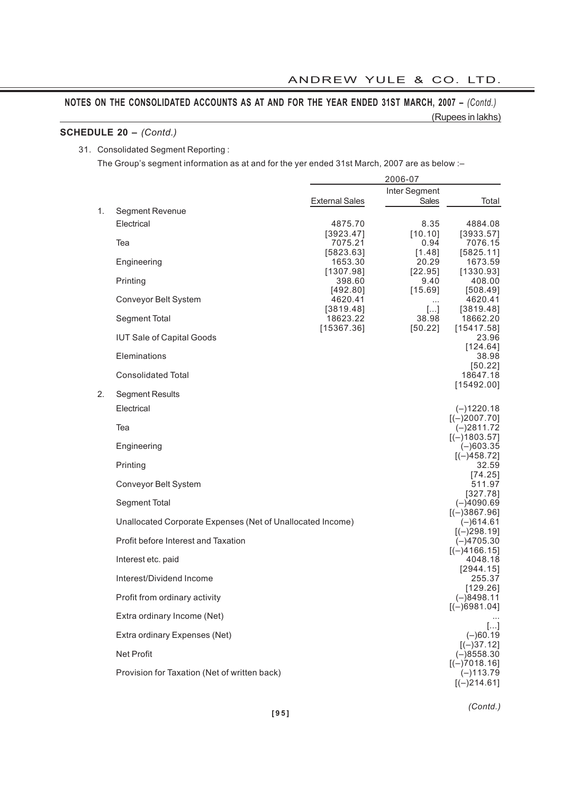# **SCHEDULE 20 –** *(Contd.)*

#### 31. Consolidated Segment Reporting :

The Group's segment information as at and for the yer ended 31st March, 2007 are as below :–

|    |                                                            |                       | 2006-07                |                                |
|----|------------------------------------------------------------|-----------------------|------------------------|--------------------------------|
|    |                                                            | <b>External Sales</b> | Inter Segment<br>Sales | Total                          |
| 1. | Segment Revenue<br>Electrical                              | 4875.70               | 8.35                   | 4884.08                        |
|    | Tea                                                        | [3923.47]<br>7075.21  | [10.10]<br>0.94        | [3933.57]<br>7076.15           |
|    |                                                            | [5823.63]             | [1.48]                 | [5825.11]                      |
|    | Engineering                                                | 1653.30<br>[1307.98]  | 20.29<br>$[22.95]$     | 1673.59<br>[1330.93]           |
|    | Printing                                                   | 398.60<br>[492.80]    | 9.40<br>[15.69]        | 408.00<br>[508.49]             |
|    | Conveyor Belt System                                       | 4620.41               | $\cdots$               | 4620.41                        |
|    | Segment Total                                              | [3819.48]<br>18623.22 | $[]$<br>38.98          | [3819.48]<br>18662.20          |
|    | <b>IUT Sale of Capital Goods</b>                           | [15367.36]            | [50.22]                | [15417.58]<br>23.96            |
|    | Eleminations                                               |                       |                        | [124.64]<br>38.98              |
|    | <b>Consolidated Total</b>                                  |                       |                        | [50.22]<br>18647.18            |
| 2. | <b>Segment Results</b>                                     |                       |                        | [15492.00]                     |
|    | Electrical                                                 |                       |                        | $(-)1220.18$                   |
|    | Tea                                                        |                       |                        | $[(-)2007.70]$<br>$(-)2811.72$ |
|    | Engineering                                                |                       |                        | $[(-)1803.57]$<br>$(-)603.35$  |
|    | Printing                                                   |                       |                        | $[(-)458.72]$<br>32.59         |
|    | Conveyor Belt System                                       |                       |                        | [74.25]<br>511.97              |
|    | Segment Total                                              |                       |                        | [327.78]<br>$(-)4090.69$       |
|    | Unallocated Corporate Expenses (Net of Unallocated Income) |                       |                        | $[(-)3867.96]$<br>$(-)614.61$  |
|    | Profit before Interest and Taxation                        |                       |                        | $[(-)298.19]$<br>$(-)4705.30$  |
|    | Interest etc. paid                                         |                       |                        | $[(-)4166.15]$<br>4048.18      |
|    | Interest/Dividend Income                                   |                       |                        | [2944.15]<br>255.37            |
|    | Profit from ordinary activity                              |                       |                        | [129.26]<br>$(-)8498.11$       |
|    |                                                            |                       |                        | $[(-)6981.04]$                 |
|    | Extra ordinary Income (Net)                                |                       |                        | $\left[\ldots\right]$          |
|    | Extra ordinary Expenses (Net)                              |                       |                        | $(-)60.19$<br>$[(-)37.12]$     |
|    | Net Profit                                                 |                       |                        | $(-)8558.30$<br>$[(-)7018.16]$ |
|    | Provision for Taxation (Net of written back)               |                       |                        | $(-)113.79$<br>$[(-)214.61]$   |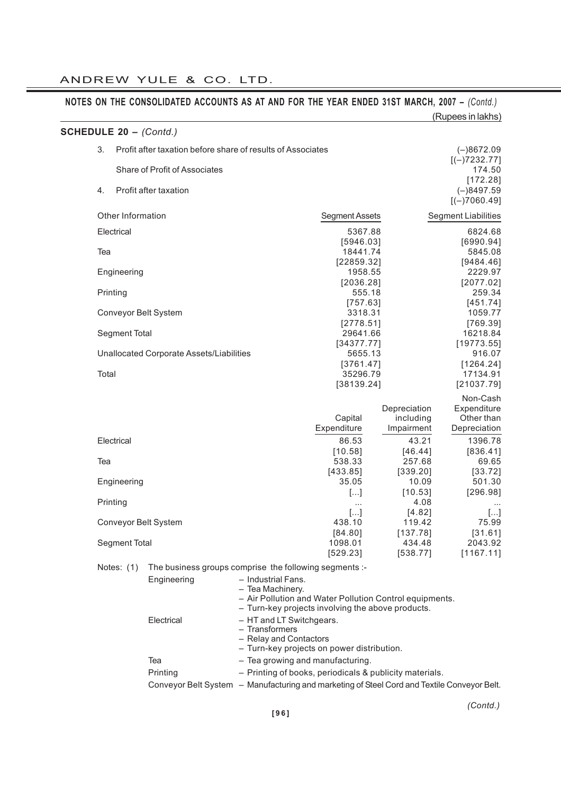|                        |                      |                                          | NOTES ON THE CONSOLIDATED ACCOUNTS AS AT AND FOR THE YEAR ENDED 31ST MARCH, 2007 - (Contd.) |                                                                                                              |                                         | (Rupees in lakhs)                                     |
|------------------------|----------------------|------------------------------------------|---------------------------------------------------------------------------------------------|--------------------------------------------------------------------------------------------------------------|-----------------------------------------|-------------------------------------------------------|
| SCHEDULE 20 - (Contd.) |                      |                                          |                                                                                             |                                                                                                              |                                         |                                                       |
|                        | 3.                   |                                          | Profit after taxation before share of results of Associates                                 |                                                                                                              |                                         | $(-)8672.09$                                          |
|                        |                      | Share of Profit of Associates            |                                                                                             |                                                                                                              |                                         | $[(-)7232.77]$<br>174.50<br>[172.28]                  |
|                        | 4.                   | Profit after taxation                    |                                                                                             |                                                                                                              |                                         | $(-)8497.59$<br>$[(-)7060.49]$                        |
|                        | Other Information    |                                          |                                                                                             | <b>Segment Assets</b>                                                                                        |                                         | <b>Segment Liabilities</b>                            |
|                        | Electrical           |                                          |                                                                                             | 5367.88                                                                                                      |                                         | 6824.68                                               |
|                        | Tea                  |                                          |                                                                                             | [5946.03]<br>18441.74<br>[22859.32]                                                                          |                                         | [6990.94]<br>5845.08<br>[9484.46]                     |
|                        | Engineering          |                                          |                                                                                             | 1958.55                                                                                                      |                                         | 2229.97                                               |
|                        | Printing             |                                          |                                                                                             | [2036.28]<br>555.18                                                                                          |                                         | [2077.02]<br>259.34                                   |
|                        |                      |                                          |                                                                                             | [757.63]                                                                                                     |                                         | [451.74]                                              |
|                        | Conveyor Belt System |                                          |                                                                                             | 3318.31                                                                                                      |                                         | 1059.77                                               |
|                        | Segment Total        |                                          |                                                                                             | [2778.51]<br>29641.66                                                                                        |                                         | [769.39]<br>16218.84                                  |
|                        |                      |                                          |                                                                                             | [34377.77]                                                                                                   |                                         | [19773.55]                                            |
|                        |                      | Unallocated Corporate Assets/Liabilities |                                                                                             | 5655.13<br>[3761.47]                                                                                         |                                         | 916.07<br>[1264.24]                                   |
|                        | Total                |                                          |                                                                                             | 35296.79                                                                                                     |                                         | 17134.91                                              |
|                        |                      |                                          |                                                                                             | [38139.24]                                                                                                   |                                         | [21037.79]                                            |
|                        |                      |                                          |                                                                                             | Capital<br>Expenditure                                                                                       | Depreciation<br>including<br>Impairment | Non-Cash<br>Expenditure<br>Other than<br>Depreciation |
|                        | Electrical           |                                          |                                                                                             | 86.53                                                                                                        | 43.21                                   | 1396.78                                               |
|                        |                      |                                          |                                                                                             | [10.58]<br>538.33                                                                                            | [46.44]                                 | [836.41]                                              |
|                        | Tea                  |                                          |                                                                                             | [433.85]                                                                                                     | 257.68<br>[339.20]                      | 69.65<br>[33.72]                                      |
|                        | Engineering          |                                          |                                                                                             | 35.05                                                                                                        | 10.09                                   | 501.30                                                |
|                        | Printing             |                                          |                                                                                             | $[]$                                                                                                         | [10.53]<br>4.08                         | [296.98]                                              |
|                        |                      |                                          |                                                                                             | $[]$                                                                                                         | [4.82]                                  | $[]$                                                  |
|                        |                      | Conveyor Belt System                     |                                                                                             | 438.10<br>[84.80]                                                                                            | 119.42<br>[137.78]                      | 75.99<br>[31.61]                                      |
|                        | Segment Total        |                                          |                                                                                             | 1098.01                                                                                                      | 434.48                                  | 2043.92                                               |
|                        |                      |                                          |                                                                                             | [529.23]                                                                                                     | [538.77]                                | [1167.11]                                             |
|                        | Notes: $(1)$         |                                          | The business groups comprise the following segments :-                                      |                                                                                                              |                                         |                                                       |
|                        |                      | Engineering                              | - Industrial Fans.<br>- Tea Machinery.                                                      | - Air Pollution and Water Pollution Control equipments.<br>- Turn-key projects involving the above products. |                                         |                                                       |
|                        |                      | Electrical                               | - HT and LT Switchgears.<br>- Transformers<br>- Relay and Contactors                        | - Turn-key projects on power distribution.                                                                   |                                         |                                                       |
|                        |                      | Tea                                      |                                                                                             | - Tea growing and manufacturing.                                                                             |                                         |                                                       |
|                        |                      | Drinting                                 |                                                                                             | Drinting of books, poriodicals & publicity materials                                                         |                                         |                                                       |

| Printing | - Printing of books, periodicals & publicity materials.                                     |  |
|----------|---------------------------------------------------------------------------------------------|--|
|          | Conveyor Belt System – Manufacturing and marketing of Steel Cord and Textile Conveyor Belt. |  |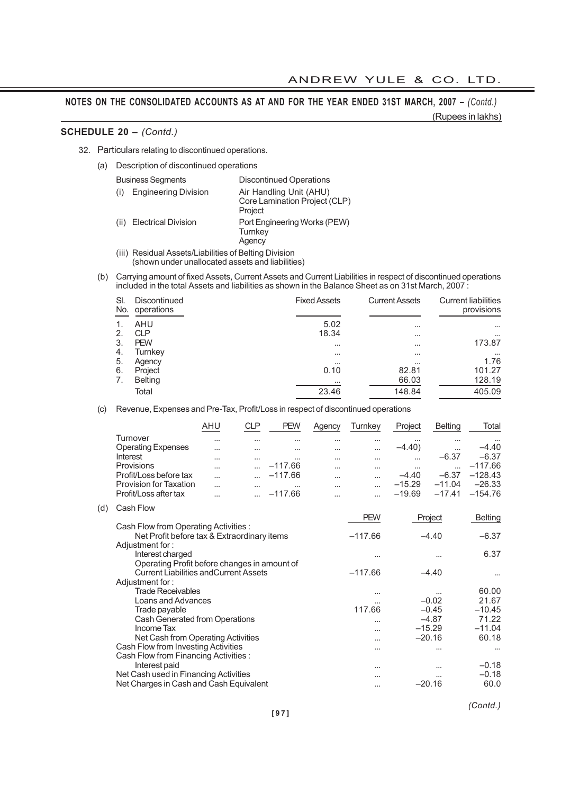### **SCHEDULE 20 –** *(Contd.)*

32. Particulars relating to discontinued operations.

(a) Description of discontinued operations

| <b>Business Segments</b>           | <b>Discontinued Operations</b>                                      |
|------------------------------------|---------------------------------------------------------------------|
| <b>Engineering Division</b>        | Air Handling Unit (AHU)<br>Core Lamination Project (CLP)<br>Project |
| <b>Electrical Division</b><br>(ii) | Port Engineering Works (PEW)<br>Turnkey<br>Agency                   |

- (iii) Residual Assets/Liabilities of Belting Division (shown under unallocated assets and liabilities)
- (b) Carrying amount of fixed Assets, Current Assets and Current Liabilities in respect of discontinued operations included in the total Assets and liabilities as shown in the Balance Sheet as on 31st March, 2007 :

| SI<br>No. | Discontinued<br>operations | <b>Fixed Assets</b> | <b>Current Assets</b> | <b>Current liabilities</b><br>provisions |
|-----------|----------------------------|---------------------|-----------------------|------------------------------------------|
|           | AHU                        | 5.02                | $\cdots$              | $\cdots$                                 |
| 2.        | <b>CLP</b>                 | 18.34               | $\cdots$              | $\cdots$                                 |
| 3.        | <b>PEW</b>                 | $\cdots$            | $\cdots$              | 173.87                                   |
| -4.       | Turnkey                    | $\cdots$            | $\cdots$              | $\cdots$                                 |
| 5.        | Agency                     | $\cdots$            | $\cdots$              | 1.76                                     |
| 6.        | Project                    | 0.10                | 82.81                 | 101.27                                   |
| 7.        | <b>Belting</b>             | $\cdots$            | 66.03                 | 128.19                                   |
|           | Total                      | 23.46               | 148.84                | 405.09                                   |

(c) Revenue, Expenses and Pre-Tax, Profit/Loss in respect of discontinued operations

| AHU      | CLP      | <b>PEW</b> | Agency   | Turnkev  | Project  | Belting  | Total     |
|----------|----------|------------|----------|----------|----------|----------|-----------|
| $\cdots$ | $\cdots$ | $\cdots$   | $\cdots$ | $\cdots$ | $\cdots$ | $\cdots$ | $\cdots$  |
| $\cdots$ | $\cdots$ | $\cdots$   | $\cdots$ | $\cdots$ | $-4.40$  | $\cdots$ | $-4.40$   |
| $\cdots$ | $\cdots$ | $\cdots$   | $\cdots$ | $\cdots$ | $\cdots$ | $-6.37$  | $-6.37$   |
| $\cdots$ |          | $-117.66$  | $\cdots$ | $\cdots$ | $\cdots$ |          | $-117.66$ |
| $\cdots$ |          | $-117.66$  | $\cdots$ | $\cdots$ | $-4.40$  | $-6.37$  | $-128.43$ |
| $\cdots$ | $\cdots$ | $\cdots$   | $\cdots$ | $\cdots$ | $-15.29$ | $-11.04$ | $-26.33$  |
| $\cdots$ |          | $-117.66$  | $\cdots$ |          | $-19.69$ | $-17.41$ | $-154.76$ |
|          |          |            |          |          |          |          |           |

(d) Cash Flow

|                                               | <b>PEW</b> | Project  | <b>Belting</b> |
|-----------------------------------------------|------------|----------|----------------|
| Cash Flow from Operating Activities :         |            |          |                |
| Net Profit before tax & Extraordinary items   | $-117.66$  | $-4.40$  | $-6.37$        |
| Adjustment for:                               |            |          |                |
| Interest charged                              | .          |          | 6.37           |
| Operating Profit before changes in amount of  |            |          |                |
| <b>Current Liabilities and Current Assets</b> | $-117.66$  | $-4.40$  |                |
| Adjustment for:                               |            |          |                |
| <b>Trade Receivables</b>                      |            |          | 60.00          |
| Loans and Advances                            |            | $-0.02$  | 21.67          |
| Trade payable                                 | 117.66     | $-0.45$  | $-10.45$       |
| Cash Generated from Operations                |            | $-4.87$  | 71.22          |
| Income Tax                                    | $\ddotsc$  | $-15.29$ | $-11.04$       |
| Net Cash from Operating Activities            |            | $-20.16$ | 60.18          |
| Cash Flow from Investing Activities           | $\cdots$   |          | $\cdots$       |
| Cash Flow from Financing Activities:          |            |          |                |
| Interest paid                                 | $\cdots$   |          | $-0.18$        |
| Net Cash used in Financing Activities         |            |          | $-0.18$        |
| Net Charges in Cash and Cash Equivalent       |            | $-20.16$ | 60.0           |
|                                               |            |          |                |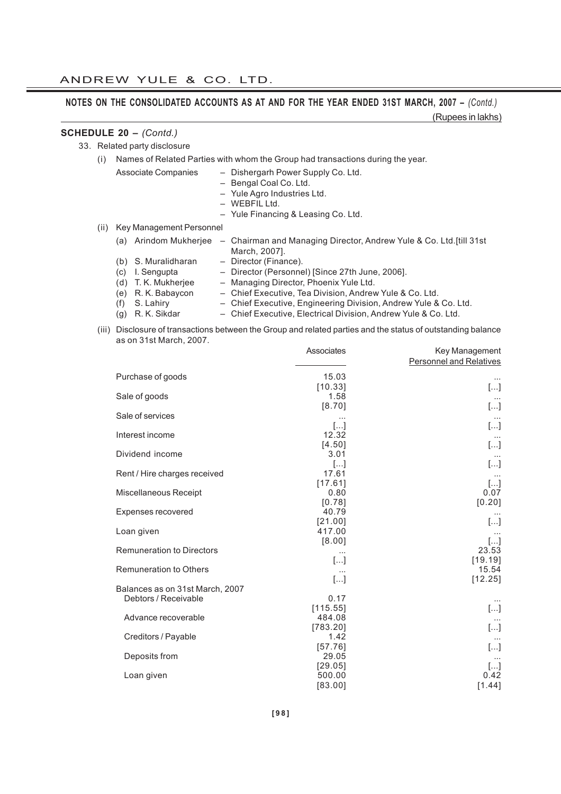(Rupees in lakhs)

# **SCHEDULE 20 –** *(Contd.)*

33. Related party disclosure

| (i) Names of Related Parties with whom the Group had transactions during the year. |  |  |
|------------------------------------------------------------------------------------|--|--|
|                                                                                    |  |  |

- Associate Companies Dishergarh Power Supply Co. Ltd.
	- Bengal Coal Co. Ltd.
	- Yule Agro Industries Ltd.
	- WEBFIL Ltd.
	- Yule Financing & Leasing Co. Ltd.
- (ii) Key Management Personnel

| (a) |                     | Arindom Mukherjee – Chairman and Managing Director, Andrew Yule & Co. Ltd. [till 31st] |
|-----|---------------------|----------------------------------------------------------------------------------------|
|     |                     | March, 2007].                                                                          |
|     | (b) S. Muralidharan | - Director (Finance).                                                                  |
|     | (c) I. Sengupta     | - Director (Personnel) [Since 27th June, 2006].                                        |
|     | (d) T. K. Mukherjee | - Managing Director, Phoenix Yule Ltd.                                                 |

- (e) R. K. Babaycon Chief Executive, Tea Division, Andrew Yule & Co. Ltd.
- (f) S. Lahiry Chief Executive, Engineering Division, Andrew Yule & Co. Ltd.<br>(g) R. K. Sikdar Chief Executive, Electrical Division, Andrew Yule & Co. Ltd.
	- Chief Executive, Electrical Division, Andrew Yule & Co. Ltd.
- (iii) Disclosure of transactions between the Group and related parties and the status of outstanding balance as on 31st March, 2007. Associates Key Management

|                                  | ASSOCIATES                   | Key Management<br><b>Personnel and Relatives</b> |
|----------------------------------|------------------------------|--------------------------------------------------|
| Purchase of goods                | 15.03                        |                                                  |
| Sale of goods                    | [10.33]<br>1.58              | $[]$<br>$\cdots$                                 |
| Sale of services                 | [8.70]<br>$\cdots$           | $[\ldots]$                                       |
| Interest income                  | []<br>12.32                  | $[]$                                             |
| Dividend income                  | [4.50]<br>3.01               | $[]$                                             |
| Rent / Hire charges received     | $[]$<br>17.61                | []                                               |
| Miscellaneous Receipt            | [17.61]<br>0.80              | $[]$<br>0.07                                     |
| Expenses recovered               | [0.78]<br>40.79              | [0.20]<br>$\cdots$                               |
| Loan given                       | [21.00]<br>417.00            | $[]$                                             |
| <b>Remuneration to Directors</b> | [8.00]<br>$\cdots$           | $[]$<br>23.53                                    |
| <b>Remuneration to Others</b>    | $[]$<br>$\cdots$             | [19.19]<br>15.54                                 |
| Balances as on 31st March, 2007  | $[]$                         | [12.25]                                          |
| Debtors / Receivable             | 0.17<br>[115.55]             | $[]$                                             |
| Advance recoverable              | 484.08<br>[783.20]           |                                                  |
| Creditors / Payable              | 1.42                         | []                                               |
| Deposits from                    | [57.76]<br>29.05             | $[]$                                             |
| Loan given                       | [29.05]<br>500.00<br>[83.00] | $[]$<br>0.42<br>[1.44]                           |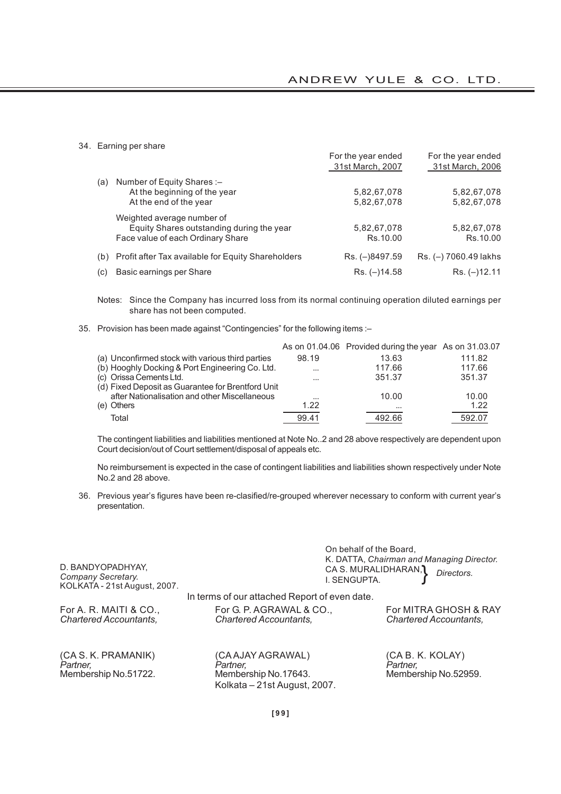34. Earning per share

|     |                                                        | For the year ended<br>31st March, 2007 | For the year ended<br>31st March, 2006 |
|-----|--------------------------------------------------------|----------------------------------------|----------------------------------------|
| (a) | Number of Equity Shares:-                              |                                        |                                        |
|     | At the beginning of the year                           | 5,82,67,078                            | 5,82,67,078                            |
|     | At the end of the year                                 | 5,82,67,078                            | 5,82,67,078                            |
|     | Weighted average number of                             |                                        |                                        |
|     | Equity Shares outstanding during the year              | 5,82,67,078                            | 5,82,67,078                            |
|     | Face value of each Ordinary Share                      | Rs.10.00                               | Rs.10.00                               |
|     | (b) Profit after Tax available for Equity Shareholders | Rs. (-)8497.59                         | Rs. (-) 7060.49 lakhs                  |
| (c) | Basic earnings per Share                               | $Rs. (-114.58)$                        | $Rs. (-12.11$                          |

Notes: Since the Company has incurred loss from its normal continuing operation diluted earnings per share has not been computed.

35. Provision has been made against "Contingencies" for the following items :–

|                                                   |          | As on 01.04.06 Provided during the year As on 31.03.07 |        |
|---------------------------------------------------|----------|--------------------------------------------------------|--------|
| (a) Unconfirmed stock with various third parties  | 98.19    | 13.63                                                  | 111.82 |
| (b) Hooghly Docking & Port Engineering Co. Ltd.   | $\cdots$ | 117.66                                                 | 117.66 |
| (c) Orissa Cements Ltd.                           | $\cdots$ | 351.37                                                 | 351.37 |
| (d) Fixed Deposit as Guarantee for Brentford Unit |          |                                                        |        |
| after Nationalisation and other Miscellaneous     | $\cdots$ | 10.00                                                  | 10.00  |
| (e) Others                                        | 1.22     | $\cdots$                                               | 1.22   |
| Total                                             | 99.41    | 492.66                                                 | 592.07 |

The contingent liabilities and liabilities mentioned at Note No..2 and 28 above respectively are dependent upon Court decision/out of Court settlement/disposal of appeals etc.

No reimbursement is expected in the case of contingent liabilities and liabilities shown respectively under Note No.2 and 28 above.

36. Previous year's figures have been re-clasified/re-grouped wherever necessary to conform with current year's presentation.

| D. BANDYOPADHYAY,<br>Company Secretary.<br>KOLKATA - 21st August, 2007. | I. SENGUPTA.                                                                          | On behalf of the Board,<br>K. DATTA, Chairman and Managing Director.<br>CA S. MURALIDHARAN, 1<br>Directors. |
|-------------------------------------------------------------------------|---------------------------------------------------------------------------------------|-------------------------------------------------------------------------------------------------------------|
|                                                                         | In terms of our attached Report of even date.                                         |                                                                                                             |
| For A. R. MAITI & CO.,<br><b>Chartered Accountants,</b>                 | For G. P. AGRAWAL & CO.,<br><b>Chartered Accountants,</b>                             | For MITRA GHOSH & RAY<br><b>Chartered Accountants,</b>                                                      |
| (CA S. K. PRAMANIK)<br>Partner.<br>Membership No.51722.                 | (CA AJAY AGRAWAL)<br>Partner.<br>Membership No.17643.<br>Kolkata - 21st August, 2007. | (CA B. K. KOLAY)<br>Partner.<br>Membership No.52959.                                                        |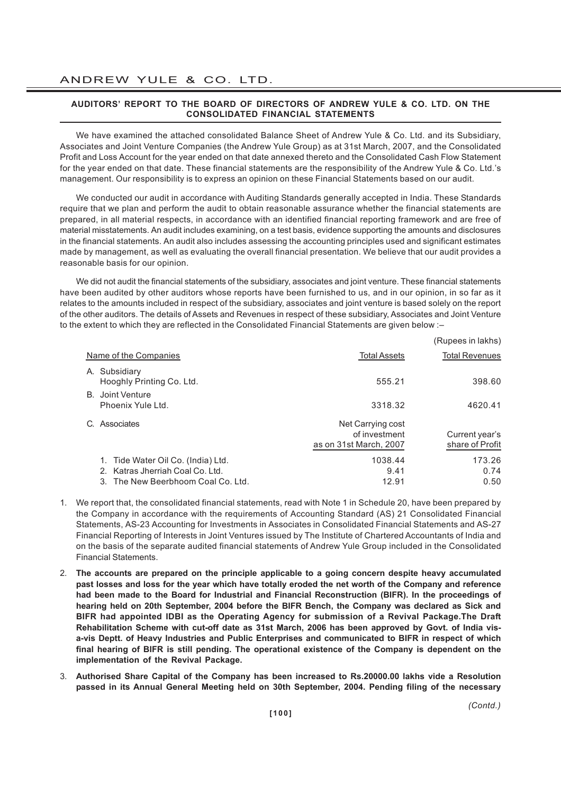#### **AUDITORS' REPORT TO THE BOARD OF DIRECTORS OF ANDREW YULE & CO. LTD. ON THE CONSOLIDATED FINANCIAL STATEMENTS**

We have examined the attached consolidated Balance Sheet of Andrew Yule & Co. Ltd. and its Subsidiary, Associates and Joint Venture Companies (the Andrew Yule Group) as at 31st March, 2007, and the Consolidated Profit and Loss Account for the year ended on that date annexed thereto and the Consolidated Cash Flow Statement for the year ended on that date. These financial statements are the responsibility of the Andrew Yule & Co. Ltd.'s management. Our responsibility is to express an opinion on these Financial Statements based on our audit.

We conducted our audit in accordance with Auditing Standards generally accepted in India. These Standards require that we plan and perform the audit to obtain reasonable assurance whether the financial statements are prepared, in all material respects, in accordance with an identified financial reporting framework and are free of material misstatements. An audit includes examining, on a test basis, evidence supporting the amounts and disclosures in the financial statements. An audit also includes assessing the accounting principles used and significant estimates made by management, as well as evaluating the overall financial presentation. We believe that our audit provides a reasonable basis for our opinion.

We did not audit the financial statements of the subsidiary, associates and joint venture. These financial statements have been audited by other auditors whose reports have been furnished to us, and in our opinion, in so far as it relates to the amounts included in respect of the subsidiary, associates and joint venture is based solely on the report of the other auditors. The details of Assets and Revenues in respect of these subsidiary, Associates and Joint Venture to the extent to which they are reflected in the Consolidated Financial Statements are given below :–

|                                                                                                              |                                                              | (Rupees in lakhs)                 |
|--------------------------------------------------------------------------------------------------------------|--------------------------------------------------------------|-----------------------------------|
| Name of the Companies                                                                                        | <b>Total Assets</b>                                          | <b>Total Revenues</b>             |
| A. Subsidiary<br>Hooghly Printing Co. Ltd.                                                                   | 555.21                                                       | 398.60                            |
| B. Joint Venture<br>Phoenix Yule Ltd.                                                                        | 3318.32                                                      | 4620.41                           |
| C. Associates                                                                                                | Net Carrying cost<br>of investment<br>as on 31st March, 2007 | Current year's<br>share of Profit |
| 1. Tide Water Oil Co. (India) Ltd.<br>2. Katras Jherriah Coal Co. Ltd.<br>3. The New Beerbhoom Coal Co. Ltd. | 1038.44<br>9.41<br>12.91                                     | 173.26<br>0.74<br>0.50            |

- 1. We report that, the consolidated financial statements, read with Note 1 in Schedule 20, have been prepared by the Company in accordance with the requirements of Accounting Standard (AS) 21 Consolidated Financial Statements, AS-23 Accounting for Investments in Associates in Consolidated Financial Statements and AS-27 Financial Reporting of Interests in Joint Ventures issued by The Institute of Chartered Accountants of India and on the basis of the separate audited financial statements of Andrew Yule Group included in the Consolidated Financial Statements.
- 2. **The accounts are prepared on the principle applicable to a going concern despite heavy accumulated past losses and loss for the year which have totally eroded the net worth of the Company and reference had been made to the Board for Industrial and Financial Reconstruction (BIFR). In the proceedings of hearing held on 20th September, 2004 before the BIFR Bench, the Company was declared as Sick and BIFR had appointed IDBI as the Operating Agency for submission of a Revival Package.The Draft Rehabilitation Scheme with cut-off date as 31st March, 2006 has been approved by Govt. of India visa-vis Deptt. of Heavy Industries and Public Enterprises and communicated to BIFR in respect of which final hearing of BIFR is still pending. The operational existence of the Company is dependent on the implementation of the Revival Package.**
- 3. **Authorised Share Capital of the Company has been increased to Rs.20000.00 lakhs vide a Resolution passed in its Annual General Meeting held on 30th September, 2004. Pending filing of the necessary**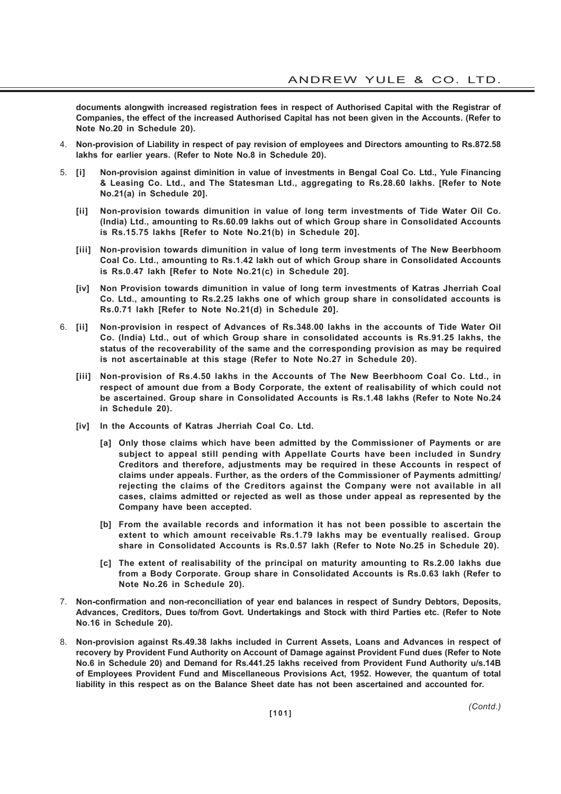**documents alongwith increased registration fees in respect of Authorised Capital with the Registrar of Companies, the effect of the increased Authorised Capital has not been given in the Accounts. (Refer to Note No.20 in Schedule 20).**

- 4. **Non-provision of Liability in respect of pay revision of employees and Directors amounting to Rs.872.58 lakhs for earlier years. (Refer to Note No.8 in Schedule 20).**
- 5. **[i] Non-provision against diminition in value of investments in Bengal Coal Co. Ltd., Yule Financing & Leasing Co. Ltd., and The Statesman Ltd., aggregating to Rs.28.60 lakhs. [Refer to Note No.21(a) in Schedule 20].**
	- **[ii] Non-provision towards dimunition in value of long term investments of Tide Water Oil Co. (India) Ltd., amounting to Rs.60.09 lakhs out of which Group share in Consolidated Accounts is Rs.15.75 lakhs [Refer to Note No.21(b) in Schedule 20].**
	- **[iii] Non-provision towards dimunition in value of long term investments of The New Beerbhoom Coal Co. Ltd., amounting to Rs.1.42 lakh out of which Group share in Consolidated Accounts is Rs.0.47 lakh [Refer to Note No.21(c) in Schedule 20].**
	- **[iv] Non Provision towards dimunition in value of long term investments of Katras Jherriah Coal Co. Ltd., amounting to Rs.2.25 lakhs one of which group share in consolidated accounts is Rs.0.71 lakh [Refer to Note No.21(d) in Schedule 20].**
- 6. **[ii] Non-provision in respect of Advances of Rs.348.00 lakhs in the accounts of Tide Water Oil Co. (India) Ltd., out of which Group share in consolidated accounts is Rs.91.25 lakhs, the status of the recoverability of the same and the corresponding provision as may be required is not ascertainable at this stage (Refer to Note No.27 in Schedule 20).**
	- **[iii] Non-provision of Rs.4.50 lakhs in the Accounts of The New Beerbhoom Coal Co. Ltd., in respect of amount due from a Body Corporate, the extent of realisability of which could not be ascertained. Group share in Consolidated Accounts is Rs.1.48 lakhs (Refer to Note No.24 in Schedule 20).**
	- **[iv] In the Accounts of Katras Jherriah Coal Co. Ltd.**
		- **[a] Only those claims which have been admitted by the Commissioner of Payments or are subject to appeal still pending with Appellate Courts have been included in Sundry Creditors and therefore, adjustments may be required in these Accounts in respect of claims under appeals. Further, as the orders of the Commissioner of Payments admitting/ rejecting the claims of the Creditors against the Company were not available in all cases, claims admitted or rejected as well as those under appeal as represented by the Company have been accepted.**
		- **[b] From the available records and information it has not been possible to ascertain the extent to which amount receivable Rs.1.79 lakhs may be eventually realised. Group share in Consolidated Accounts is Rs.0.57 lakh (Refer to Note No.25 in Schedule 20).**
		- **[c] The extent of realisability of the principal on maturity amounting to Rs.2.00 lakhs due from a Body Corporate. Group share in Consolidated Accounts is Rs.0.63 lakh (Refer to Note No.26 in Schedule 20).**
- 7. **Non-confirmation and non-reconciliation of year end balances in respect of Sundry Debtors, Deposits, Advances, Creditors, Dues to/from Govt. Undertakings and Stock with third Parties etc. (Refer to Note No.16 in Schedule 20).**
- 8. **Non-provision against Rs.49.38 lakhs included in Current Assets, Loans and Advances in respect of recovery by Provident Fund Authority on Account of Damage against Provident Fund dues (Refer to Note No.6 in Schedule 20) and Demand for Rs.441.25 lakhs received from Provident Fund Authority u/s.14B of Employees Provident Fund and Miscellaneous Provisions Act, 1952. However, the quantum of total liability in this respect as on the Balance Sheet date has not been ascertained and accounted for.**